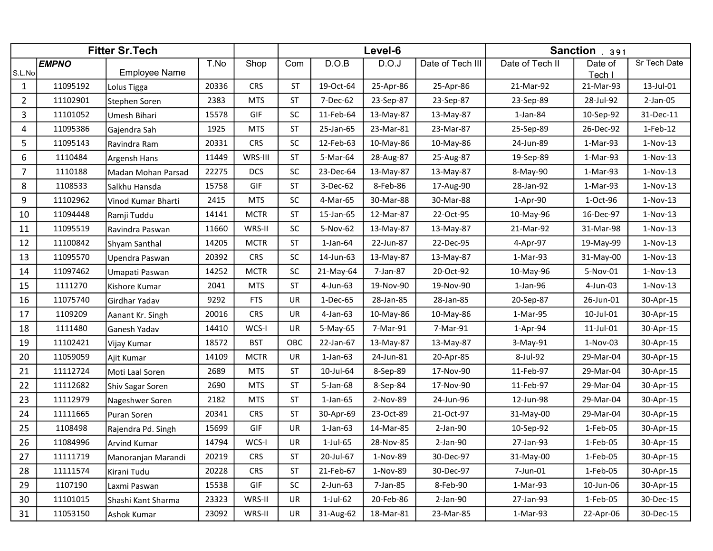|                | <b>Fitter Sr. Tech</b> |                      |       |             |           | Level-6        |           |                  | Sanction . 391  |                   |              |
|----------------|------------------------|----------------------|-------|-------------|-----------|----------------|-----------|------------------|-----------------|-------------------|--------------|
| S.L.No         | <b>EMPNO</b>           | <b>Employee Name</b> | T.No  | Shop        | Com       | D.O.B          | D.O.J     | Date of Tech III | Date of Tech II | Date of<br>Tech I | Sr Tech Date |
| 1              | 11095192               | Lolus Tigga          | 20336 | <b>CRS</b>  | <b>ST</b> | 19-Oct-64      | 25-Apr-86 | 25-Apr-86        | 21-Mar-92       | 21-Mar-93         | 13-Jul-01    |
| $\overline{2}$ | 11102901               | Stephen Soren        | 2383  | <b>MTS</b>  | <b>ST</b> | 7-Dec-62       | 23-Sep-87 | 23-Sep-87        | 23-Sep-89       | 28-Jul-92         | $2-Jan-05$   |
| 3              | 11101052               | Umesh Bihari         | 15578 | GIF         | <b>SC</b> | 11-Feb-64      | 13-May-87 | 13-May-87        | $1$ -Jan-84     | 10-Sep-92         | 31-Dec-11    |
| 4              | 11095386               | Gajendra Sah         | 1925  | <b>MTS</b>  | <b>ST</b> | 25-Jan-65      | 23-Mar-81 | 23-Mar-87        | 25-Sep-89       | 26-Dec-92         | 1-Feb-12     |
| 5              | 11095143               | Ravindra Ram         | 20331 | <b>CRS</b>  | <b>SC</b> | 12-Feb-63      | 10-May-86 | 10-May-86        | 24-Jun-89       | 1-Mar-93          | $1-Nov-13$   |
| 6              | 1110484                | Argensh Hans         | 11449 | WRS-III     | <b>ST</b> | 5-Mar-64       | 28-Aug-87 | 25-Aug-87        | 19-Sep-89       | 1-Mar-93          | $1-Nov-13$   |
| 7              | 1110188                | Madan Mohan Parsad   | 22275 | <b>DCS</b>  | SC        | 23-Dec-64      | 13-May-87 | 13-May-87        | 8-May-90        | 1-Mar-93          | $1-Nov-13$   |
| 8              | 1108533                | Salkhu Hansda        | 15758 | GIF         | ST        | 3-Dec-62       | 8-Feb-86  | 17-Aug-90        | 28-Jan-92       | 1-Mar-93          | $1-Nov-13$   |
| 9              | 11102962               | Vinod Kumar Bharti   | 2415  | <b>MTS</b>  | SC        | 4-Mar-65       | 30-Mar-88 | 30-Mar-88        | 1-Apr-90        | 1-Oct-96          | $1-Nov-13$   |
| 10             | 11094448               | Ramji Tuddu          | 14141 | <b>MCTR</b> | <b>ST</b> | 15-Jan-65      | 12-Mar-87 | 22-Oct-95        | 10-May-96       | 16-Dec-97         | $1-Nov-13$   |
| 11             | 11095519               | Ravindra Paswan      | 11660 | WRS-II      | <b>SC</b> | 5-Nov-62       | 13-May-87 | 13-May-87        | 21-Mar-92       | 31-Mar-98         | $1-Nov-13$   |
| 12             | 11100842               | Shyam Santhal        | 14205 | <b>MCTR</b> | <b>ST</b> | $1$ -Jan- $64$ | 22-Jun-87 | 22-Dec-95        | 4-Apr-97        | 19-May-99         | $1-Nov-13$   |
| 13             | 11095570               | Upendra Paswan       | 20392 | <b>CRS</b>  | <b>SC</b> | 14-Jun-63      | 13-May-87 | 13-May-87        | 1-Mar-93        | 31-May-00         | $1-Nov-13$   |
| 14             | 11097462               | Umapati Paswan       | 14252 | <b>MCTR</b> | <b>SC</b> | 21-May-64      | 7-Jan-87  | 20-Oct-92        | 10-May-96       | 5-Nov-01          | $1-Nov-13$   |
| 15             | 1111270                | Kishore Kumar        | 2041  | <b>MTS</b>  | <b>ST</b> | 4-Jun-63       | 19-Nov-90 | 19-Nov-90        | 1-Jan-96        | 4-Jun-03          | $1-Nov-13$   |
| 16             | 11075740               | Girdhar Yadav        | 9292  | <b>FTS</b>  | UR        | 1-Dec-65       | 28-Jan-85 | 28-Jan-85        | 20-Sep-87       | 26-Jun-01         | 30-Apr-15    |
| 17             | 1109209                | Aanant Kr. Singh     | 20016 | <b>CRS</b>  | UR        | $4$ -Jan-63    | 10-May-86 | 10-May-86        | 1-Mar-95        | 10-Jul-01         | 30-Apr-15    |
| 18             | 1111480                | Ganesh Yadav         | 14410 | WCS-I       | UR        | $5-May-65$     | 7-Mar-91  | 7-Mar-91         | 1-Apr-94        | 11-Jul-01         | 30-Apr-15    |
| 19             | 11102421               | Vijay Kumar          | 18572 | <b>BST</b>  | OBC       | 22-Jan-67      | 13-May-87 | 13-May-87        | 3-May-91        | $1-Nov-03$        | 30-Apr-15    |
| 20             | 11059059               | Ajit Kumar           | 14109 | <b>MCTR</b> | UR        | $1-Jan-63$     | 24-Jun-81 | 20-Apr-85        | 8-Jul-92        | 29-Mar-04         | 30-Apr-15    |
| 21             | 11112724               | Moti Laal Soren      | 2689  | <b>MTS</b>  | <b>ST</b> | 10-Jul-64      | 8-Sep-89  | 17-Nov-90        | 11-Feb-97       | 29-Mar-04         | 30-Apr-15    |
| 22             | 11112682               | Shiv Sagar Soren     | 2690  | <b>MTS</b>  | <b>ST</b> | 5-Jan-68       | 8-Sep-84  | 17-Nov-90        | 11-Feb-97       | 29-Mar-04         | 30-Apr-15    |
| 23             | 11112979               | Nageshwer Soren      | 2182  | <b>MTS</b>  | <b>ST</b> | $1$ -Jan- $65$ | 2-Nov-89  | 24-Jun-96        | 12-Jun-98       | 29-Mar-04         | 30-Apr-15    |
| 24             | 11111665               | Puran Soren          | 20341 | <b>CRS</b>  | <b>ST</b> | 30-Apr-69      | 23-Oct-89 | 21-Oct-97        | 31-May-00       | 29-Mar-04         | 30-Apr-15    |
| 25             | 1108498                | Rajendra Pd. Singh   | 15699 | GIF         | UR        | $1$ -Jan-63    | 14-Mar-85 | $2$ -Jan-90      | 10-Sep-92       | 1-Feb-05          | 30-Apr-15    |
| 26             | 11084996               | Arvind Kumar         | 14794 | WCS-I       | <b>UR</b> | 1-Jul-65       | 28-Nov-85 | $2$ -Jan-90      | 27-Jan-93       | 1-Feb-05          | 30-Apr-15    |
| 27             | 11111719               | Manoranjan Marandi   | 20219 | <b>CRS</b>  | <b>ST</b> | 20-Jul-67      | 1-Nov-89  | 30-Dec-97        | 31-May-00       | 1-Feb-05          | 30-Apr-15    |
| 28             | 11111574               | Kirani Tudu          | 20228 | <b>CRS</b>  | ST        | 21-Feb-67      | 1-Nov-89  | 30-Dec-97        | 7-Jun-01        | 1-Feb-05          | 30-Apr-15    |
| 29             | 1107190                | Laxmi Paswan         | 15538 | GIF         | <b>SC</b> | $2$ -Jun-63    | 7-Jan-85  | 8-Feb-90         | 1-Mar-93        | 10-Jun-06         | 30-Apr-15    |
| 30             | 11101015               | Shashi Kant Sharma   | 23323 | WRS-II      | UR        | 1-Jul-62       | 20-Feb-86 | $2$ -Jan-90      | 27-Jan-93       | 1-Feb-05          | 30-Dec-15    |
| 31             | 11053150               | Ashok Kumar          | 23092 | WRS-II      | UR        | 31-Aug-62      | 18-Mar-81 | 23-Mar-85        | 1-Mar-93        | 22-Apr-06         | 30-Dec-15    |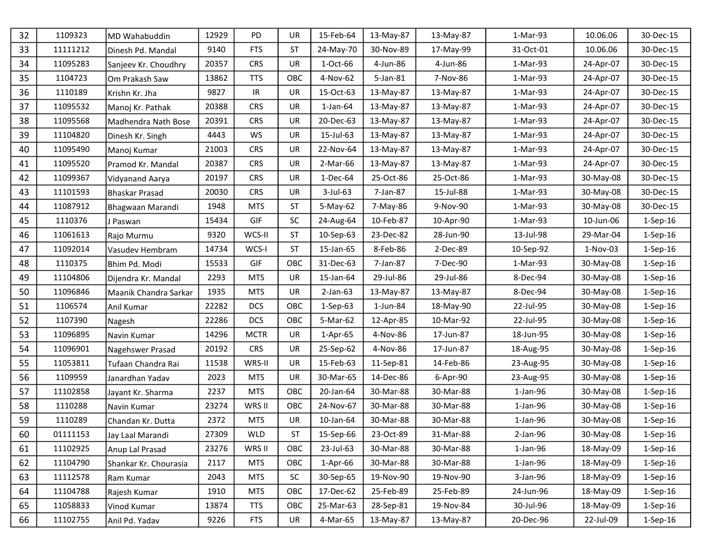| 32 | 1109323  | MD Wahabuddin         | 12929 | PD          | <b>UR</b> | 15-Feb-64      | 13-May-87   | 13-May-87 | 1-Mar-93       | 10.06.06   | 30-Dec-15      |
|----|----------|-----------------------|-------|-------------|-----------|----------------|-------------|-----------|----------------|------------|----------------|
| 33 | 11111212 | Dinesh Pd. Mandal     | 9140  | <b>FTS</b>  | <b>ST</b> | 24-May-70      | 30-Nov-89   | 17-May-99 | 31-Oct-01      | 10.06.06   | 30-Dec-15      |
| 34 | 11095283 | Sanjeev Kr. Choudhry  | 20357 | <b>CRS</b>  | <b>UR</b> | 1-Oct-66       | 4-Jun-86    | 4-Jun-86  | 1-Mar-93       | 24-Apr-07  | 30-Dec-15      |
| 35 | 1104723  | Om Prakash Saw        | 13862 | <b>TTS</b>  | OBC       | 4-Nov-62       | 5-Jan-81    | 7-Nov-86  | 1-Mar-93       | 24-Apr-07  | 30-Dec-15      |
| 36 | 1110189  | Krishn Kr. Jha        | 9827  | IR          | UR        | 15-Oct-63      | 13-May-87   | 13-May-87 | 1-Mar-93       | 24-Apr-07  | 30-Dec-15      |
| 37 | 11095532 | Manoj Kr. Pathak      | 20388 | <b>CRS</b>  | <b>UR</b> | $1$ -Jan- $64$ | 13-May-87   | 13-May-87 | 1-Mar-93       | 24-Apr-07  | 30-Dec-15      |
| 38 | 11095568 | Madhendra Nath Bose   | 20391 | <b>CRS</b>  | UR        | 20-Dec-63      | 13-May-87   | 13-May-87 | 1-Mar-93       | 24-Apr-07  | 30-Dec-15      |
| 39 | 11104820 | Dinesh Kr. Singh      | 4443  | WS          | UR        | 15-Jul-63      | 13-May-87   | 13-May-87 | 1-Mar-93       | 24-Apr-07  | 30-Dec-15      |
| 40 | 11095490 | Manoj Kumar           | 21003 | <b>CRS</b>  | <b>UR</b> | 22-Nov-64      | 13-May-87   | 13-May-87 | 1-Mar-93       | 24-Apr-07  | 30-Dec-15      |
| 41 | 11095520 | Pramod Kr. Mandal     | 20387 | <b>CRS</b>  | UR        | 2-Mar-66       | 13-May-87   | 13-May-87 | 1-Mar-93       | 24-Apr-07  | 30-Dec-15      |
| 42 | 11099367 | Vidyanand Aarya       | 20197 | <b>CRS</b>  | <b>UR</b> | 1-Dec-64       | 25-Oct-86   | 25-Oct-86 | 1-Mar-93       | 30-May-08  | 30-Dec-15      |
| 43 | 11101593 | <b>Bhaskar Prasad</b> | 20030 | <b>CRS</b>  | <b>UR</b> | 3-Jul-63       | 7-Jan-87    | 15-Jul-88 | 1-Mar-93       | 30-May-08  | 30-Dec-15      |
| 44 | 11087912 | Bhagwaan Marandi      | 1948  | <b>MTS</b>  | <b>ST</b> | 5-May-62       | 7-May-86    | 9-Nov-90  | 1-Mar-93       | 30-May-08  | 30-Dec-15      |
| 45 | 1110376  | J Paswan              | 15434 | GIF         | <b>SC</b> | 24-Aug-64      | 10-Feb-87   | 10-Apr-90 | 1-Mar-93       | 10-Jun-06  | $1-Sep-16$     |
| 46 | 11061613 | Rajo Murmu            | 9320  | WCS-II      | <b>ST</b> | 10-Sep-63      | 23-Dec-82   | 28-Jun-90 | 13-Jul-98      | 29-Mar-04  | $1-Sep-16$     |
| 47 | 11092014 | Vasudev Hembram       | 14734 | WCS-I       | <b>ST</b> | 15-Jan-65      | 8-Feb-86    | 2-Dec-89  | 10-Sep-92      | $1-Nov-03$ | $1-$ Sep $-16$ |
| 48 | 1110375  | Bhim Pd. Modi         | 15533 | GIF         | OBC       | 31-Dec-63      | 7-Jan-87    | 7-Dec-90  | 1-Mar-93       | 30-May-08  | $1-Sep-16$     |
| 49 | 11104806 | Dijendra Kr. Mandal   | 2293  | <b>MTS</b>  | UR        | 15-Jan-64      | 29-Jul-86   | 29-Jul-86 | 8-Dec-94       | 30-May-08  | $1-Sep-16$     |
| 50 | 11096846 | Maanik Chandra Sarkar | 1935  | <b>MTS</b>  | UR        | $2-Jan-63$     | 13-May-87   | 13-May-87 | 8-Dec-94       | 30-May-08  | $1-Sep-16$     |
| 51 | 1106574  | Anil Kumar            | 22282 | <b>DCS</b>  | OBC       | $1-Sep-63$     | $1$ -Jun-84 | 18-May-90 | 22-Jul-95      | 30-May-08  | $1-Sep-16$     |
| 52 | 1107390  | Nagesh                | 22286 | <b>DCS</b>  | OBC       | 5-Mar-62       | 12-Apr-85   | 10-Mar-92 | 22-Jul-95      | 30-May-08  | $1-$ Sep $-16$ |
| 53 | 11096895 | Navin Kumar           | 14296 | <b>MCTR</b> | <b>UR</b> | 1-Apr-65       | 4-Nov-86    | 17-Jun-87 | 18-Jun-95      | 30-May-08  | $1-Sep-16$     |
| 54 | 11096901 | Nagehswer Prasad      | 20192 | <b>CRS</b>  | <b>UR</b> | 25-Sep-62      | 4-Nov-86    | 17-Jun-87 | 18-Aug-95      | 30-May-08  | $1-Sep-16$     |
| 55 | 11053811 | Tufaan Chandra Rai    | 11538 | WRS-II      | UR        | 15-Feb-63      | 11-Sep-81   | 14-Feb-86 | 23-Aug-95      | 30-May-08  | $1-$ Sep $-16$ |
| 56 | 1109959  | Janardhan Yadav       | 2023  | <b>MTS</b>  | <b>UR</b> | 30-Mar-65      | 14-Dec-86   | 6-Apr-90  | 23-Aug-95      | 30-May-08  | $1-Sep-16$     |
| 57 | 11102858 | Jayant Kr. Sharma     | 2237  | <b>MTS</b>  | OBC       | 20-Jan-64      | 30-Mar-88   | 30-Mar-88 | $1$ -Jan- $96$ | 30-May-08  | $1-Sep-16$     |
| 58 | 1110288  | Navin Kumar           | 23274 | WRS II      | OBC       | 24-Nov-67      | 30-Mar-88   | 30-Mar-88 | $1$ -Jan-96    | 30-May-08  | $1-Sep-16$     |
| 59 | 1110289  | Chandan Kr. Dutta     | 2372  | <b>MTS</b>  | <b>UR</b> | 10-Jan-64      | 30-Mar-88   | 30-Mar-88 | $1$ -Jan- $96$ | 30-May-08  | 1-Sep-16       |
| 60 | 01111153 | Jay Laal Marandi      | 27309 | <b>WLD</b>  | ST        | 15-Sep-66      | 23-Oct-89   | 31-Mar-88 | 2-Jan-96       | 30-May-08  | $1-Sep-16$     |
| 61 | 11102925 | Anup Lal Prasad       | 23276 | WRS II      | OBC       | 23-Jul-63      | 30-Mar-88   | 30-Mar-88 | $1-Jan-96$     | 18-May-09  | $1-$ Sep $-16$ |
| 62 | 11104790 | Shankar Kr. Chourasia | 2117  | <b>MTS</b>  | OBC       | $1-Apr-66$     | 30-Mar-88   | 30-Mar-88 | $1$ -Jan- $96$ | 18-May-09  | $1-$ Sep $-16$ |
| 63 | 11112578 | Ram Kumar             | 2043  | <b>MTS</b>  | <b>SC</b> | 30-Sep-65      | 19-Nov-90   | 19-Nov-90 | 3-Jan-96       | 18-May-09  | $1-Sep-16$     |
| 64 | 11104788 | Rajesh Kumar          | 1910  | <b>MTS</b>  | OBC       | 17-Dec-62      | 25-Feb-89   | 25-Feb-89 | 24-Jun-96      | 18-May-09  | $1-Sep-16$     |
| 65 | 11058833 | Vinod Kumar           | 13874 | <b>TTS</b>  | OBC       | 25-Mar-63      | 28-Sep-81   | 19-Nov-84 | 30-Jul-96      | 18-May-09  | $1-Sep-16$     |
| 66 | 11102755 | Anil Pd. Yadav        | 9226  | <b>FTS</b>  | UR        | 4-Mar-65       | 13-May-87   | 13-May-87 | 20-Dec-96      | 22-Jul-09  | $1-$ Sep $-16$ |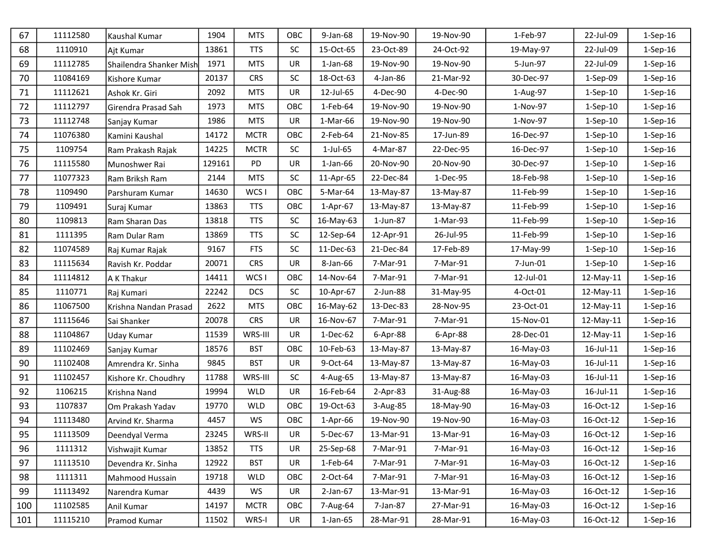| 67  | 11112580 | Kaushal Kumar           | 1904   | <b>MTS</b>       | OBC       | 9-Jan-68       | 19-Nov-90  | 19-Nov-90 | 1-Feb-97  | 22-Jul-09  | 1-Sep-16       |
|-----|----------|-------------------------|--------|------------------|-----------|----------------|------------|-----------|-----------|------------|----------------|
| 68  | 1110910  | Ajt Kumar               | 13861  | <b>TTS</b>       | <b>SC</b> | 15-Oct-65      | 23-Oct-89  | 24-Oct-92 | 19-May-97 | 22-Jul-09  | $1-Sep-16$     |
| 69  | 11112785 | Shailendra Shanker Mish | 1971   | <b>MTS</b>       | <b>UR</b> | $1$ -Jan- $68$ | 19-Nov-90  | 19-Nov-90 | 5-Jun-97  | 22-Jul-09  | $1-Sep-16$     |
| 70  | 11084169 | Kishore Kumar           | 20137  | <b>CRS</b>       | <b>SC</b> | 18-Oct-63      | 4-Jan-86   | 21-Mar-92 | 30-Dec-97 | 1-Sep-09   | $1-Sep-16$     |
| 71  | 11112621 | Ashok Kr. Giri          | 2092   | <b>MTS</b>       | UR        | 12-Jul-65      | 4-Dec-90   | 4-Dec-90  | 1-Aug-97  | $1-Sep-10$ | $1-Sep-16$     |
| 72  | 11112797 | Girendra Prasad Sah     | 1973   | <b>MTS</b>       | OBC       | 1-Feb-64       | 19-Nov-90  | 19-Nov-90 | 1-Nov-97  | $1-Sep-10$ | $1-Sep-16$     |
| 73  | 11112748 | Sanjay Kumar            | 1986   | <b>MTS</b>       | UR        | 1-Mar-66       | 19-Nov-90  | 19-Nov-90 | 1-Nov-97  | $1-Sep-10$ | $1-$ Sep $-16$ |
| 74  | 11076380 | Kamini Kaushal          | 14172  | <b>MCTR</b>      | OBC       | 2-Feb-64       | 21-Nov-85  | 17-Jun-89 | 16-Dec-97 | $1-Sep-10$ | $1-$ Sep $-16$ |
| 75  | 1109754  | Ram Prakash Rajak       | 14225  | <b>MCTR</b>      | SC        | 1-Jul-65       | 4-Mar-87   | 22-Dec-95 | 16-Dec-97 | $1-Sep-10$ | $1-$ Sep $-16$ |
| 76  | 11115580 | Munoshwer Rai           | 129161 | PD               | UR        | $1$ -Jan- $66$ | 20-Nov-90  | 20-Nov-90 | 30-Dec-97 | $1-Sep-10$ | $1-$ Sep $-16$ |
| 77  | 11077323 | Ram Briksh Ram          | 2144   | <b>MTS</b>       | SC        | 11-Apr-65      | 22-Dec-84  | 1-Dec-95  | 18-Feb-98 | $1-Sep-10$ | $1-$ Sep $-16$ |
| 78  | 1109490  | Parshuram Kumar         | 14630  | WCS I            | OBC       | 5-Mar-64       | 13-May-87  | 13-May-87 | 11-Feb-99 | $1-Sep-10$ | $1-Sep-16$     |
| 79  | 1109491  | Suraj Kumar             | 13863  | <b>TTS</b>       | OBC       | $1-Apr-67$     | 13-May-87  | 13-May-87 | 11-Feb-99 | $1-Sep-10$ | $1-$ Sep $-16$ |
| 80  | 1109813  | Ram Sharan Das          | 13818  | <b>TTS</b>       | SC        | 16-May-63      | 1-Jun-87   | 1-Mar-93  | 11-Feb-99 | $1-Sep-10$ | $1-$ Sep $-16$ |
| 81  | 1111395  | Ram Dular Ram           | 13869  | <b>TTS</b>       | <b>SC</b> | 12-Sep-64      | 12-Apr-91  | 26-Jul-95 | 11-Feb-99 | $1-Sep-10$ | $1-$ Sep $-16$ |
| 82  | 11074589 | Raj Kumar Rajak         | 9167   | <b>FTS</b>       | <b>SC</b> | 11-Dec-63      | 21-Dec-84  | 17-Feb-89 | 17-May-99 | $1-Sep-10$ | $1-Sep-16$     |
| 83  | 11115634 | Ravish Kr. Poddar       | 20071  | <b>CRS</b>       | <b>UR</b> | 8-Jan-66       | 7-Mar-91   | 7-Mar-91  | 7-Jun-01  | $1-Sep-10$ | $1-Sep-16$     |
| 84  | 11114812 | A K Thakur              | 14411  | WCS <sub>I</sub> | OBC       | 14-Nov-64      | 7-Mar-91   | 7-Mar-91  | 12-Jul-01 | 12-May-11  | $1-Sep-16$     |
| 85  | 1110771  | Raj Kumari              | 22242  | <b>DCS</b>       | <b>SC</b> | 10-Apr-67      | 2-Jun-88   | 31-May-95 | 4-Oct-01  | 12-May-11  | $1-$ Sep $-16$ |
| 86  | 11067500 | Krishna Nandan Prasad   | 2622   | <b>MTS</b>       | OBC       | 16-May-62      | 13-Dec-83  | 28-Nov-95 | 23-Oct-01 | 12-May-11  | $1-Sep-16$     |
| 87  | 11115646 | Sai Shanker             | 20078  | <b>CRS</b>       | UR        | 16-Nov-67      | 7-Mar-91   | 7-Mar-91  | 15-Nov-01 | 12-May-11  | $1-$ Sep $-16$ |
| 88  | 11104867 | Uday Kumar              | 11539  | WRS-III          | UR        | 1-Dec-62       | 6-Apr-88   | 6-Apr-88  | 28-Dec-01 | 12-May-11  | $1-Sep-16$     |
| 89  | 11102469 | Sanjay Kumar            | 18576  | <b>BST</b>       | OBC       | 10-Feb-63      | 13-May-87  | 13-May-87 | 16-May-03 | 16-Jul-11  | 1-Sep-16       |
| 90  | 11102408 | Amrendra Kr. Sinha      | 9845   | <b>BST</b>       | UR        | 9-Oct-64       | 13-May-87  | 13-May-87 | 16-May-03 | 16-Jul-11  | $1-$ Sep $-16$ |
| 91  | 11102457 | Kishore Kr. Choudhry    | 11788  | WRS-III          | <b>SC</b> | 4-Aug-65       | 13-May-87  | 13-May-87 | 16-May-03 | 16-Jul-11  | $1-Sep-16$     |
| 92  | 1106215  | Krishna Nand            | 19994  | <b>WLD</b>       | UR        | 16-Feb-64      | $2-Apr-83$ | 31-Aug-88 | 16-May-03 | 16-Jul-11  | $1-$ Sep $-16$ |
| 93  | 1107837  | Om Prakash Yadav        | 19770  | <b>WLD</b>       | OBC       | 19-Oct-63      | 3-Aug-85   | 18-May-90 | 16-May-03 | 16-Oct-12  | $1-Sep-16$     |
| 94  | 11113480 | Arvind Kr. Sharma       | 4457   | WS               | OBC       | $1-Apr-66$     | 19-Nov-90  | 19-Nov-90 | 16-May-03 | 16-Oct-12  | $1-$ Sep $-16$ |
| 95  | 11113509 | Deendyal Verma          | 23245  | WRS-II           | UR        | 5-Dec-67       | 13-Mar-91  | 13-Mar-91 | 16-May-03 | 16-Oct-12  | $1-$ Sep $-16$ |
| 96  | 1111312  | Vishwajit Kumar         | 13852  | <b>TTS</b>       | UR        | 25-Sep-68      | 7-Mar-91   | 7-Mar-91  | 16-May-03 | 16-Oct-12  | $1-Sep-16$     |
| 97  | 11113510 | Devendra Kr. Sinha      | 12922  | <b>BST</b>       | UR        | 1-Feb-64       | 7-Mar-91   | 7-Mar-91  | 16-May-03 | 16-Oct-12  | $1-$ Sep $-16$ |
| 98  | 1111311  | Mahmood Hussain         | 19718  | <b>WLD</b>       | OBC       | 2-Oct-64       | 7-Mar-91   | 7-Mar-91  | 16-May-03 | 16-Oct-12  | $1-$ Sep $-16$ |
| 99  | 11113492 | Narendra Kumar          | 4439   | WS               | UR        | $2$ -Jan-67    | 13-Mar-91  | 13-Mar-91 | 16-May-03 | 16-Oct-12  | $1-$ Sep $-16$ |
| 100 | 11102585 | Anil Kumar              | 14197  | <b>MCTR</b>      | OBC       | 7-Aug-64       | 7-Jan-87   | 27-Mar-91 | 16-May-03 | 16-Oct-12  | $1-Sep-16$     |
| 101 | 11115210 | Pramod Kumar            | 11502  | WRS-I            | UR        | $1$ -Jan-65    | 28-Mar-91  | 28-Mar-91 | 16-May-03 | 16-Oct-12  | $1-Sep-16$     |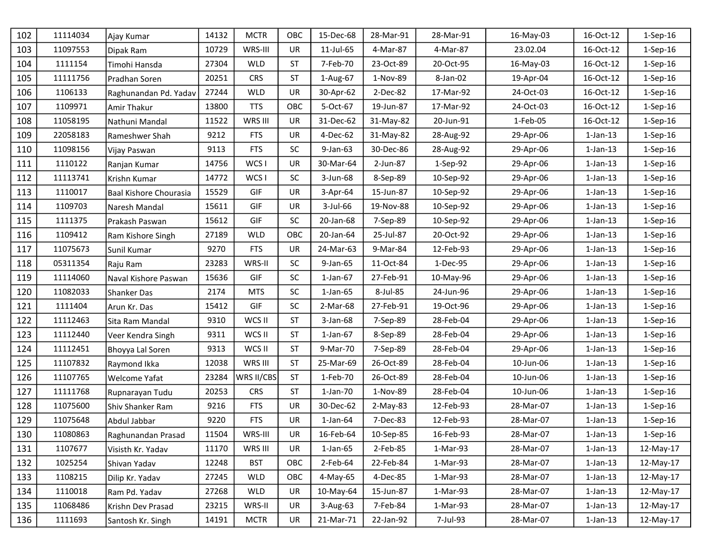| 102 | 11114034 | Ajay Kumar             | 14132 | <b>MCTR</b> | OBC       | 15-Dec-68      | 28-Mar-91 | 28-Mar-91  | 16-May-03 | 16-Oct-12      | 1-Sep-16       |
|-----|----------|------------------------|-------|-------------|-----------|----------------|-----------|------------|-----------|----------------|----------------|
| 103 | 11097553 | Dipak Ram              | 10729 | WRS-III     | UR        | 11-Jul-65      | 4-Mar-87  | 4-Mar-87   | 23.02.04  | 16-Oct-12      | 1-Sep-16       |
| 104 | 1111154  | Timohi Hansda          | 27304 | <b>WLD</b>  | <b>ST</b> | 7-Feb-70       | 23-Oct-89 | 20-Oct-95  | 16-May-03 | 16-Oct-12      | $1-$ Sep $-16$ |
| 105 | 11111756 | Pradhan Soren          | 20251 | <b>CRS</b>  | <b>ST</b> | 1-Aug-67       | 1-Nov-89  | 8-Jan-02   | 19-Apr-04 | 16-Oct-12      | 1-Sep-16       |
| 106 | 1106133  | Raghunandan Pd. Yadav  | 27244 | <b>WLD</b>  | UR        | 30-Apr-62      | 2-Dec-82  | 17-Mar-92  | 24-Oct-03 | 16-Oct-12      | $1-Sep-16$     |
| 107 | 1109971  | <b>Amir Thakur</b>     | 13800 | <b>TTS</b>  | OBC       | 5-Oct-67       | 19-Jun-87 | 17-Mar-92  | 24-Oct-03 | 16-Oct-12      | $1-Sep-16$     |
| 108 | 11058195 | Nathuni Mandal         | 11522 | WRS III     | UR        | 31-Dec-62      | 31-May-82 | 20-Jun-91  | 1-Feb-05  | 16-Oct-12      | $1-Sep-16$     |
| 109 | 22058183 | Rameshwer Shah         | 9212  | <b>FTS</b>  | UR        | 4-Dec-62       | 31-May-82 | 28-Aug-92  | 29-Apr-06 | $1$ -Jan- $13$ | 1-Sep-16       |
| 110 | 11098156 | Vijay Paswan           | 9113  | <b>FTS</b>  | SC        | 9-Jan-63       | 30-Dec-86 | 28-Aug-92  | 29-Apr-06 | $1$ -Jan- $13$ | 1-Sep-16       |
| 111 | 1110122  | Ranjan Kumar           | 14756 | WCS I       | UR        | 30-Mar-64      | 2-Jun-87  | $1-Sep-92$ | 29-Apr-06 | $1$ -Jan- $13$ | $1-$ Sep $-16$ |
| 112 | 11113741 | Krishn Kumar           | 14772 | WCS I       | SC        | 3-Jun-68       | 8-Sep-89  | 10-Sep-92  | 29-Apr-06 | $1$ -Jan- $13$ | $1-Sep-16$     |
| 113 | 1110017  | Baal Kishore Chourasia | 15529 | GIF         | UR        | 3-Apr-64       | 15-Jun-87 | 10-Sep-92  | 29-Apr-06 | $1-Jan-13$     | 1-Sep-16       |
| 114 | 1109703  | Naresh Mandal          | 15611 | GIF         | UR        | 3-Jul-66       | 19-Nov-88 | 10-Sep-92  | 29-Apr-06 | $1$ -Jan- $13$ | 1-Sep-16       |
| 115 | 1111375  | Prakash Paswan         | 15612 | GIF         | <b>SC</b> | 20-Jan-68      | 7-Sep-89  | 10-Sep-92  | 29-Apr-06 | $1$ -Jan- $13$ | $1-$ Sep $-16$ |
| 116 | 1109412  | Ram Kishore Singh      | 27189 | <b>WLD</b>  | OBC       | 20-Jan-64      | 25-Jul-87 | 20-Oct-92  | 29-Apr-06 | $1$ -Jan- $13$ | 1-Sep-16       |
| 117 | 11075673 | Sunil Kumar            | 9270  | <b>FTS</b>  | UR        | 24-Mar-63      | 9-Mar-84  | 12-Feb-93  | 29-Apr-06 | $1$ -Jan- $13$ | 1-Sep-16       |
| 118 | 05311354 | Raju Ram               | 23283 | WRS-II      | <b>SC</b> | 9-Jan-65       | 11-Oct-84 | 1-Dec-95   | 29-Apr-06 | $1$ -Jan- $13$ | $1-$ Sep $-16$ |
| 119 | 11114060 | Naval Kishore Paswan   | 15636 | GIF         | SC        | $1$ -Jan- $67$ | 27-Feb-91 | 10-May-96  | 29-Apr-06 | $1$ -Jan- $13$ | $1-Sep-16$     |
| 120 | 11082033 | <b>Shanker Das</b>     | 2174  | <b>MTS</b>  | SC        | $1$ -Jan- $65$ | 8-Jul-85  | 24-Jun-96  | 29-Apr-06 | $1$ -Jan- $13$ | $1-Sep-16$     |
| 121 | 1111404  | Arun Kr. Das           | 15412 | GIF         | SC        | 2-Mar-68       | 27-Feb-91 | 19-Oct-96  | 29-Apr-06 | $1$ -Jan- $13$ | 1-Sep-16       |
| 122 | 11112463 | Sita Ram Mandal        | 9310  | WCS II      | <b>ST</b> | $3$ -Jan-68    | 7-Sep-89  | 28-Feb-04  | 29-Apr-06 | $1$ -Jan- $13$ | $1-$ Sep $-16$ |
| 123 | 11112440 | Veer Kendra Singh      | 9311  | WCS II      | <b>ST</b> | $1$ -Jan- $67$ | 8-Sep-89  | 28-Feb-04  | 29-Apr-06 | $1$ -Jan- $13$ | 1-Sep-16       |
| 124 | 11112451 | Bhoyya Lal Soren       | 9313  | WCS II      | <b>ST</b> | 9-Mar-70       | 7-Sep-89  | 28-Feb-04  | 29-Apr-06 | $1-Jan-13$     | 1-Sep-16       |
| 125 | 11107832 | Raymond Ikka           | 12038 | WRS III     | <b>ST</b> | 25-Mar-69      | 26-Oct-89 | 28-Feb-04  | 10-Jun-06 | $1$ -Jan- $13$ | $1-Sep-16$     |
| 126 | 11107765 | <b>Welcome Yafat</b>   | 23284 | WRS II/CBS  | <b>ST</b> | 1-Feb-70       | 26-Oct-89 | 28-Feb-04  | 10-Jun-06 | $1$ -Jan- $13$ | $1-$ Sep $-16$ |
| 127 | 11111768 | Rupnarayan Tudu        | 20253 | <b>CRS</b>  | <b>ST</b> | $1$ -Jan-70    | 1-Nov-89  | 28-Feb-04  | 10-Jun-06 | $1$ -Jan- $13$ | 1-Sep-16       |
| 128 | 11075600 | Shiv Shanker Ram       | 9216  | <b>FTS</b>  | UR        | 30-Dec-62      | 2-May-83  | 12-Feb-93  | 28-Mar-07 | $1$ -Jan- $13$ | $1-Sep-16$     |
| 129 | 11075648 | Abdul Jabbar           | 9220  | <b>FTS</b>  | UR        | $1$ -Jan- $64$ | 7-Dec-83  | 12-Feb-93  | 28-Mar-07 | $1$ -Jan- $13$ | 1-Sep-16       |
| 130 | 11080863 | Raghunandan Prasad     | 11504 | WRS-III     | UR        | 16-Feb-64      | 10-Sep-85 | 16-Feb-93  | 28-Mar-07 | $1$ -Jan- $13$ | $1-Sep-16$     |
| 131 | 1107677  | Visisth Kr. Yadav      | 11170 | WRS III     | UR        | $1$ -Jan- $65$ | 2-Feb-85  | 1-Mar-93   | 28-Mar-07 | $1$ -Jan- $13$ | 12-May-17      |
| 132 | 1025254  | Shivan Yadav           | 12248 | <b>BST</b>  | OBC       | $2$ -Feb-64    | 22-Feb-84 | 1-Mar-93   | 28-Mar-07 | $1$ -Jan- $13$ | 12-May-17      |
| 133 | 1108215  | Dilip Kr. Yadav        | 27245 | <b>WLD</b>  | OBC       | 4-May-65       | 4-Dec-85  | 1-Mar-93   | 28-Mar-07 | $1$ -Jan- $13$ | 12-May-17      |
| 134 | 1110018  | Ram Pd. Yadav          | 27268 | <b>WLD</b>  | UR        | 10-May-64      | 15-Jun-87 | 1-Mar-93   | 28-Mar-07 | $1$ -Jan- $13$ | 12-May-17      |
| 135 | 11068486 | Krishn Dev Prasad      | 23215 | WRS-II      | UR        | 3-Aug-63       | 7-Feb-84  | 1-Mar-93   | 28-Mar-07 | $1$ -Jan- $13$ | 12-May-17      |
| 136 | 1111693  | Santosh Kr. Singh      | 14191 | <b>MCTR</b> | UR        | 21-Mar-71      | 22-Jan-92 | 7-Jul-93   | 28-Mar-07 | $1$ -Jan-13    | 12-May-17      |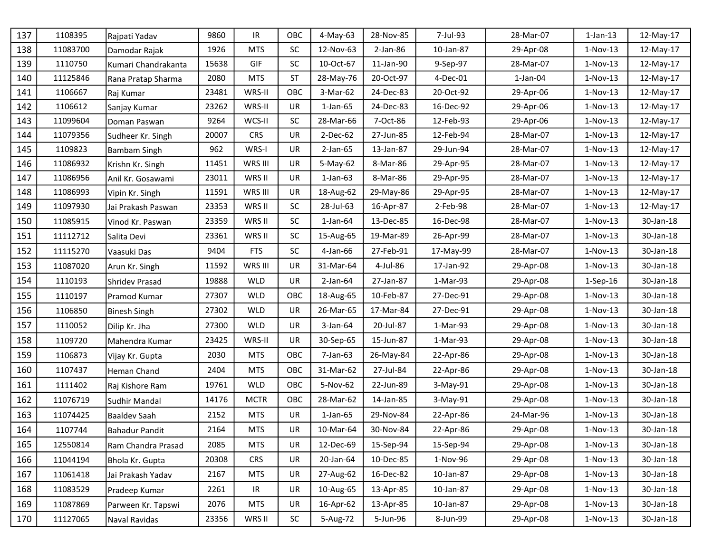| 137 | 1108395  | Rajpati Yadav         | 9860  | IR                                | OBC       | 4-May-63       | 28-Nov-85  | 7-Jul-93  | 28-Mar-07   | $1$ -Jan- $13$ | 12-May-17 |
|-----|----------|-----------------------|-------|-----------------------------------|-----------|----------------|------------|-----------|-------------|----------------|-----------|
| 138 | 11083700 | Damodar Rajak         | 1926  | <b>MTS</b>                        | <b>SC</b> | 12-Nov-63      | $2-Jan-86$ | 10-Jan-87 | 29-Apr-08   | $1-Nov-13$     | 12-May-17 |
| 139 | 1110750  | Kumari Chandrakanta   | 15638 | <b>GIF</b>                        | <b>SC</b> | 10-Oct-67      | 11-Jan-90  | 9-Sep-97  | 28-Mar-07   | $1-Nov-13$     | 12-May-17 |
| 140 | 11125846 | Rana Pratap Sharma    | 2080  | <b>MTS</b>                        | <b>ST</b> | 28-May-76      | 20-Oct-97  | 4-Dec-01  | $1$ -Jan-04 | 1-Nov-13       | 12-May-17 |
| 141 | 1106667  | Raj Kumar             | 23481 | WRS-II                            | OBC       | 3-Mar-62       | 24-Dec-83  | 20-Oct-92 | 29-Apr-06   | $1-Nov-13$     | 12-May-17 |
| 142 | 1106612  | Sanjay Kumar          | 23262 | WRS-II                            | <b>UR</b> | $1$ -Jan- $65$ | 24-Dec-83  | 16-Dec-92 | 29-Apr-06   | $1-Nov-13$     | 12-May-17 |
| 143 | 11099604 | Doman Paswan          | 9264  | WCS-II                            | <b>SC</b> | 28-Mar-66      | 7-Oct-86   | 12-Feb-93 | 29-Apr-06   | $1-Nov-13$     | 12-May-17 |
| 144 | 11079356 | Sudheer Kr. Singh     | 20007 | <b>CRS</b>                        | UR        | 2-Dec-62       | 27-Jun-85  | 12-Feb-94 | 28-Mar-07   | $1-Nov-13$     | 12-May-17 |
| 145 | 1109823  | Bambam Singh          | 962   | WRS-I                             | UR        | $2-Jan-65$     | 13-Jan-87  | 29-Jun-94 | 28-Mar-07   | $1-Nov-13$     | 12-May-17 |
| 146 | 11086932 | Krishn Kr. Singh      | 11451 | WRS III                           | UR        | 5-May-62       | 8-Mar-86   | 29-Apr-95 | 28-Mar-07   | $1-Nov-13$     | 12-May-17 |
| 147 | 11086956 | Anil Kr. Gosawami     | 23011 | WRS II                            | <b>UR</b> | $1$ -Jan- $63$ | 8-Mar-86   | 29-Apr-95 | 28-Mar-07   | $1-Nov-13$     | 12-May-17 |
| 148 | 11086993 | Vipin Kr. Singh       | 11591 | WRS III                           | UR        | 18-Aug-62      | 29-May-86  | 29-Apr-95 | 28-Mar-07   | $1-Nov-13$     | 12-May-17 |
| 149 | 11097930 | Jai Prakash Paswan    | 23353 | WRS II                            | <b>SC</b> | 28-Jul-63      | 16-Apr-87  | 2-Feb-98  | 28-Mar-07   | $1-Nov-13$     | 12-May-17 |
| 150 | 11085915 | Vinod Kr. Paswan      | 23359 | WRS II                            | <b>SC</b> | $1$ -Jan- $64$ | 13-Dec-85  | 16-Dec-98 | 28-Mar-07   | $1-Nov-13$     | 30-Jan-18 |
| 151 | 11112712 | Salita Devi           | 23361 | WRS II                            | <b>SC</b> | 15-Aug-65      | 19-Mar-89  | 26-Apr-99 | 28-Mar-07   | $1-Nov-13$     | 30-Jan-18 |
| 152 | 11115270 | Vaasuki Das           | 9404  | <b>FTS</b>                        | <b>SC</b> | 4-Jan-66       | 27-Feb-91  | 17-May-99 | 28-Mar-07   | 1-Nov-13       | 30-Jan-18 |
| 153 | 11087020 | Arun Kr. Singh        | 11592 | WRS III                           | UR        | 31-Mar-64      | 4-Jul-86   | 17-Jan-92 | 29-Apr-08   | $1-Nov-13$     | 30-Jan-18 |
| 154 | 1110193  | Shridev Prasad        | 19888 | <b>WLD</b>                        | UR        | $2$ -Jan-64    | 27-Jan-87  | 1-Mar-93  | 29-Apr-08   | $1-Sep-16$     | 30-Jan-18 |
| 155 | 1110197  | Pramod Kumar          | 27307 | <b>WLD</b>                        | OBC       | 18-Aug-65      | 10-Feb-87  | 27-Dec-91 | 29-Apr-08   | $1-Nov-13$     | 30-Jan-18 |
| 156 | 1106850  | Binesh Singh          | 27302 | <b>WLD</b>                        | <b>UR</b> | 26-Mar-65      | 17-Mar-84  | 27-Dec-91 | 29-Apr-08   | $1-Nov-13$     | 30-Jan-18 |
| 157 | 1110052  | Dilip Kr. Jha         | 27300 | <b>WLD</b>                        | UR.       | $3$ -Jan-64    | 20-Jul-87  | 1-Mar-93  | 29-Apr-08   | $1-Nov-13$     | 30-Jan-18 |
| 158 | 1109720  | Mahendra Kumar        | 23425 | WRS-II                            | <b>UR</b> | 30-Sep-65      | 15-Jun-87  | 1-Mar-93  | 29-Apr-08   | $1-Nov-13$     | 30-Jan-18 |
| 159 | 1106873  | Vijay Kr. Gupta       | 2030  | <b>MTS</b>                        | OBC       | 7-Jan-63       | 26-May-84  | 22-Apr-86 | 29-Apr-08   | $1-Nov-13$     | 30-Jan-18 |
| 160 | 1107437  | Heman Chand           | 2404  | <b>MTS</b>                        | OBC       | 31-Mar-62      | 27-Jul-84  | 22-Apr-86 | 29-Apr-08   | $1-Nov-13$     | 30-Jan-18 |
| 161 | 1111402  | Raj Kishore Ram       | 19761 | <b>WLD</b>                        | OBC       | 5-Nov-62       | 22-Jun-89  | 3-May-91  | 29-Apr-08   | $1-Nov-13$     | 30-Jan-18 |
| 162 | 11076719 | Sudhir Mandal         | 14176 | <b>MCTR</b>                       | OBC       | 28-Mar-62      | 14-Jan-85  | 3-May-91  | 29-Apr-08   | $1-Nov-13$     | 30-Jan-18 |
| 163 | 11074425 | Baaldev Saah          | 2152  | <b>MTS</b>                        | UR        | $1$ -Jan- $65$ | 29-Nov-84  | 22-Apr-86 | 24-Mar-96   | $1-Nov-13$     | 30-Jan-18 |
| 164 | 1107744  | <b>Bahadur Pandit</b> | 2164  | <b>MTS</b>                        | UR        | 10-Mar-64      | 30-Nov-84  | 22-Apr-86 | 29-Apr-08   | $1-Nov-13$     | 30-Jan-18 |
| 165 | 12550814 | Ram Chandra Prasad    | 2085  | <b>MTS</b>                        | UR        | 12-Dec-69      | 15-Sep-94  | 15-Sep-94 | 29-Apr-08   | $1-Nov-13$     | 30-Jan-18 |
| 166 | 11044194 | Bhola Kr. Gupta       | 20308 | <b>CRS</b>                        | UR        | 20-Jan-64      | 10-Dec-85  | 1-Nov-96  | 29-Apr-08   | $1-Nov-13$     | 30-Jan-18 |
| 167 | 11061418 | Jai Prakash Yadav     | 2167  | <b>MTS</b>                        | <b>UR</b> | 27-Aug-62      | 16-Dec-82  | 10-Jan-87 | 29-Apr-08   | $1-Nov-13$     | 30-Jan-18 |
| 168 | 11083529 | Pradeep Kumar         | 2261  | $\ensuremath{\mathsf{IR}}\xspace$ | UR        | 10-Aug-65      | 13-Apr-85  | 10-Jan-87 | 29-Apr-08   | $1-Nov-13$     | 30-Jan-18 |
| 169 | 11087869 | Parween Kr. Tapswi    | 2076  | MTS                               | UR        | 16-Apr-62      | 13-Apr-85  | 10-Jan-87 | 29-Apr-08   | $1-Nov-13$     | 30-Jan-18 |
| 170 | 11127065 | Naval Ravidas         | 23356 | WRS II                            | <b>SC</b> | 5-Aug-72       | 5-Jun-96   | 8-Jun-99  | 29-Apr-08   | $1-Nov-13$     | 30-Jan-18 |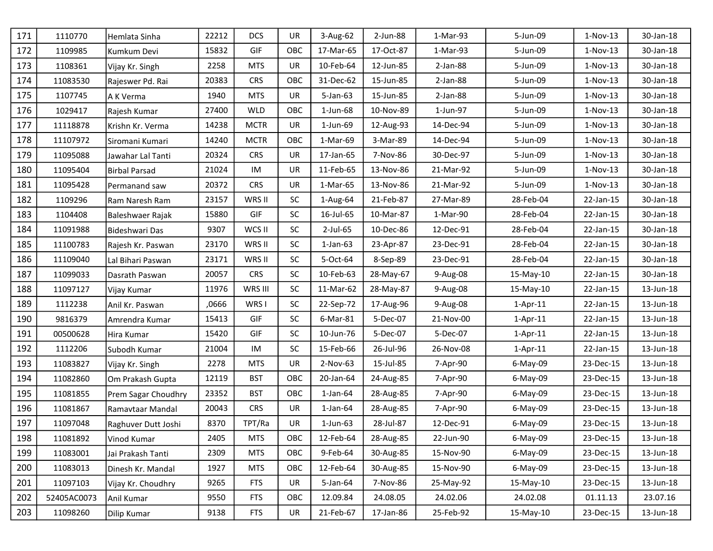| 171 | 1110770     | Hemlata Sinha       | 22212 | <b>DCS</b>  | UR        | 3-Aug-62       | 2-Jun-88  | 1-Mar-93   | 5-Jun-09    | $1-Nov-13$ | 30-Jan-18 |
|-----|-------------|---------------------|-------|-------------|-----------|----------------|-----------|------------|-------------|------------|-----------|
| 172 | 1109985     | Kumkum Devi         | 15832 | GIF         | OBC       | 17-Mar-65      | 17-Oct-87 | 1-Mar-93   | 5-Jun-09    | $1-Nov-13$ | 30-Jan-18 |
| 173 | 1108361     | Vijay Kr. Singh     | 2258  | <b>MTS</b>  | UR        | 10-Feb-64      | 12-Jun-85 | $2-Jan-88$ | 5-Jun-09    | 1-Nov-13   | 30-Jan-18 |
| 174 | 11083530    | Rajeswer Pd. Rai    | 20383 | <b>CRS</b>  | OBC       | 31-Dec-62      | 15-Jun-85 | $2-Jan-88$ | 5-Jun-09    | $1-Nov-13$ | 30-Jan-18 |
| 175 | 1107745     | A K Verma           | 1940  | <b>MTS</b>  | UR        | 5-Jan-63       | 15-Jun-85 | $2-Jan-88$ | 5-Jun-09    | $1-Nov-13$ | 30-Jan-18 |
| 176 | 1029417     | Rajesh Kumar        | 27400 | <b>WLD</b>  | OBC       | 1-Jun-68       | 10-Nov-89 | 1-Jun-97   | 5-Jun-09    | $1-Nov-13$ | 30-Jan-18 |
| 177 | 11118878    | Krishn Kr. Verma    | 14238 | <b>MCTR</b> | UR        | 1-Jun-69       | 12-Aug-93 | 14-Dec-94  | 5-Jun-09    | $1-Nov-13$ | 30-Jan-18 |
| 178 | 11107972    | Siromani Kumari     | 14240 | <b>MCTR</b> | OBC       | 1-Mar-69       | 3-Mar-89  | 14-Dec-94  | 5-Jun-09    | $1-Nov-13$ | 30-Jan-18 |
| 179 | 11095088    | Jawahar Lal Tanti   | 20324 | <b>CRS</b>  | UR        | 17-Jan-65      | 7-Nov-86  | 30-Dec-97  | 5-Jun-09    | $1-Nov-13$ | 30-Jan-18 |
| 180 | 11095404    | Birbal Parsad       | 21024 | IM          | UR        | 11-Feb-65      | 13-Nov-86 | 21-Mar-92  | 5-Jun-09    | $1-Nov-13$ | 30-Jan-18 |
| 181 | 11095428    | Permanand saw       | 20372 | <b>CRS</b>  | UR        | 1-Mar-65       | 13-Nov-86 | 21-Mar-92  | 5-Jun-09    | $1-Nov-13$ | 30-Jan-18 |
| 182 | 1109296     | Ram Naresh Ram      | 23157 | WRS II      | <b>SC</b> | 1-Aug-64       | 21-Feb-87 | 27-Mar-89  | 28-Feb-04   | 22-Jan-15  | 30-Jan-18 |
| 183 | 1104408     | Baleshwaer Rajak    | 15880 | GIF         | <b>SC</b> | 16-Jul-65      | 10-Mar-87 | 1-Mar-90   | 28-Feb-04   | 22-Jan-15  | 30-Jan-18 |
| 184 | 11091988    | Bideshwari Das      | 9307  | WCS II      | <b>SC</b> | 2-Jul-65       | 10-Dec-86 | 12-Dec-91  | 28-Feb-04   | 22-Jan-15  | 30-Jan-18 |
| 185 | 11100783    | Rajesh Kr. Paswan   | 23170 | WRS II      | <b>SC</b> | $1$ -Jan-63    | 23-Apr-87 | 23-Dec-91  | 28-Feb-04   | 22-Jan-15  | 30-Jan-18 |
| 186 | 11109040    | Lal Bihari Paswan   | 23171 | WRS II      | <b>SC</b> | 5-Oct-64       | 8-Sep-89  | 23-Dec-91  | 28-Feb-04   | 22-Jan-15  | 30-Jan-18 |
| 187 | 11099033    | Dasrath Paswan      | 20057 | <b>CRS</b>  | <b>SC</b> | 10-Feb-63      | 28-May-67 | 9-Aug-08   | 15-May-10   | 22-Jan-15  | 30-Jan-18 |
| 188 | 11097127    | Vijay Kumar         | 11976 | WRS III     | <b>SC</b> | 11-Mar-62      | 28-May-87 | 9-Aug-08   | 15-May-10   | 22-Jan-15  | 13-Jun-18 |
| 189 | 1112238     | Anil Kr. Paswan     | ,0666 | WRS I       | <b>SC</b> | 22-Sep-72      | 17-Aug-96 | 9-Aug-08   | $1-Apr-11$  | 22-Jan-15  | 13-Jun-18 |
| 190 | 9816379     | Amrendra Kumar      | 15413 | GIF         | SC        | 6-Mar-81       | 5-Dec-07  | 21-Nov-00  | $1-Apr-11$  | 22-Jan-15  | 13-Jun-18 |
| 191 | 00500628    | Hira Kumar          | 15420 | GIF         | <b>SC</b> | 10-Jun-76      | 5-Dec-07  | 5-Dec-07   | $1-Apr-11$  | 22-Jan-15  | 13-Jun-18 |
| 192 | 1112206     | Subodh Kumar        | 21004 | IM          | <b>SC</b> | 15-Feb-66      | 26-Jul-96 | 26-Nov-08  | $1-Apr-11$  | 22-Jan-15  | 13-Jun-18 |
| 193 | 11083827    | Vijay Kr. Singh     | 2278  | <b>MTS</b>  | UR        | 2-Nov-63       | 15-Jul-85 | 7-Apr-90   | 6-May-09    | 23-Dec-15  | 13-Jun-18 |
| 194 | 11082860    | Om Prakash Gupta    | 12119 | <b>BST</b>  | OBC       | 20-Jan-64      | 24-Aug-85 | 7-Apr-90   | 6-May-09    | 23-Dec-15  | 13-Jun-18 |
| 195 | 11081855    | Prem Sagar Choudhry | 23352 | <b>BST</b>  | OBC       | $1$ -Jan- $64$ | 28-Aug-85 | 7-Apr-90   | 6-May-09    | 23-Dec-15  | 13-Jun-18 |
| 196 | 11081867    | Ramavtaar Mandal    | 20043 | <b>CRS</b>  | UR        | $1$ -Jan- $64$ | 28-Aug-85 | 7-Apr-90   | 6-May-09    | 23-Dec-15  | 13-Jun-18 |
| 197 | 11097048    | Raghuver Dutt Joshi | 8370  | TPT/Ra      | UR        | $1$ -Jun-63    | 28-Jul-87 | 12-Dec-91  | 6-May-09    | 23-Dec-15  | 13-Jun-18 |
| 198 | 11081892    | Vinod Kumar         | 2405  | <b>MTS</b>  | OBC       | 12-Feb-64      | 28-Aug-85 | 22-Jun-90  | 6-May-09    | 23-Dec-15  | 13-Jun-18 |
| 199 | 11083001    | Jai Prakash Tanti   | 2309  | <b>MTS</b>  | OBC       | 9-Feb-64       | 30-Aug-85 | 15-Nov-90  | $6$ -May-09 | 23-Dec-15  | 13-Jun-18 |
| 200 | 11083013    | Dinesh Kr. Mandal   | 1927  | <b>MTS</b>  | OBC       | 12-Feb-64      | 30-Aug-85 | 15-Nov-90  | $6$ -May-09 | 23-Dec-15  | 13-Jun-18 |
| 201 | 11097103    | Vijay Kr. Choudhry  | 9265  | <b>FTS</b>  | UR        | 5-Jan-64       | 7-Nov-86  | 25-May-92  | 15-May-10   | 23-Dec-15  | 13-Jun-18 |
| 202 | 52405AC0073 | Anil Kumar          | 9550  | <b>FTS</b>  | OBC       | 12.09.84       | 24.08.05  | 24.02.06   | 24.02.08    | 01.11.13   | 23.07.16  |
| 203 | 11098260    | Dilip Kumar         | 9138  | <b>FTS</b>  | UR        | 21-Feb-67      | 17-Jan-86 | 25-Feb-92  | 15-May-10   | 23-Dec-15  | 13-Jun-18 |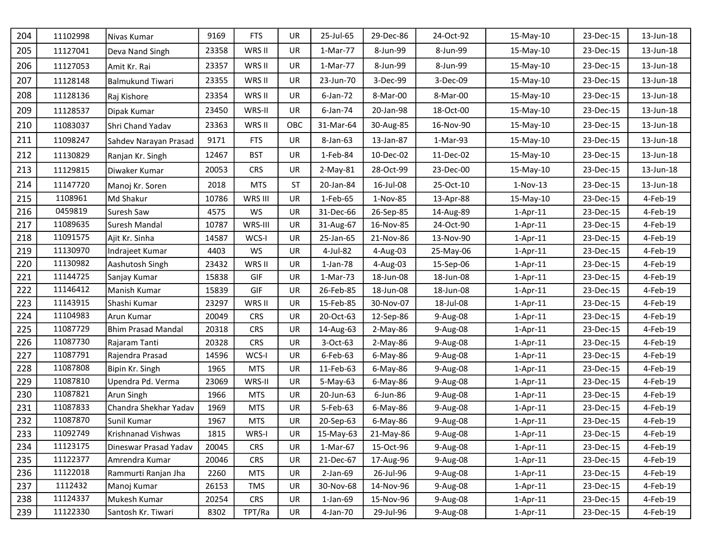| 204 | 11102998 | Nivas Kumar               | 9169  | <b>FTS</b> | <b>UR</b> | 25-Jul-65   | 29-Dec-86 | 24-Oct-92 | 15-May-10  | 23-Dec-15 | 13-Jun-18 |
|-----|----------|---------------------------|-------|------------|-----------|-------------|-----------|-----------|------------|-----------|-----------|
| 205 | 11127041 | Deva Nand Singh           | 23358 | WRS II     | <b>UR</b> | 1-Mar-77    | 8-Jun-99  | 8-Jun-99  | 15-May-10  | 23-Dec-15 | 13-Jun-18 |
| 206 | 11127053 | Amit Kr. Rai              | 23357 | WRS II     | <b>UR</b> | 1-Mar-77    | 8-Jun-99  | 8-Jun-99  | 15-May-10  | 23-Dec-15 | 13-Jun-18 |
| 207 | 11128148 | <b>Balmukund Tiwari</b>   | 23355 | WRS II     | <b>UR</b> | 23-Jun-70   | 3-Dec-99  | 3-Dec-09  | 15-May-10  | 23-Dec-15 | 13-Jun-18 |
| 208 | 11128136 | Raj Kishore               | 23354 | WRS II     | <b>UR</b> | 6-Jan-72    | 8-Mar-00  | 8-Mar-00  | 15-May-10  | 23-Dec-15 | 13-Jun-18 |
| 209 | 11128537 | Dipak Kumar               | 23450 | WRS-II     | <b>UR</b> | 6-Jan-74    | 20-Jan-98 | 18-Oct-00 | 15-May-10  | 23-Dec-15 | 13-Jun-18 |
| 210 | 11083037 | Shri Chand Yadav          | 23363 | WRS II     | OBC       | 31-Mar-64   | 30-Aug-85 | 16-Nov-90 | 15-May-10  | 23-Dec-15 | 13-Jun-18 |
| 211 | 11098247 | Sahdev Narayan Prasad     | 9171  | <b>FTS</b> | UR        | 8-Jan-63    | 13-Jan-87 | 1-Mar-93  | 15-May-10  | 23-Dec-15 | 13-Jun-18 |
| 212 | 11130829 | Ranjan Kr. Singh          | 12467 | <b>BST</b> | <b>UR</b> | 1-Feb-84    | 10-Dec-02 | 11-Dec-02 | 15-May-10  | 23-Dec-15 | 13-Jun-18 |
| 213 | 11129815 | Diwaker Kumar             | 20053 | <b>CRS</b> | UR        | $2-May-81$  | 28-Oct-99 | 23-Dec-00 | 15-May-10  | 23-Dec-15 | 13-Jun-18 |
| 214 | 11147720 | Manoj Kr. Soren           | 2018  | <b>MTS</b> | <b>ST</b> | 20-Jan-84   | 16-Jul-08 | 25-Oct-10 | $1-Nov-13$ | 23-Dec-15 | 13-Jun-18 |
| 215 | 1108961  | Md Shakur                 | 10786 | WRS III    | <b>UR</b> | 1-Feb-65    | 1-Nov-85  | 13-Apr-88 | 15-May-10  | 23-Dec-15 | 4-Feb-19  |
| 216 | 0459819  | Suresh Saw                | 4575  | WS         | UR        | 31-Dec-66   | 26-Sep-85 | 14-Aug-89 | $1-Apr-11$ | 23-Dec-15 | 4-Feb-19  |
| 217 | 11089635 | Suresh Mandal             | 10787 | WRS-III    | <b>UR</b> | 31-Aug-67   | 16-Nov-85 | 24-Oct-90 | $1-Apr-11$ | 23-Dec-15 | 4-Feb-19  |
| 218 | 11091575 | Ajit Kr. Sinha            | 14587 | WCS-I      | UR        | 25-Jan-65   | 21-Nov-86 | 13-Nov-90 | $1-Apr-11$ | 23-Dec-15 | 4-Feb-19  |
| 219 | 11130970 | Indrajeet Kumar           | 4403  | WS         | <b>UR</b> | 4-Jul-82    | 4-Aug-03  | 25-May-06 | $1-Apr-11$ | 23-Dec-15 | 4-Feb-19  |
| 220 | 11130982 | Aashutosh Singh           | 23432 | WRS II     | <b>UR</b> | 1-Jan-78    | 4-Aug-03  | 15-Sep-06 | $1-Apr-11$ | 23-Dec-15 | 4-Feb-19  |
| 221 | 11144725 | Sanjay Kumar              | 15838 | GIF        | <b>UR</b> | 1-Mar-73    | 18-Jun-08 | 18-Jun-08 | $1-Apr-11$ | 23-Dec-15 | 4-Feb-19  |
| 222 | 11146412 | Manish Kumar              | 15839 | <b>GIF</b> | <b>UR</b> | 26-Feb-85   | 18-Jun-08 | 18-Jun-08 | $1-Apr-11$ | 23-Dec-15 | 4-Feb-19  |
| 223 | 11143915 | Shashi Kumar              | 23297 | WRS II     | UR        | 15-Feb-85   | 30-Nov-07 | 18-Jul-08 | $1-Apr-11$ | 23-Dec-15 | 4-Feb-19  |
| 224 | 11104983 | Arun Kumar                | 20049 | <b>CRS</b> | <b>UR</b> | 20-Oct-63   | 12-Sep-86 | 9-Aug-08  | $1-Apr-11$ | 23-Dec-15 | 4-Feb-19  |
| 225 | 11087729 | <b>Bhim Prasad Mandal</b> | 20318 | <b>CRS</b> | UR        | 14-Aug-63   | 2-May-86  | 9-Aug-08  | $1-Apr-11$ | 23-Dec-15 | 4-Feb-19  |
| 226 | 11087730 | Rajaram Tanti             | 20328 | <b>CRS</b> | <b>UR</b> | 3-Oct-63    | 2-May-86  | 9-Aug-08  | $1-Apr-11$ | 23-Dec-15 | 4-Feb-19  |
| 227 | 11087791 | Rajendra Prasad           | 14596 | WCS-I      | <b>UR</b> | 6-Feb-63    | 6-May-86  | 9-Aug-08  | $1-Apr-11$ | 23-Dec-15 | 4-Feb-19  |
| 228 | 11087808 | Bipin Kr. Singh           | 1965  | <b>MTS</b> | UR        | 11-Feb-63   | 6-May-86  | 9-Aug-08  | $1-Apr-11$ | 23-Dec-15 | 4-Feb-19  |
| 229 | 11087810 | Upendra Pd. Verma         | 23069 | WRS-II     | UR        | 5-May-63    | 6-May-86  | 9-Aug-08  | $1-Apr-11$ | 23-Dec-15 | 4-Feb-19  |
| 230 | 11087821 | Arun Singh                | 1966  | <b>MTS</b> | UR        | 20-Jun-63   | 6-Jun-86  | 9-Aug-08  | $1-Apr-11$ | 23-Dec-15 | 4-Feb-19  |
| 231 | 11087833 | Chandra Shekhar Yadav     | 1969  | <b>MTS</b> | UR        | 5-Feb-63    | 6-May-86  | 9-Aug-08  | $1-Apr-11$ | 23-Dec-15 | 4-Feb-19  |
| 232 | 11087870 | Sunil Kumar               | 1967  | <b>MTS</b> | <b>UR</b> | 20-Sep-63   | 6-May-86  | 9-Aug-08  | $1-Apr-11$ | 23-Dec-15 | 4-Feb-19  |
| 233 | 11092749 | Krishnanad Vishwas        | 1815  | WRS-I      | UR        | 15-May-63   | 21-May-86 | 9-Aug-08  | $1-Apr-11$ | 23-Dec-15 | 4-Feb-19  |
| 234 | 11123175 | Dineswar Prasad Yadav     | 20045 | <b>CRS</b> | UR        | 1-Mar-67    | 15-Oct-96 | 9-Aug-08  | $1-Apr-11$ | 23-Dec-15 | 4-Feb-19  |
| 235 | 11122377 | Amrendra Kumar            | 20046 | <b>CRS</b> | UR        | 21-Dec-67   | 17-Aug-96 | 9-Aug-08  | $1-Apr-11$ | 23-Dec-15 | 4-Feb-19  |
| 236 | 11122018 | Rammurti Ranjan Jha       | 2260  | <b>MTS</b> | UR        | $2$ -Jan-69 | 26-Jul-96 | 9-Aug-08  | $1-Apr-11$ | 23-Dec-15 | 4-Feb-19  |
| 237 | 1112432  | Manoj Kumar               | 26153 | <b>TMS</b> | UR        | 30-Nov-68   | 14-Nov-96 | 9-Aug-08  | $1-Apr-11$ | 23-Dec-15 | 4-Feb-19  |
| 238 | 11124337 | Mukesh Kumar              | 20254 | <b>CRS</b> | UR        | $1$ -Jan-69 | 15-Nov-96 | 9-Aug-08  | $1-Apr-11$ | 23-Dec-15 | 4-Feb-19  |
| 239 | 11122330 | Santosh Kr. Tiwari        | 8302  | TPT/Ra     | UR        | 4-Jan-70    | 29-Jul-96 | 9-Aug-08  | $1-Apr-11$ | 23-Dec-15 | 4-Feb-19  |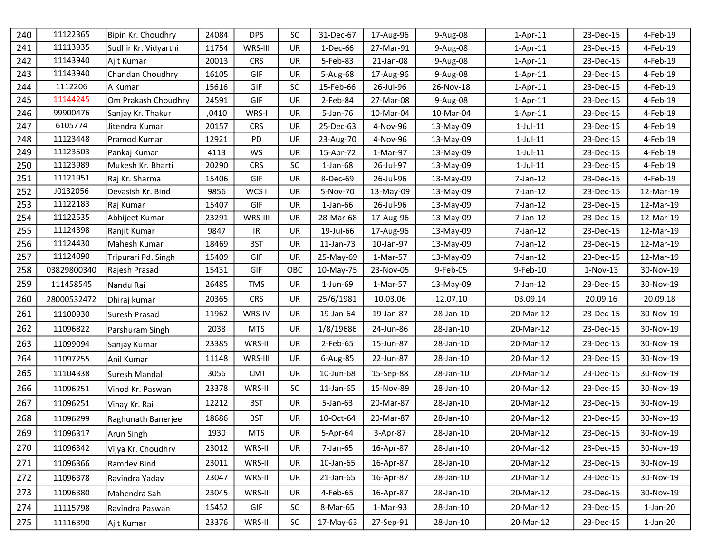| 240 | 11122365    | Bipin Kr. Choudhry   | 24084 | <b>DPS</b> | <b>SC</b> | 31-Dec-67      | 17-Aug-96 | 9-Aug-08  | $1-Apr-11$     | 23-Dec-15  | 4-Feb-19    |
|-----|-------------|----------------------|-------|------------|-----------|----------------|-----------|-----------|----------------|------------|-------------|
| 241 | 11113935    | Sudhir Kr. Vidyarthi | 11754 | WRS-III    | <b>UR</b> | 1-Dec-66       | 27-Mar-91 | 9-Aug-08  | $1-Apr-11$     | 23-Dec-15  | 4-Feb-19    |
| 242 | 11143940    | Ajit Kumar           | 20013 | <b>CRS</b> | <b>UR</b> | 5-Feb-83       | 21-Jan-08 | 9-Aug-08  | $1-Apr-11$     | 23-Dec-15  | 4-Feb-19    |
| 243 | 11143940    | Chandan Choudhry     | 16105 | GIF        | <b>UR</b> | 5-Aug-68       | 17-Aug-96 | 9-Aug-08  | $1-Apr-11$     | 23-Dec-15  | 4-Feb-19    |
| 244 | 1112206     | A Kumar              | 15616 | <b>GIF</b> | <b>SC</b> | 15-Feb-66      | 26-Jul-96 | 26-Nov-18 | $1-Apr-11$     | 23-Dec-15  | 4-Feb-19    |
| 245 | 11144245    | Om Prakash Choudhry  | 24591 | <b>GIF</b> | <b>UR</b> | 2-Feb-84       | 27-Mar-08 | 9-Aug-08  | $1-Apr-11$     | 23-Dec-15  | 4-Feb-19    |
| 246 | 99900476    | Sanjay Kr. Thakur    | ,0410 | WRS-I      | <b>UR</b> | 5-Jan-76       | 10-Mar-04 | 10-Mar-04 | $1-Apr-11$     | 23-Dec-15  | 4-Feb-19    |
| 247 | 6105774     | Jitendra Kumar       | 20157 | <b>CRS</b> | <b>UR</b> | 25-Dec-63      | 4-Nov-96  | 13-May-09 | $1$ -Jul- $11$ | 23-Dec-15  | 4-Feb-19    |
| 248 | 11123448    | Pramod Kumar         | 12921 | <b>PD</b>  | <b>UR</b> | 23-Aug-70      | 4-Nov-96  | 13-May-09 | $1$ -Jul- $11$ | 23-Dec-15  | 4-Feb-19    |
| 249 | 11123503    | Pankaj Kumar         | 4113  | WS         | UR        | 15-Apr-72      | 1-Mar-97  | 13-May-09 | $1$ -Jul- $11$ | 23-Dec-15  | 4-Feb-19    |
| 250 | 11123989    | Mukesh Kr. Bharti    | 20290 | <b>CRS</b> | <b>SC</b> | $1$ -Jan- $68$ | 26-Jul-97 | 13-May-09 | $1$ -Jul- $11$ | 23-Dec-15  | 4-Feb-19    |
| 251 | 11121951    | Raj Kr. Sharma       | 15406 | GIF        | UR        | 8-Dec-69       | 26-Jul-96 | 13-May-09 | 7-Jan-12       | 23-Dec-15  | 4-Feb-19    |
| 252 | J0132056    | Devasish Kr. Bind    | 9856  | WCS I      | UR        | 5-Nov-70       | 13-May-09 | 13-May-09 | $7$ -Jan-12    | 23-Dec-15  | 12-Mar-19   |
| 253 | 11122183    | Raj Kumar            | 15407 | GIF        | <b>UR</b> | $1$ -Jan- $66$ | 26-Jul-96 | 13-May-09 | $7$ -Jan-12    | 23-Dec-15  | 12-Mar-19   |
| 254 | 11122535    | Abhijeet Kumar       | 23291 | WRS-III    | <b>UR</b> | 28-Mar-68      | 17-Aug-96 | 13-May-09 | 7-Jan-12       | 23-Dec-15  | 12-Mar-19   |
| 255 | 11124398    | Ranjit Kumar         | 9847  | IR.        | <b>UR</b> | 19-Jul-66      | 17-Aug-96 | 13-May-09 | 7-Jan-12       | 23-Dec-15  | 12-Mar-19   |
| 256 | 11124430    | Mahesh Kumar         | 18469 | <b>BST</b> | UR        | 11-Jan-73      | 10-Jan-97 | 13-May-09 | 7-Jan-12       | 23-Dec-15  | 12-Mar-19   |
| 257 | 11124090    | Tripurari Pd. Singh  | 15409 | GIF        | UR        | 25-May-69      | 1-Mar-57  | 13-May-09 | $7$ -Jan-12    | 23-Dec-15  | 12-Mar-19   |
| 258 | 03829800340 | Rajesh Prasad        | 15431 | GIF        | OBC       | 10-May-75      | 23-Nov-05 | 9-Feb-05  | 9-Feb-10       | $1-Nov-13$ | 30-Nov-19   |
| 259 | 111458545   | Nandu Rai            | 26485 | <b>TMS</b> | <b>UR</b> | 1-Jun-69       | 1-Mar-57  | 13-May-09 | $7$ -Jan-12    | 23-Dec-15  | 30-Nov-19   |
| 260 | 28000532472 | Dhiraj kumar         | 20365 | <b>CRS</b> | <b>UR</b> | 25/6/1981      | 10.03.06  | 12.07.10  | 03.09.14       | 20.09.16   | 20.09.18    |
| 261 | 11100930    | Suresh Prasad        | 11962 | WRS-IV     | UR        | 19-Jan-64      | 19-Jan-87 | 28-Jan-10 | 20-Mar-12      | 23-Dec-15  | 30-Nov-19   |
| 262 | 11096822    | Parshuram Singh      | 2038  | <b>MTS</b> | <b>UR</b> | 1/8/19686      | 24-Jun-86 | 28-Jan-10 | 20-Mar-12      | 23-Dec-15  | 30-Nov-19   |
| 263 | 11099094    | Sanjay Kumar         | 23385 | WRS-II     | <b>UR</b> | 2-Feb-65       | 15-Jun-87 | 28-Jan-10 | 20-Mar-12      | 23-Dec-15  | 30-Nov-19   |
| 264 | 11097255    | Anil Kumar           | 11148 | WRS-III    | <b>UR</b> | 6-Aug-85       | 22-Jun-87 | 28-Jan-10 | 20-Mar-12      | 23-Dec-15  | 30-Nov-19   |
| 265 | 11104338    | Suresh Mandal        | 3056  | <b>CMT</b> | UR        | 10-Jun-68      | 15-Sep-88 | 28-Jan-10 | 20-Mar-12      | 23-Dec-15  | 30-Nov-19   |
| 266 | 11096251    | Vinod Kr. Paswan     | 23378 | WRS-II     | <b>SC</b> | 11-Jan-65      | 15-Nov-89 | 28-Jan-10 | 20-Mar-12      | 23-Dec-15  | 30-Nov-19   |
| 267 | 11096251    | Vinay Kr. Rai        | 12212 | <b>BST</b> | <b>UR</b> | 5-Jan-63       | 20-Mar-87 | 28-Jan-10 | 20-Mar-12      | 23-Dec-15  | 30-Nov-19   |
| 268 | 11096299    | Raghunath Banerjee   | 18686 | <b>BST</b> | UR        | 10-Oct-64      | 20-Mar-87 | 28-Jan-10 | 20-Mar-12      | 23-Dec-15  | 30-Nov-19   |
| 269 | 11096317    | Arun Singh           | 1930  | <b>MTS</b> | UR.       | 5-Apr-64       | 3-Apr-87  | 28-Jan-10 | 20-Mar-12      | 23-Dec-15  | 30-Nov-19   |
| 270 | 11096342    | Vijya Kr. Choudhry   | 23012 | WRS-II     | UR        | 7-Jan-65       | 16-Apr-87 | 28-Jan-10 | 20-Mar-12      | 23-Dec-15  | 30-Nov-19   |
| 271 | 11096366    | Ramdev Bind          | 23011 | WRS-II     | UR        | 10-Jan-65      | 16-Apr-87 | 28-Jan-10 | 20-Mar-12      | 23-Dec-15  | 30-Nov-19   |
| 272 | 11096378    | Ravindra Yadav       | 23047 | WRS-II     | UR        | 21-Jan-65      | 16-Apr-87 | 28-Jan-10 | 20-Mar-12      | 23-Dec-15  | 30-Nov-19   |
| 273 | 11096380    | Mahendra Sah         | 23045 | WRS-II     | UR        | 4-Feb-65       | 16-Apr-87 | 28-Jan-10 | 20-Mar-12      | 23-Dec-15  | 30-Nov-19   |
| 274 | 11115798    | Ravindra Paswan      | 15452 | GIF        | <b>SC</b> | 8-Mar-65       | 1-Mar-93  | 28-Jan-10 | 20-Mar-12      | 23-Dec-15  | $1$ -Jan-20 |
| 275 | 11116390    | Ajit Kumar           | 23376 | WRS-II     | <b>SC</b> | 17-May-63      | 27-Sep-91 | 28-Jan-10 | 20-Mar-12      | 23-Dec-15  | $1$ -Jan-20 |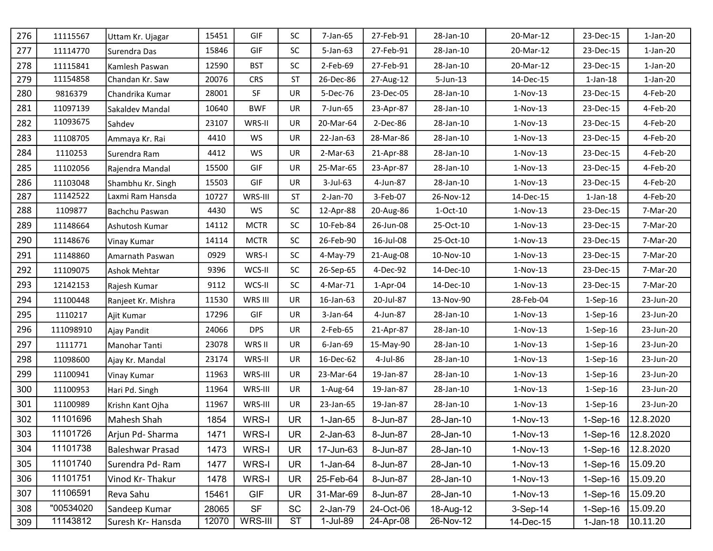| 276 | 11115567  | Uttam Kr. Ujagar   | 15451 | <b>GIF</b>  | <b>SC</b> | 7-Jan-65       | 27-Feb-91  | 28-Jan-10    | 20-Mar-12  | 23-Dec-15      | $1-Jan-20$ |
|-----|-----------|--------------------|-------|-------------|-----------|----------------|------------|--------------|------------|----------------|------------|
| 277 | 11114770  | Surendra Das       | 15846 | GIF         | <b>SC</b> | $5 - Jan-63$   | 27-Feb-91  | 28-Jan-10    | 20-Mar-12  | 23-Dec-15      | $1-Jan-20$ |
| 278 | 11115841  | Kamlesh Paswan     | 12590 | <b>BST</b>  | SC        | 2-Feb-69       | 27-Feb-91  | 28-Jan-10    | 20-Mar-12  | 23-Dec-15      | $1-Jan-20$ |
| 279 | 11154858  | Chandan Kr. Saw    | 20076 | <b>CRS</b>  | <b>ST</b> | 26-Dec-86      | 27-Aug-12  | $5 - Jun-13$ | 14-Dec-15  | $1$ -Jan- $18$ | $1-Jan-20$ |
| 280 | 9816379   | Chandrika Kumar    | 28001 | SF          | <b>UR</b> | 5-Dec-76       | 23-Dec-05  | 28-Jan-10    | $1-Nov-13$ | 23-Dec-15      | 4-Feb-20   |
| 281 | 11097139  | Sakaldev Mandal    | 10640 | <b>BWF</b>  | UR        | 7-Jun-65       | 23-Apr-87  | 28-Jan-10    | $1-Nov-13$ | 23-Dec-15      | 4-Feb-20   |
| 282 | 11093675  | Sahdev             | 23107 | WRS-II      | <b>UR</b> | 20-Mar-64      | $2-Dec-86$ | 28-Jan-10    | $1-Nov-13$ | 23-Dec-15      | 4-Feb-20   |
| 283 | 11108705  | Ammaya Kr. Rai     | 4410  | <b>WS</b>   | <b>UR</b> | 22-Jan-63      | 28-Mar-86  | 28-Jan-10    | $1-Nov-13$ | 23-Dec-15      | 4-Feb-20   |
| 284 | 1110253   | Surendra Ram       | 4412  | WS          | UR        | $2-Mar-63$     | 21-Apr-88  | 28-Jan-10    | $1-Nov-13$ | 23-Dec-15      | 4-Feb-20   |
| 285 | 11102056  | Rajendra Mandal    | 15500 | GIF         | UR        | 25-Mar-65      | 23-Apr-87  | 28-Jan-10    | $1-Nov-13$ | 23-Dec-15      | 4-Feb-20   |
| 286 | 11103048  | Shambhu Kr. Singh  | 15503 | GIF         | <b>UR</b> | $3$ -Jul-63    | 4-Jun-87   | 28-Jan-10    | $1-Nov-13$ | 23-Dec-15      | 4-Feb-20   |
| 287 | 11142522  | Laxmi Ram Hansda   | 10727 | WRS-III     | <b>ST</b> | 2-Jan-70       | 3-Feb-07   | 26-Nov-12    | 14-Dec-15  | $1$ -Jan- $18$ | 4-Feb-20   |
| 288 | 1109877   | Bachchu Paswan     | 4430  | <b>WS</b>   | SC        | 12-Apr-88      | 20-Aug-86  | $1-Oct-10$   | $1-Nov-13$ | 23-Dec-15      | 7-Mar-20   |
| 289 | 11148664  | Ashutosh Kumar     | 14112 | <b>MCTR</b> | SC        | 10-Feb-84      | 26-Jun-08  | 25-Oct-10    | $1-Nov-13$ | 23-Dec-15      | 7-Mar-20   |
| 290 | 11148676  | Vinay Kumar        | 14114 | <b>MCTR</b> | SC        | 26-Feb-90      | 16-Jul-08  | 25-Oct-10    | $1-Nov-13$ | 23-Dec-15      | 7-Mar-20   |
| 291 | 11148860  | Amarnath Paswan    | 0929  | WRS-I       | <b>SC</b> | 4-May-79       | 21-Aug-08  | 10-Nov-10    | $1-Nov-13$ | 23-Dec-15      | 7-Mar-20   |
| 292 | 11109075  | Ashok Mehtar       | 9396  | WCS-II      | SC        | 26-Sep-65      | 4-Dec-92   | 14-Dec-10    | $1-Nov-13$ | 23-Dec-15      | 7-Mar-20   |
| 293 | 12142153  | Rajesh Kumar       | 9112  | WCS-II      | SC        | 4-Mar-71       | $1-Apr-04$ | 14-Dec-10    | $1-Nov-13$ | 23-Dec-15      | 7-Mar-20   |
| 294 | 11100448  | Ranjeet Kr. Mishra | 11530 | WRS III     | UR        | 16-Jan-63      | 20-Jul-87  | 13-Nov-90    | 28-Feb-04  | $1-Sep-16$     | 23-Jun-20  |
| 295 | 1110217   | Ajit Kumar         | 17296 | GIF         | <b>UR</b> | $3$ -Jan-64    | 4-Jun-87   | 28-Jan-10    | $1-Nov-13$ | $1-Sep-16$     | 23-Jun-20  |
| 296 | 111098910 | Ajay Pandit        | 24066 | <b>DPS</b>  | UR        | 2-Feb-65       | 21-Apr-87  | 28-Jan-10    | $1-Nov-13$ | $1-Sep-16$     | 23-Jun-20  |
| 297 | 1111771   | Manohar Tanti      | 23078 | WRS II      | <b>UR</b> | 6-Jan-69       | 15-May-90  | 28-Jan-10    | $1-Nov-13$ | 1-Sep-16       | 23-Jun-20  |
| 298 | 11098600  | Ajay Kr. Mandal    | 23174 | WRS-II      | <b>UR</b> | 16-Dec-62      | 4-Jul-86   | 28-Jan-10    | $1-Nov-13$ | $1-Sep-16$     | 23-Jun-20  |
| 299 | 11100941  | Vinay Kumar        | 11963 | WRS-III     | UR        | 23-Mar-64      | 19-Jan-87  | 28-Jan-10    | $1-Nov-13$ | $1-$ Sep $-16$ | 23-Jun-20  |
| 300 | 11100953  | Hari Pd. Singh     | 11964 | WRS-III     | <b>UR</b> | 1-Aug-64       | 19-Jan-87  | 28-Jan-10    | $1-Nov-13$ | $1-Sep-16$     | 23-Jun-20  |
| 301 | 11100989  | Krishn Kant Ojha   | 11967 | WRS-III     | <b>UR</b> | 23-Jan-65      | 19-Jan-87  | 28-Jan-10    | $1-Nov-13$ | $1-Sep-16$     | 23-Jun-20  |
| 302 | 11101696  | Mahesh Shah        | 1854  | WRS-I       | <b>UR</b> | $1-Jan-65$     | 8-Jun-87   | 28-Jan-10    | 1-Nov-13   | $1-Sep-16$     | 12.8.2020  |
| 303 | 11101726  | Arjun Pd- Sharma   | 1471  | WRS-I       | <b>UR</b> | $2$ -Jan- $63$ | 8-Jun-87   | 28-Jan-10    | $1-Nov-13$ | $1-Sep-16$     | 12.8.2020  |
| 304 | 11101738  | Baleshwar Prasad   | 1473  | WRS-I       | <b>UR</b> | 17-Jun-63      | 8-Jun-87   | 28-Jan-10    | 1-Nov-13   | $1-Sep-16$     | 12.8.2020  |
| 305 | 11101740  | Surendra Pd-Ram    | 1477  | WRS-I       | <b>UR</b> | $1-Jan-64$     | 8-Jun-87   | 28-Jan-10    | $1-Nov-13$ | $1-Sep-16$     | 15.09.20   |
| 306 | 11101751  | Vinod Kr-Thakur    | 1478  | WRS-I       | <b>UR</b> | 25-Feb-64      | 8-Jun-87   | 28-Jan-10    | $1-Nov-13$ | $1-Sep-16$     | 15.09.20   |
| 307 | 11106591  | Reva Sahu          | 15461 | <b>GIF</b>  | <b>UR</b> | 31-Mar-69      | 8-Jun-87   | 28-Jan-10    | $1-Nov-13$ | $1-Sep-16$     | 15.09.20   |
| 308 | "00534020 | Sandeep Kumar      | 28065 | <b>SF</b>   | SC        | 2-Jan-79       | 24-Oct-06  | 18-Aug-12    | 3-Sep-14   | $1-Sep-16$     | 15.09.20   |
| 309 | 11143812  | Suresh Kr- Hansda  | 12070 | WRS-III     | ST        | 1-Jul-89       | 24-Apr-08  | 26-Nov-12    | 14-Dec-15  | $1-Jan-18$     | 10.11.20   |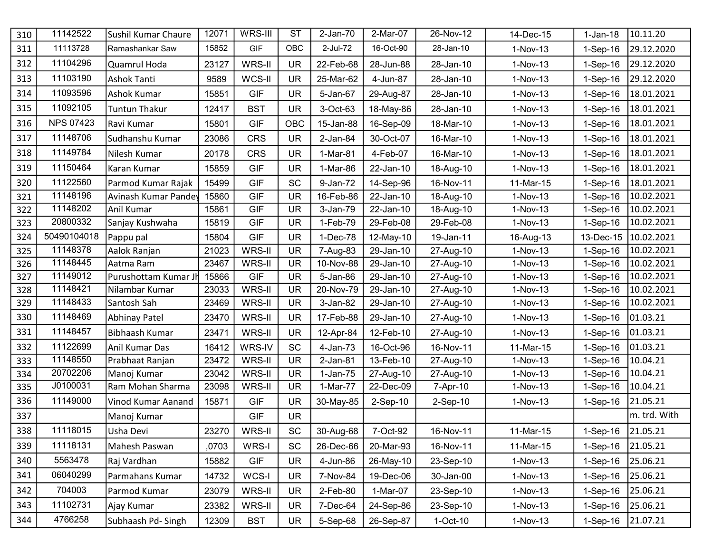| 310 | 11142522         | Sushil Kumar Chaure   | 12071 | WRS-III    | <b>ST</b>  | $2-Jan-70$  | 2-Mar-07  | 26-Nov-12  | 14-Dec-15  | $1-Jan-18$        | 10.11.20     |
|-----|------------------|-----------------------|-------|------------|------------|-------------|-----------|------------|------------|-------------------|--------------|
| 311 | 11113728         | Ramashankar Saw       | 15852 | <b>GIF</b> | <b>OBC</b> | 2-Jul-72    | 16-Oct-90 | 28-Jan-10  | 1-Nov-13   | $1-Sep-16$        | 29.12.2020   |
| 312 | 11104296         | Quamrul Hoda          | 23127 | WRS-II     | <b>UR</b>  | 22-Feb-68   | 28-Jun-88 | 28-Jan-10  | 1-Nov-13   | $1-Sep-16$        | 29.12.2020   |
| 313 | 11103190         | <b>Ashok Tanti</b>    | 9589  | WCS-II     | <b>UR</b>  | 25-Mar-62   | 4-Jun-87  | 28-Jan-10  | 1-Nov-13   | $1-Sep-16$        | 29.12.2020   |
| 314 | 11093596         | Ashok Kumar           | 15851 | <b>GIF</b> | <b>UR</b>  | 5-Jan-67    | 29-Aug-87 | 28-Jan-10  | 1-Nov-13   | 1-Sep-16          | 18.01.2021   |
| 315 | 11092105         | Tuntun Thakur         | 12417 | <b>BST</b> | <b>UR</b>  | 3-Oct-63    | 18-May-86 | 28-Jan-10  | $1-Nov-13$ | 1-Sep-16          | 18.01.2021   |
| 316 | <b>NPS 07423</b> | Ravi Kumar            | 15801 | <b>GIF</b> | OBC        | 15-Jan-88   | 16-Sep-09 | 18-Mar-10  | 1-Nov-13   | $1-Sep-16$        | 18.01.2021   |
| 317 | 11148706         | Sudhanshu Kumar       | 23086 | <b>CRS</b> | <b>UR</b>  | $2$ -Jan-84 | 30-Oct-07 | 16-Mar-10  | $1-Nov-13$ | $1-Sep-16$        | 18.01.2021   |
| 318 | 11149784         | Nilesh Kumar          | 20178 | <b>CRS</b> | <b>UR</b>  | 1-Mar-81    | 4-Feb-07  | 16-Mar-10  | 1-Nov-13   | $1-Sep-16$        | 18.01.2021   |
| 319 | 11150464         | Karan Kumar           | 15859 | <b>GIF</b> | <b>UR</b>  | 1-Mar-86    | 22-Jan-10 | 18-Aug-10  | 1-Nov-13   | $1-Sep-16$        | 18.01.2021   |
| 320 | 11122560         | Parmod Kumar Rajak    | 15499 | <b>GIF</b> | SC         | 9-Jan-72    | 14-Sep-96 | 16-Nov-11  | 11-Mar-15  | $1-Sep-16$        | 18.01.2021   |
| 321 | 11148196         | Avinash Kumar Pandey  | 15860 | <b>GIF</b> | <b>UR</b>  | 16-Feb-86   | 22-Jan-10 | 18-Aug-10  | 1-Nov-13   | $1-Sep-16$        | 10.02.2021   |
| 322 | 11148202         | Anil Kumar            | 15861 | <b>GIF</b> | <b>UR</b>  | 3-Jan-79    | 22-Jan-10 | 18-Aug-10  | 1-Nov-13   | $1-Sep-16$        | 10.02.2021   |
| 323 | 20800332         | Sanjay Kushwaha       | 15819 | <b>GIF</b> | <b>UR</b>  | 1-Feb-79    | 29-Feb-08 | 29-Feb-08  | 1-Nov-13   | 1-Sep-16          | 10.02.2021   |
| 324 | 50490104018      | Pappu pal             | 15804 | <b>GIF</b> | <b>UR</b>  | 1-Dec-78    | 12-May-10 | 19-Jan-11  | 16-Aug-13  | 13-Dec-15         | 10.02.2021   |
| 325 | 11148378         | Aalok Ranjan          | 21023 | WRS-II     | <b>UR</b>  | 7-Aug-83    | 29-Jan-10 | 27-Aug-10  | 1-Nov-13   | $1-Sep-16$        | 10.02.2021   |
| 326 | 11148445         | Aatma Ram             | 23467 | WRS-II     | <b>UR</b>  | 10-Nov-88   | 29-Jan-10 | 27-Aug-10  | 1-Nov-13   | $1-Sep-16$        | 10.02.2021   |
| 327 | 11149012         | Purushottam Kumar Jh  | 15866 | <b>GIF</b> | <b>UR</b>  | 5-Jan-86    | 29-Jan-10 | 27-Aug-10  | $1-Nov-13$ | $1-Sep-16$        | 10.02.2021   |
| 328 | 11148421         | Nilambar Kumar        | 23033 | WRS-II     | <b>UR</b>  | 20-Nov-79   | 29-Jan-10 | 27-Aug-10  | 1-Nov-13   | $1-Sep-16$        | 10.02.2021   |
| 329 | 11148433         | Santosh Sah           | 23469 | WRS-II     | <b>UR</b>  | 3-Jan-82    | 29-Jan-10 | 27-Aug-10  | 1-Nov-13   | $1-Sep-16$        | 10.02.2021   |
| 330 | 11148469         | <b>Abhinay Patel</b>  | 23470 | WRS-II     | <b>UR</b>  | 17-Feb-88   | 29-Jan-10 | 27-Aug-10  | 1-Nov-13   | $1-Sep-16$        | 01.03.21     |
| 331 | 11148457         | <b>Bibhaash Kumar</b> | 23471 | WRS-II     | <b>UR</b>  | 12-Apr-84   | 12-Feb-10 | 27-Aug-10  | 1-Nov-13   | $1-Sep-16$        | 01.03.21     |
| 332 | 11122699         | Anil Kumar Das        | 16412 | WRS-IV     | SC         | 4-Jan-73    | 16-Oct-96 | 16-Nov-11  | 11-Mar-15  | $1-Sep-16$        | 01.03.21     |
| 333 | 11148550         | Prabhaat Ranjan       | 23472 | WRS-II     | <b>UR</b>  | 2-Jan-81    | 13-Feb-10 | 27-Aug-10  | 1-Nov-13   | $1-Sep-16$        | 10.04.21     |
| 334 | 20702206         | Manoj Kumar           | 23042 | WRS-II     | <b>UR</b>  | 1-Jan-75    | 27-Aug-10 | 27-Aug-10  | $1-Nov-13$ | $1-Sep-16$        | 10.04.21     |
| 335 | J0100031         | Ram Mohan Sharma      | 23098 | WRS-II     | <b>UR</b>  | 1-Mar-77    | 22-Dec-09 | 7-Apr-10   | 1-Nov-13   | $1-Sep-16$        | 10.04.21     |
| 336 | 11149000         | Vinod Kumar Aanand    | 15871 | <b>GIF</b> | <b>UR</b>  | 30-May-85   | 2-Sep-10  | $2-Sep-10$ | 1-Nov-13   | $1-Sep-16$        | 21.05.21     |
| 337 |                  | Manoj Kumar           |       | <b>GIF</b> | <b>UR</b>  |             |           |            |            |                   | m. trd. With |
| 338 | 11118015         | Usha Devi             | 23270 | WRS-II     | SC         | 30-Aug-68   | 7-Oct-92  | 16-Nov-11  | 11-Mar-15  | 1-Sep-16 21.05.21 |              |
| 339 | 11118131         | Mahesh Paswan         | ,0703 | WRS-I      | <b>SC</b>  | 26-Dec-66   | 20-Mar-93 | 16-Nov-11  | 11-Mar-15  | $1-Sep-16$        | 21.05.21     |
| 340 | 5563478          | Raj Vardhan           | 15882 | <b>GIF</b> | <b>UR</b>  | 4-Jun-86    | 26-May-10 | 23-Sep-10  | $1-Nov-13$ | $1-Sep-16$        | 25.06.21     |
| 341 | 06040299         | Parmahans Kumar       | 14732 | WCS-I      | <b>UR</b>  | 7-Nov-84    | 19-Dec-06 | 30-Jan-00  | $1-Nov-13$ | $1-Sep-16$        | 25.06.21     |
| 342 | 704003           | Parmod Kumar          | 23079 | WRS-II     | <b>UR</b>  | 2-Feb-80    | 1-Mar-07  | 23-Sep-10  | $1-Nov-13$ | $1-Sep-16$        | 25.06.21     |
| 343 | 11102731         | Ajay Kumar            | 23382 | WRS-II     | <b>UR</b>  | 7-Dec-64    | 24-Sep-86 | 23-Sep-10  | $1-Nov-13$ | $1-Sep-16$        | 25.06.21     |
| 344 | 4766258          | Subhaash Pd-Singh     | 12309 | <b>BST</b> | UR.        | 5-Sep-68    | 26-Sep-87 | $1-Oct-10$ | $1-Nov-13$ | $1-Sep-16$        | 21.07.21     |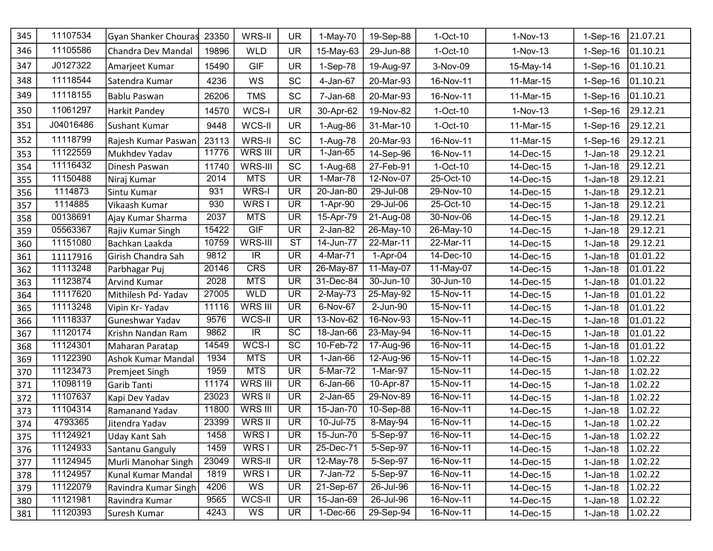| 345 | 11107534  | Gyan Shanker Chouras      | 23350 | WRS-II                  | <b>UR</b>                | $1-May-70$     | 19-Sep-88                  | $1-Oct-10$  | $1-Nov-13$ | $1-Sep-16$ | 21.07.21 |
|-----|-----------|---------------------------|-------|-------------------------|--------------------------|----------------|----------------------------|-------------|------------|------------|----------|
| 346 | 11105586  | Chandra Dev Mandal        | 19896 | <b>WLD</b>              | <b>UR</b>                | 15-May-63      | 29-Jun-88                  | $1-Oct-10$  | $1-Nov-13$ | $1-Sep-16$ | 01.10.21 |
| 347 | J0127322  | Amarjeet Kumar            | 15490 | <b>GIF</b>              | <b>UR</b>                | 1-Sep-78       | 19-Aug-97                  | 3-Nov-09    | 15-May-14  | 1-Sep-16   | 01.10.21 |
| 348 | 11118544  | Satendra Kumar            | 4236  | WS                      | <b>SC</b>                | 4-Jan-67       | 20-Mar-93                  | 16-Nov-11   | 11-Mar-15  | 1-Sep-16   | 01.10.21 |
| 349 | 11118155  | Bablu Paswan              | 26206 | <b>TMS</b>              | <b>SC</b>                | 7-Jan-68       | 20-Mar-93                  | 16-Nov-11   | 11-Mar-15  | 1-Sep-16   | 01.10.21 |
| 350 | 11061297  | <b>Harkit Pandey</b>      | 14570 | WCS-I                   | <b>UR</b>                | 30-Apr-62      | 19-Nov-82                  | $1-Oct-10$  | $1-Nov-13$ | 1-Sep-16   | 29.12.21 |
| 351 | J04016486 | <b>Sushant Kumar</b>      | 9448  | WCS-II                  | <b>UR</b>                | 1-Aug-86       | 31-Mar-10                  | $1-Oct-10$  | 11-Mar-15  | $1-Sep-16$ | 29.12.21 |
| 352 | 11118799  | Rajesh Kumar Paswan       | 23113 | WRS-II                  | SC                       | 1-Aug-78       | 20-Mar-93                  | 16-Nov-11   | 11-Mar-15  | 1-Sep-16   | 29.12.21 |
| 353 | 11122559  | Mukhdev Yadav             | 11776 | <b>WRS III</b>          | <b>UR</b>                | $1-Jan-65$     | 14-Sep-96                  | 16-Nov-11   | 14-Dec-15  | $1-Jan-18$ | 29.12.21 |
| 354 | 11116432  | Dinesh Paswan             | 11740 | WRS-III                 | SC                       | 1-Aug-68       | 27-Feb-91                  | $1-Oct-10$  | 14-Dec-15  | $1-Jan-18$ | 29.12.21 |
| 355 | 11150488  | Niraj Kumar               | 2014  | <b>MTS</b>              | $\overline{\mathsf{UR}}$ | 1-Mar-78       | 12-Nov-07                  | 25-Oct-10   | 14-Dec-15  | $1-Jan-18$ | 29.12.21 |
| 356 | 1114873   | Sintu Kumar               | 931   | WRS-I                   | <b>UR</b>                | 20-Jan-80      | $29$ -Jul- $\overline{08}$ | 29-Nov-10   | 14-Dec-15  | $1-Jan-18$ | 29.12.21 |
| 357 | 1114885   | Vikaash Kumar             | 930   | WRS <sub>I</sub>        | $\overline{\mathsf{UR}}$ | 1-Apr-90       | 29-Jul-06                  | 25-Oct-10   | 14-Dec-15  | $1-Jan-18$ | 29.12.21 |
| 358 | 00138691  | Ajay Kumar Sharma         | 2037  | <b>MTS</b>              | <b>UR</b>                | 15-Apr-79      | 21-Aug-08                  | 30-Nov-06   | 14-Dec-15  | $1-Jan-18$ | 29.12.21 |
| 359 | 05563367  | Rajiv Kumar Singh         | 15422 | GIF                     | <b>UR</b>                | 2-Jan-82       | $26$ -May-10               | 26-May-10   | 14-Dec-15  | $1-Jan-18$ | 29.12.21 |
| 360 | 11151080  | Bachkan Laakda            | 10759 | WRS-III                 | $\overline{\text{ST}}$   | 14-Jun-77      | 22-Mar-11                  | 22-Mar-11   | 14-Dec-15  | $1-Jan-18$ | 29.12.21 |
| 361 | 11117916  | Girish Chandra Sah        | 9812  | $\overline{\mathbb{R}}$ | <b>UR</b>                | 4-Mar-71       | 1-Apr-04                   | 14-Dec-10   | 14-Dec-15  | $1-Jan-18$ | 01.01.22 |
| 362 | 11113248  | Parbhagar Puj             | 20146 | CRS                     | <b>UR</b>                | 26-May-87      | 11-May-07                  | 11-May-07   | 14-Dec-15  | $1-Jan-18$ | 01.01.22 |
| 363 | 11123874  | <b>Arvind Kumar</b>       | 2028  | <b>MTS</b>              | <b>UR</b>                | 31-Dec-84      | 30-Jun-10                  | 30-Jun-10   | 14-Dec-15  | $1-Jan-18$ | 01.01.22 |
| 364 | 11117620  | Mithilesh Pd- Yadav       | 27005 | <b>WLD</b>              | <b>UR</b>                | $2-May-73$     | 25-May-92                  | $15-Nov-11$ | 14-Dec-15  | $1-Jan-18$ | 01.01.22 |
| 365 | 11113248  | Vipin Kr-Yadav            | 11116 | WRS III                 | <b>UR</b>                | 6-Nov-67       | 2-Jun-90                   | $15-Nov-11$ | 14-Dec-15  | $1-Jan-18$ | 01.01.22 |
| 366 | 11118337  | Guneshwar Yadav           | 9576  | WCS-II                  | <b>UR</b>                | 13-Nov-62      | 16-Nov-93                  | 15-Nov-11   | 14-Dec-15  | $1-Jan-18$ | 01.01.22 |
| 367 | 11120174  | Krishn Nandan Ram         | 9862  | $\overline{\mathbb{R}}$ | $\overline{SC}$          | 18-Jan-66      | $\overline{23}$ -May-94    | 16-Nov-11   | 14-Dec-15  | $1-Jan-18$ | 01.01.22 |
| 368 | 11124301  | Maharan Paratap           | 14549 | WCS-I                   | $\overline{SC}$          | 10-Feb-72      | 17-Aug-96                  | 16-Nov-11   | 14-Dec-15  | $1-Jan-18$ | 01.01.22 |
| 369 | 11122390  | <b>Ashok Kumar Mandal</b> | 1934  | <b>MTS</b>              | <b>UR</b>                | $1-Jan-66$     | 12-Aug-96                  | 15-Nov-11   | 14-Dec-15  | $1-Jan-18$ | 1.02.22  |
| 370 | 11123473  | Premjeet Singh            | 1959  | <b>MTS</b>              | $\overline{\mathsf{UR}}$ | 5-Mar-72       | 1-Mar-97                   | 15-Nov-11   | 14-Dec-15  | $1-Jan-18$ | 1.02.22  |
| 371 | 11098119  | Garib Tanti               | 11174 | <b>WRS III</b>          | <b>UR</b>                | $6$ -Jan- $66$ | 10-Apr-87                  | 15-Nov-11   | 14-Dec-15  | $1-Jan-18$ | 1.02.22  |
| 372 | 11107637  | Kapi Dev Yadav            | 23023 | WRS II                  | <b>UR</b>                | $2$ -Jan- $65$ | 29-Nov-89                  | 16-Nov-11   | 14-Dec-15  | $1-Jan-18$ | 1.02.22  |
| 373 | 11104314  | Ramanand Yadav            | 11800 | <b>WRS III</b>          | $\overline{\mathsf{UR}}$ | 15-Jan-70      | 10-Sep-88                  | 16-Nov-11   | 14-Dec-15  | $1-Jan-18$ | 1.02.22  |
| 374 | 4793365   | Jitendra Yadav            | 23399 | WRS II                  | <b>UR</b>                | 10-Jul-75      | 8-May-94                   | 16-Nov-11   | 14-Dec-15  | $1-Jan-18$ | 1.02.22  |
| 375 | 11124921  | <b>Uday Kant Sah</b>      | 1458  | WRS <sub>I</sub>        | UR                       | 15-Jun-70      | 5-Sep-97                   | 16-Nov-11   | 14-Dec-15  | $1-Jan-18$ | 1.02.22  |
| 376 | 11124933  | Santanu Ganguly           | 1459  | WRS I                   | <b>UR</b>                | 25-Dec-71      | 5-Sep-97                   | 16-Nov-11   | 14-Dec-15  | $1-Jan-18$ | 1.02.22  |
| 377 | 11124945  | Murli Manohar Singh       | 23049 | WRS-II                  | <b>UR</b>                | 12-May-78      | 5-Sep-97                   | 16-Nov-11   | 14-Dec-15  | $1-Jan-18$ | 1.02.22  |
| 378 | 11124957  | Kunal Kumar Mandal        | 1819  | WRS <sub>I</sub>        | <b>UR</b>                | 7-Jan-72       | 5-Sep-97                   | 16-Nov-11   | 14-Dec-15  | $1-Jan-18$ | 1.02.22  |
| 379 | 11122079  | Ravindra Kumar Singh      | 4206  | WS                      | <b>UR</b>                | 21-Sep-67      | 26-Jul-96                  | 16-Nov-11   | 14-Dec-15  | $1-Jan-18$ | 1.02.22  |
| 380 | 11121981  | Ravindra Kumar            | 9565  | WCS-II                  | <b>UR</b>                | 15-Jan-69      | 26-Jul-96                  | 16-Nov-11   | 14-Dec-15  | $1-Jan-18$ | 1.02.22  |
| 381 | 11120393  | Suresh Kumar              | 4243  | WS                      | <b>UR</b>                | 1-Dec-66       | 29-Sep-94                  | 16-Nov-11   | 14-Dec-15  | $1-Jan-18$ | 1.02.22  |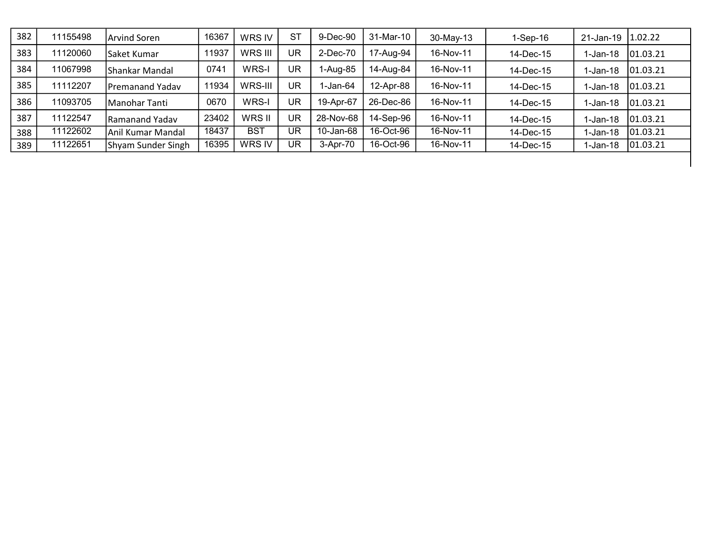| 382 | 11155498 | <b>Arvind Soren</b> | 16367 | WRS IV        | <b>ST</b> | 9-Dec-90  | 31-Mar-10 | $30-May-13$ | $1-Sep-16$ | 21-Jan-19  | 1.02.22  |
|-----|----------|---------------------|-------|---------------|-----------|-----------|-----------|-------------|------------|------------|----------|
| 383 | 11120060 | Saket Kumar         | 11937 | WRS III       | UR        | 2-Dec-70  | 17-Aug-94 | 16-Nov-11   | 14-Dec-15  | $1-Jan-18$ | 01.03.21 |
| 384 | 11067998 | Shankar Mandal      | 0741  | WRS-I         | UR        | 1-Aug-85  | 14-Aug-84 | 16-Nov-11   | 14-Dec-15  | $1-Jan-18$ | 01.03.21 |
| 385 | 11112207 | Premanand Yadav     | 11934 | WRS-III       | UR        | -Jan-64   | 12-Apr-88 | 16-Nov-11   | 14-Dec-15  | $1-Jan-18$ | 01.03.21 |
| 386 | 11093705 | Manohar Tanti       | 0670  | WRS-I         | UR        | 19-Apr-67 | 26-Dec-86 | 16-Nov-11   | 14-Dec-15  | $1-Jan-18$ | 01.03.21 |
| 387 | 11122547 | Ramanand Yadav      | 23402 | WRS II        | UR        | 28-Nov-68 | 14-Sep-96 | 16-Nov-11   | 14-Dec-15  | 1-Jan-18   | 01.03.21 |
| 388 | 11122602 | Anil Kumar Mandal   | 18437 | <b>BST</b>    | UR        | 10-Jan-68 | 16-Oct-96 | 16-Nov-11   | 14-Dec-15  | $1-Jan-18$ | 01.03.21 |
| 389 | 11122651 | Shyam Sunder Singh  | 16395 | <b>WRS IV</b> | UR        | 3-Apr-70  | 16-Oct-96 | 16-Nov-11   | 14-Dec-15  | $1-Jan-18$ | 01.03.21 |
|     |          |                     |       |               |           |           |           |             |            |            |          |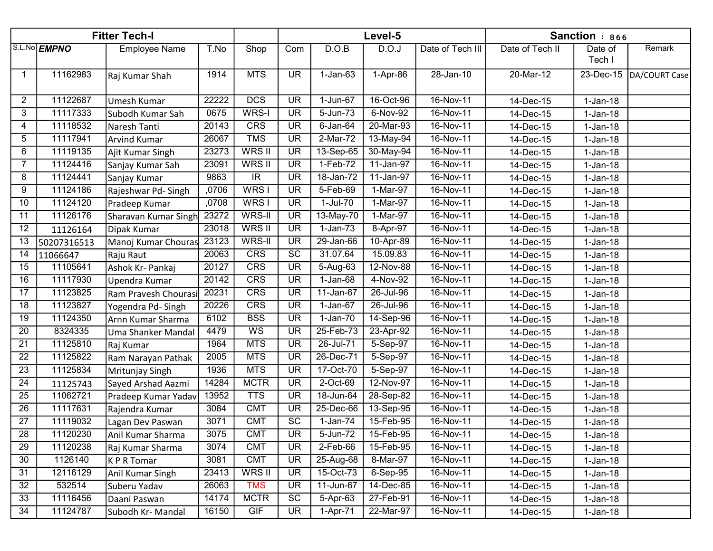|                 | <b>Fitter Tech-I</b> |                      |       |                          |                          | Level-5        | Sanction : 866 |                  |                 |            |               |
|-----------------|----------------------|----------------------|-------|--------------------------|--------------------------|----------------|----------------|------------------|-----------------|------------|---------------|
|                 | S.L.No EMPNO         | <b>Employee Name</b> | T.No  | Shop                     | Com                      | D.O.B          | D.O.J          | Date of Tech III | Date of Tech II | Date of    | Remark        |
|                 |                      |                      |       |                          |                          |                |                |                  |                 | Tech I     |               |
| -1              | 11162983             | Raj Kumar Shah       | 1914  | <b>MTS</b>               | <b>UR</b>                | $1-Jan-63$     | 1-Apr-86       | 28-Jan-10        | 20-Mar-12       | 23-Dec-15  | DA/COURT Case |
|                 |                      |                      |       |                          |                          |                |                |                  |                 |            |               |
| $\overline{2}$  | 11122687             | Umesh Kumar          | 22222 | <b>DCS</b>               | <b>UR</b>                | 1-Jun-67       | 16-Oct-96      | 16-Nov-11        | 14-Dec-15       | $1-Jan-18$ |               |
| 3               | 11117333             | Subodh Kumar Sah     | 0675  | WRS-I                    | <b>UR</b>                | 5-Jun-73       | 6-Nov-92       | 16-Nov-11        | 14-Dec-15       | $1-Jan-18$ |               |
| 4               | 11118532             | Naresh Tanti         | 20143 | <b>CRS</b>               | <b>UR</b>                | $6$ -Jan- $64$ | 20-Mar-93      | 16-Nov-11        | 14-Dec-15       | $1-Jan-18$ |               |
| 5               | 11117941             | Arvind Kumar         | 26067 | <b>TMS</b>               | $\overline{\mathsf{UR}}$ | $2-Mar-72$     | 13-May-94      | 16-Nov-11        | 14-Dec-15       | $1-Jan-18$ |               |
| 6               | 11119135             | Ajit Kumar Singh     | 23273 | WRS II                   | $\overline{\mathsf{UR}}$ | 13-Sep-65      | 30-May-94      | 16-Nov-11        | 14-Dec-15       | $1-Jan-18$ |               |
| 7               | 11124416             | Sanjay Kumar Sah     | 23091 | <b>WRS II</b>            | $\overline{\mathsf{UR}}$ | $1-Feb-72$     | 11-Jan-97      | 16-Nov-11        | 14-Dec-15       | $1-Jan-18$ |               |
| 8               | 11124441             | Sanjay Kumar         | 9863  | $\overline{\mathbb{R}}$  | $\overline{\mathsf{UR}}$ | $18 - Jan-72$  | 11-Jan-97      | 16-Nov-11        | 14-Dec-15       | $1-Jan-18$ |               |
| 9               | 11124186             | Rajeshwar Pd-Singh   | ,0706 | WRS <sub>I</sub>         | $\overline{\mathsf{UR}}$ | 5-Feb-69       | 1-Mar-97       | 16-Nov-11        | 14-Dec-15       | $1-Jan-18$ |               |
| $\overline{10}$ | 11124120             | Pradeep Kumar        | ,0708 | WRS <sub>I</sub>         | $\overline{\mathsf{UR}}$ | $1-Jul-70$     | 1-Mar-97       | 16-Nov-11        | 14-Dec-15       | $1-Jan-18$ |               |
| $\overline{11}$ | 11126176             | Sharavan Kumar Singh | 23272 | <b>WRS-II</b>            | $\overline{\mathsf{UR}}$ | 13-May-70      | 1-Mar-97       | 16-Nov-11        | 14-Dec-15       | $1-Jan-18$ |               |
| $\overline{12}$ | 11126164             | Dipak Kumar          | 23018 | WRS II                   | $\overline{\mathsf{UR}}$ | $1-Jan-73$     | 8-Apr-97       | 16-Nov-11        | 14-Dec-15       | $1-Jan-18$ |               |
| 13              | 50207316513          | Manoj Kumar Chouras  | 23123 | <b>WRS-II</b>            | $\overline{\mathsf{UR}}$ | 29-Jan-66      | 10-Apr-89      | 16-Nov-11        | 14-Dec-15       | $1-Jan-18$ |               |
| 14              | 11066647             | Raju Raut            | 20063 | CRS                      | $\overline{SC}$          | 31.07.64       | 15.09.83       | 16-Nov-11        | 14-Dec-15       | $1-Jan-18$ |               |
| 15              | 11105641             | Ashok Kr- Pankaj     | 20127 | <b>CRS</b>               | <b>UR</b>                | 5-Aug-63       | 12-Nov-88      | 16-Nov-11        | 14-Dec-15       | $1-Jan-18$ |               |
| 16              | 11117930             | Upendra Kumar        | 20142 | CRS                      | $\overline{\mathsf{UR}}$ | $1-Jan-68$     | 4-Nov-92       | 16-Nov-11        | 14-Dec-15       | $1-Jan-18$ |               |
| 17              | 11123825             | Ram Pravesh Chourasi | 20231 | CRS                      | <b>UR</b>                | 11-Jan-67      | 26-Jul-96      | 16-Nov-11        | 14-Dec-15       | $1-Jan-18$ |               |
| 18              | 11123827             | Yogendra Pd-Singh    | 20226 | <b>CRS</b>               | $\overline{\mathsf{UR}}$ | 1-Jan-67       | 26-Jul-96      | 16-Nov-11        | 14-Dec-15       | $1-Jan-18$ |               |
| 19              | 11124350             | Arnn Kumar Sharma    | 6102  | <b>BSS</b>               | $\overline{\mathsf{UR}}$ | $1-Jan-70$     | 14-Sep-96      | 16-Nov-11        | 14-Dec-15       | $1-Jan-18$ |               |
| $\overline{20}$ | 8324335              | Uma Shanker Mandal   | 4479  | $\overline{\mathsf{WS}}$ | <b>UR</b>                | 25-Feb-73      | 23-Apr-92      | $16-Nov-11$      | 14-Dec-15       | $1-Jan-18$ |               |
| $\overline{21}$ | 11125810             | Raj Kumar            | 1964  | <b>MTS</b>               | $\overline{\text{UR}}$   | 26-Jul-71      | 5-Sep-97       | 16-Nov-11        | 14-Dec-15       | $1-Jan-18$ |               |
| $\overline{22}$ | 11125822             | Ram Narayan Pathak   | 2005  | <b>MTS</b>               | $\overline{\mathsf{UR}}$ | 26-Dec-71      | 5-Sep-97       | 16-Nov-11        | 14-Dec-15       | $1-Jan-18$ |               |
| $\overline{23}$ | 11125834             | Mritunjay Singh      | 1936  | <b>MTS</b>               | <b>UR</b>                | 17-Oct-70      | 5-Sep-97       | 16-Nov-11        | 14-Dec-15       | $1-Jan-18$ |               |
| $\overline{24}$ | 11125743             | Sayed Arshad Aazmi   | 14284 | <b>MCTR</b>              | $\overline{\mathsf{UR}}$ | 2-Oct-69       | 12-Nov-97      | 16-Nov-11        | 14-Dec-15       | $1-Jan-18$ |               |
| 25              | 11062721             | Pradeep Kumar Yadav  | 13952 | <b>TTS</b>               | <b>UR</b>                | 18-Jun-64      | 28-Sep-82      | 16-Nov-11        | 14-Dec-15       | $1-Jan-18$ |               |
| 26              | 11117631             | Rajendra Kumar       | 3084  | <b>CMT</b>               | <b>UR</b>                | 25-Dec-66      | 13-Sep-95      | 16-Nov-11        | 14-Dec-15       | $1-Jan-18$ |               |
| $\overline{27}$ | 11119032             | Lagan Dev Paswan     | 3071  | <b>CMT</b>               | $\overline{SC}$          | 1-Jan-74       | 15-Feb-95      | $16-Nov-11$      | 14-Dec-15       | $1-Jan-18$ |               |
| $\overline{28}$ | 11120230             | Anil Kumar Sharma    | 3075  | <b>CMT</b>               | <b>UR</b>                | 5-Jun-72       | 15-Feb-95      | 16-Nov-11        | 14-Dec-15       | $1-Jan-18$ |               |
| 29              | 11120238             | Raj Kumar Sharma     | 3074  | <b>CMT</b>               | <b>UR</b>                | 2-Feb-66       | 15-Feb-95      | 16-Nov-11        | 14-Dec-15       | $1-Jan-18$ |               |
| 30              | 1126140              | <b>KPRTomar</b>      | 3081  | <b>CMT</b>               | <b>UR</b>                | 25-Aug-68      | 8-Mar-97       | 16-Nov-11        | 14-Dec-15       | $1-Jan-18$ |               |
| 31              | 12116129             | Anil Kumar Singh     | 23413 | WRS II                   | <b>UR</b>                | 15-Oct-73      | 6-Sep-95       | 16-Nov-11        | 14-Dec-15       | $1-Jan-18$ |               |
| $\overline{32}$ | 532514               | Suberu Yadav         | 26063 | <b>TMS</b>               | <b>UR</b>                | 11-Jun-67      | 14-Dec-85      | 16-Nov-11        | 14-Dec-15       | $1-Jan-18$ |               |
| 33              | 11116456             | Daani Paswan         | 14174 | <b>MCTR</b>              | SC                       | 5-Apr-63       | 27-Feb-91      | 16-Nov-11        | 14-Dec-15       | $1-Jan-18$ |               |
| 34              | 11124787             | Subodh Kr-Mandal     | 16150 | GIF                      | <b>UR</b>                | 1-Apr-71       | 22-Mar-97      | 16-Nov-11        | 14-Dec-15       | $1-Jan-18$ |               |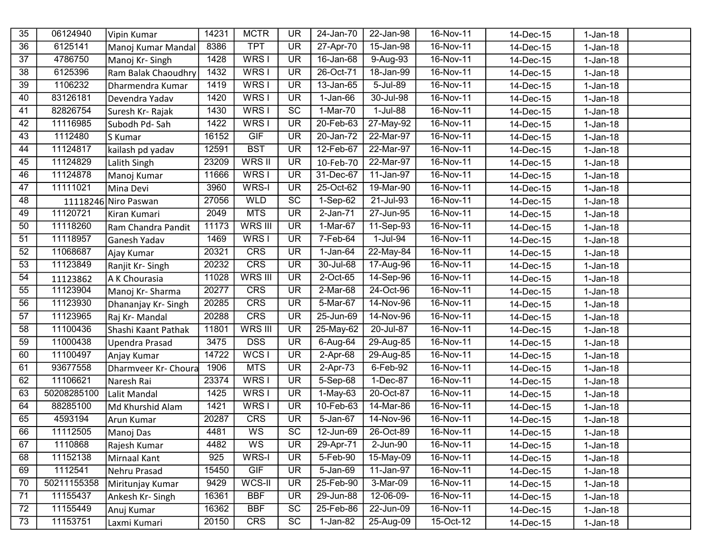| 35              | 06124940    | Vipin Kumar          | 14231 | <b>MCTR</b>      | <b>UR</b>                | 24-Jan-70      | 22-Jan-98           | 16-Nov-11   | 14-Dec-15 | $1-Jan-18$ |  |
|-----------------|-------------|----------------------|-------|------------------|--------------------------|----------------|---------------------|-------------|-----------|------------|--|
| 36              | 6125141     | Manoj Kumar Mandal   | 8386  | <b>TPT</b>       | <b>UR</b>                | 27-Apr-70      | 15-Jan-98           | 16-Nov-11   | 14-Dec-15 | $1-Jan-18$ |  |
| 37              | 4786750     | Manoj Kr-Singh       | 1428  | WRS I            | <b>UR</b>                | 16-Jan-68      | 9-Aug-93            | $16-Nov-11$ | 14-Dec-15 | $1-Jan-18$ |  |
| 38              | 6125396     | Ram Balak Chaoudhry  | 1432  | WRS <sub>I</sub> | <b>UR</b>                | 26-Oct-71      | 18-Jan-99           | 16-Nov-11   | 14-Dec-15 | $1-Jan-18$ |  |
| $\overline{39}$ | 1106232     | Dharmendra Kumar     | 1419  | WRS <sub>I</sub> | $\overline{\mathsf{UR}}$ | 13-Jan-65      | 5-Jul-89            | 16-Nov-11   | 14-Dec-15 | $1-Jan-18$ |  |
| 40              | 83126181    | Devendra Yadav       | 1420  | WRS <sub>I</sub> | <b>UR</b>                | $1-Jan-66$     | 30-Jul-98           | 16-Nov-11   | 14-Dec-15 | $1-Jan-18$ |  |
| 41              | 82826754    | Suresh Kr- Rajak     | 1430  | WRS <sub>I</sub> | $\overline{SC}$          | 1-Mar-70       | $1-Jul-88$          | 16-Nov-11   | 14-Dec-15 | $1-Jan-18$ |  |
| 42              | 11116985    | Subodh Pd-Sah        | 1422  | WRS <sub>I</sub> | $\overline{\mathsf{UR}}$ | 20-Feb-63      | 27-May-92           | 16-Nov-11   | 14-Dec-15 | $1-Jan-18$ |  |
| $\overline{43}$ | 1112480     | S Kumar              | 16152 | GIF              | <b>UR</b>                | 20-Jan-72      | 22-Mar-97           | 16-Nov-11   | 14-Dec-15 | $1-Jan-18$ |  |
| $\overline{44}$ | 11124817    | kailash pd yadav     | 12591 | <b>BST</b>       | $\overline{\mathsf{UR}}$ | 12-Feb-67      | 22-Mar-97           | 16-Nov-11   | 14-Dec-15 | $1-Jan-18$ |  |
| 45              | 11124829    | Lalith Singh         | 23209 | <b>WRSII</b>     | <b>UR</b>                | 10-Feb-70      | $22-Mar-97$         | 16-Nov-11   | 14-Dec-15 | $1-Jan-18$ |  |
| 46              | 11124878    | Manoj Kumar          | 11666 | WRS <sub>I</sub> | <b>UR</b>                | 31-Dec-67      | 11-Jan-97           | 16-Nov-11   | 14-Dec-15 | $1-Jan-18$ |  |
| 47              | 11111021    | Mina Devi            | 3960  | WRS-I            | $\overline{\mathsf{UR}}$ | 25-Oct-62      | 19-Mar-90           | 16-Nov-11   | 14-Dec-15 | $1-Jan-18$ |  |
| 48              | 11118246    | Niro Paswan          | 27056 | <b>WLD</b>       | <b>SC</b>                | 1-Sep-62       | 21-Jul-93           | 16-Nov-11   | 14-Dec-15 | $1-Jan-18$ |  |
| 49              | 11120721    | Kiran Kumari         | 2049  | <b>MTS</b>       | <b>UR</b>                | 2-Jan-71       | 27-Jun-95           | 16-Nov-11   | 14-Dec-15 | $1-Jan-18$ |  |
| 50              | 11118260    | Ram Chandra Pandit   | 11173 | WRS III          | <b>UR</b>                | 1-Mar-67       | 11-Sep-93           | 16-Nov-11   | 14-Dec-15 | $1-Jan-18$ |  |
| 51              | 11118957    | Ganesh Yadav         | 1469  | WRS <sub>I</sub> | <b>UR</b>                | 7-Feb-64       | 1-Jul-94            | 16-Nov-11   | 14-Dec-15 | $1-Jan-18$ |  |
| 52              | 11068687    | Ajay Kumar           | 20321 | CRS              | $\overline{\mathsf{UR}}$ | 1-Jan-64       | 22-May-84           | 16-Nov-11   | 14-Dec-15 | $1-Jan-18$ |  |
| 53              | 11123849    | Ranjit Kr-Singh      | 20232 | <b>CRS</b>       | <b>UR</b>                | 30-Jul-68      | 17-Aug-96           | 16-Nov-11   | 14-Dec-15 | $1-Jan-18$ |  |
| 54              | 11123862    | A K Chourasia        | 11028 | <b>WRS III</b>   | <b>UR</b>                | 2-Oct-65       | 14-Sep-96           | 16-Nov-11   | 14-Dec-15 | $1-Jan-18$ |  |
| $\overline{55}$ | 11123904    | Manoj Kr-Sharma      | 20277 | CRS              | $\overline{\text{UR}}$   | $2-Mar-68$     | 24-Oct-96           | 16-Nov-11   | 14-Dec-15 | $1-Jan-18$ |  |
| 56              | 11123930    | Dhananjay Kr-Singh   | 20285 | <b>CRS</b>       | <b>UR</b>                | 5-Mar-67       | 14-Nov-96           | 16-Nov-11   | 14-Dec-15 | $1-Jan-18$ |  |
| 57              | 11123965    | Raj Kr-Mandal        | 20288 | CRS              | $\overline{\mathsf{UR}}$ | 25-Jun-69      | 14-Nov-96           | 16-Nov-11   | 14-Dec-15 | $1-Jan-18$ |  |
| 58              | 11100436    | Shashi Kaant Pathak  | 11801 | WRS III          | <b>UR</b>                | 25-May-62      | 20-Jul-87           | 16-Nov-11   | 14-Dec-15 | $1-Jan-18$ |  |
| 59              | 11000438    | Upendra Prasad       | 3475  | <b>DSS</b>       | <b>UR</b>                | 6-Aug-64       | 29-Aug-85           | 16-Nov-11   | 14-Dec-15 | $1-Jan-18$ |  |
| 60              | 11100497    | Anjay Kumar          | 14722 | WCS <sub>I</sub> | $\overline{\mathsf{UR}}$ | $2-Apr-68$     | 29-Aug-85           | 16-Nov-11   | 14-Dec-15 | $1-Jan-18$ |  |
| 61              | 93677558    | Dharmveer Kr- Choura | 1906  | <b>MTS</b>       | <b>UR</b>                | 2-Apr-73       | 6-Feb-92            | 16-Nov-11   | 14-Dec-15 | $1-Jan-18$ |  |
| 62              | 11106621    | Naresh Rai           | 23374 | WRS I            | <b>UR</b>                | 5-Sep-68       | 1-Dec-87            | 16-Nov-11   | 14-Dec-15 | $1-Jan-18$ |  |
| 63              | 50208285100 | Lalit Mandal         | 1425  | WRS I            | <b>UR</b>                | $1-May-63$     | 20-Oct-87           | 16-Nov-11   | 14-Dec-15 | $1-Jan-18$ |  |
| 64              | 88285100    | Md Khurshid Alam     | 1421  | WRS <sub>I</sub> | <b>UR</b>                | 10-Feb-63      | 14-Mar-86           | 16-Nov-11   | 14-Dec-15 | $1-Jan-18$ |  |
| 65              | 4593194     | Arun Kumar           | 20287 | CRS              | $\overline{\mathsf{UR}}$ | 5-Jan-67       | 14-Nov-96           | 16-Nov-11   | 14-Dec-15 | $1-Jan-18$ |  |
| 66              | 11112505    | Manoj Das            | 4481  | WS               | $\overline{SC}$          |                | 12-Jun-69 26-Oct-89 | 16-Nov-11   | 14-Dec-15 | $1-Jan-18$ |  |
| 67              | 1110868     | Rajesh Kumar         | 4482  | WS               | <b>UR</b>                | 29-Apr-71      | $2$ -Jun- $90$      | 16-Nov-11   | 14-Dec-15 | $1-Jan-18$ |  |
| 68              | 11152138    | Mirnaal Kant         | 925   | WRS-I            | <b>UR</b>                | $5 - Feb - 90$ | 15-May-09           | 16-Nov-11   | 14-Dec-15 | $1-Jan-18$ |  |
| 69              | 1112541     | Nehru Prasad         | 15450 | GIF              | <b>UR</b>                | 5-Jan-69       | 11-Jan-97           | 16-Nov-11   | 14-Dec-15 | $1-Jan-18$ |  |
| 70              | 50211155358 | Miritunjay Kumar     | 9429  | WCS-II           | <b>UR</b>                | 25-Feb-90      | 3-Mar-09            | 16-Nov-11   | 14-Dec-15 | $1-Jan-18$ |  |
| 71              | 11155437    | Ankesh Kr-Singh      | 16361 | <b>BBF</b>       | <b>UR</b>                | 29-Jun-88      | 12-06-09-           | 16-Nov-11   | 14-Dec-15 | $1-Jan-18$ |  |
| 72              | 11155449    | Anuj Kumar           | 16362 | <b>BBF</b>       | <b>SC</b>                | 25-Feb-86      | 22-Jun-09           | 16-Nov-11   | 14-Dec-15 | $1-Jan-18$ |  |
| 73              | 11153751    | Laxmi Kumari         | 20150 | <b>CRS</b>       | SC                       | 1-Jan-82       | 25-Aug-09           | 15-Oct-12   | 14-Dec-15 | $1-Jan-18$ |  |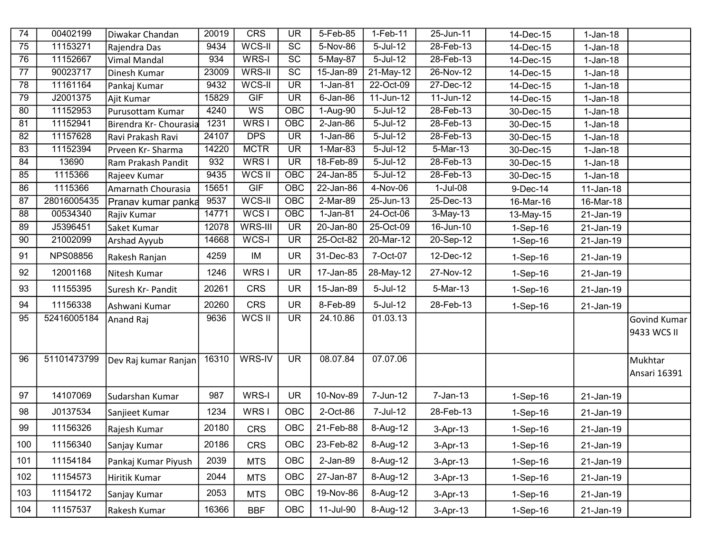| $\overline{74}$ | 00402199        | Diwakar Chandan        | 20019 | CRS              | <b>UR</b>                | $5 - Feb - 85$         | $1-Feb-11$   | 25-Jun-11     | 14-Dec-15  | $1-Jan-18$   |              |
|-----------------|-----------------|------------------------|-------|------------------|--------------------------|------------------------|--------------|---------------|------------|--------------|--------------|
| 75              | 11153271        | Rajendra Das           | 9434  | WCS-II           | SC                       | 5-Nov-86               | 5-Jul-12     | 28-Feb-13     | 14-Dec-15  | $1-Jan-18$   |              |
| 76              | 11152667        | Vimal Mandal           | 934   | WRS-I            | SC                       | 5-May-87               | $5$ -Jul-12  | 28-Feb-13     | 14-Dec-15  | $1-Jan-18$   |              |
| 77              | 90023717        | Dinesh Kumar           | 23009 | WRS-II           | $\overline{SC}$          | 15-Jan-89              | 21-May-12    | 26-Nov-12     | 14-Dec-15  | $1-Jan-18$   |              |
| $\overline{78}$ | 11161164        | Pankaj Kumar           | 9432  | WCS-II           | $\overline{\mathsf{UR}}$ | $\overline{1}$ -Jan-81 | 22-Oct-09    | $27 - Dec-12$ | 14-Dec-15  | $1-Jan-18$   |              |
| 79              | J2001375        | Ajit Kumar             | 15829 | GIF              | $\overline{\mathsf{UR}}$ | $6$ -Jan-86            | 11-Jun-12    | $11$ -Jun-12  | 14-Dec-15  | $1-Jan-18$   |              |
| 80              | 11152953        | Purusottam Kumar       | 4240  | $\overline{WS}$  | OBC                      | 1-Aug-90               | $5$ -Jul-12  | $28$ -Feb-13  | 30-Dec-15  | $1-Jan-18$   |              |
| 81              | 11152941        | Birendra Kr- Chourasia | 1231  | WRS <sub>I</sub> | OBC                      | $2-Jan-86$             | $5$ -Jul-12  | $28$ -Feb-13  | 30-Dec-15  | $1-Jan-18$   |              |
| 82              | 11157628        | Ravi Prakash Ravi      | 24107 | <b>DPS</b>       | <b>UR</b>                | $1-Jan-86$             | 5-Jul-12     | 28-Feb-13     | 30-Dec-15  | $1-Jan-18$   |              |
| 83              | 11152394        | Prveen Kr-Sharma       | 14220 | <b>MCTR</b>      | $\overline{\mathsf{UR}}$ | $1-Mar-83$             | $5 -$ Jul-12 | $5-Mar-13$    | 30-Dec-15  | $1-Jan-18$   |              |
| $\overline{84}$ | 13690           | Ram Prakash Pandit     | 932   | WRS <sub>I</sub> | <b>UR</b>                | 18-Feb-89              | $5 -$ Jul-12 | $28$ -Feb-13  | 30-Dec-15  | $1-Jan-18$   |              |
| 85              | 1115366         | Rajeev Kumar           | 9435  | WCS II           | OBC                      | 24-Jan-85              | $5$ -Jul-12  | $28$ -Feb-13  | 30-Dec-15  | $1-Jan-18$   |              |
| 86              | 1115366         | Amarnath Chourasia     | 15651 | GIF              | OBC                      | 22-Jan-86              | 4-Nov-06     | $1-Jul-08$    | 9-Dec-14   | 11-Jan-18    |              |
| 87              | 28016005435     | Pranav kumar panka     | 9537  | WCS-II           | <b>OBC</b>               | 2-Mar-89               | 25-Jun-13    | 25-Dec-13     | 16-Mar-16  | 16-Mar-18    |              |
| 88              | 00534340        | Rajiv Kumar            | 14771 | WCSI             | OBC                      | $1-Jan-81$             | 24-Oct-06    | $3-May-13$    | 13-May-15  | 21-Jan-19    |              |
| 89              | J5396451        | Saket Kumar            | 12078 | WRS-III          | <b>UR</b>                | 20-Jan-80              | 25-Oct-09    | 16-Jun-10     | $1-Sep-16$ | 21-Jan-19    |              |
| 90              | 21002099        | Arshad Ayyub           | 14668 | WCS-I            | <b>UR</b>                | 25-Oct-82              | 20-Mar-12    | 20-Sep-12     | $1-Sep-16$ | 21-Jan-19    |              |
| 91              | <b>NPS08856</b> | Rakesh Ranjan          | 4259  | IM               | <b>UR</b>                | 31-Dec-83              | 7-Oct-07     | 12-Dec-12     | 1-Sep-16   | 21-Jan-19    |              |
| 92              | 12001168        | Nitesh Kumar           | 1246  | WRS I            | <b>UR</b>                | 17-Jan-85              | 28-May-12    | 27-Nov-12     | 1-Sep-16   | 21-Jan-19    |              |
| 93              | 11155395        | Suresh Kr- Pandit      | 20261 | <b>CRS</b>       | <b>UR</b>                | 15-Jan-89              | 5-Jul-12     | 5-Mar-13      | 1-Sep-16   | 21-Jan-19    |              |
| 94              | 11156338        | Ashwani Kumar          | 20260 | <b>CRS</b>       | <b>UR</b>                | 8-Feb-89               | 5-Jul-12     | 28-Feb-13     | 1-Sep-16   | 21-Jan-19    |              |
| 95              | 52416005184     | Anand Raj              | 9636  | WCS II           | <b>UR</b>                | 24.10.86               | 01.03.13     |               |            |              | Govind Kumar |
|                 |                 |                        |       |                  |                          |                        |              |               |            |              | 9433 WCS II  |
|                 |                 |                        |       |                  |                          |                        |              |               |            |              |              |
| 96              | 51101473799     | Dev Raj kumar Ranjan   | 16310 | WRS-IV           | <b>UR</b>                | 08.07.84               | 07.07.06     |               |            |              | Mukhtar      |
|                 |                 |                        |       |                  |                          |                        |              |               |            |              | Ansari 16391 |
|                 |                 |                        |       |                  |                          |                        |              |               |            |              |              |
| 97              | 14107069        | Sudarshan Kumar        | 987   | WRS-I            | <b>UR</b>                | 10-Nov-89              | 7-Jun-12     | $7 - Jan-13$  | 1-Sep-16   | 21-Jan-19    |              |
| 98              | J0137534        | Sanjieet Kumar         | 1234  | WRS I            | <b>OBC</b>               | 2-Oct-86               | 7-Jul-12     | 28-Feb-13     | 1-Sep-16   | 21-Jan-19    |              |
| 99              | 11156326        | Rajesh Kumar           | 20180 | <b>CRS</b>       | <b>OBC</b>               | 21-Feb-88              | 8-Aug-12     | 3-Apr-13      | 1-Sep-16   | 21-Jan-19    |              |
| 100             | 11156340        | Sanjay Kumar           | 20186 | <b>CRS</b>       | OBC                      | 23-Feb-82              | 8-Aug-12     | 3-Apr-13      | $1-Sep-16$ | 21-Jan-19    |              |
| 101             | 11154184        | Pankaj Kumar Piyush    | 2039  | <b>MTS</b>       | OBC                      | $2-Jan-89$             | 8-Aug-12     | 3-Apr-13      | 1-Sep-16   | $21$ -Jan-19 |              |
| 102             | 11154573        | Hiritik Kumar          | 2044  | <b>MTS</b>       | <b>OBC</b>               | 27-Jan-87              | 8-Aug-12     | 3-Apr-13      | 1-Sep-16   | 21-Jan-19    |              |
| 103             | 11154172        | Sanjay Kumar           | 2053  | <b>MTS</b>       | OBC                      | 19-Nov-86              | 8-Aug-12     | 3-Apr-13      | 1-Sep-16   | 21-Jan-19    |              |
| 104             | 11157537        | Rakesh Kumar           | 16366 | <b>BBF</b>       | OBC                      | 11-Jul-90              | 8-Aug-12     | 3-Apr-13      | 1-Sep-16   | $21$ -Jan-19 |              |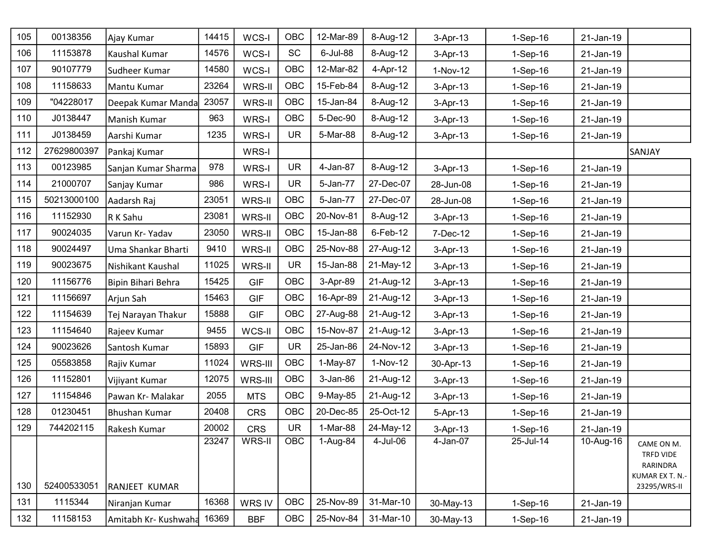| 105 | 00138356    | Ajay Kumar                 | 14415 | WCS-I      | OBC        | 12-Mar-89  | 8-Aug-12    | 3-Apr-13   | 1-Sep-16   | 21-Jan-19 |                                                                        |
|-----|-------------|----------------------------|-------|------------|------------|------------|-------------|------------|------------|-----------|------------------------------------------------------------------------|
| 106 | 11153878    | Kaushal Kumar              | 14576 | WCS-I      | <b>SC</b>  | 6-Jul-88   | 8-Aug-12    | 3-Apr-13   | 1-Sep-16   | 21-Jan-19 |                                                                        |
| 107 | 90107779    | Sudheer Kumar              | 14580 | WCS-I      | <b>OBC</b> | 12-Mar-82  | 4-Apr-12    | 1-Nov-12   | 1-Sep-16   | 21-Jan-19 |                                                                        |
| 108 | 11158633    | Mantu Kumar                | 23264 | WRS-II     | OBC        | 15-Feb-84  | 8-Aug-12    | 3-Apr-13   | 1-Sep-16   | 21-Jan-19 |                                                                        |
| 109 | "04228017   | Deepak Kumar Manda         | 23057 | WRS-II     | <b>OBC</b> | 15-Jan-84  | 8-Aug-12    | 3-Apr-13   | 1-Sep-16   | 21-Jan-19 |                                                                        |
| 110 | J0138447    | Manish Kumar               | 963   | WRS-I      | OBC        | 5-Dec-90   | 8-Aug-12    | 3-Apr-13   | 1-Sep-16   | 21-Jan-19 |                                                                        |
| 111 | J0138459    | Aarshi Kumar               | 1235  | WRS-I      | <b>UR</b>  | 5-Mar-88   | 8-Aug-12    | 3-Apr-13   | 1-Sep-16   | 21-Jan-19 |                                                                        |
| 112 | 27629800397 | Pankaj Kumar               |       | WRS-I      |            |            |             |            |            |           | SANJAY                                                                 |
| 113 | 00123985    | Sanjan Kumar Sharma        | 978   | WRS-I      | <b>UR</b>  | 4-Jan-87   | 8-Aug-12    | 3-Apr-13   | 1-Sep-16   | 21-Jan-19 |                                                                        |
| 114 | 21000707    | Sanjay Kumar               | 986   | WRS-I      | <b>UR</b>  | 5-Jan-77   | 27-Dec-07   | 28-Jun-08  | 1-Sep-16   | 21-Jan-19 |                                                                        |
| 115 | 50213000100 | Aadarsh Raj                | 23051 | WRS-II     | <b>OBC</b> | 5-Jan-77   | 27-Dec-07   | 28-Jun-08  | 1-Sep-16   | 21-Jan-19 |                                                                        |
| 116 | 11152930    | R K Sahu                   | 23081 | WRS-II     | <b>OBC</b> | 20-Nov-81  | 8-Aug-12    | 3-Apr-13   | 1-Sep-16   | 21-Jan-19 |                                                                        |
| 117 | 90024035    | Varun Kr- Yadav            | 23050 | WRS-II     | <b>OBC</b> | 15-Jan-88  | $6$ -Feb-12 | 7-Dec-12   | 1-Sep-16   | 21-Jan-19 |                                                                        |
| 118 | 90024497    | Uma Shankar Bharti         | 9410  | WRS-II     | <b>OBC</b> | 25-Nov-88  | 27-Aug-12   | 3-Apr-13   | 1-Sep-16   | 21-Jan-19 |                                                                        |
| 119 | 90023675    | Nishikant Kaushal          | 11025 | WRS-II     | <b>UR</b>  | 15-Jan-88  | 21-May-12   | 3-Apr-13   | 1-Sep-16   | 21-Jan-19 |                                                                        |
| 120 | 11156776    | Bipin Bihari Behra         | 15425 | <b>GIF</b> | <b>OBC</b> | 3-Apr-89   | 21-Aug-12   | 3-Apr-13   | 1-Sep-16   | 21-Jan-19 |                                                                        |
| 121 | 11156697    | Arjun Sah                  | 15463 | <b>GIF</b> | <b>OBC</b> | 16-Apr-89  | 21-Aug-12   | 3-Apr-13   | $1-Sep-16$ | 21-Jan-19 |                                                                        |
| 122 | 11154639    | Tej Narayan Thakur         | 15888 | <b>GIF</b> | <b>OBC</b> | 27-Aug-88  | 21-Aug-12   | 3-Apr-13   | 1-Sep-16   | 21-Jan-19 |                                                                        |
| 123 | 11154640    | Rajeev Kumar               | 9455  | WCS-II     | OBC        | 15-Nov-87  | 21-Aug-12   | 3-Apr-13   | $1-Sep-16$ | 21-Jan-19 |                                                                        |
| 124 | 90023626    | Santosh Kumar              | 15893 | <b>GIF</b> | <b>UR</b>  | 25-Jan-86  | 24-Nov-12   | 3-Apr-13   | 1-Sep-16   | 21-Jan-19 |                                                                        |
| 125 | 05583858    | Rajiv Kumar                | 11024 | WRS-III    | <b>OBC</b> | 1-May-87   | 1-Nov-12    | 30-Apr-13  | 1-Sep-16   | 21-Jan-19 |                                                                        |
| 126 | 11152801    | Vijiyant Kumar             | 12075 | WRS-III    | OBC        | $3-Jan-86$ | 21-Aug-12   | $3-Apr-13$ | 1-Sep-16   | 21-Jan-19 |                                                                        |
| 127 | 11154846    | Pawan Kr- Malakar          | 2055  | <b>MTS</b> | <b>OBC</b> | 9-May-85   | 21-Aug-12   | 3-Apr-13   | $1-Sep-16$ | 21-Jan-19 |                                                                        |
| 128 | 01230451    | <b>Bhushan Kumar</b>       | 20408 | <b>CRS</b> | <b>OBC</b> | 20-Dec-85  | 25-Oct-12   | 5-Apr-13   | 1-Sep-16   | 21-Jan-19 |                                                                        |
| 129 | 744202115   | Rakesh Kumar               | 20002 | <b>CRS</b> | UR         | 1-Mar-88   | 24-May-12   | 3-Apr-13   | 1-Sep-16   | 21-Jan-19 |                                                                        |
| 130 | 52400533051 | RANJEET KUMAR              | 23247 | WRS-II     | <b>OBC</b> | 1-Aug-84   | 4-Jul-06    | 4-Jan-07   | 25-Jul-14  | 10-Aug-16 | CAME ON M.<br>TRFD VIDE<br>RARINDRA<br>KUMAR EX T. N.-<br>23295/WRS-II |
| 131 | 1115344     | Niranjan Kumar             | 16368 | WRS IV     | OBC        | 25-Nov-89  | 31-Mar-10   | 30-May-13  | 1-Sep-16   | 21-Jan-19 |                                                                        |
| 132 | 11158153    | Amitabh Kr- Kushwaha 16369 |       | <b>BBF</b> | <b>OBC</b> | 25-Nov-84  | 31-Mar-10   | 30-May-13  | 1-Sep-16   | 21-Jan-19 |                                                                        |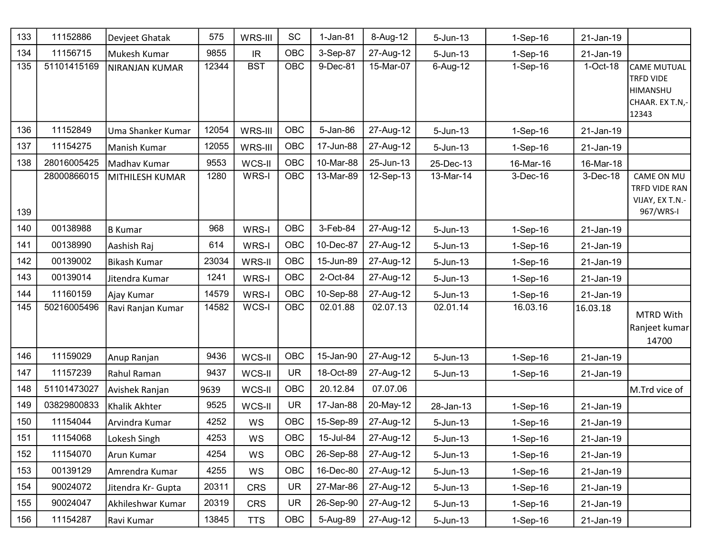| 133 | 11152886    | Devjeet Ghatak     | 575   | WRS-III                           | SC         | $1-Jan-81$ | 8-Aug-12  | $5 - Jun-13$ | 1-Sep-16   | 21-Jan-19 |                                                                                |
|-----|-------------|--------------------|-------|-----------------------------------|------------|------------|-----------|--------------|------------|-----------|--------------------------------------------------------------------------------|
| 134 | 11156715    | Mukesh Kumar       | 9855  | $\ensuremath{\mathsf{IR}}\xspace$ | <b>OBC</b> | 3-Sep-87   | 27-Aug-12 | $5 - Jun-13$ | $1-Sep-16$ | 21-Jan-19 |                                                                                |
| 135 | 51101415169 | NIRANJAN KUMAR     | 12344 | <b>BST</b>                        | OBC        | 9-Dec-81   | 15-Mar-07 | 6-Aug-12     | $1-Sep-16$ | 1-Oct-18  | <b>CAME MUTUAL</b><br><b>TRFD VIDE</b><br>HIMANSHU<br>CHAAR. EX T.N,-<br>12343 |
| 136 | 11152849    | Uma Shanker Kumar  | 12054 | WRS-III                           | <b>OBC</b> | 5-Jan-86   | 27-Aug-12 | $5 - Jun-13$ | 1-Sep-16   | 21-Jan-19 |                                                                                |
| 137 | 11154275    | Manish Kumar       | 12055 | WRS-III                           | <b>OBC</b> | 17-Jun-88  | 27-Aug-12 | $5 - Jun-13$ | 1-Sep-16   | 21-Jan-19 |                                                                                |
| 138 | 28016005425 | Madhav Kumar       | 9553  | WCS-II                            | OBC        | 10-Mar-88  | 25-Jun-13 | 25-Dec-13    | 16-Mar-16  | 16-Mar-18 |                                                                                |
| 139 | 28000866015 | MITHILESH KUMAR    | 1280  | WRS-I                             | <b>OBC</b> | 13-Mar-89  | 12-Sep-13 | 13-Mar-14    | 3-Dec-16   | 3-Dec-18  | CAME ON MU<br>TRFD VIDE RAN<br>VIJAY, EX T.N.-<br>967/WRS-I                    |
| 140 | 00138988    | B Kumar            | 968   | WRS-I                             | OBC        | 3-Feb-84   | 27-Aug-12 | $5 - Jun-13$ | $1-Sep-16$ | 21-Jan-19 |                                                                                |
| 141 | 00138990    | Aashish Raj        | 614   | WRS-I                             | OBC        | 10-Dec-87  | 27-Aug-12 | $5 - Jun-13$ | $1-Sep-16$ | 21-Jan-19 |                                                                                |
| 142 | 00139002    | Bikash Kumar       | 23034 | WRS-II                            | OBC        | 15-Jun-89  | 27-Aug-12 | $5 - Jun-13$ | $1-Sep-16$ | 21-Jan-19 |                                                                                |
| 143 | 00139014    | Jitendra Kumar     | 1241  | WRS-I                             | <b>OBC</b> | 2-Oct-84   | 27-Aug-12 | $5 - Jun-13$ | $1-Sep-16$ | 21-Jan-19 |                                                                                |
| 144 | 11160159    | Ajay Kumar         | 14579 | WRS-I                             | <b>OBC</b> | 10-Sep-88  | 27-Aug-12 | $5 - Jun-13$ | $1-Sep-16$ | 21-Jan-19 |                                                                                |
| 145 | 50216005496 | Ravi Ranjan Kumar  | 14582 | WCS-I                             | <b>OBC</b> | 02.01.88   | 02.07.13  | 02.01.14     | 16.03.16   | 16.03.18  | MTRD With<br>Ranjeet kumar<br>14700                                            |
| 146 | 11159029    | Anup Ranjan        | 9436  | WCS-II                            | <b>OBC</b> | 15-Jan-90  | 27-Aug-12 | $5 - Jun-13$ | 1-Sep-16   | 21-Jan-19 |                                                                                |
| 147 | 11157239    | Rahul Raman        | 9437  | WCS-II                            | <b>UR</b>  | 18-Oct-89  | 27-Aug-12 | $5 - Jun-13$ | 1-Sep-16   | 21-Jan-19 |                                                                                |
| 148 | 51101473027 | Avishek Ranjan     | 9639  | WCS-II                            | <b>OBC</b> | 20.12.84   | 07.07.06  |              |            |           | M.Trd vice of                                                                  |
| 149 | 03829800833 | Khalik Akhter      | 9525  | WCS-II                            | <b>UR</b>  | 17-Jan-88  | 20-May-12 | 28-Jan-13    | 1-Sep-16   | 21-Jan-19 |                                                                                |
| 150 | 11154044    | Arvindra Kumar     | 4252  | WS                                | <b>OBC</b> | 15-Sep-89  | 27-Aug-12 | 5-Jun-13     | $1-Sep-16$ | 21-Jan-19 |                                                                                |
| 151 | 11154068    | Lokesh Singh       | 4253  | WS                                | OBC        | 15-Jul-84  | 27-Aug-12 | $5 - Jun-13$ | $1-Sep-16$ | 21-Jan-19 |                                                                                |
| 152 | 11154070    | Arun Kumar         | 4254  | WS                                | <b>OBC</b> | 26-Sep-88  | 27-Aug-12 | $5 - Jun-13$ | $1-Sep-16$ | 21-Jan-19 |                                                                                |
| 153 | 00139129    | Amrendra Kumar     | 4255  | WS                                | OBC        | 16-Dec-80  | 27-Aug-12 | $5 - Jun-13$ | $1-Sep-16$ | 21-Jan-19 |                                                                                |
| 154 | 90024072    | Jitendra Kr- Gupta | 20311 | <b>CRS</b>                        | <b>UR</b>  | 27-Mar-86  | 27-Aug-12 | $5 - Jun-13$ | $1-Sep-16$ | 21-Jan-19 |                                                                                |
| 155 | 90024047    | Akhileshwar Kumar  | 20319 | <b>CRS</b>                        | <b>UR</b>  | 26-Sep-90  | 27-Aug-12 | $5 - Jun-13$ | $1-Sep-16$ | 21-Jan-19 |                                                                                |
| 156 | 11154287    | Ravi Kumar         | 13845 | <b>TTS</b>                        | OBC        | 5-Aug-89   | 27-Aug-12 | $5 - Jun-13$ | $1-Sep-16$ | 21-Jan-19 |                                                                                |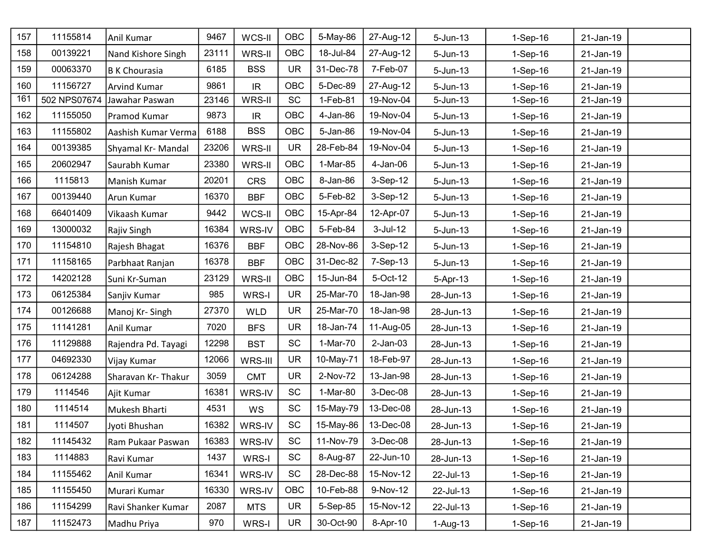| 157 | 11155814     | Anil Kumar           | 9467  | WCS-II     | <b>OBC</b> | 5-May-86  | 27-Aug-12   | 5-Jun-13     | 1-Sep-16   | 21-Jan-19 |
|-----|--------------|----------------------|-------|------------|------------|-----------|-------------|--------------|------------|-----------|
| 158 | 00139221     | Nand Kishore Singh   | 23111 | WRS-II     | <b>OBC</b> | 18-Jul-84 | 27-Aug-12   | $5 - Jun-13$ | 1-Sep-16   | 21-Jan-19 |
| 159 | 00063370     | <b>B K Chourasia</b> | 6185  | <b>BSS</b> | <b>UR</b>  | 31-Dec-78 | 7-Feb-07    | $5 - Jun-13$ | 1-Sep-16   | 21-Jan-19 |
| 160 | 11156727     | Arvind Kumar         | 9861  | IR         | <b>OBC</b> | 5-Dec-89  | 27-Aug-12   | $5 - Jun-13$ | 1-Sep-16   | 21-Jan-19 |
| 161 | 502 NPS07674 | Jawahar Paswan       | 23146 | WRS-II     | <b>SC</b>  | 1-Feb-81  | 19-Nov-04   | $5 - Jun-13$ | 1-Sep-16   | 21-Jan-19 |
| 162 | 11155050     | Pramod Kumar         | 9873  | IR         | <b>OBC</b> | 4-Jan-86  | 19-Nov-04   | $5 - Jun-13$ | 1-Sep-16   | 21-Jan-19 |
| 163 | 11155802     | Aashish Kumar Verma  | 6188  | <b>BSS</b> | <b>OBC</b> | 5-Jan-86  | 19-Nov-04   | $5 - Jun-13$ | 1-Sep-16   | 21-Jan-19 |
| 164 | 00139385     | Shyamal Kr- Mandal   | 23206 | WRS-II     | <b>UR</b>  | 28-Feb-84 | 19-Nov-04   | $5 - Jun-13$ | 1-Sep-16   | 21-Jan-19 |
| 165 | 20602947     | Saurabh Kumar        | 23380 | WRS-II     | <b>OBC</b> | 1-Mar-85  | $4$ -Jan-06 | $5 - Jun-13$ | 1-Sep-16   | 21-Jan-19 |
| 166 | 1115813      | Manish Kumar         | 20201 | <b>CRS</b> | <b>OBC</b> | 8-Jan-86  | 3-Sep-12    | $5 - Jun-13$ | 1-Sep-16   | 21-Jan-19 |
| 167 | 00139440     | Arun Kumar           | 16370 | <b>BBF</b> | <b>OBC</b> | 5-Feb-82  | 3-Sep-12    | $5 - Jun-13$ | $1-Sep-16$ | 21-Jan-19 |
| 168 | 66401409     | Vikaash Kumar        | 9442  | WCS-II     | OBC        | 15-Apr-84 | 12-Apr-07   | $5 - Jun-13$ | 1-Sep-16   | 21-Jan-19 |
| 169 | 13000032     | Rajiv Singh          | 16384 | WRS-IV     | <b>OBC</b> | 5-Feb-84  | $3$ -Jul-12 | $5 - Jun-13$ | $1-Sep-16$ | 21-Jan-19 |
| 170 | 11154810     | Rajesh Bhagat        | 16376 | <b>BBF</b> | OBC        | 28-Nov-86 | 3-Sep-12    | $5 - Jun-13$ | 1-Sep-16   | 21-Jan-19 |
| 171 | 11158165     | Parbhaat Ranjan      | 16378 | <b>BBF</b> | <b>OBC</b> | 31-Dec-82 | 7-Sep-13    | $5 - Jun-13$ | 1-Sep-16   | 21-Jan-19 |
| 172 | 14202128     | Suni Kr-Suman        | 23129 | WRS-II     | <b>OBC</b> | 15-Jun-84 | 5-Oct-12    | 5-Apr-13     | 1-Sep-16   | 21-Jan-19 |
| 173 | 06125384     | Sanjiv Kumar         | 985   | WRS-I      | <b>UR</b>  | 25-Mar-70 | 18-Jan-98   | 28-Jun-13    | 1-Sep-16   | 21-Jan-19 |
| 174 | 00126688     | Manoj Kr-Singh       | 27370 | <b>WLD</b> | <b>UR</b>  | 25-Mar-70 | 18-Jan-98   | 28-Jun-13    | 1-Sep-16   | 21-Jan-19 |
| 175 | 11141281     | Anil Kumar           | 7020  | <b>BFS</b> | <b>UR</b>  | 18-Jan-74 | 11-Aug-05   | 28-Jun-13    | 1-Sep-16   | 21-Jan-19 |
| 176 | 11129888     | Rajendra Pd. Tayagi  | 12298 | <b>BST</b> | <b>SC</b>  | 1-Mar-70  | $2$ -Jan-03 | 28-Jun-13    | 1-Sep-16   | 21-Jan-19 |
| 177 | 04692330     | Vijay Kumar          | 12066 | WRS-III    | <b>UR</b>  | 10-May-71 | 18-Feb-97   | 28-Jun-13    | $1-Sep-16$ | 21-Jan-19 |
| 178 | 06124288     | Sharavan Kr- Thakur  | 3059  | <b>CMT</b> | <b>UR</b>  | 2-Nov-72  | 13-Jan-98   | 28-Jun-13    | 1-Sep-16   | 21-Jan-19 |
| 179 | 1114546      | Ajit Kumar           | 16381 | WRS-IV     | <b>SC</b>  | 1-Mar-80  | 3-Dec-08    | 28-Jun-13    | $1-Sep-16$ | 21-Jan-19 |
| 180 | 1114514      | Mukesh Bharti        | 4531  | WS         | <b>SC</b>  | 15-May-79 | 13-Dec-08   | 28-Jun-13    | 1-Sep-16   | 21-Jan-19 |
| 181 | 1114507      | Jyoti Bhushan        | 16382 | WRS-IV     | <b>SC</b>  | 15-May-86 | 13-Dec-08   | 28-Jun-13    | 1-Sep-16   | 21-Jan-19 |
| 182 | 11145432     | Ram Pukaar Paswan    | 16383 | WRS-IV     | <b>SC</b>  | 11-Nov-79 | 3-Dec-08    | 28-Jun-13    | $1-Sep-16$ | 21-Jan-19 |
| 183 | 1114883      | Ravi Kumar           | 1437  | WRS-I      | SC         | 8-Aug-87  | 22-Jun-10   | 28-Jun-13    | 1-Sep-16   | 21-Jan-19 |
| 184 | 11155462     | Anil Kumar           | 16341 | WRS-IV     | <b>SC</b>  | 28-Dec-88 | 15-Nov-12   | 22-Jul-13    | $1-Sep-16$ | 21-Jan-19 |
| 185 | 11155450     | Murari Kumar         | 16330 | WRS-IV     | <b>OBC</b> | 10-Feb-88 | 9-Nov-12    | 22-Jul-13    | $1-Sep-16$ | 21-Jan-19 |
| 186 | 11154299     | Ravi Shanker Kumar   | 2087  | <b>MTS</b> | <b>UR</b>  | 5-Sep-85  | 15-Nov-12   | 22-Jul-13    | $1-Sep-16$ | 21-Jan-19 |
| 187 | 11152473     | Madhu Priya          | 970   | WRS-I      | <b>UR</b>  | 30-Oct-90 | 8-Apr-10    | $1-Aug-13$   | 1-Sep-16   | 21-Jan-19 |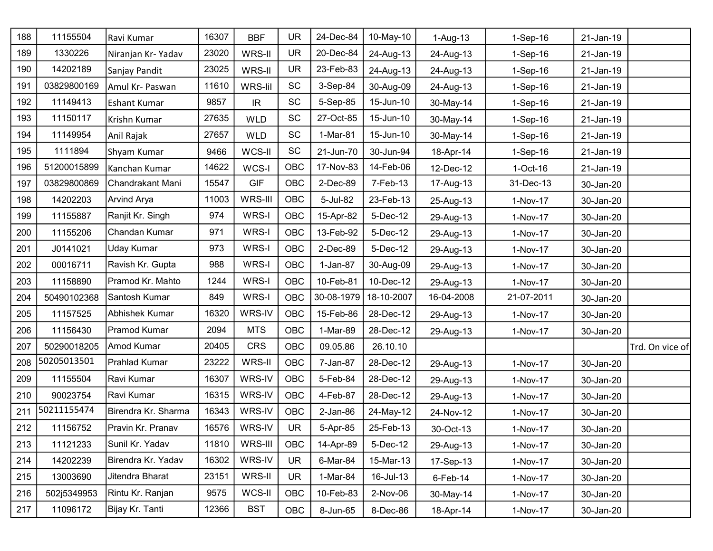| 188 | 11155504    | Ravi Kumar           | 16307 | <b>BBF</b> | <b>UR</b>  | 24-Dec-84   | 10-May-10  | $1-Aug-13$  | 1-Sep-16   | 21-Jan-19 |                 |
|-----|-------------|----------------------|-------|------------|------------|-------------|------------|-------------|------------|-----------|-----------------|
| 189 | 1330226     | Niranjan Kr-Yadav    | 23020 | WRS-II     | <b>UR</b>  | 20-Dec-84   | 24-Aug-13  | 24-Aug-13   | 1-Sep-16   | 21-Jan-19 |                 |
| 190 | 14202189    | Sanjay Pandit        | 23025 | WRS-II     | <b>UR</b>  | 23-Feb-83   | 24-Aug-13  | 24-Aug-13   | 1-Sep-16   | 21-Jan-19 |                 |
| 191 | 03829800169 | Amul Kr- Paswan      | 11610 | WRS-lil    | <b>SC</b>  | 3-Sep-84    | 30-Aug-09  | 24-Aug-13   | 1-Sep-16   | 21-Jan-19 |                 |
| 192 | 11149413    | <b>Eshant Kumar</b>  | 9857  | IR.        | SC         | 5-Sep-85    | 15-Jun-10  | 30-May-14   | 1-Sep-16   | 21-Jan-19 |                 |
| 193 | 11150117    | Krishn Kumar         | 27635 | <b>WLD</b> | SC         | 27-Oct-85   | 15-Jun-10  | 30-May-14   | 1-Sep-16   | 21-Jan-19 |                 |
| 194 | 11149954    | Anil Rajak           | 27657 | <b>WLD</b> | SC         | 1-Mar-81    | 15-Jun-10  | 30-May-14   | 1-Sep-16   | 21-Jan-19 |                 |
| 195 | 1111894     | Shyam Kumar          | 9466  | WCS-II     | SC         | 21-Jun-70   | 30-Jun-94  | 18-Apr-14   | 1-Sep-16   | 21-Jan-19 |                 |
| 196 | 51200015899 | Kanchan Kumar        | 14622 | WCS-I      | <b>OBC</b> | 17-Nov-83   | 14-Feb-06  | 12-Dec-12   | $1-Oct-16$ | 21-Jan-19 |                 |
| 197 | 03829800869 | Chandrakant Mani     | 15547 | <b>GIF</b> | OBC        | 2-Dec-89    | 7-Feb-13   | 17-Aug-13   | 31-Dec-13  | 30-Jan-20 |                 |
| 198 | 14202203    | <b>Arvind Arya</b>   | 11003 | WRS-III    | <b>OBC</b> | 5-Jul-82    | 23-Feb-13  | 25-Aug-13   | 1-Nov-17   | 30-Jan-20 |                 |
| 199 | 11155887    | Ranjit Kr. Singh     | 974   | WRS-I      | <b>OBC</b> | 15-Apr-82   | 5-Dec-12   | 29-Aug-13   | 1-Nov-17   | 30-Jan-20 |                 |
| 200 | 11155206    | Chandan Kumar        | 971   | WRS-I      | <b>OBC</b> | 13-Feb-92   | 5-Dec-12   | 29-Aug-13   | 1-Nov-17   | 30-Jan-20 |                 |
| 201 | J0141021    | Uday Kumar           | 973   | WRS-I      | <b>OBC</b> | 2-Dec-89    | 5-Dec-12   | 29-Aug-13   | 1-Nov-17   | 30-Jan-20 |                 |
| 202 | 00016711    | Ravish Kr. Gupta     | 988   | WRS-I      | <b>OBC</b> | 1-Jan-87    | 30-Aug-09  | 29-Aug-13   | 1-Nov-17   | 30-Jan-20 |                 |
| 203 | 11158890    | Pramod Kr. Mahto     | 1244  | WRS-I      | OBC        | 10-Feb-81   | 10-Dec-12  | 29-Aug-13   | 1-Nov-17   | 30-Jan-20 |                 |
| 204 | 50490102368 | Santosh Kumar        | 849   | WRS-I      | <b>OBC</b> | 30-08-1979  | 18-10-2007 | 16-04-2008  | 21-07-2011 | 30-Jan-20 |                 |
| 205 | 11157525    | Abhishek Kumar       | 16320 | WRS-IV     | OBC        | 15-Feb-86   | 28-Dec-12  | 29-Aug-13   | 1-Nov-17   | 30-Jan-20 |                 |
| 206 | 11156430    | Pramod Kumar         | 2094  | <b>MTS</b> | OBC        | 1-Mar-89    | 28-Dec-12  | 29-Aug-13   | 1-Nov-17   | 30-Jan-20 |                 |
| 207 | 50290018205 | Amod Kumar           | 20405 | <b>CRS</b> | <b>OBC</b> | 09.05.86    | 26.10.10   |             |            |           | Trd. On vice of |
| 208 | 50205013501 | <b>Prahlad Kumar</b> | 23222 | WRS-II     | OBC        | 7-Jan-87    | 28-Dec-12  | 29-Aug-13   | 1-Nov-17   | 30-Jan-20 |                 |
| 209 | 11155504    | Ravi Kumar           | 16307 | WRS-IV     | <b>OBC</b> | 5-Feb-84    | 28-Dec-12  | 29-Aug-13   | 1-Nov-17   | 30-Jan-20 |                 |
| 210 | 90023754    | Ravi Kumar           | 16315 | WRS-IV     | OBC        | 4-Feb-87    | 28-Dec-12  | 29-Aug-13   | 1-Nov-17   | 30-Jan-20 |                 |
| 211 | 50211155474 | Birendra Kr. Sharma  | 16343 | WRS-IV     | OBC        | $2$ -Jan-86 | 24-May-12  | 24-Nov-12   | 1-Nov-17   | 30-Jan-20 |                 |
| 212 | 11156752    | Pravin Kr. Pranav    | 16576 | WRS-IV     | UR         | 5-Apr-85    | 25-Feb-13  | 30-Oct-13   | 1-Nov-17   | 30-Jan-20 |                 |
| 213 | 11121233    | Sunil Kr. Yadav      | 11810 | WRS-III    | <b>OBC</b> | 14-Apr-89   | 5-Dec-12   | 29-Aug-13   | 1-Nov-17   | 30-Jan-20 |                 |
| 214 | 14202239    | Birendra Kr. Yadav   | 16302 | WRS-IV     | <b>UR</b>  | 6-Mar-84    | 15-Mar-13  | 17-Sep-13   | 1-Nov-17   | 30-Jan-20 |                 |
| 215 | 13003690    | Jitendra Bharat      | 23151 | WRS-II     | <b>UR</b>  | 1-Mar-84    | 16-Jul-13  | $6$ -Feb-14 | 1-Nov-17   | 30-Jan-20 |                 |
| 216 | 502j5349953 | Rintu Kr. Ranjan     | 9575  | WCS-II     | <b>OBC</b> | 10-Feb-83   | 2-Nov-06   | 30-May-14   | 1-Nov-17   | 30-Jan-20 |                 |
| 217 | 11096172    | Bijay Kr. Tanti      | 12366 | <b>BST</b> | <b>OBC</b> | 8-Jun-65    | 8-Dec-86   | 18-Apr-14   | 1-Nov-17   | 30-Jan-20 |                 |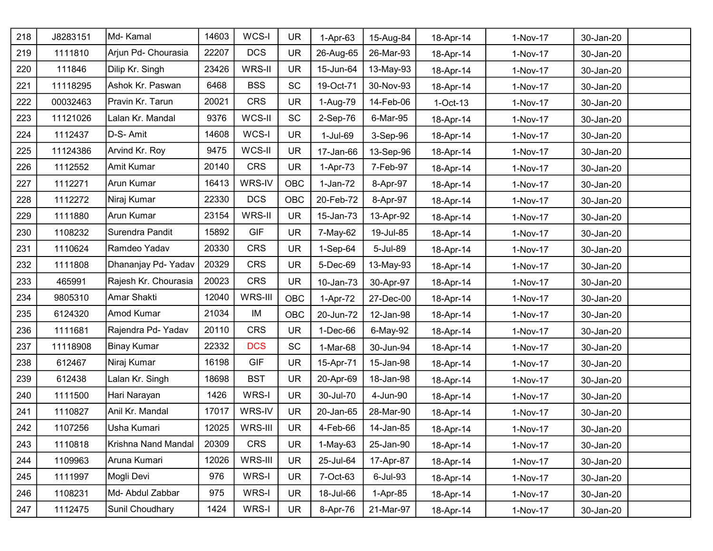| 218 | J8283151 | Md- Kamal            | 14603 | WCS-I      | <b>UR</b>  | $1-Apr-63$ | 15-Aug-84 | 18-Apr-14  | 1-Nov-17 | 30-Jan-20 |  |
|-----|----------|----------------------|-------|------------|------------|------------|-----------|------------|----------|-----------|--|
| 219 | 1111810  | Arjun Pd- Chourasia  | 22207 | <b>DCS</b> | <b>UR</b>  | 26-Aug-65  | 26-Mar-93 | 18-Apr-14  | 1-Nov-17 | 30-Jan-20 |  |
| 220 | 111846   | Dilip Kr. Singh      | 23426 | WRS-II     | <b>UR</b>  | 15-Jun-64  | 13-May-93 | 18-Apr-14  | 1-Nov-17 | 30-Jan-20 |  |
| 221 | 11118295 | Ashok Kr. Paswan     | 6468  | <b>BSS</b> | <b>SC</b>  | 19-Oct-71  | 30-Nov-93 | 18-Apr-14  | 1-Nov-17 | 30-Jan-20 |  |
| 222 | 00032463 | Pravin Kr. Tarun     | 20021 | <b>CRS</b> | <b>UR</b>  | 1-Aug-79   | 14-Feb-06 | $1-Oct-13$ | 1-Nov-17 | 30-Jan-20 |  |
| 223 | 11121026 | Lalan Kr. Mandal     | 9376  | WCS-II     | <b>SC</b>  | 2-Sep-76   | 6-Mar-95  | 18-Apr-14  | 1-Nov-17 | 30-Jan-20 |  |
| 224 | 1112437  | D-S- Amit            | 14608 | WCS-I      | <b>UR</b>  | 1-Jul-69   | 3-Sep-96  | 18-Apr-14  | 1-Nov-17 | 30-Jan-20 |  |
| 225 | 11124386 | Arvind Kr. Roy       | 9475  | WCS-II     | <b>UR</b>  | 17-Jan-66  | 13-Sep-96 | 18-Apr-14  | 1-Nov-17 | 30-Jan-20 |  |
| 226 | 1112552  | Amit Kumar           | 20140 | <b>CRS</b> | <b>UR</b>  | 1-Apr-73   | 7-Feb-97  | 18-Apr-14  | 1-Nov-17 | 30-Jan-20 |  |
| 227 | 1112271  | Arun Kumar           | 16413 | WRS-IV     | <b>OBC</b> | $1-Jan-72$ | 8-Apr-97  | 18-Apr-14  | 1-Nov-17 | 30-Jan-20 |  |
| 228 | 1112272  | Niraj Kumar          | 22330 | <b>DCS</b> | OBC        | 20-Feb-72  | 8-Apr-97  | 18-Apr-14  | 1-Nov-17 | 30-Jan-20 |  |
| 229 | 1111880  | Arun Kumar           | 23154 | WRS-II     | <b>UR</b>  | 15-Jan-73  | 13-Apr-92 | 18-Apr-14  | 1-Nov-17 | 30-Jan-20 |  |
| 230 | 1108232  | Surendra Pandit      | 15892 | <b>GIF</b> | <b>UR</b>  | 7-May-62   | 19-Jul-85 | 18-Apr-14  | 1-Nov-17 | 30-Jan-20 |  |
| 231 | 1110624  | Ramdeo Yadav         | 20330 | <b>CRS</b> | <b>UR</b>  | 1-Sep-64   | 5-Jul-89  | 18-Apr-14  | 1-Nov-17 | 30-Jan-20 |  |
| 232 | 1111808  | Dhananjay Pd- Yadav  | 20329 | <b>CRS</b> | <b>UR</b>  | 5-Dec-69   | 13-May-93 | 18-Apr-14  | 1-Nov-17 | 30-Jan-20 |  |
| 233 | 465991   | Rajesh Kr. Chourasia | 20023 | CRS        | <b>UR</b>  | 10-Jan-73  | 30-Apr-97 | 18-Apr-14  | 1-Nov-17 | 30-Jan-20 |  |
| 234 | 9805310  | Amar Shakti          | 12040 | WRS-III    | <b>OBC</b> | 1-Apr-72   | 27-Dec-00 | 18-Apr-14  | 1-Nov-17 | 30-Jan-20 |  |
| 235 | 6124320  | Amod Kumar           | 21034 | IM         | OBC        | 20-Jun-72  | 12-Jan-98 | 18-Apr-14  | 1-Nov-17 | 30-Jan-20 |  |
| 236 | 1111681  | Rajendra Pd-Yadav    | 20110 | <b>CRS</b> | <b>UR</b>  | $1-Dec-66$ | 6-May-92  | 18-Apr-14  | 1-Nov-17 | 30-Jan-20 |  |
| 237 | 11118908 | <b>Binay Kumar</b>   | 22332 | <b>DCS</b> | <b>SC</b>  | 1-Mar-68   | 30-Jun-94 | 18-Apr-14  | 1-Nov-17 | 30-Jan-20 |  |
| 238 | 612467   | Niraj Kumar          | 16198 | <b>GIF</b> | <b>UR</b>  | 15-Apr-71  | 15-Jan-98 | 18-Apr-14  | 1-Nov-17 | 30-Jan-20 |  |
| 239 | 612438   | Lalan Kr. Singh      | 18698 | <b>BST</b> | <b>UR</b>  | 20-Apr-69  | 18-Jan-98 | 18-Apr-14  | 1-Nov-17 | 30-Jan-20 |  |
| 240 | 1111500  | Hari Narayan         | 1426  | WRS-I      | <b>UR</b>  | 30-Jul-70  | 4-Jun-90  | 18-Apr-14  | 1-Nov-17 | 30-Jan-20 |  |
| 241 | 1110827  | Anil Kr. Mandal      | 17017 | WRS-IV     | <b>UR</b>  | 20-Jan-65  | 28-Mar-90 | 18-Apr-14  | 1-Nov-17 | 30-Jan-20 |  |
| 242 | 1107256  | Usha Kumari          | 12025 | WRS-III    | <b>UR</b>  | 4-Feb-66   | 14-Jan-85 | 18-Apr-14  | 1-Nov-17 | 30-Jan-20 |  |
| 243 | 1110818  | Krishna Nand Mandal  | 20309 | <b>CRS</b> | <b>UR</b>  | 1-May-63   | 25-Jan-90 | 18-Apr-14  | 1-Nov-17 | 30-Jan-20 |  |
| 244 | 1109963  | Aruna Kumari         | 12026 | WRS-III    | <b>UR</b>  | 25-Jul-64  | 17-Apr-87 | 18-Apr-14  | 1-Nov-17 | 30-Jan-20 |  |
| 245 | 1111997  | Mogli Devi           | 976   | WRS-I      | <b>UR</b>  | 7-Oct-63   | 6-Jul-93  | 18-Apr-14  | 1-Nov-17 | 30-Jan-20 |  |
| 246 | 1108231  | Md- Abdul Zabbar     | 975   | WRS-I      | <b>UR</b>  | 18-Jul-66  | 1-Apr-85  | 18-Apr-14  | 1-Nov-17 | 30-Jan-20 |  |
| 247 | 1112475  | Sunil Choudhary      | 1424  | WRS-I      | <b>UR</b>  | 8-Apr-76   | 21-Mar-97 | 18-Apr-14  | 1-Nov-17 | 30-Jan-20 |  |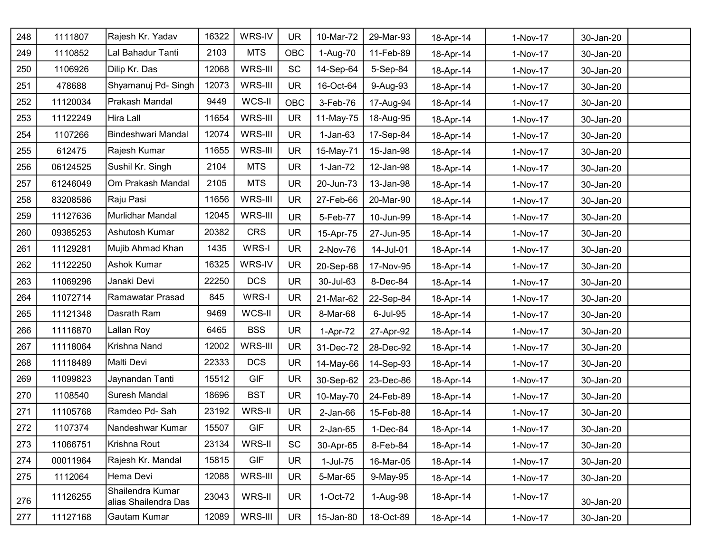| 248 | 1111807  | Rajesh Kr. Yadav                         | 16322 | WRS-IV     | <b>UR</b>  | 10-Mar-72      | 29-Mar-93 | 18-Apr-14 | 1-Nov-17 | 30-Jan-20 |
|-----|----------|------------------------------------------|-------|------------|------------|----------------|-----------|-----------|----------|-----------|
| 249 | 1110852  | Lal Bahadur Tanti                        | 2103  | <b>MTS</b> | OBC        | 1-Aug-70       | 11-Feb-89 | 18-Apr-14 | 1-Nov-17 | 30-Jan-20 |
| 250 | 1106926  | Dilip Kr. Das                            | 12068 | WRS-III    | <b>SC</b>  | 14-Sep-64      | 5-Sep-84  | 18-Apr-14 | 1-Nov-17 | 30-Jan-20 |
| 251 | 478688   | Shyamanuj Pd- Singh                      | 12073 | WRS-III    | <b>UR</b>  | 16-Oct-64      | 9-Aug-93  | 18-Apr-14 | 1-Nov-17 | 30-Jan-20 |
| 252 | 11120034 | Prakash Mandal                           | 9449  | WCS-II     | <b>OBC</b> | 3-Feb-76       | 17-Aug-94 | 18-Apr-14 | 1-Nov-17 | 30-Jan-20 |
| 253 | 11122249 | Hira Lall                                | 11654 | WRS-III    | <b>UR</b>  | 11-May-75      | 18-Aug-95 | 18-Apr-14 | 1-Nov-17 | 30-Jan-20 |
| 254 | 1107266  | <b>Bindeshwari Mandal</b>                | 12074 | WRS-III    | <b>UR</b>  | $1-Jan-63$     | 17-Sep-84 | 18-Apr-14 | 1-Nov-17 | 30-Jan-20 |
| 255 | 612475   | Rajesh Kumar                             | 11655 | WRS-III    | <b>UR</b>  | 15-May-71      | 15-Jan-98 | 18-Apr-14 | 1-Nov-17 | 30-Jan-20 |
| 256 | 06124525 | Sushil Kr. Singh                         | 2104  | <b>MTS</b> | <b>UR</b>  | $1-Jan-72$     | 12-Jan-98 | 18-Apr-14 | 1-Nov-17 | 30-Jan-20 |
| 257 | 61246049 | Om Prakash Mandal                        | 2105  | <b>MTS</b> | <b>UR</b>  | 20-Jun-73      | 13-Jan-98 | 18-Apr-14 | 1-Nov-17 | 30-Jan-20 |
| 258 | 83208586 | Raju Pasi                                | 11656 | WRS-III    | <b>UR</b>  | 27-Feb-66      | 20-Mar-90 | 18-Apr-14 | 1-Nov-17 | 30-Jan-20 |
| 259 | 11127636 | Murlidhar Mandal                         | 12045 | WRS-III    | <b>UR</b>  | 5-Feb-77       | 10-Jun-99 | 18-Apr-14 | 1-Nov-17 | 30-Jan-20 |
| 260 | 09385253 | Ashutosh Kumar                           | 20382 | <b>CRS</b> | <b>UR</b>  | 15-Apr-75      | 27-Jun-95 | 18-Apr-14 | 1-Nov-17 | 30-Jan-20 |
| 261 | 11129281 | Mujib Ahmad Khan                         | 1435  | WRS-I      | <b>UR</b>  | 2-Nov-76       | 14-Jul-01 | 18-Apr-14 | 1-Nov-17 | 30-Jan-20 |
| 262 | 11122250 | Ashok Kumar                              | 16325 | WRS-IV     | <b>UR</b>  | 20-Sep-68      | 17-Nov-95 | 18-Apr-14 | 1-Nov-17 | 30-Jan-20 |
| 263 | 11069296 | Janaki Devi                              | 22250 | <b>DCS</b> | <b>UR</b>  | 30-Jul-63      | 8-Dec-84  | 18-Apr-14 | 1-Nov-17 | 30-Jan-20 |
| 264 | 11072714 | Ramawatar Prasad                         | 845   | WRS-I      | <b>UR</b>  | 21-Mar-62      | 22-Sep-84 | 18-Apr-14 | 1-Nov-17 | 30-Jan-20 |
| 265 | 11121348 | Dasrath Ram                              | 9469  | WCS-II     | <b>UR</b>  | 8-Mar-68       | 6-Jul-95  | 18-Apr-14 | 1-Nov-17 | 30-Jan-20 |
| 266 | 11116870 | Lallan Roy                               | 6465  | <b>BSS</b> | <b>UR</b>  | 1-Apr-72       | 27-Apr-92 | 18-Apr-14 | 1-Nov-17 | 30-Jan-20 |
| 267 | 11118064 | Krishna Nand                             | 12002 | WRS-III    | <b>UR</b>  | 31-Dec-72      | 28-Dec-92 | 18-Apr-14 | 1-Nov-17 | 30-Jan-20 |
| 268 | 11118489 | Malti Devi                               | 22333 | <b>DCS</b> | <b>UR</b>  | 14-May-66      | 14-Sep-93 | 18-Apr-14 | 1-Nov-17 | 30-Jan-20 |
| 269 | 11099823 | Jaynandan Tanti                          | 15512 | <b>GIF</b> | <b>UR</b>  | 30-Sep-62      | 23-Dec-86 | 18-Apr-14 | 1-Nov-17 | 30-Jan-20 |
| 270 | 1108540  | Suresh Mandal                            | 18696 | <b>BST</b> | <b>UR</b>  | 10-May-70      | 24-Feb-89 | 18-Apr-14 | 1-Nov-17 | 30-Jan-20 |
| 271 | 11105768 | Ramdeo Pd- Sah                           | 23192 | WRS-II     | <b>UR</b>  | $2$ -Jan- $66$ | 15-Feb-88 | 18-Apr-14 | 1-Nov-17 | 30-Jan-20 |
| 272 | 1107374  | Nandeshwar Kumar                         | 15507 | <b>GIF</b> | UR         | $2$ -Jan- $65$ | 1-Dec-84  | 18-Apr-14 | 1-Nov-17 | 30-Jan-20 |
| 273 | 11066751 | Krishna Rout                             | 23134 | WRS-II     | SC         | 30-Apr-65      | 8-Feb-84  | 18-Apr-14 | 1-Nov-17 | 30-Jan-20 |
| 274 | 00011964 | Rajesh Kr. Mandal                        | 15815 | <b>GIF</b> | <b>UR</b>  | 1-Jul-75       | 16-Mar-05 | 18-Apr-14 | 1-Nov-17 | 30-Jan-20 |
| 275 | 1112064  | Hema Devi                                | 12088 | WRS-III    | <b>UR</b>  | 5-Mar-65       | 9-May-95  | 18-Apr-14 | 1-Nov-17 | 30-Jan-20 |
| 276 | 11126255 | Shailendra Kumar<br>alias Shailendra Das | 23043 | WRS-II     | <b>UR</b>  | 1-Oct-72       | 1-Aug-98  | 18-Apr-14 | 1-Nov-17 | 30-Jan-20 |
| 277 | 11127168 | Gautam Kumar                             | 12089 | WRS-III    | <b>UR</b>  | 15-Jan-80      | 18-Oct-89 | 18-Apr-14 | 1-Nov-17 | 30-Jan-20 |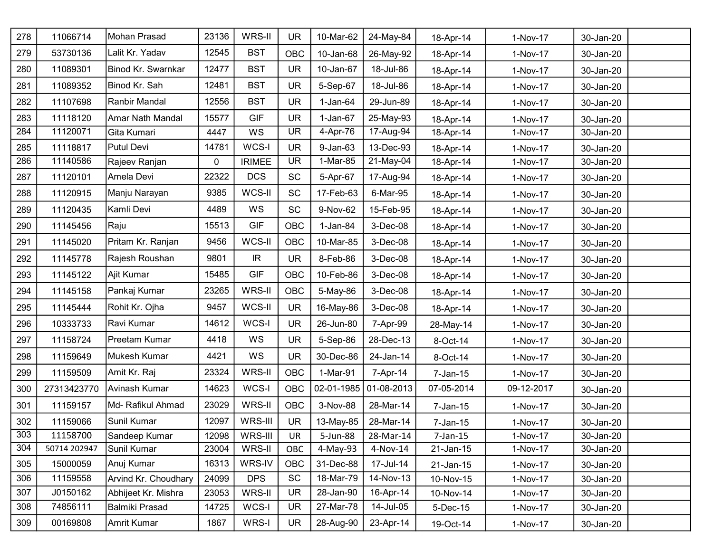| 278 | 11066714     | Mohan Prasad         | 23136 | WRS-II                            | <b>UR</b>  | 10-Mar-62    | 24-May-84     | 18-Apr-14    | 1-Nov-17   | 30-Jan-20 |  |
|-----|--------------|----------------------|-------|-----------------------------------|------------|--------------|---------------|--------------|------------|-----------|--|
| 279 | 53730136     | Lalit Kr. Yadav      | 12545 | <b>BST</b>                        | OBC        | 10-Jan-68    | 26-May-92     | 18-Apr-14    | 1-Nov-17   | 30-Jan-20 |  |
| 280 | 11089301     | Binod Kr. Swarnkar   | 12477 | <b>BST</b>                        | <b>UR</b>  | 10-Jan-67    | 18-Jul-86     | 18-Apr-14    | 1-Nov-17   | 30-Jan-20 |  |
| 281 | 11089352     | Binod Kr. Sah        | 12481 | <b>BST</b>                        | <b>UR</b>  | 5-Sep-67     | 18-Jul-86     | 18-Apr-14    | 1-Nov-17   | 30-Jan-20 |  |
| 282 | 11107698     | Ranbir Mandal        | 12556 | <b>BST</b>                        | <b>UR</b>  | $1-Jan-64$   | 29-Jun-89     | 18-Apr-14    | 1-Nov-17   | 30-Jan-20 |  |
| 283 | 11118120     | Amar Nath Mandal     | 15577 | <b>GIF</b>                        | <b>UR</b>  | $1-Jan-67$   | 25-May-93     | 18-Apr-14    | 1-Nov-17   | 30-Jan-20 |  |
| 284 | 11120071     | Gita Kumari          | 4447  | WS                                | <b>UR</b>  | 4-Apr-76     | 17-Aug-94     | 18-Apr-14    | 1-Nov-17   | 30-Jan-20 |  |
| 285 | 11118817     | Putul Devi           | 14781 | WCS-I                             | <b>UR</b>  | $9 - Jan-63$ | 13-Dec-93     | 18-Apr-14    | 1-Nov-17   | 30-Jan-20 |  |
| 286 | 11140586     | Rajeev Ranjan        | 0     | <b>IRIMEE</b>                     | <b>UR</b>  | 1-Mar-85     | 21-May-04     | 18-Apr-14    | 1-Nov-17   | 30-Jan-20 |  |
| 287 | 11120101     | Amela Devi           | 22322 | <b>DCS</b>                        | <b>SC</b>  | 5-Apr-67     | 17-Aug-94     | 18-Apr-14    | 1-Nov-17   | 30-Jan-20 |  |
| 288 | 11120915     | Manju Narayan        | 9385  | WCS-II                            | <b>SC</b>  | 17-Feb-63    | 6-Mar-95      | 18-Apr-14    | 1-Nov-17   | 30-Jan-20 |  |
| 289 | 11120435     | Kamli Devi           | 4489  | WS                                | <b>SC</b>  | 9-Nov-62     | 15-Feb-95     | 18-Apr-14    | 1-Nov-17   | 30-Jan-20 |  |
| 290 | 11145456     | Raju                 | 15513 | <b>GIF</b>                        | <b>OBC</b> | $1-Jan-84$   | 3-Dec-08      | 18-Apr-14    | 1-Nov-17   | 30-Jan-20 |  |
| 291 | 11145020     | Pritam Kr. Ranjan    | 9456  | WCS-II                            | <b>OBC</b> | 10-Mar-85    | 3-Dec-08      | 18-Apr-14    | 1-Nov-17   | 30-Jan-20 |  |
| 292 | 11145778     | Rajesh Roushan       | 9801  | $\ensuremath{\mathsf{IR}}\xspace$ | <b>UR</b>  | 8-Feb-86     | 3-Dec-08      | 18-Apr-14    | 1-Nov-17   | 30-Jan-20 |  |
| 293 | 11145122     | Ajit Kumar           | 15485 | <b>GIF</b>                        | OBC        | 10-Feb-86    | 3-Dec-08      | 18-Apr-14    | 1-Nov-17   | 30-Jan-20 |  |
| 294 | 11145158     | Pankaj Kumar         | 23265 | WRS-II                            | <b>OBC</b> | 5-May-86     | 3-Dec-08      | 18-Apr-14    | 1-Nov-17   | 30-Jan-20 |  |
| 295 | 11145444     | Rohit Kr. Ojha       | 9457  | WCS-II                            | <b>UR</b>  | 16-May-86    | 3-Dec-08      | 18-Apr-14    | 1-Nov-17   | 30-Jan-20 |  |
| 296 | 10333733     | Ravi Kumar           | 14612 | WCS-I                             | <b>UR</b>  | 26-Jun-80    | 7-Apr-99      | 28-May-14    | 1-Nov-17   | 30-Jan-20 |  |
| 297 | 11158724     | Preetam Kumar        | 4418  | WS                                | <b>UR</b>  | 5-Sep-86     | 28-Dec-13     | 8-Oct-14     | 1-Nov-17   | 30-Jan-20 |  |
| 298 | 11159649     | Mukesh Kumar         | 4421  | WS                                | <b>UR</b>  | 30-Dec-86    | 24-Jan-14     | 8-Oct-14     | 1-Nov-17   | 30-Jan-20 |  |
| 299 | 11159509     | Amit Kr. Raj         | 23324 | WRS-II                            | <b>OBC</b> | 1-Mar-91     | 7-Apr-14      | $7$ -Jan-15  | 1-Nov-17   | 30-Jan-20 |  |
| 300 | 27313423770  | Avinash Kumar        | 14623 | WCS-I                             | OBC        | 02-01-1985   | $ 01-08-2013$ | 07-05-2014   | 09-12-2017 | 30-Jan-20 |  |
| 301 | 11159157     | Md- Rafikul Ahmad    | 23029 | WRS-II                            | <b>OBC</b> | 3-Nov-88     | 28-Mar-14     | $7 - Jan-15$ | 1-Nov-17   | 30-Jan-20 |  |
| 302 | 11159066     | Sunil Kumar          | 12097 | WRS-III                           | <b>UR</b>  | 13-May-85    | 28-Mar-14     | 7-Jan-15     | 1-Nov-17   | 30-Jan-20 |  |
| 303 | 11158700     | Sandeep Kumar        | 12098 | WRS-III                           | <b>UR</b>  | 5-Jun-88     | 28-Mar-14     | $7$ -Jan-15  | 1-Nov-17   | 30-Jan-20 |  |
| 304 | 50714 202947 | Sunil Kumar          | 23004 | WRS-II                            | OBC        | 4-May-93     | 4-Nov-14      | 21-Jan-15    | 1-Nov-17   | 30-Jan-20 |  |
| 305 | 15000059     | Anuj Kumar           | 16313 | WRS-IV                            | <b>OBC</b> | 31-Dec-88    | 17-Jul-14     | 21-Jan-15    | 1-Nov-17   | 30-Jan-20 |  |
| 306 | 11159558     | Arvind Kr. Choudhary | 24099 | <b>DPS</b>                        | <b>SC</b>  | 18-Mar-79    | 14-Nov-13     | 10-Nov-15    | 1-Nov-17   | 30-Jan-20 |  |
| 307 | J0150162     | Abhijeet Kr. Mishra  | 23053 | WRS-II                            | <b>UR</b>  | 28-Jan-90    | 16-Apr-14     | 10-Nov-14    | 1-Nov-17   | 30-Jan-20 |  |
| 308 | 74856111     | Balmiki Prasad       | 14725 | WCS-I                             | <b>UR</b>  | 27-Mar-78    | 14-Jul-05     | 5-Dec-15     | 1-Nov-17   | 30-Jan-20 |  |
| 309 | 00169808     | Amrit Kumar          | 1867  | WRS-I                             | <b>UR</b>  | 28-Aug-90    | 23-Apr-14     | 19-Oct-14    | 1-Nov-17   | 30-Jan-20 |  |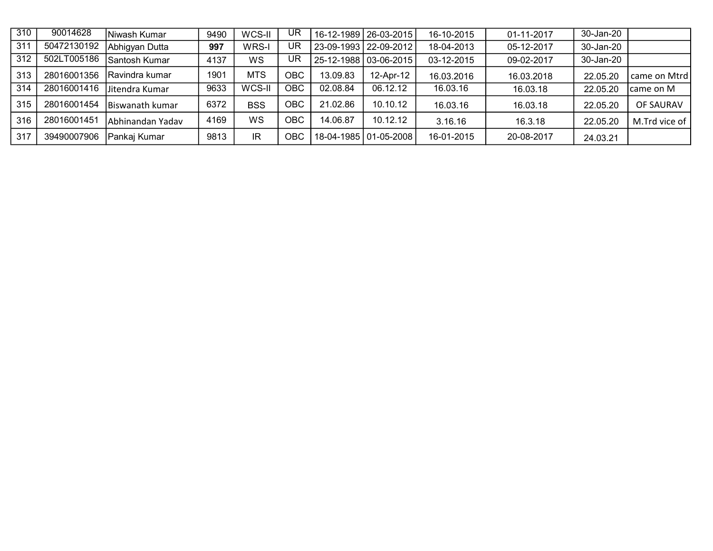| $\overline{310}$ | 90014628    | Niwash Kumar     | 9490 | WCS-II     | UR   |          | 16-12-1989   26-03-2015 | 16-10-2015 | 01-11-2017 | 30-Jan-20 |               |
|------------------|-------------|------------------|------|------------|------|----------|-------------------------|------------|------------|-----------|---------------|
| 311              | 50472130192 | Abhigyan Dutta   | 997  | WRS-I      | UR.  |          | 23-09-1993   22-09-2012 | 18-04-2013 | 05-12-2017 | 30-Jan-20 |               |
| 312              | 502LT005186 | Santosh Kumar    | 4137 | WS         | UR.  |          | 25-12-1988   03-06-2015 | 03-12-2015 | 09-02-2017 | 30-Jan-20 |               |
| 313              | 28016001356 | IRavindra kumar  | 1901 | <b>MTS</b> | OBC  | 3.09.83  | 12-Apr-12               | 16.03.2016 | 16.03.2018 | 22.05.20  | came on Mtrd  |
| 314              | 28016001416 | lJitendra Kumar  | 9633 | WCS-II     | OBC  | 02.08.84 | 06.12.12                | 16.03.16   | 16.03.18   | 22.05.20  | Icame on M    |
| 315              | 28016001454 | Biswanath kumar  | 6372 | <b>BSS</b> | OBC. | 21.02.86 | 10.10.12                | 16.03.16   | 16.03.18   | 22.05.20  | OF SAURAV     |
| 316              | 28016001451 | Abhinandan Yadav | 4169 | WS         | OBC. | 14.06.87 | 10.12.12                | 3.16.16    | 16.3.18    | 22.05.20  | M.Trd vice of |
| 317              | 39490007906 | Pankaj Kumar     | 9813 | IR.        | OBC. |          | 18-04-1985   01-05-2008 | 16-01-2015 | 20-08-2017 | 24.03.21  |               |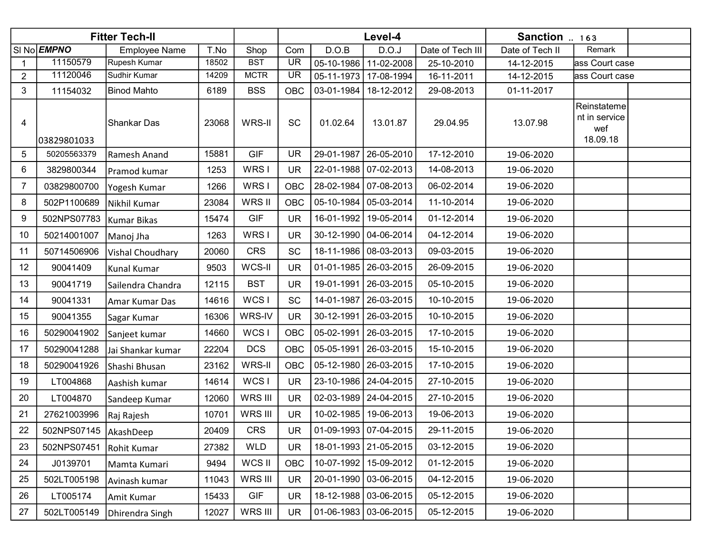|                |                         | <b>Fitter Tech-II</b> |       |             |            |            | Level-4                 |                  | Sanction  163   |                                                 |  |
|----------------|-------------------------|-----------------------|-------|-------------|------------|------------|-------------------------|------------------|-----------------|-------------------------------------------------|--|
|                | SI No EMPNO             | <b>Employee Name</b>  | T.No  | Shop        | Com        | D.O.B      | D.O.J                   | Date of Tech III | Date of Tech II | Remark                                          |  |
|                | 11150579                | Rupesh Kumar          | 18502 | <b>BST</b>  | <b>UR</b>  | 05-10-1986 | 11-02-2008              | 25-10-2010       | 14-12-2015      | ass Court case                                  |  |
| $\overline{2}$ | 11120046                | Sudhir Kumar          | 14209 | <b>MCTR</b> | <b>UR</b>  | 05-11-1973 | 17-08-1994              | 16-11-2011       | 14-12-2015      | ass Court case                                  |  |
| 3              | 11154032                | <b>Binod Mahto</b>    | 6189  | <b>BSS</b>  | <b>OBC</b> | 03-01-1984 | 18-12-2012              | 29-08-2013       | 01-11-2017      |                                                 |  |
| 4              | 03829801033             | Shankar Das           | 23068 | WRS-II      | SC         | 01.02.64   | 13.01.87                | 29.04.95         | 13.07.98        | Reinstateme<br>nt in service<br>wef<br>18.09.18 |  |
| 5              | 50205563379             | Ramesh Anand          | 15881 | <b>GIF</b>  | UR         | 29-01-1987 | 26-05-2010              | 17-12-2010       | 19-06-2020      |                                                 |  |
| 6              | 3829800344              | Pramod kumar          | 1253  | WRS I       | <b>UR</b>  |            | 22-01-1988   07-02-2013 | 14-08-2013       | 19-06-2020      |                                                 |  |
| 7              | 03829800700             | Yogesh Kumar          | 1266  | WRS I       | <b>OBC</b> | 28-02-1984 | $ 07-08-2013$           | 06-02-2014       | 19-06-2020      |                                                 |  |
| 8              | 502P1100689             | Nikhil Kumar          | 23084 | WRS II      | <b>OBC</b> | 05-10-1984 | 05-03-2014              | 11-10-2014       | 19-06-2020      |                                                 |  |
| 9              | 502NPS07783             | Kumar Bikas           | 15474 | GIF         | <b>UR</b>  | 16-01-1992 | 19-05-2014              | 01-12-2014       | 19-06-2020      |                                                 |  |
| 10             | 50214001007             | Manoj Jha             | 1263  | WRS I       | <b>UR</b>  | 30-12-1990 | 04-06-2014              | 04-12-2014       | 19-06-2020      |                                                 |  |
| 11             | 50714506906             | Vishal Choudhary      | 20060 | <b>CRS</b>  | <b>SC</b>  | 18-11-1986 | 08-03-2013              | 09-03-2015       | 19-06-2020      |                                                 |  |
| 12             | 90041409                | Kunal Kumar           | 9503  | WCS-II      | <b>UR</b>  | 01-01-1985 | 26-03-2015              | 26-09-2015       | 19-06-2020      |                                                 |  |
| 13             | 90041719                | Sailendra Chandra     | 12115 | <b>BST</b>  | <b>UR</b>  | 19-01-1991 | 26-03-2015              | 05-10-2015       | 19-06-2020      |                                                 |  |
| 14             | 90041331                | Amar Kumar Das        | 14616 | WCS I       | <b>SC</b>  | 14-01-1987 | 26-03-2015              | 10-10-2015       | 19-06-2020      |                                                 |  |
| 15             | 90041355                | Sagar Kumar           | 16306 | WRS-IV      | <b>UR</b>  | 30-12-1991 | 26-03-2015              | 10-10-2015       | 19-06-2020      |                                                 |  |
| 16             | 50290041902             | Sanjeet kumar         | 14660 | WCS I       | <b>OBC</b> | 05-02-1991 | 26-03-2015              | 17-10-2015       | 19-06-2020      |                                                 |  |
| 17             | 50290041288             | Jai Shankar kumar     | 22204 | <b>DCS</b>  | <b>OBC</b> | 05-05-1991 | 26-03-2015              | 15-10-2015       | 19-06-2020      |                                                 |  |
| 18             | 50290041926             | Shashi Bhusan         | 23162 | WRS-II      | <b>OBC</b> | 05-12-1980 | 26-03-2015              | 17-10-2015       | 19-06-2020      |                                                 |  |
| 19             | LT004868                | Aashish kumar         | 14614 | WCS I       | <b>UR</b>  | 23-10-1986 | 24-04-2015              | 27-10-2015       | 19-06-2020      |                                                 |  |
| 20             | LT004870                | Sandeep Kumar         | 12060 | WRS III     | <b>UR</b>  | 02-03-1989 | $24 - 04 - 2015$        | 27-10-2015       | 19-06-2020      |                                                 |  |
| 21             | 27621003996             | Raj Rajesh            | 10701 | WRS III     | <b>UR</b>  | 10-02-1985 | 19-06-2013              | 19-06-2013       | 19-06-2020      |                                                 |  |
| 22             | 502NPS07145   AkashDeep |                       | 20409 | CRS         | <b>UR</b>  |            | $01-09-1993$ 07-04-2015 | 29-11-2015       | 19-06-2020      |                                                 |  |
| 23             | 502NPS07451             | Rohit Kumar           | 27382 | WLD         | <b>UR</b>  |            | 18-01-1993   21-05-2015 | 03-12-2015       | 19-06-2020      |                                                 |  |
| 24             | J0139701                | Mamta Kumari          | 9494  | WCS II      | <b>OBC</b> |            | 10-07-1992 15-09-2012   | 01-12-2015       | 19-06-2020      |                                                 |  |
| 25             | 502LT005198             | Avinash kumar         | 11043 | WRS III     | <b>UR</b>  |            | 20-01-1990   03-06-2015 | 04-12-2015       | 19-06-2020      |                                                 |  |
| 26             | LT005174                | Amit Kumar            | 15433 | <b>GIF</b>  | <b>UR</b>  |            | 18-12-1988   03-06-2015 | 05-12-2015       | 19-06-2020      |                                                 |  |
| 27             | 502LT005149             | Dhirendra Singh       | 12027 | WRS III     | <b>UR</b>  |            | $01-06-1983$ 03-06-2015 | 05-12-2015       | 19-06-2020      |                                                 |  |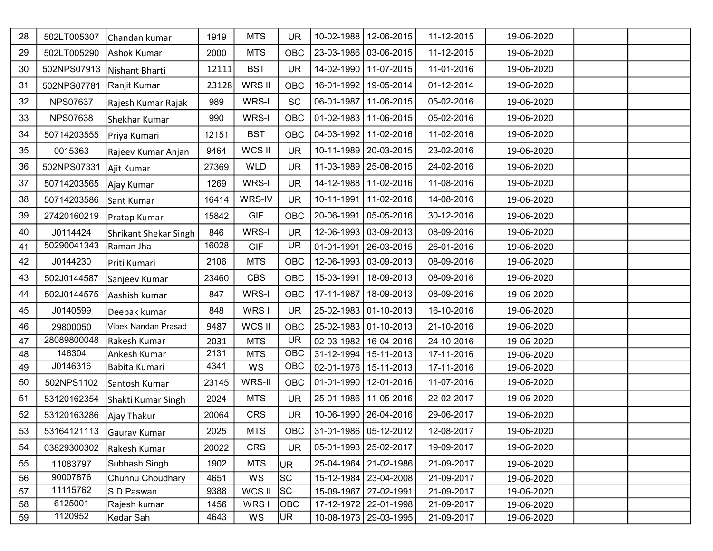| 28 | 502LT005307     | Chandan kumar         | 1919  | <b>MTS</b> | <b>UR</b>  | 10-02-1988 | 12-06-2015              | 11-12-2015 | 19-06-2020 |  |
|----|-----------------|-----------------------|-------|------------|------------|------------|-------------------------|------------|------------|--|
| 29 | 502LT005290     | Ashok Kumar           | 2000  | <b>MTS</b> | <b>OBC</b> |            | 23-03-1986   03-06-2015 | 11-12-2015 | 19-06-2020 |  |
| 30 | 502NPS07913     | Nishant Bharti        | 12111 | <b>BST</b> | <b>UR</b>  |            | 14-02-1990 11-07-2015   | 11-01-2016 | 19-06-2020 |  |
| 31 | 502NPS07781     | Ranjit Kumar          | 23128 | WRS II     | <b>OBC</b> | 16-01-1992 | 19-05-2014              | 01-12-2014 | 19-06-2020 |  |
| 32 | <b>NPS07637</b> | Rajesh Kumar Rajak    | 989   | WRS-I      | <b>SC</b>  | 06-01-1987 | 11-06-2015              | 05-02-2016 | 19-06-2020 |  |
| 33 | <b>NPS07638</b> | Shekhar Kumar         | 990   | WRS-I      | OBC        |            | 01-02-1983   11-06-2015 | 05-02-2016 | 19-06-2020 |  |
| 34 | 50714203555     | Priya Kumari          | 12151 | <b>BST</b> | <b>OBC</b> | 04-03-1992 | 11-02-2016              | 11-02-2016 | 19-06-2020 |  |
| 35 | 0015363         | Rajeev Kumar Anjan    | 9464  | WCS II     | <b>UR</b>  |            | 10-11-1989   20-03-2015 | 23-02-2016 | 19-06-2020 |  |
| 36 | 502NPS07331     | Ajit Kumar            | 27369 | <b>WLD</b> | <b>UR</b>  |            | 11-03-1989   25-08-2015 | 24-02-2016 | 19-06-2020 |  |
| 37 | 50714203565     | Ajay Kumar            | 1269  | WRS-I      | <b>UR</b>  |            | 14-12-1988 11-02-2016   | 11-08-2016 | 19-06-2020 |  |
| 38 | 50714203586     | Sant Kumar            | 16414 | WRS-IV     | <b>UR</b>  | 10-11-1991 | 11-02-2016              | 14-08-2016 | 19-06-2020 |  |
| 39 | 27420160219     | Pratap Kumar          | 15842 | GIF        | <b>OBC</b> | 20-06-1991 | 05-05-2016              | 30-12-2016 | 19-06-2020 |  |
| 40 | J0114424        | Shrikant Shekar Singh | 846   | WRS-I      | <b>UR</b>  |            | 12-06-1993 03-09-2013   | 08-09-2016 | 19-06-2020 |  |
| 41 | 50290041343     | Raman Jha             | 16028 | <b>GIF</b> | <b>UR</b>  | 01-01-1991 | 26-03-2015              | 26-01-2016 | 19-06-2020 |  |
| 42 | J0144230        | Priti Kumari          | 2106  | <b>MTS</b> | <b>OBC</b> |            | 12-06-1993   03-09-2013 | 08-09-2016 | 19-06-2020 |  |
| 43 | 502J0144587     | Sanjeev Kumar         | 23460 | <b>CBS</b> | <b>OBC</b> | 15-03-1991 | 18-09-2013              | 08-09-2016 | 19-06-2020 |  |
| 44 | 502J0144575     | Aashish kumar         | 847   | WRS-I      | <b>OBC</b> | 17-11-1987 | 18-09-2013              | 08-09-2016 | 19-06-2020 |  |
| 45 | J0140599        | Deepak kumar          | 848   | WRS I      | <b>UR</b>  |            | 25-02-1983 01-10-2013   | 16-10-2016 | 19-06-2020 |  |
| 46 | 29800050        | Vibek Nandan Prasad   | 9487  | WCS II     | <b>OBC</b> |            | 25-02-1983 01-10-2013   | 21-10-2016 | 19-06-2020 |  |
| 47 | 28089800048     | Rakesh Kumar          | 2031  | <b>MTS</b> | <b>UR</b>  | 02-03-1982 | 16-04-2016              | 24-10-2016 | 19-06-2020 |  |
| 48 | 146304          | Ankesh Kumar          | 2131  | <b>MTS</b> | OBC        | 31-12-1994 | 15-11-2013              | 17-11-2016 | 19-06-2020 |  |
| 49 | J0146316        | Babita Kumari         | 4341  | WS         | <b>OBC</b> |            | 02-01-1976   15-11-2013 | 17-11-2016 | 19-06-2020 |  |
| 50 | 502NPS1102      | Santosh Kumar         | 23145 | WRS-II     | <b>OBC</b> | 01-01-1990 | 12-01-2016              | 11-07-2016 | 19-06-2020 |  |
| 51 | 53120162354     | Shakti Kumar Singh    | 2024  | <b>MTS</b> | <b>UR</b>  |            | 25-01-1986   11-05-2016 | 22-02-2017 | 19-06-2020 |  |
| 52 | 53120163286     | Ajay Thakur           | 20064 | <b>CRS</b> | <b>UR</b>  |            | 10-06-1990   26-04-2016 | 29-06-2017 | 19-06-2020 |  |
| 53 | 53164121113     | Gaurav Kumar          | 2025  | <b>MTS</b> | OBC        |            | 31-01-1986 05-12-2012   | 12-08-2017 | 19-06-2020 |  |
| 54 | 03829300302     | Rakesh Kumar          | 20022 | <b>CRS</b> | <b>UR</b>  |            | 05-01-1993   25-02-2017 | 19-09-2017 | 19-06-2020 |  |
| 55 | 11083797        | Subhash Singh         | 1902  | <b>MTS</b> | <b>UR</b>  |            | 25-04-1964   21-02-1986 | 21-09-2017 | 19-06-2020 |  |
| 56 | 90007876        | Chunnu Choudhary      | 4651  | WS         | <b>SC</b>  | 15-12-1984 | 23-04-2008              | 21-09-2017 | 19-06-2020 |  |
| 57 | 11115762        | S D Paswan            | 9388  | WCS II     | SC         |            | 15-09-1967   27-02-1991 | 21-09-2017 | 19-06-2020 |  |
| 58 | 6125001         | Rajesh kumar          | 1456  | WRS I      | OBC        |            | 17-12-1972   22-01-1998 | 21-09-2017 | 19-06-2020 |  |
| 59 | 1120952         | Kedar Sah             | 4643  | WS         | <b>UR</b>  |            | 10-08-1973   29-03-1995 | 21-09-2017 | 19-06-2020 |  |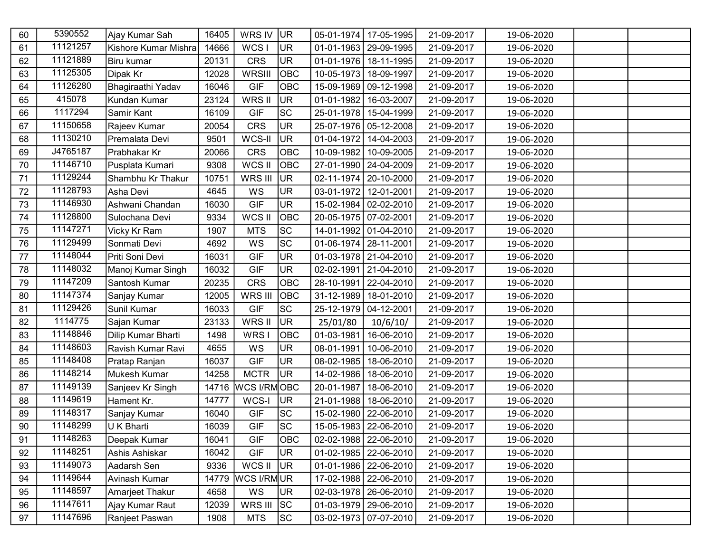| 60 | 5390552  | Ajay Kumar Sah       | 16405 | WRS IV             | UR <sub>1</sub> | 05-01-1974 | 17-05-1995              | 21-09-2017 | 19-06-2020 |  |
|----|----------|----------------------|-------|--------------------|-----------------|------------|-------------------------|------------|------------|--|
| 61 | 11121257 | Kishore Kumar Mishra | 14666 | WCS I              | UR.             |            | 01-01-1963   29-09-1995 | 21-09-2017 | 19-06-2020 |  |
| 62 | 11121889 | Biru kumar           | 20131 | <b>CRS</b>         | <b>UR</b>       | 01-01-1976 | 18-11-1995              | 21-09-2017 | 19-06-2020 |  |
| 63 | 11125305 | Dipak Kr             | 12028 | WRSIII             | OBC             | 10-05-1973 | 18-09-1997              | 21-09-2017 | 19-06-2020 |  |
| 64 | 11126280 | Bhagiraathi Yadav    | 16046 | <b>GIF</b>         | OBC             | 15-09-1969 | $ 09-12-1998$           | 21-09-2017 | 19-06-2020 |  |
| 65 | 415078   | Kundan Kumar         | 23124 | WRS II             | <b>UR</b>       | 01-01-1982 | 16-03-2007              | 21-09-2017 | 19-06-2020 |  |
| 66 | 1117294  | Samir Kant           | 16109 | <b>GIF</b>         | <b>SC</b>       |            | 25-01-1978   15-04-1999 | 21-09-2017 | 19-06-2020 |  |
| 67 | 11150658 | Rajeev Kumar         | 20054 | <b>CRS</b>         | <b>UR</b>       | 25-07-1976 | $ 05 - 12 - 2008$       | 21-09-2017 | 19-06-2020 |  |
| 68 | 11130210 | Premalata Devi       | 9501  | WCS-II             | <b>UR</b>       | 01-04-1972 | 14-04-2003              | 21-09-2017 | 19-06-2020 |  |
| 69 | J4765187 | Prabhakar Kr         | 20066 | <b>CRS</b>         | OBC             | 10-09-1982 | 10-09-2005              | 21-09-2017 | 19-06-2020 |  |
| 70 | 11146710 | Pusplata Kumari      | 9308  | WCS II             | OBC             | 27-01-1990 | 24-04-2009              | 21-09-2017 | 19-06-2020 |  |
| 71 | 11129244 | Shambhu Kr Thakur    | 10751 | WRS III            | UR <sub></sub>  | 02-11-1974 | 20-10-2000              | 21-09-2017 | 19-06-2020 |  |
| 72 | 11128793 | Asha Devi            | 4645  | WS                 | <b>UR</b>       | 03-01-1972 | 12-01-2001              | 21-09-2017 | 19-06-2020 |  |
| 73 | 11146930 | Ashwani Chandan      | 16030 | <b>GIF</b>         | <b>UR</b>       |            | 15-02-1984 02-02-2010   | 21-09-2017 | 19-06-2020 |  |
| 74 | 11128800 | Sulochana Devi       | 9334  | WCS II             | OBC             |            | 20-05-1975   07-02-2001 | 21-09-2017 | 19-06-2020 |  |
| 75 | 11147271 | Vicky Kr Ram         | 1907  | <b>MTS</b>         | <b>SC</b>       |            | 14-01-1992 01-04-2010   | 21-09-2017 | 19-06-2020 |  |
| 76 | 11129499 | Sonmati Devi         | 4692  | WS                 | SC              |            | 01-06-1974   28-11-2001 | 21-09-2017 | 19-06-2020 |  |
| 77 | 11148044 | Priti Soni Devi      | 16031 | <b>GIF</b>         | <b>UR</b>       |            | 01-03-1978   21-04-2010 | 21-09-2017 | 19-06-2020 |  |
| 78 | 11148032 | Manoj Kumar Singh    | 16032 | <b>GIF</b>         | <b>UR</b>       | 02-02-1991 | $21-04-2010$            | 21-09-2017 | 19-06-2020 |  |
| 79 | 11147209 | Santosh Kumar        | 20235 | <b>CRS</b>         | OBC             | 28-10-1991 | $22 - 04 - 2010$        | 21-09-2017 | 19-06-2020 |  |
| 80 | 11147374 | Sanjay Kumar         | 12005 | WRS III            | OBC             |            | 31-12-1989   18-01-2010 | 21-09-2017 | 19-06-2020 |  |
| 81 | 11129426 | Sunil Kumar          | 16033 | <b>GIF</b>         | <b>SC</b>       | 25-12-1979 | 04-12-2001              | 21-09-2017 | 19-06-2020 |  |
| 82 | 1114775  | Sajan Kumar          | 23133 | WRS II             | <b>UR</b>       | 25/01/80   | 10/6/10/                | 21-09-2017 | 19-06-2020 |  |
| 83 | 11148846 | Dilip Kumar Bharti   | 1498  | WRS I              | OBC             | 01-03-1981 | 16-06-2010              | 21-09-2017 | 19-06-2020 |  |
| 84 | 11148603 | Ravish Kumar Ravi    | 4655  | WS                 | <b>UR</b>       | 08-01-1991 | 10-06-2010              | 21-09-2017 | 19-06-2020 |  |
| 85 | 11148408 | Pratap Ranjan        | 16037 | <b>GIF</b>         | UR.             | 08-02-1985 | 18-06-2010              | 21-09-2017 | 19-06-2020 |  |
| 86 | 11148214 | Mukesh Kumar         | 14258 | <b>MCTR</b>        | UR.             | 14-02-1986 | 18-06-2010              | 21-09-2017 | 19-06-2020 |  |
| 87 | 11149139 | Sanjeev Kr Singh     | 14716 | <b>WCS I/RMOBC</b> |                 | 20-01-1987 | 18-06-2010              | 21-09-2017 | 19-06-2020 |  |
| 88 | 11149619 | Hament Kr.           | 14777 | WCS-I              | UR <sup></sup>  |            | 21-01-1988   18-06-2010 | 21-09-2017 | 19-06-2020 |  |
| 89 | 11148317 | Sanjay Kumar         | 16040 | <b>GIF</b>         | SC              | 15-02-1980 | 22-06-2010              | 21-09-2017 | 19-06-2020 |  |
| 90 | 11148299 | U K Bharti           | 16039 | <b>GIF</b>         | lsc             |            | 15-05-1983   22-06-2010 | 21-09-2017 | 19-06-2020 |  |
| 91 | 11148263 | Deepak Kumar         | 16041 | <b>GIF</b>         | <b>OBC</b>      |            | 02-02-1988   22-06-2010 | 21-09-2017 | 19-06-2020 |  |
| 92 | 11148251 | Ashis Ashiskar       | 16042 | <b>GIF</b>         | UR.             |            | 01-02-1985   22-06-2010 | 21-09-2017 | 19-06-2020 |  |
| 93 | 11149073 | Aadarsh Sen          | 9336  | WCS II             | UR <sup>1</sup> |            | 01-01-1986   22-06-2010 | 21-09-2017 | 19-06-2020 |  |
| 94 | 11149644 | Avinash Kumar        | 14779 | WCS I/RMUR         |                 |            | 17-02-1988   22-06-2010 | 21-09-2017 | 19-06-2020 |  |
| 95 | 11148597 | Amarjeet Thakur      | 4658  | WS                 | <b>UR</b>       |            | 02-03-1978   26-06-2010 | 21-09-2017 | 19-06-2020 |  |
| 96 | 11147611 | Ajay Kumar Raut      | 12039 | WRS III            | SC              |            | 01-03-1979   29-06-2010 | 21-09-2017 | 19-06-2020 |  |
| 97 | 11147696 | Ranjeet Paswan       | 1908  | <b>MTS</b>         | SC              |            | 03-02-1973   07-07-2010 | 21-09-2017 | 19-06-2020 |  |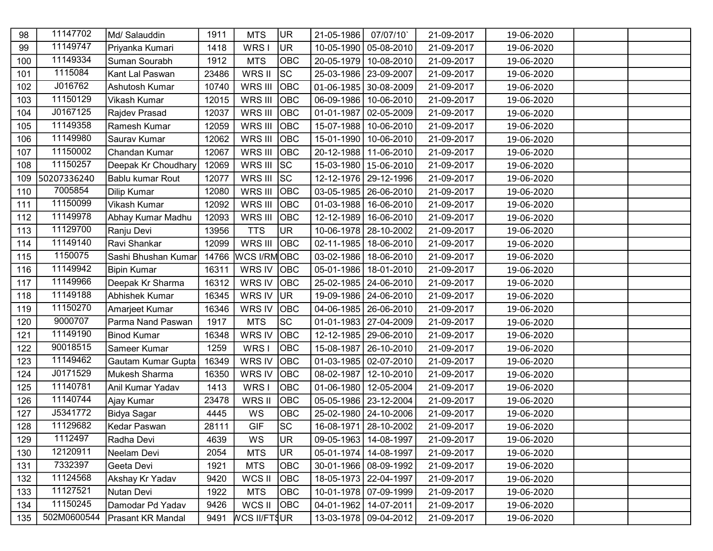| 98  | 11147702    | Md/ Salauddin       | 1911  | <b>MTS</b>          | <b>UR</b>  | 21-05-1986       | 07/07/10                | 21-09-2017 | 19-06-2020 |  |
|-----|-------------|---------------------|-------|---------------------|------------|------------------|-------------------------|------------|------------|--|
| 99  | 11149747    | Priyanka Kumari     | 1418  | WRS I               | <b>UR</b>  |                  | 10-05-1990   05-08-2010 | 21-09-2017 | 19-06-2020 |  |
| 100 | 11149334    | Suman Sourabh       | 1912  | <b>MTS</b>          | OBC        |                  | 20-05-1979 10-08-2010   | 21-09-2017 | 19-06-2020 |  |
| 101 | 1115084     | Kant Lal Paswan     | 23486 | WRS II              | <b>SC</b>  |                  | 25-03-1986   23-09-2007 | 21-09-2017 | 19-06-2020 |  |
| 102 | J016762     | Ashutosh Kumar      | 10740 | WRS III             | <b>OBC</b> |                  | 01-06-1985 30-08-2009   | 21-09-2017 | 19-06-2020 |  |
| 103 | 11150129    | Vikash Kumar        | 12015 | WRS III             | ОВС        | 06-09-1986       | 10-06-2010              | 21-09-2017 | 19-06-2020 |  |
| 104 | J0167125    | Rajdev Prasad       | 12037 | WRS III             | <b>OBC</b> | 01-01-1987       | 02-05-2009              | 21-09-2017 | 19-06-2020 |  |
| 105 | 11149358    | Ramesh Kumar        | 12059 | WRS III             | <b>OBC</b> |                  | 15-07-1988   10-06-2010 | 21-09-2017 | 19-06-2020 |  |
| 106 | 11149980    | Saurav Kumar        | 12062 | WRS III             | <b>OBC</b> | 15-01-1990       | 10-06-2010              | 21-09-2017 | 19-06-2020 |  |
| 107 | 11150002    | Chandan Kumar       | 12067 | WRS III             | <b>OBC</b> |                  | 20-12-1988 11-06-2010   | 21-09-2017 | 19-06-2020 |  |
| 108 | 11150257    | Deepak Kr Choudhary | 12069 | WRS III             | SC         |                  | 15-03-1980   15-06-2010 | 21-09-2017 | 19-06-2020 |  |
| 109 | 50207336240 | Bablu kumar Rout    | 12077 | WRS III SC          |            |                  | 12-12-1976   29-12-1996 | 21-09-2017 | 19-06-2020 |  |
| 110 | 7005854     | Dilip Kumar         | 12080 | WRS III             | <b>OBC</b> | $03 - 05 - 1985$ | 26-06-2010              | 21-09-2017 | 19-06-2020 |  |
| 111 | 11150099    | Vikash Kumar        | 12092 | WRS III             | <b>OBC</b> | $01 - 03 - 1988$ | 16-06-2010              | 21-09-2017 | 19-06-2020 |  |
| 112 | 11149978    | Abhay Kumar Madhu   | 12093 | WRS III             | ОВС        | 12-12-1989       | 16-06-2010              | 21-09-2017 | 19-06-2020 |  |
| 113 | 11129700    | Ranju Devi          | 13956 | <b>TTS</b>          | <b>UR</b>  | 10-06-1978       | 28-10-2002              | 21-09-2017 | 19-06-2020 |  |
| 114 | 11149140    | Ravi Shankar        | 12099 | WRS III             | <b>OBC</b> | $02 - 11 - 1985$ | 18-06-2010              | 21-09-2017 | 19-06-2020 |  |
| 115 | 1150075     | Sashi Bhushan Kumar | 14766 | WCS I/RMOBC         |            | $03 - 02 - 1986$ | 18-06-2010              | 21-09-2017 | 19-06-2020 |  |
| 116 | 11149942    | <b>Bipin Kumar</b>  | 16311 | WRS IV OBC          |            | $05 - 01 - 1986$ | 18-01-2010              | 21-09-2017 | 19-06-2020 |  |
| 117 | 11149966    | Deepak Kr Sharma    | 16312 | WRS IV              | <b>OBC</b> |                  | 25-02-1985   24-06-2010 | 21-09-2017 | 19-06-2020 |  |
| 118 | 11149188    | Abhishek Kumar      | 16345 | WRS IV              | <b>UR</b>  |                  | 19-09-1986   24-06-2010 | 21-09-2017 | 19-06-2020 |  |
| 119 | 11150270    | Amarjeet Kumar      | 16346 | WRS IV              | <b>OBC</b> |                  | 04-06-1985   26-06-2010 | 21-09-2017 | 19-06-2020 |  |
| 120 | 9000707     | Parma Nand Paswan   | 1917  | <b>MTS</b>          | <b>SC</b>  |                  | 01-01-1983   27-04-2009 | 21-09-2017 | 19-06-2020 |  |
| 121 | 11149190    | <b>Binod Kumar</b>  | 16348 | WRS IV              | <b>OBC</b> |                  | 12-12-1985   29-06-2010 | 21-09-2017 | 19-06-2020 |  |
| 122 | 90018515    | Sameer Kumar        | 1259  | WRS I               | OBC        | 15-08-1987       | 26-10-2010              | 21-09-2017 | 19-06-2020 |  |
| 123 | 11149462    | Gautam Kumar Gupta  | 16349 | WRS IV              | <b>OBC</b> |                  | 01-03-1985   02-07-2010 | 21-09-2017 | 19-06-2020 |  |
| 124 | J0171529    | Mukesh Sharma       | 16350 | WRS IV              | ОВС        | 08-02-1987       | 12-10-2010              | 21-09-2017 | 19-06-2020 |  |
| 125 | 11140781    | Anil Kumar Yadav    | 1413  | WRS I               | OBC        | $01 - 06 - 1980$ | 12-05-2004              | 21-09-2017 | 19-06-2020 |  |
| 126 | 11140744    | Ajay Kumar          | 23478 | WRS II              | OBC        |                  | 05-05-1986   23-12-2004 | 21-09-2017 | 19-06-2020 |  |
| 127 | J5341772    | Bidya Sagar         | 4445  | WS                  | OBC        |                  | 25-02-1980   24-10-2006 | 21-09-2017 | 19-06-2020 |  |
| 128 | 11129682    | Kedar Paswan        | 28111 | <b>GIF</b>          | <b>SC</b>  |                  | 16-08-1971   28-10-2002 | 21-09-2017 | 19-06-2020 |  |
| 129 | 1112497     | Radha Devi          | 4639  | WS                  | <b>UR</b>  |                  | 09-05-1963   14-08-1997 | 21-09-2017 | 19-06-2020 |  |
| 130 | 12120911    | Neelam Devi         | 2054  | <b>MTS</b>          | <b>UR</b>  | $05-01-1974$     | 14-08-1997              | 21-09-2017 | 19-06-2020 |  |
| 131 | 7332397     | Geeta Devi          | 1921  | <b>MTS</b>          | OBC        |                  | 30-01-1966   08-09-1992 | 21-09-2017 | 19-06-2020 |  |
| 132 | 11124568    | Akshay Kr Yadav     | 9420  | WCS II              | OBC        |                  | 18-05-1973   22-04-1997 | 21-09-2017 | 19-06-2020 |  |
| 133 | 11127521    | Nutan Devi          | 1922  | <b>MTS</b>          | OBC        |                  | 10-01-1978   07-09-1999 | 21-09-2017 | 19-06-2020 |  |
| 134 | 11150245    | Damodar Pd Yadav    | 9426  | WCS II              | OBC        |                  | 04-01-1962   14-07-2011 | 21-09-2017 | 19-06-2020 |  |
| 135 | 502M0600544 | Prasant KR Mandal   | 9491  | <b>WCS II/FTSUR</b> |            |                  | 13-03-1978 09-04-2012   | 21-09-2017 | 19-06-2020 |  |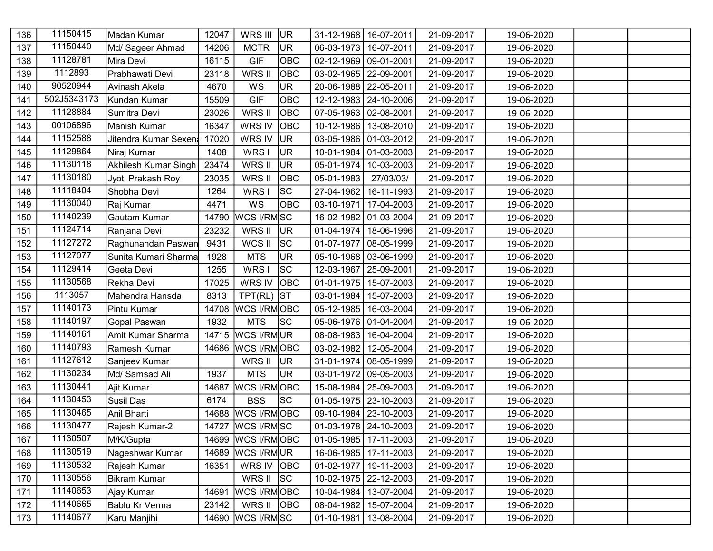| 136 | 11150415    | Madan Kumar          | 12047 | WRS III             | UR <sup></sup> |                  | 31-12-1968   16-07-2011 | 21-09-2017 | 19-06-2020 |  |
|-----|-------------|----------------------|-------|---------------------|----------------|------------------|-------------------------|------------|------------|--|
| 137 | 11150440    | Md/ Sageer Ahmad     | 14206 | <b>MCTR</b>         | UR.            | $06 - 03 - 1973$ | 16-07-2011              | 21-09-2017 | 19-06-2020 |  |
| 138 | 11128781    | Mira Devi            | 16115 | <b>GIF</b>          | OBC            |                  | 02-12-1969 09-01-2001   | 21-09-2017 | 19-06-2020 |  |
| 139 | 1112893     | Prabhawati Devi      | 23118 | WRS II              | OBC            |                  | 03-02-1965   22-09-2001 | 21-09-2017 | 19-06-2020 |  |
| 140 | 90520944    | Avinash Akela        | 4670  | WS                  | <b>UR</b>      |                  | 20-06-1988   22-05-2011 | 21-09-2017 | 19-06-2020 |  |
| 141 | 502J5343173 | Kundan Kumar         | 15509 | <b>GIF</b>          | OBC            |                  | 12-12-1983   24-10-2006 | 21-09-2017 | 19-06-2020 |  |
| 142 | 11128884    | Sumitra Devi         | 23026 | WRS II              | ОВС            |                  | 07-05-1963 02-08-2001   | 21-09-2017 | 19-06-2020 |  |
| 143 | 00106896    | Manish Kumar         | 16347 | WRS IV              | ОВС            |                  | 10-12-1986   13-08-2010 | 21-09-2017 | 19-06-2020 |  |
| 144 | 11152588    | Jitendra Kumar Sexen | 17020 | WRS IV              | <b>UR</b>      |                  | 03-05-1986 01-03-2012   | 21-09-2017 | 19-06-2020 |  |
| 145 | 11129864    | Niraj Kumar          | 1408  | WRS I               | UR <sub></sub> |                  | 10-01-1984   01-03-2003 | 21-09-2017 | 19-06-2020 |  |
| 146 | 11130118    | Akhilesh Kumar Singh | 23474 | WRS II              | <b>UR</b>      | $05 - 01 - 1974$ | 10-03-2003              | 21-09-2017 | 19-06-2020 |  |
| 147 | 11130180    | Jyoti Prakash Roy    | 23035 | WRS II              | OBC            | 05-01-1983       | 27/03/03/               | 21-09-2017 | 19-06-2020 |  |
| 148 | 11118404    | Shobha Devi          | 1264  | WRS I               | <b>SC</b>      | 27-04-1962       | 16-11-1993              | 21-09-2017 | 19-06-2020 |  |
| 149 | 11130040    | Raj Kumar            | 4471  | WS                  | ОВС            | 03-10-1971       | 17-04-2003              | 21-09-2017 | 19-06-2020 |  |
| 150 | 11140239    | Gautam Kumar         | 14790 | WCS I/RMSC          |                |                  | 16-02-1982 01-03-2004   | 21-09-2017 | 19-06-2020 |  |
| 151 | 11124714    | Ranjana Devi         | 23232 | WRS II              | UR.            | $01 - 04 - 1974$ | 18-06-1996              | 21-09-2017 | 19-06-2020 |  |
| 152 | 11127272    | Raghunandan Paswan   | 9431  | WCS II              | SC             | 01-07-1977       | $ 08-05-1999$           | 21-09-2017 | 19-06-2020 |  |
| 153 | 11127077    | Sunita Kumari Sharma | 1928  | <b>MTS</b>          | <b>UR</b>      |                  | 05-10-1968   03-06-1999 | 21-09-2017 | 19-06-2020 |  |
| 154 | 11129414    | Geeta Devi           | 1255  | WRS I               | lsc            | 12-03-1967       | 25-09-2001              | 21-09-2017 | 19-06-2020 |  |
| 155 | 11130568    | Rekha Devi           | 17025 | WRS IV              | <b>OBC</b>     |                  | 01-01-1975   15-07-2003 | 21-09-2017 | 19-06-2020 |  |
| 156 | 1113057     | Mahendra Hansda      | 8313  | $TPT(RL)$ ST        |                | $03 - 01 - 1984$ | 15-07-2003              | 21-09-2017 | 19-06-2020 |  |
| 157 | 11140173    | Pintu Kumar          | 14708 | <b>WCS I/RMOBC</b>  |                | $05 - 12 - 1985$ | 16-03-2004              | 21-09-2017 | 19-06-2020 |  |
| 158 | 11140197    | Gopal Paswan         | 1932  | <b>MTS</b>          | <b>SC</b>      |                  | 05-06-1976 01-04-2004   | 21-09-2017 | 19-06-2020 |  |
| 159 | 11140161    | Amit Kumar Sharma    | 14715 | <b>WCS I/RMUR</b>   |                |                  | 08-08-1983   16-04-2004 | 21-09-2017 | 19-06-2020 |  |
| 160 | 11140793    | Ramesh Kumar         | 14686 | <b>WCS I/RMOBC</b>  |                | $03 - 02 - 1982$ | 12-05-2004              | 21-09-2017 | 19-06-2020 |  |
| 161 | 11127612    | Sanjeev Kumar        |       | WRS II              | <b>JUR</b>     |                  | 31-01-1974   08-05-1999 | 21-09-2017 | 19-06-2020 |  |
| 162 | 11130234    | Md/ Samsad Ali       | 1937  | <b>MTS</b>          | <b>UR</b>      | 03-01-1972       | $ 09-05-2003$           | 21-09-2017 | 19-06-2020 |  |
| 163 | 11130441    | Ajit Kumar           | 14687 | <b>WCS I/RMOBC</b>  |                | 15-08-1984       | 25-09-2003              | 21-09-2017 | 19-06-2020 |  |
| 164 | 11130453    | Susil Das            | 6174  | <b>BSS</b>          | SC.            |                  | 01-05-1975   23-10-2003 | 21-09-2017 | 19-06-2020 |  |
| 165 | 11130465    | Anil Bharti          | 14688 | <b>WCS I/RMOBC</b>  |                |                  | 09-10-1984   23-10-2003 | 21-09-2017 | 19-06-2020 |  |
| 166 | 11130477    | Rajesh Kumar-2       |       | 14727   WCS I/RM SC |                |                  | 01-03-1978   24-10-2003 | 21-09-2017 | 19-06-2020 |  |
| 167 | 11130507    | M/K/Gupta            | 14699 | WCS I/RMOBC         |                |                  | 01-05-1985   17-11-2003 | 21-09-2017 | 19-06-2020 |  |
| 168 | 11130519    | Nageshwar Kumar      | 14689 | <b>WCS I/RMUR</b>   |                |                  | 16-06-1985   17-11-2003 | 21-09-2017 | 19-06-2020 |  |
| 169 | 11130532    | Rajesh Kumar         | 16351 | WRS IV OBC          |                | $01-02-1977$     | 19-11-2003              | 21-09-2017 | 19-06-2020 |  |
| 170 | 11130556    | <b>Bikram Kumar</b>  |       | WRS II              | SC             |                  | 10-02-1975   22-12-2003 | 21-09-2017 | 19-06-2020 |  |
| 171 | 11140653    | Ajay Kumar           | 14691 | <b>WCS I/RMOBC</b>  |                | 10-04-1984       | 13-07-2004              | 21-09-2017 | 19-06-2020 |  |
| 172 | 11140665    | Bablu Kr Verma       | 23142 | WRS II              | OBC            | $08 - 04 - 1982$ | 15-07-2004              | 21-09-2017 | 19-06-2020 |  |
| 173 | 11140677    | Karu Manjihi         | 14690 | WCS I/RMSC          |                |                  | 01-10-1981   13-08-2004 | 21-09-2017 | 19-06-2020 |  |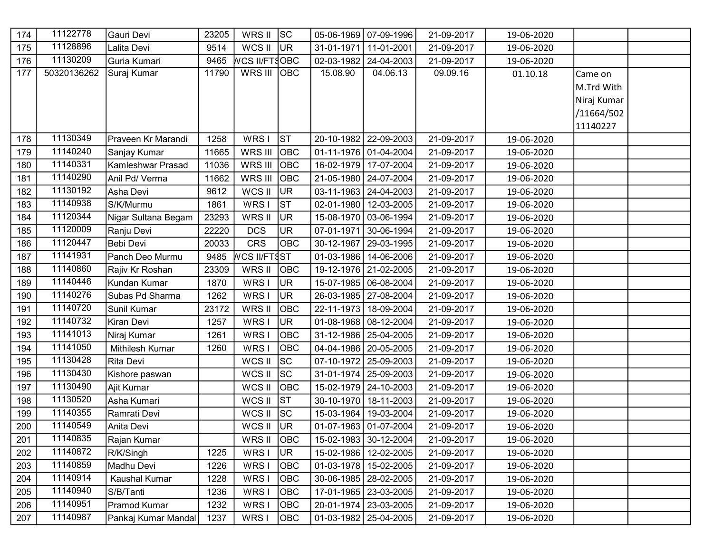| 174 | 11122778    | Gauri Devi          | 23205 | WRS II               | SC         |                  | 05-06-1969   07-09-1996 | 21-09-2017 | 19-06-2020 |             |  |
|-----|-------------|---------------------|-------|----------------------|------------|------------------|-------------------------|------------|------------|-------------|--|
| 175 | 11128896    | Lalita Devi         | 9514  | WCS II               | <b>JUR</b> | 31-01-1971       | 11-01-2001              | 21-09-2017 | 19-06-2020 |             |  |
| 176 | 11130209    | Guria Kumari        | 9465  | <b>WCS II/FT§OBC</b> |            | $02 - 03 - 1982$ | 24-04-2003              | 21-09-2017 | 19-06-2020 |             |  |
| 177 | 50320136262 | Suraj Kumar         | 11790 | WRS III OBC          |            | 15.08.90         | 04.06.13                | 09.09.16   | 01.10.18   | Came on     |  |
|     |             |                     |       |                      |            |                  |                         |            |            | M.Trd With  |  |
|     |             |                     |       |                      |            |                  |                         |            |            | Niraj Kumar |  |
|     |             |                     |       |                      |            |                  |                         |            |            | /11664/502  |  |
|     |             |                     |       |                      |            |                  |                         |            |            | 11140227    |  |
| 178 | 11130349    | Praveen Kr Marandi  | 1258  | WRS I                | <b>ST</b>  |                  | 20-10-1982   22-09-2003 | 21-09-2017 | 19-06-2020 |             |  |
| 179 | 11140240    | Sanjay Kumar        | 11665 | WRS III              | <b>OBC</b> |                  | 01-11-1976 01-04-2004   | 21-09-2017 | 19-06-2020 |             |  |
| 180 | 11140331    | Kamleshwar Prasad   | 11036 | WRS III              | ОВС        |                  | 16-02-1979 17-07-2004   | 21-09-2017 | 19-06-2020 |             |  |
| 181 | 11140290    | Anil Pd/ Verma      | 11662 | WRS III              | <b>OBC</b> |                  | 21-05-1980   24-07-2004 | 21-09-2017 | 19-06-2020 |             |  |
| 182 | 11130192    | Asha Devi           | 9612  | WCS II               | <b>UR</b>  |                  | 03-11-1963   24-04-2003 | 21-09-2017 | 19-06-2020 |             |  |
| 183 | 11140938    | S/K/Murmu           | 1861  | WRS I                | <b>ST</b>  |                  | 02-01-1980   12-03-2005 | 21-09-2017 | 19-06-2020 |             |  |
| 184 | 11120344    | Nigar Sultana Begam | 23293 | WRS II               | <b>UR</b>  |                  | 15-08-1970 03-06-1994   | 21-09-2017 | 19-06-2020 |             |  |
| 185 | 11120009    | Ranju Devi          | 22220 | <b>DCS</b>           | <b>UR</b>  | 07-01-1971       | 30-06-1994              | 21-09-2017 | 19-06-2020 |             |  |
| 186 | 11120447    | Bebi Devi           | 20033 | <b>CRS</b>           | ОВС        | $30 - 12 - 1967$ | 29-03-1995              | 21-09-2017 | 19-06-2020 |             |  |
| 187 | 11141931    | Panch Deo Murmu     | 9485  | WCS II/FT§ST         |            |                  | 01-03-1986 14-06-2006   | 21-09-2017 | 19-06-2020 |             |  |
| 188 | 11140860    | Rajiv Kr Roshan     | 23309 | WRS II               | OBC        |                  | 19-12-1976 21-02-2005   | 21-09-2017 | 19-06-2020 |             |  |
| 189 | 11140446    | Kundan Kumar        | 1870  | WRS I                | <b>UR</b>  |                  | 15-07-1985   06-08-2004 | 21-09-2017 | 19-06-2020 |             |  |
| 190 | 11140276    | Subas Pd Sharma     | 1262  | WRS I                | <b>UR</b>  |                  | 26-03-1985   27-08-2004 | 21-09-2017 | 19-06-2020 |             |  |
| 191 | 11140720    | Sunil Kumar         | 23172 | WRS II               | OBC        |                  | 22-11-1973   18-09-2004 | 21-09-2017 | 19-06-2020 |             |  |
| 192 | 11140732    | Kiran Devi          | 1257  | WRS I                | <b>UR</b>  |                  | 01-08-1968 08-12-2004   | 21-09-2017 | 19-06-2020 |             |  |
| 193 | 11141013    | Niraj Kumar         | 1261  | WRS I                | OBC        |                  | 31-12-1986   25-04-2005 | 21-09-2017 | 19-06-2020 |             |  |
| 194 | 11141050    | Mithilesh Kumar     | 1260  | WRS I                | OBC        |                  | 04-04-1986   20-05-2005 | 21-09-2017 | 19-06-2020 |             |  |
| 195 | 11130428    | Rita Devi           |       | WCS II               | <b>SC</b>  |                  | 07-10-1972   25-09-2003 | 21-09-2017 | 19-06-2020 |             |  |
| 196 | 11130430    | Kishore paswan      |       | WCS II               | <b>SC</b>  |                  | 31-01-1974   25-09-2003 | 21-09-2017 | 19-06-2020 |             |  |
| 197 | 11130490    | Ajit Kumar          |       | WCS II               | ОВС        |                  | 15-02-1979   24-10-2003 | 21-09-2017 | 19-06-2020 |             |  |
| 198 | 11130520    | Asha Kumari         |       | WCS II               | lsт        |                  | 30-10-1970   18-11-2003 | 21-09-2017 | 19-06-2020 |             |  |
| 199 | 11140355    | Ramrati Devi        |       | WCS II               | SC.        |                  | 15-03-1964   19-03-2004 | 21-09-2017 | 19-06-2020 |             |  |
| 200 | 11140549    | Anita Devi          |       | WCS II UR            |            |                  | 01-07-1963 01-07-2004   | 21-09-2017 | 19-06-2020 |             |  |
| 201 | 11140835    | Rajan Kumar         |       | WRS II               | OBC        |                  | 15-02-1983 30-12-2004   | 21-09-2017 | 19-06-2020 |             |  |
| 202 | 11140872    | R/K/Singh           | 1225  | WRS I                | <b>UR</b>  | 15-02-1986       | 12-02-2005              | 21-09-2017 | 19-06-2020 |             |  |
| 203 | 11140859    | Madhu Devi          | 1226  | WRS I                | OBC        |                  | 01-03-1978   15-02-2005 | 21-09-2017 | 19-06-2020 |             |  |
| 204 | 11140914    | Kaushal Kumar       | 1228  | WRS I                | OBC        | $30 - 06 - 1985$ | 28-02-2005              | 21-09-2017 | 19-06-2020 |             |  |
| 205 | 11140940    | S/B/Tanti           | 1236  | WRS I                | OBC        |                  | 17-01-1965   23-03-2005 | 21-09-2017 | 19-06-2020 |             |  |
| 206 | 11140951    | Pramod Kumar        | 1232  | WRS I                | OBC        |                  | 20-01-1974   23-03-2005 | 21-09-2017 | 19-06-2020 |             |  |
| 207 | 11140987    | Pankaj Kumar Mandal | 1237  | WRS I                | OBC        |                  | 01-03-1982   25-04-2005 | 21-09-2017 | 19-06-2020 |             |  |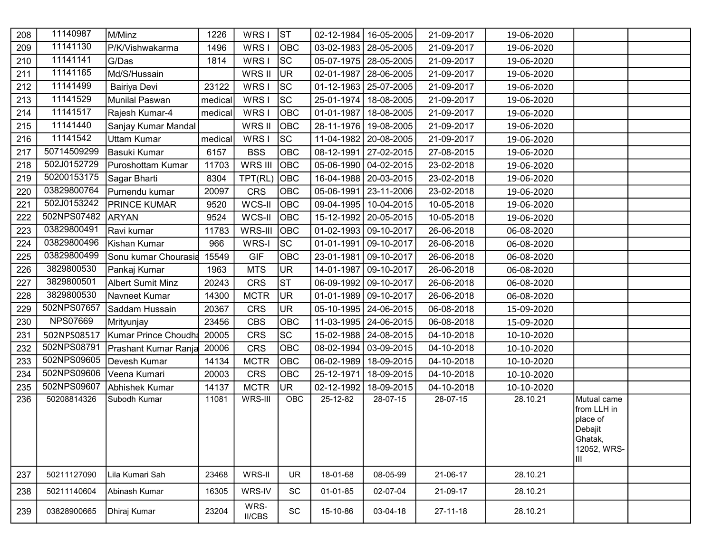| 208 | 11140987        | M/Minz                   | 1226    | WRS I                 | ST        | 02-12-1984 | 16-05-2005              | 21-09-2017     | 19-06-2020 |                                                                                      |  |
|-----|-----------------|--------------------------|---------|-----------------------|-----------|------------|-------------------------|----------------|------------|--------------------------------------------------------------------------------------|--|
| 209 | 11141130        | P/K/Vishwakarma          | 1496    | WRS I                 | OBC       |            | 03-02-1983   28-05-2005 | 21-09-2017     | 19-06-2020 |                                                                                      |  |
| 210 | 11141141        | G/Das                    | 1814    | WRS I                 | <b>SC</b> |            | 05-07-1975   28-05-2005 | 21-09-2017     | 19-06-2020 |                                                                                      |  |
| 211 | 11141165        | Md/S/Hussain             |         | WRS II                | <b>UR</b> | 02-01-1987 | 28-06-2005              | 21-09-2017     | 19-06-2020 |                                                                                      |  |
| 212 | 11141499        | Bairiya Devi             | 23122   | WRS I                 | <b>SC</b> |            | 01-12-1963   25-07-2005 | 21-09-2017     | 19-06-2020 |                                                                                      |  |
| 213 | 11141529        | <b>Munilal Paswan</b>    | medical | WRS I                 | <b>SC</b> | 25-01-1974 | 18-08-2005              | 21-09-2017     | 19-06-2020 |                                                                                      |  |
| 214 | 11141517        | Rajesh Kumar-4           | medical | WRS I                 | OBC       | 01-01-1987 | 18-08-2005              | 21-09-2017     | 19-06-2020 |                                                                                      |  |
| 215 | 11141440        | Sanjay Kumar Mandal      |         | WRS II                | OBC       | 28-11-1976 | 19-08-2005              | 21-09-2017     | 19-06-2020 |                                                                                      |  |
| 216 | 11141542        | <b>Uttam Kumar</b>       | medical | WRS I                 | <b>SC</b> | 11-04-1982 | 20-08-2005              | 21-09-2017     | 19-06-2020 |                                                                                      |  |
| 217 | 50714509299     | Basuki Kumar             | 6157    | <b>BSS</b>            | OBC       | 08-12-1991 | 27-02-2015              | 27-08-2015     | 19-06-2020 |                                                                                      |  |
| 218 | 502J0152729     | Puroshottam Kumar        | 11703   | WRS III               | OBC       |            | 05-06-1990   04-02-2015 | 23-02-2018     | 19-06-2020 |                                                                                      |  |
| 219 | 50200153175     | Sagar Bharti             | 8304    | TPT(RL)               | OBC       |            | 16-04-1988   20-03-2015 | 23-02-2018     | 19-06-2020 |                                                                                      |  |
| 220 | 03829800764     | Purnendu kumar           | 20097   | <b>CRS</b>            | OBC       | 05-06-1991 | 23-11-2006              | 23-02-2018     | 19-06-2020 |                                                                                      |  |
| 221 | 502J0153242     | <b>PRINCE KUMAR</b>      | 9520    | WCS-II                | OBC       |            | 09-04-1995   10-04-2015 | 10-05-2018     | 19-06-2020 |                                                                                      |  |
| 222 | 502NPS07482     | <b>ARYAN</b>             | 9524    | WCS-II                | OBC       |            | 15-12-1992   20-05-2015 | 10-05-2018     | 19-06-2020 |                                                                                      |  |
| 223 | 03829800491     | Ravi kumar               | 11783   | WRS-III               | OBC       |            | 01-02-1993 09-10-2017   | 26-06-2018     | 06-08-2020 |                                                                                      |  |
| 224 | 03829800496     | Kishan Kumar             | 966     | WRS-I                 | <b>SC</b> | 01-01-1991 | 09-10-2017              | 26-06-2018     | 06-08-2020 |                                                                                      |  |
| 225 | 03829800499     | Sonu kumar Chourasia     | 15549   | <b>GIF</b>            | OBC       | 23-01-1981 | 09-10-2017              | 26-06-2018     | 06-08-2020 |                                                                                      |  |
| 226 | 3829800530      | Pankaj Kumar             | 1963    | <b>MTS</b>            | <b>UR</b> | 14-01-1987 | 09-10-2017              | 26-06-2018     | 06-08-2020 |                                                                                      |  |
| 227 | 3829800501      | <b>Albert Sumit Minz</b> | 20243   | <b>CRS</b>            | <b>ST</b> |            | 06-09-1992   09-10-2017 | 26-06-2018     | 06-08-2020 |                                                                                      |  |
| 228 | 3829800530      | Navneet Kumar            | 14300   | <b>MCTR</b>           | <b>UR</b> |            | 01-01-1989 09-10-2017   | 26-06-2018     | 06-08-2020 |                                                                                      |  |
| 229 | 502NPS07657     | Saddam Hussain           | 20367   | <b>CRS</b>            | <b>UR</b> |            | 05-10-1995   24-06-2015 | 06-08-2018     | 15-09-2020 |                                                                                      |  |
| 230 | <b>NPS07669</b> | Mrityunjay               | 23456   | <b>CBS</b>            | OBC       |            | 11-03-1995   24-06-2015 | 06-08-2018     | 15-09-2020 |                                                                                      |  |
| 231 | 502NPS08517     | Kumar Prince Choudha     | 20005   | <b>CRS</b>            | SC        |            | 15-02-1988   24-08-2015 | 04-10-2018     | 10-10-2020 |                                                                                      |  |
| 232 | 502NPS08791     | Prashant Kumar Ranja     | 20006   | <b>CRS</b>            | OBC       | 08-02-1994 | 03-09-2015              | 04-10-2018     | 10-10-2020 |                                                                                      |  |
| 233 | 502NPS09605     | Devesh Kumar             | 14134   | <b>MCTR</b>           | OBC       | 06-02-1989 | 18-09-2015              | 04-10-2018     | 10-10-2020 |                                                                                      |  |
| 234 | 502NPS09606     | Veena Kumari             | 20003   | <b>CRS</b>            | OBC       | 25-12-1971 | 18-09-2015              | 04-10-2018     | 10-10-2020 |                                                                                      |  |
| 235 | 502NPS09607     | Abhishek Kumar           | 14137   | <b>MCTR</b>           | <b>UR</b> | 02-12-1992 | 18-09-2015              | 04-10-2018     | 10-10-2020 |                                                                                      |  |
| 236 | 50208814326     | Subodh Kumar             | 11081   | WRS-III               | OBC       | 25-12-82   | 28-07-15                | 28-07-15       | 28.10.21   | Mutual came<br>from LLH in<br>place of<br>Debajit<br>Ghatak,<br>12052, WRS-<br>IIII. |  |
| 237 | 50211127090     | Lila Kumari Sah          | 23468   | WRS-II                | <b>UR</b> | 18-01-68   | 08-05-99                | 21-06-17       | 28.10.21   |                                                                                      |  |
| 238 | 50211140604     | Abinash Kumar            | 16305   | WRS-IV                | SC        | 01-01-85   | 02-07-04                | 21-09-17       | 28.10.21   |                                                                                      |  |
| 239 | 03828900665     | Dhiraj Kumar             | 23204   | WRS-<br><b>II/CBS</b> | SC        | 15-10-86   | 03-04-18                | $27 - 11 - 18$ | 28.10.21   |                                                                                      |  |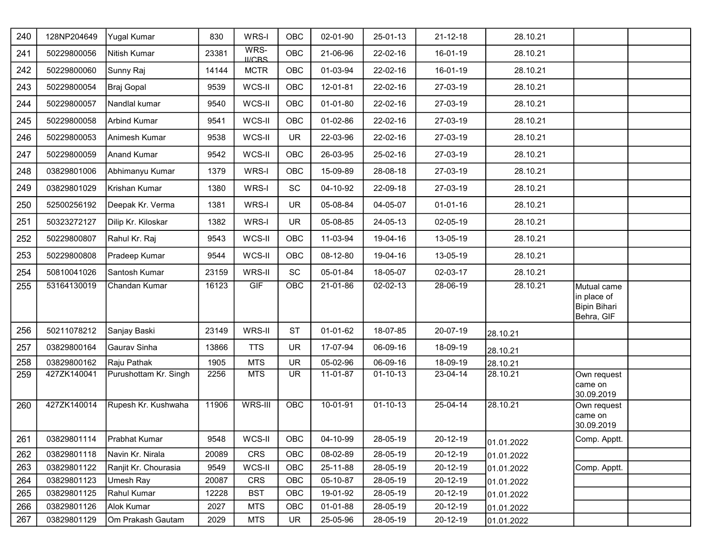| 240 | 128NP204649 | <b>Yugal Kumar</b>    | 830   | WRS-I                 | OBC        | 02-01-90       | 25-01-13       | $21 - 12 - 18$ | 28.10.21   |                                                                 |  |
|-----|-------------|-----------------------|-------|-----------------------|------------|----------------|----------------|----------------|------------|-----------------------------------------------------------------|--|
| 241 | 50229800056 | Nitish Kumar          | 23381 | WRS-<br><b>II/CBS</b> | <b>OBC</b> | 21-06-96       | 22-02-16       | 16-01-19       | 28.10.21   |                                                                 |  |
| 242 | 50229800060 | Sunny Raj             | 14144 | <b>MCTR</b>           | <b>OBC</b> | 01-03-94       | 22-02-16       | 16-01-19       | 28.10.21   |                                                                 |  |
| 243 | 50229800054 | Braj Gopal            | 9539  | WCS-II                | OBC        | 12-01-81       | 22-02-16       | 27-03-19       | 28.10.21   |                                                                 |  |
| 244 | 50229800057 | Nandlal kumar         | 9540  | WCS-II                | OBC        | $01 - 01 - 80$ | 22-02-16       | 27-03-19       | 28.10.21   |                                                                 |  |
| 245 | 50229800058 | <b>Arbind Kumar</b>   | 9541  | WCS-II                | OBC        | 01-02-86       | 22-02-16       | 27-03-19       | 28.10.21   |                                                                 |  |
| 246 | 50229800053 | Animesh Kumar         | 9538  | WCS-II                | <b>UR</b>  | 22-03-96       | 22-02-16       | 27-03-19       | 28.10.21   |                                                                 |  |
| 247 | 50229800059 | <b>Anand Kumar</b>    | 9542  | WCS-II                | OBC        | 26-03-95       | 25-02-16       | 27-03-19       | 28.10.21   |                                                                 |  |
| 248 | 03829801006 | Abhimanyu Kumar       | 1379  | WRS-I                 | OBC        | 15-09-89       | 28-08-18       | 27-03-19       | 28.10.21   |                                                                 |  |
| 249 | 03829801029 | Krishan Kumar         | 1380  | WRS-I                 | SC         | 04-10-92       | 22-09-18       | 27-03-19       | 28.10.21   |                                                                 |  |
| 250 | 52500256192 | Deepak Kr. Verma      | 1381  | WRS-I                 | <b>UR</b>  | 05-08-84       | 04-05-07       | $01 - 01 - 16$ | 28.10.21   |                                                                 |  |
| 251 | 50323272127 | Dilip Kr. Kiloskar    | 1382  | WRS-I                 | <b>UR</b>  | 05-08-85       | 24-05-13       | 02-05-19       | 28.10.21   |                                                                 |  |
| 252 | 50229800807 | Rahul Kr. Raj         | 9543  | WCS-II                | OBC        | 11-03-94       | 19-04-16       | 13-05-19       | 28.10.21   |                                                                 |  |
| 253 | 50229800808 | Pradeep Kumar         | 9544  | WCS-II                | OBC        | 08-12-80       | 19-04-16       | 13-05-19       | 28.10.21   |                                                                 |  |
| 254 | 50810041026 | Santosh Kumar         | 23159 | WRS-II                | SC         | 05-01-84       | 18-05-07       | 02-03-17       | 28.10.21   |                                                                 |  |
| 255 | 53164130019 | Chandan Kumar         | 16123 | <b>GIF</b>            | <b>OBC</b> | 21-01-86       | 02-02-13       | 28-06-19       | 28.10.21   | Mutual came<br>in place of<br><b>Bipin Bihari</b><br>Behra, GIF |  |
| 256 | 50211078212 | Sanjay Baski          | 23149 | WRS-II                | <b>ST</b>  | 01-01-62       | 18-07-85       | 20-07-19       | 28.10.21   |                                                                 |  |
| 257 | 03829800164 | Gaurav Sinha          | 13866 | <b>TTS</b>            | <b>UR</b>  | 17-07-94       | 06-09-16       | 18-09-19       | 28.10.21   |                                                                 |  |
| 258 | 03829800162 | Raju Pathak           | 1905  | <b>MTS</b>            | <b>UR</b>  | 05-02-96       | 06-09-16       | 18-09-19       | 28.10.21   |                                                                 |  |
| 259 | 427ZK140041 | Purushottam Kr. Singh | 2256  | <b>MTS</b>            | UR.        | 11-01-87       | $01 - 10 - 13$ | 23-04-14       | 28.10.21   | Own request<br>came on<br>30.09.2019                            |  |
| 260 | 427ZK140014 | Rupesh Kr. Kushwaha   | 11906 | WRS-III               | <b>OBC</b> | 10-01-91       | $01 - 10 - 13$ | 25-04-14       | 28.10.21   | Own request<br>came on<br>30.09.2019                            |  |
| 261 | 03829801114 | Prabhat Kumar         | 9548  | WCS-II                | OBC        | 04-10-99       | 28-05-19       | 20-12-19       | 01.01.2022 | Comp. Apptt.                                                    |  |
| 262 | 03829801118 | Navin Kr. Nirala      | 20089 | <b>CRS</b>            | OBC        | 08-02-89       | 28-05-19       | $20 - 12 - 19$ | 01.01.2022 |                                                                 |  |
| 263 | 03829801122 | Ranjit Kr. Chourasia  | 9549  | WCS-II                | OBC        | 25-11-88       | 28-05-19       | 20-12-19       | 01.01.2022 | Comp. Apptt.                                                    |  |
| 264 | 03829801123 | Umesh Ray             | 20087 | CRS                   | OBC        | 05-10-87       | 28-05-19       | 20-12-19       | 01.01.2022 |                                                                 |  |
| 265 | 03829801125 | Rahul Kumar           | 12228 | <b>BST</b>            | OBC        | 19-01-92       | 28-05-19       | 20-12-19       | 01.01.2022 |                                                                 |  |
| 266 | 03829801126 | Alok Kumar            | 2027  | <b>MTS</b>            | OBC        | 01-01-88       | 28-05-19       | 20-12-19       | 01.01.2022 |                                                                 |  |
| 267 | 03829801129 | Om Prakash Gautam     | 2029  | <b>MTS</b>            | <b>UR</b>  | 25-05-96       | 28-05-19       | 20-12-19       | 01.01.2022 |                                                                 |  |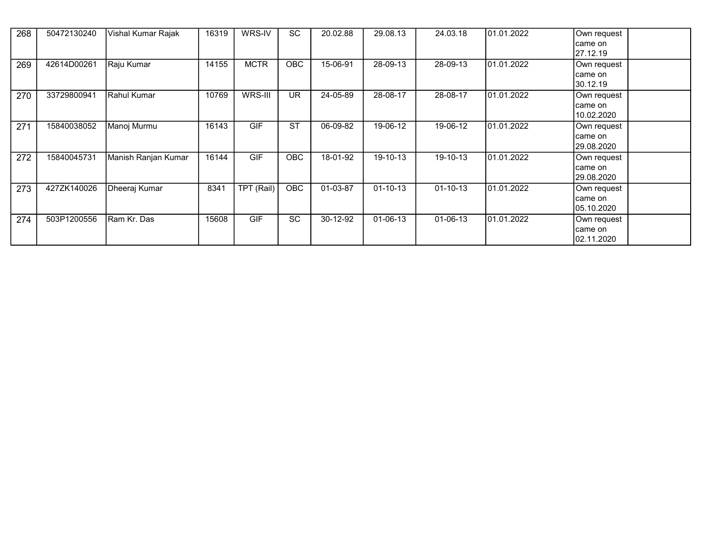| 268 | 50472130240 | Vishal Kumar Rajak  | 16319 | WRS-IV      | <b>SC</b>  | 20.02.88 | 29.08.13       | 24.03.18       | 101.01.2022 | Own request<br>came on<br>27.12.19   |
|-----|-------------|---------------------|-------|-------------|------------|----------|----------------|----------------|-------------|--------------------------------------|
| 269 | 42614D00261 | Raju Kumar          | 14155 | <b>MCTR</b> | OBC.       | 15-06-91 | 28-09-13       | 28-09-13       | 01.01.2022  | Own request<br>came on<br>30.12.19   |
| 270 | 33729800941 | Rahul Kumar         | 10769 | WRS-III     | UR         | 24-05-89 | 28-08-17       | 28-08-17       | 101.01.2022 | Own request<br>came on<br>10.02.2020 |
| 271 | 15840038052 | Manoj Murmu         | 16143 | <b>GIF</b>  | <b>ST</b>  | 06-09-82 | 19-06-12       | 19-06-12       | 01.01.2022  | Own request<br>came on<br>29.08.2020 |
| 272 | 15840045731 | Manish Ranjan Kumar | 16144 | <b>GIF</b>  | OBC        | 18-01-92 | 19-10-13       | 19-10-13       | 01.01.2022  | Own request<br>came on<br>29.08.2020 |
| 273 | 427ZK140026 | Dheeraj Kumar       | 8341  | TPT (Rail)  | <b>OBC</b> | 01-03-87 | $01 - 10 - 13$ | $01 - 10 - 13$ | 01.01.2022  | Own request<br>came on<br>05.10.2020 |
| 274 | 503P1200556 | Ram Kr. Das         | 15608 | <b>GIF</b>  | <b>SC</b>  | 30-12-92 | $01 - 06 - 13$ | $01 - 06 - 13$ | 01.01.2022  | Own request<br>came on<br>02.11.2020 |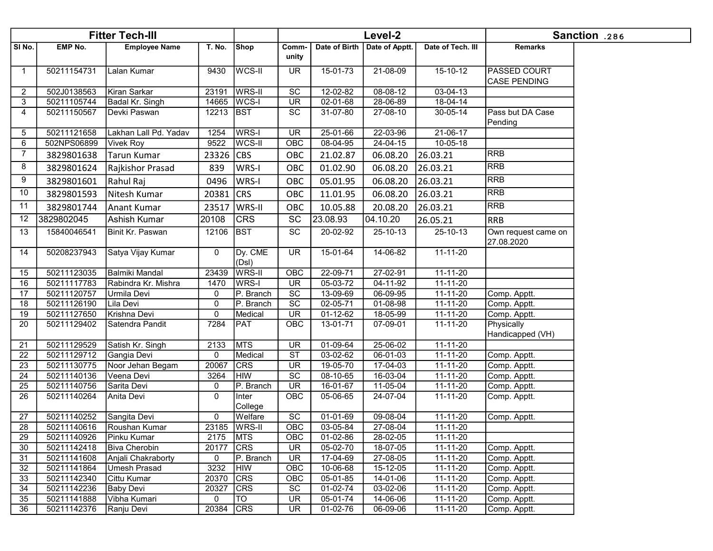|              |                            | <b>Fitter Tech-III</b>         |                     |                          |                          |                      | Level-2                    |                            |                                     | Sanction .286 |
|--------------|----------------------------|--------------------------------|---------------------|--------------------------|--------------------------|----------------------|----------------------------|----------------------------|-------------------------------------|---------------|
| SI No.       | <b>EMP No.</b>             | <b>Employee Name</b>           | <b>T. No.</b>       | Shop                     | Comm-<br>unity           | Date of Birth        | Date of Apptt.             | Date of Tech. III          | <b>Remarks</b>                      |               |
| $\mathbf{1}$ | 50211154731                | Lalan Kumar                    | 9430                | <b>WCS-II</b>            | <b>UR</b>                | 15-01-73             | 21-08-09                   | 15-10-12                   | <b>PASSED COURT</b><br>CASE PENDING |               |
| 2            | 502J0138563                | Kiran Sarkar                   | 23191               | <b>WRS-II</b>            | SC                       | 12-02-82             | 08-08-12                   | $03 - 04 - 13$             |                                     |               |
| 3            | 50211105744                | Badal Kr. Singh                |                     | 14665   WCS-I            | <b>UR</b>                | $02 - 01 - 68$       | 28-06-89                   | $18-04-14$                 |                                     |               |
| 4            | 50211150567                | Devki Paswan                   | 12213 BST           |                          | SC                       | 31-07-80             | 27-08-10                   | $30 - 05 - 14$             | Pass but DA Case<br>Pending         |               |
| 5            | 50211121658                | Lakhan Lall Pd. Yadav          | 1254                | WRS-I                    | <b>UR</b>                | 25-01-66             | 22-03-96                   | $21-06-17$                 |                                     |               |
| 6            | 502NPS06899                | <b>Vivek Roy</b>               | 9522                | <b>WCS-II</b>            | OBC                      | 08-04-95             | 24-04-15                   | 10-05-18                   |                                     |               |
| 7            | 3829801638                 | Tarun Kumar                    | 23326               | CBS                      | OBC                      | 21.02.87             | 06.08.20                   | 26.03.21                   | <b>RRB</b>                          |               |
| 8            | 3829801624                 | Rajkishor Prasad               | 839                 | WRS-I                    | OBC                      | 01.02.90             | 06.08.20                   | 26.03.21                   | <b>RRB</b>                          |               |
| 9            | 3829801601                 | Rahul Raj                      | 0496                | WRS-I                    | OBC                      | 05.01.95             | 06.08.20                   | 26.03.21                   | RRB                                 |               |
| 10           | 3829801593                 | Nitesh Kumar                   | 20381 CRS           |                          | OBC                      | 11.01.95             | 06.08.20                   | 26.03.21                   | <b>RRB</b>                          |               |
| 11           | 3829801744                 | Anant Kumar                    | 23517               | <b>WRS-II</b>            | OBC                      | 10.05.88             | 20.08.20                   | 26.03.21                   | <b>RRB</b>                          |               |
| 12           | 3829802045                 | Ashish Kumar                   | 20108               | <b>CRS</b>               | SC                       | 23.08.93             | 04.10.20                   | 26.05.21                   | <b>RRB</b>                          |               |
| 13           | 15840046541                | Binit Kr. Paswan               | 12106               | <b>BST</b>               | SC                       | 20-02-92             | 25-10-13                   | 25-10-13                   | Own request came on<br>27.08.2020   |               |
| 14           | 50208237943                | Satya Vijay Kumar              | $\mathbf 0$         | Dy. CME<br>(Dsl)         | <b>UR</b>                | $15 - 01 - 64$       | 14-06-82                   | $11 - 11 - 20$             |                                     |               |
| 15           | 50211123035                | Balmiki Mandal                 | 23439               | <b>WRS-II</b>            | OBC                      | 22-09-71             | 27-02-91                   | $11 - 11 - 20$             |                                     |               |
| 16           | 50211117783                | Rabindra Kr. Mishra            | 1470                | WRS-I                    | <b>UR</b>                | 05-03-72             | 04-11-92                   | $11 - 11 - 20$             |                                     |               |
| 17           | 50211120757                | Urmila Devi                    | 0                   | P. Branch                | $\overline{SC}$          | 13-09-69             | 06-09-95                   | 11-11-20                   | Comp. Apptt.                        |               |
| 18           | 50211126190                | Lila Devi                      | $\mathbf 0$         | P. Branch                | SC                       | 02-05-71             | 01-08-98                   | 11-11-20                   | Comp. Apptt.                        |               |
| 19           | 50211127650                | Krishna Devi                   | $\mathbf 0$<br>7284 | Medical                  | UR                       | 01-12-62             | 18-05-99                   | 11-11-20                   | Comp. Apptt.                        |               |
| 20           | 50211129402                | Satendra Pandit                |                     | PAT                      | OBC                      | 13-01-71             | 07-09-01                   | 11-11-20                   | Physically<br>Handicapped (VH)      |               |
| 21           | 50211129529                | Satish Kr. Singh               | 2133                | <b>MTS</b>               | $\overline{\mathsf{UR}}$ | $01-09-64$           | 25-06-02                   | $11 - 11 - 20$             |                                     |               |
| 22           | 50211129712                | Gangia Devi                    | $\mathbf 0$         | Medical                  | $\overline{\text{ST}}$   | $03-02-62$           | 06-01-03                   | $11 - 11 - 20$             | Comp. Apptt.                        |               |
| 23           | 50211130775<br>50211140136 | Noor Jehan Begam<br>Veena Devi | 20067<br>3264       | <b>CRS</b><br><b>HIW</b> | <b>UR</b><br>SC          | 19-05-70<br>08-10-65 | 17-04-03<br>$16 - 03 - 04$ | 11-11-20<br>$11 - 11 - 20$ | Comp. Apptt.                        |               |
| 24<br>25     | 50211140756                | Sarita Devi                    | 0                   | P. Branch                | UR                       | 16-01-67             | 11-05-04                   | 11-11-20                   | Comp. Apptt.<br>Comp. Apptt.        |               |
| 26           | 50211140264                | Anita Devi                     | $\mathbf 0$         | Inter<br>College         | OBC                      | 05-06-65             | 24-07-04                   | 11-11-20                   | Comp. Apptt.                        |               |
| 27           | 50211140252                | Sangita Devi                   | $\mathbf 0$         | Welfare                  | SC                       | $01-01-69$           | 09-08-04                   | $11 - 11 - 20$             | Comp. Apptt.                        |               |
| 28           | 50211140616                | Roushan Kumar                  |                     | 23185 WRS-II             | OBC                      | 03-05-84             | 27-08-04                   | 11-11-20                   |                                     |               |
| 29           | 50211140926                | Pinku Kumar                    | 2175                | <b>MTS</b>               | OBC                      | 01-02-86             | 28-02-05                   | 11-11-20                   |                                     |               |
| 30           | 50211142418                | Biva Cherobin                  | 20177               | <b>CRS</b>               | <b>UR</b>                | 05-02-70             | 18-07-05                   | $11 - 11 - 20$             | Comp. Apptt.                        |               |
| 31           | 50211141608                | Anjali Chakraborty             | 0                   | P. Branch                | <b>UR</b>                | 17-04-69             | 27-08-05                   | 11-11-20                   | Comp. Apptt.                        |               |
| 32           | 50211141864                | Umesh Prasad                   | 3232                | <b>HIW</b>               | OBC                      | 10-06-68             | 15-12-05                   | $11 - 11 - 20$             | Comp. Apptt.                        |               |
| 33           | 50211142340                | Cittu Kumar                    | 20370               | <b>CRS</b>               | OBC                      | 05-01-85             | 14-01-06                   | 11-11-20                   | Comp. Apptt.                        |               |
| 34           | 50211142236                | <b>Baby Devi</b>               | 20327               | <b>CRS</b>               | SC                       | 01-02-74             | 03-02-06                   | 11-11-20                   | Comp. Apptt.                        |               |
| 35           | 50211141888                | Vibha Kumari                   | 0                   | TO                       | <b>UR</b>                | 05-01-74             | 14-06-06                   | 11-11-20                   | Comp. Apptt.                        |               |
| 36           | 50211142376                | Ranju Devi                     | 20384 CRS           |                          | <b>UR</b>                | 01-02-76             | 06-09-06                   | 11-11-20                   | Comp. Apptt.                        |               |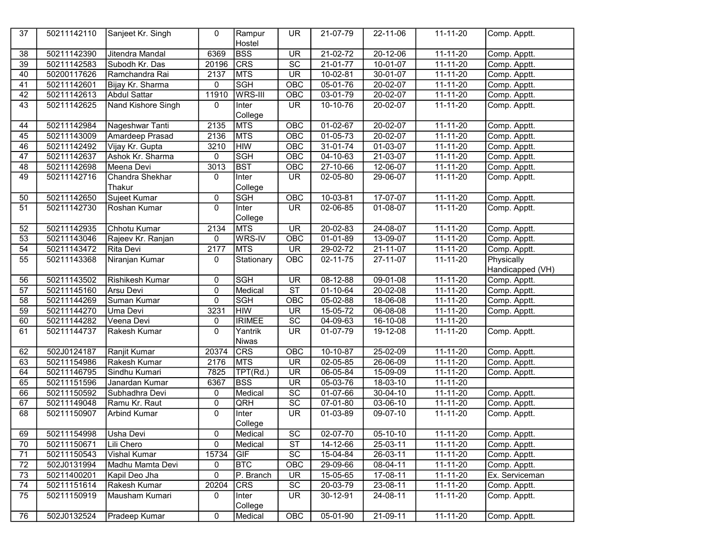| 37              | 50211142110 | Sanjeet Kr. Singh         | 0              | Rampur<br>Hostel        | <b>UR</b>                | 21-07-79                  | 22-11-06       | $11 - 11 - 20$ | Comp. Apptt.     |
|-----------------|-------------|---------------------------|----------------|-------------------------|--------------------------|---------------------------|----------------|----------------|------------------|
| 38              | 50211142390 | Jitendra Mandal           | 6369           | <b>BSS</b>              | $\overline{\mathsf{UR}}$ | $21-02-72$                | $20 - 12 - 06$ | $11 - 11 - 20$ | Comp. Apptt.     |
| $\overline{39}$ | 50211142583 | Subodh Kr. Das            | 20196          | CRS                     | $\overline{SC}$          | $21 - 01 - 77$            | 10-01-07       | $11 - 11 - 20$ | Comp. Apptt.     |
| 40              | 50200117626 | Ramchandra Rai            | 2137           | <b>MTS</b>              | $\overline{\mathsf{UR}}$ | $10 - 02 - 81$            | $30 - 01 - 07$ | $11 - 11 - 20$ | Comp. Apptt.     |
| 41              | 50211142601 | Bijay Kr. Sharma          | $\pmb{0}$      | <b>SGH</b>              | OBC                      | $05-01-76$                | 20-02-07       | $11 - 11 - 20$ | Comp. Apptt.     |
| 42              | 50211142613 | <b>Abdul Sattar</b>       | 11910          | WRS-III                 | OBC                      | $03-01-79$                | $20 - 02 - 07$ | $11 - 11 - 20$ | Comp. Apptt.     |
| 43              | 50211142625 | <b>Nand Kishore Singh</b> | 0              | Inter                   | $\overline{\mathsf{UR}}$ | 10-10-76                  | 20-02-07       | $11 - 11 - 20$ | Comp. Apptt.     |
|                 |             |                           |                | College                 |                          |                           |                |                |                  |
| 44              | 50211142984 | Nageshwar Tanti           | 2135           | <b>MTS</b>              | OBC                      | $01-02-67$                | $20 - 02 - 07$ | $11 - 11 - 20$ | Comp. Apptt.     |
| 45              | 50211143009 | Amardeep Prasad           | 2136           | <b>MTS</b>              | OBC                      | 01-05-73                  | $20 - 02 - 07$ | 11-11-20       | Comp. Apptt.     |
| 46              | 50211142492 | Vijay Kr. Gupta           | 3210           | <b>HIW</b>              | $\overline{OBC}$         | 31-01-74                  | $01-03-07$     | $11 - 11 - 20$ | Comp. Apptt.     |
| $\overline{47}$ | 50211142637 | Ashok Kr. Sharma          | 0              | <b>SGH</b>              | OBC                      | $\overline{04} - 10 - 63$ | 21-03-07       | $11 - 11 - 20$ | Comp. Apptt.     |
| 48              | 50211142698 | Meena Devi                | 3013           | <b>BST</b>              | OBC                      | 27-10-66                  | 12-06-07       | 11-11-20       | Comp. Apptt.     |
| 49              | 50211142716 | Chandra Shekhar           | 0              | Inter                   | $\overline{\mathsf{UR}}$ | $02 - 05 - 80$            | 29-06-07       | $11 - 11 - 20$ | Comp. Apptt.     |
|                 |             | Thakur                    |                | College                 |                          |                           |                |                |                  |
| 50              | 50211142650 | Sujeet Kumar              | 0              | <b>SGH</b>              | OBC                      | $10-03-81$                | 17-07-07       | 11-11-20       | Comp. Apptt.     |
| $\overline{51}$ | 50211142730 | Roshan Kumar              | 0              | Inter                   | $\overline{\mathsf{UR}}$ | 02-06-85                  | 01-08-07       | $11 - 11 - 20$ | Comp. Apptt.     |
|                 |             |                           |                | College                 |                          |                           |                |                |                  |
| 52              | 50211142935 | Chhotu Kumar              | 2134           | <b>MTS</b>              | <b>UR</b>                | $20 - 02 - 83$            | $24 - 08 - 07$ | 11-11-20       | Comp. Apptt.     |
| 53              | 50211143046 | Rajeev Kr. Ranjan         | 0              | WRS-IV                  | $\overline{OBC}$         | $01 - 01 - 89$            | $13 - 09 - 07$ | $11 - 11 - 20$ | Comp. Apptt.     |
| $\overline{54}$ | 50211143472 | <b>Rita Devi</b>          | 2177           | <b>MTS</b>              | $\overline{\mathsf{UR}}$ | 29-02-72                  | 21-11-07       | 11-11-20       | Comp. Apptt.     |
| 55              | 50211143368 | Niranjan Kumar            | 0              | Stationary              | OBC                      | $02 - 11 - 75$            | 27-11-07       | $11 - 11 - 20$ | Physically       |
|                 |             |                           |                |                         |                          |                           |                |                | Handicapped (VH) |
| 56              | 50211143502 | <b>Rishikesh Kumar</b>    | 0              | <b>SGH</b>              | $\overline{\mathsf{UR}}$ | $08 - 12 - 88$            | $09-01-08$     | $11 - 11 - 20$ | Comp. Apptt.     |
| $\overline{57}$ | 50211145160 | Arsu Devi                 | $\pmb{0}$      | Medical                 | $\overline{\text{ST}}$   | $01 - 10 - 64$            | $20 - 02 - 08$ | $11 - 11 - 20$ | Comp. Apptt.     |
| $\overline{58}$ | 50211144269 | Suman Kumar               | 0              | <b>SGH</b>              | OBC                      | $05 - 02 - 88$            | 18-06-08       | $11 - 11 - 20$ | Comp. Apptt.     |
| 59              | 50211144270 | Uma Devi                  | 3231           | <b>HIW</b>              | $\overline{\mathsf{UR}}$ | $15-05-72$                | 06-08-08       | 11-11-20       | Comp. Apptt.     |
| 60              | 50211144282 | Veena Devi                | 0              | <b>IRIMEE</b>           | $\overline{SC}$          | $04 - 09 - 63$            | 16-10-08       | $11 - 11 - 20$ |                  |
| 61              | 50211144737 | Rakesh Kumar              | 0              | Yantrik<br><b>Niwas</b> | $\overline{\mathsf{UR}}$ | 01-07-79                  | 19-12-08       | $11 - 11 - 20$ | Comp. Apptt.     |
| 62              | 502J0124187 | Ranjit Kumar              | 20374          | <b>CRS</b>              | OBC                      | 10-10-87                  | 25-02-09       | 11-11-20       | Comp. Apptt.     |
| 63              | 50211154986 | Rakesh Kumar              | 2176           | <b>MTS</b>              | $\overline{\mathsf{UR}}$ | 02-05-85                  | $26 - 06 - 09$ | 11-11-20       | Comp. Apptt.     |
| 64              | 50211146795 | Sindhu Kumari             | 7825           | TPT(Rd.)                | $\overline{\mathsf{UR}}$ | 06-05-84                  | 15-09-09       | $11 - 11 - 20$ | Comp. Apptt.     |
| 65              | 50211151596 | Janardan Kumar            | 6367           | <b>BSS</b>              | $\overline{\mathsf{UR}}$ | 05-03-76                  | 18-03-10       | 11-11-20       |                  |
| 66              | 50211150592 | Subhadhra Devi            | 0              | Medical                 | $\overline{SC}$          | $01-07-66$                | 30-04-10       | $11 - 11 - 20$ | Comp. Apptt.     |
| 67              | 50211149048 | Ramu Kr. Raut             | 0              | QRH                     | $\overline{SC}$          | 07-01-80                  | $03-06-10$     | 11-11-20       | Comp. Apptt.     |
| 68              | 50211150907 | <b>Arbind Kumar</b>       | $\overline{0}$ | Inter                   | <b>UR</b>                | $01-03-89$                | 09-07-10       | $11 - 11 - 20$ | Comp. Apptt.     |
|                 |             |                           |                | College                 |                          |                           |                |                |                  |
| 69              | 50211154998 | Usha Devi                 | 0              | Medical                 | SC                       | 02-07-70                  | $05 - 10 - 10$ | $11 - 11 - 20$ | Comp. Apptt.     |
| 70              | 50211150671 | Lili Chero                | 0              | Medical                 | ST                       | 14-12-66                  | $25-03-11$     | 11-11-20       | Comp. Apptt.     |
| 71              | 50211150543 | Vishal Kumar              | 15734          | <b>GIF</b>              | SC                       | 15-04-84                  | 26-03-11       | 11-11-20       | Comp. Apptt.     |
| 72              | 502J0131994 | Madhu Mamta Devi          | 0              | <b>BTC</b>              | OBC                      | 29-09-66                  | 08-04-11       | 11-11-20       | Comp. Apptt.     |
| 73              | 50211400201 | Kapil Deo Jha             | 0              | P. Branch               | <b>UR</b>                | 15-05-65                  | 17-08-11       | $11 - 11 - 20$ | Ex. Serviceman   |
| 74              | 50211151614 | Rakesh Kumar              | 20204          | <b>CRS</b>              | SC                       | 20-03-79                  | 23-08-11       | 11-11-20       | Comp. Apptt.     |
| 75              | 50211150919 | Mausham Kumari            | 0              | Inter<br>College        | UR                       | 30-12-91                  | 24-08-11       | $11 - 11 - 20$ | Comp. Apptt.     |
| 76              | 502J0132524 | Pradeep Kumar             | 0              | Medical                 | OBC                      | 05-01-90                  | 21-09-11       | 11-11-20       | Comp. Apptt.     |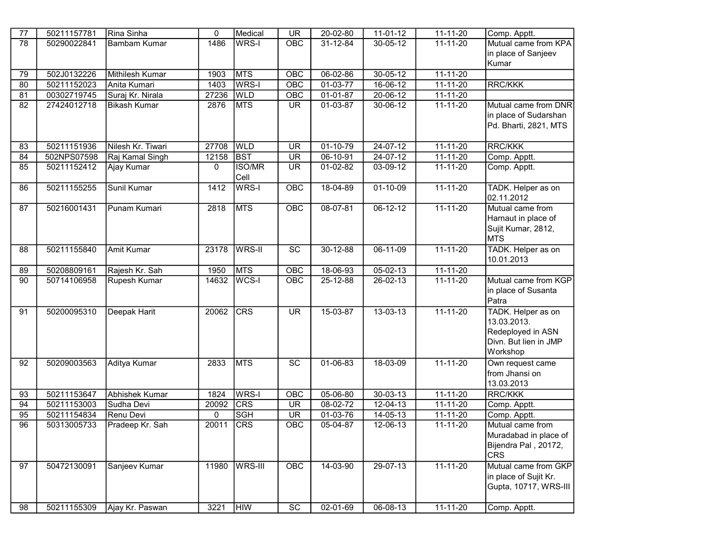| 77 | 50211157781 | Rina Sinha             | 0     | Medical        | $\overline{\mathsf{UR}}$ | 20-02-80              | $11-01-12$     | $11 - 11 - 20$ | Comp. Apptt.          |
|----|-------------|------------------------|-------|----------------|--------------------------|-----------------------|----------------|----------------|-----------------------|
| 78 | 50290022841 | Bambam Kumar           | 1486  | WRS-I          | <b>OBC</b>               | 31-12-84              | 30-05-12       | $11 - 11 - 20$ | Mutual came from KPA  |
|    |             |                        |       |                |                          |                       |                |                | in place of Sanjeev   |
|    |             |                        |       |                |                          |                       |                |                | Kumar                 |
| 79 | 502J0132226 | <b>Mithilesh Kumar</b> | 1903  | <b>MTS</b>     | OBC                      | $06 - 02 - 86$        | $30 - 05 - 12$ | $11 - 11 - 20$ |                       |
| 80 | 50211152023 | Anita Kumari           | 1403  | WRS-I          | OBC                      | $\overline{01-03-77}$ | 16-06-12       | 11-11-20       | RRC/KKK               |
| 81 | 00302719745 | Suraj Kr. Nirala       | 27236 | <b>WLD</b>     | OBC                      | $01-01-87$            | 20-06-12       | $11 - 11 - 20$ |                       |
| 82 | 27424012718 | <b>Bikash Kumar</b>    | 2876  | <b>MTS</b>     | <b>UR</b>                | 01-03-87              | 30-06-12       | $11 - 11 - 20$ | Mutual came from DNR  |
|    |             |                        |       |                |                          |                       |                |                | in place of Sudarshan |
|    |             |                        |       |                |                          |                       |                |                | Pd. Bharti, 2821, MTS |
|    |             |                        |       |                |                          |                       |                |                |                       |
| 83 | 50211151936 | Nilesh Kr. Tiwari      | 27708 | <b>WLD</b>     | <b>UR</b>                | $01 - 10 - 79$        | $24-07-12$     | $11 - 11 - 20$ | <b>RRC/KKK</b>        |
| 84 | 502NPS07598 | Raj Kamal Singh        | 12158 | <b>BST</b>     | $\overline{\mathsf{UR}}$ | $06 - 10 - 91$        | $24-07-12$     | 11-11-20       | Comp. Apptt.          |
| 85 | 50211152412 | Ajay Kumar             | 0     | <b>ISO/MR</b>  | <b>UR</b>                | 01-02-82              | 03-09-12       | $11 - 11 - 20$ | Comp. Apptt.          |
|    |             |                        |       | Cell           |                          |                       |                |                |                       |
| 86 | 50211155255 | Sunil Kumar            | 1412  | WRS-I          | OBC                      | 18-04-89              | $01 - 10 - 09$ | $11 - 11 - 20$ | TADK. Helper as on    |
|    |             |                        |       |                |                          |                       |                |                | 02.11.2012            |
| 87 | 50216001431 | Punam Kumari           | 2818  | <b>MTS</b>     | OBC                      | $08-07-81$            | $06 - 12 - 12$ | $11 - 11 - 20$ | Mutual came from      |
|    |             |                        |       |                |                          |                       |                |                | Harnaut in place of   |
|    |             |                        |       |                |                          |                       |                |                | Sujit Kumar, 2812,    |
|    |             |                        |       |                |                          |                       |                |                | <b>MTS</b>            |
| 88 | 50211155840 | Amit Kumar             | 23178 | <b>WRS-II</b>  | $\overline{SC}$          | $30 - 12 - 88$        | $06-11-09$     | $11 - 11 - 20$ | TADK. Helper as on    |
|    |             |                        |       |                |                          |                       |                |                | 10.01.2013            |
| 89 | 50208809161 | Rajesh Kr. Sah         | 1950  | <b>MTS</b>     | OBC                      | 18-06-93              | $05-02-13$     | 11-11-20       |                       |
| 90 | 50714106958 | <b>Rupesh Kumar</b>    | 14632 | WCS-I          | OBC                      | $25 - 12 - 88$        | $26 - 02 - 13$ | $11 - 11 - 20$ | Mutual came from KGP  |
|    |             |                        |       |                |                          |                       |                |                | in place of Susanta   |
|    |             |                        |       |                |                          |                       |                |                | Patra                 |
| 91 | 50200095310 | Deepak Harit           | 20062 | <b>CRS</b>     | $\overline{\mathsf{UR}}$ | $15-03-87$            | $13 - 03 - 13$ | $11 - 11 - 20$ | TADK. Helper as on    |
|    |             |                        |       |                |                          |                       |                |                | 13.03.2013.           |
|    |             |                        |       |                |                          |                       |                |                | Redeployed in ASN     |
|    |             |                        |       |                |                          |                       |                |                | Divn. But lien in JMP |
|    |             |                        |       |                |                          |                       |                |                | Workshop              |
| 92 | 50209003563 | Aditya Kumar           | 2833  | <b>MTS</b>     | $\overline{SC}$          | $01 - 06 - 83$        | 18-03-09       | $11 - 11 - 20$ | Own request came      |
|    |             |                        |       |                |                          |                       |                |                | from Jhansi on        |
|    |             |                        |       |                |                          |                       |                |                | 13.03.2013            |
| 93 | 50211153647 | <b>Abhishek Kumar</b>  | 1824  | WRS-I          | OBC                      | $05 - 06 - 80$        | $30 - 03 - 13$ | $11 - 11 - 20$ | <b>RRC/KKK</b>        |
| 94 | 50211153003 | Sudha Devi             | 20092 | <b>CRS</b>     | <b>UR</b>                | 08-02-72              | $12 - 04 - 13$ | $11 - 11 - 20$ | Comp. Apptt.          |
| 95 | 50211154834 | Renu Devi              | 0     | <b>SGH</b>     | $\overline{\mathsf{UR}}$ | 01-03-76              | $14 - 05 - 13$ | 11-11-20       | Comp. Apptt.          |
| 96 | 50313005733 | Pradeep Kr. Sah        | 20011 | <b>CRS</b>     | OBC                      | 05-04-87              | $12 - 06 - 13$ | $11 - 11 - 20$ | Mutual came from      |
|    |             |                        |       |                |                          |                       |                |                | Muradabad in place of |
|    |             |                        |       |                |                          |                       |                |                | Bijendra Pal, 20172,  |
|    |             |                        |       |                |                          |                       |                |                | <b>CRS</b>            |
| 97 | 50472130091 | Sanjeev Kumar          | 11980 | <b>WRS-III</b> | OBC                      | 14-03-90              | 29-07-13       | $11 - 11 - 20$ | Mutual came from GKP  |
|    |             |                        |       |                |                          |                       |                |                | in place of Sujit Kr. |
|    |             |                        |       |                |                          |                       |                |                | Gupta, 10717, WRS-III |
| 98 | 50211155309 | Ajay Kr. Paswan        | 3221  | <b>HIW</b>     | $\overline{SC}$          | 02-01-69              | $06 - 08 - 13$ | 11-11-20       | Comp. Apptt.          |
|    |             |                        |       |                |                          |                       |                |                |                       |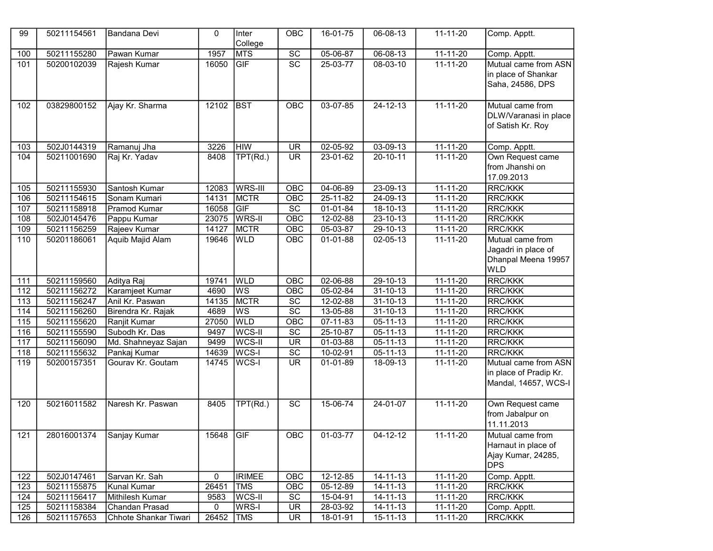| 99                | 50211154561 | Bandana Devi          | $\Omega$ | Inter<br>College | OBC                      | 16-01-75       | 06-08-13       | $11 - 11 - 20$ | Comp. Apptt.                                                                 |
|-------------------|-------------|-----------------------|----------|------------------|--------------------------|----------------|----------------|----------------|------------------------------------------------------------------------------|
| 100               | 50211155280 | Pawan Kumar           | 1957     | <b>MTS</b>       | $\overline{SC}$          | $05 - 06 - 87$ | $06 - 08 - 13$ | $11 - 11 - 20$ | Comp. Apptt.                                                                 |
| 101               | 50200102039 | Rajesh Kumar          | 16050    | <b>GIF</b>       | $\overline{SC}$          | 25-03-77       | 08-03-10       | $11 - 11 - 20$ | Mutual came from ASN<br>in place of Shankar<br>Saha, 24586, DPS              |
| 102               | 03829800152 | Ajay Kr. Sharma       | 12102    | <b>BST</b>       | OBC                      | $03-07-85$     | $24 - 12 - 13$ | $11 - 11 - 20$ | Mutual came from<br>DLW/Varanasi in place<br>of Satish Kr. Roy               |
| 103               | 502J0144319 | Ramanuj Jha           | 3226     | <b>HIW</b>       | UR                       | $02 - 05 - 92$ | 03-09-13       | 11-11-20       | Comp. Apptt.                                                                 |
| 104               | 50211001690 | Raj Kr. Yadav         | 8408     | TPT(Rd.)         | $\overline{\mathsf{UR}}$ | 23-01-62       | $20 - 10 - 11$ | $11 - 11 - 20$ | Own Request came<br>from Jhanshi on<br>17.09.2013                            |
| 105               | 50211155930 | Santosh Kumar         | 12083    | <b>WRS-III</b>   | OBC                      | $04 - 06 - 89$ | $23 - 09 - 13$ | $11 - 11 - 20$ | RRC/KKK                                                                      |
| 106               | 50211154615 | Sonam Kumari          | 14131    | <b>MCTR</b>      | OBC                      | 25-11-82       | $24 - 09 - 13$ | $11 - 11 - 20$ | <b>RRC/KKK</b>                                                               |
| 107               | 50211158918 | Pramod Kumar          | 16058    | GIF              | SC                       | 01-01-84       | 18-10-13       | 11-11-20       | <b>RRC/KKK</b>                                                               |
| 108               | 502J0145476 | Pappu Kumar           | 23075    | WRS-II           | OBC                      | 12-02-88       | 23-10-13       | $11 - 11 - 20$ | <b>RRC/KKK</b>                                                               |
| 109               | 50211156259 | Rajeev Kumar          | 14127    | <b>MCTR</b>      | OBC                      | 05-03-87       | 29-10-13       | 11-11-20       | <b>RRC/KKK</b>                                                               |
| 110               | 50201186061 | Aquib Majid Alam      | 19646    | <b>WLD</b>       | OBC                      | $01 - 01 - 88$ | 02-05-13       | 11-11-20       | Mutual came from<br>Jagadri in place of<br>Dhanpal Meena 19957<br><b>WLD</b> |
| 111               | 50211159560 | Aditya Raj            | 19741    | <b>WLD</b>       | OBC                      | $02 - 06 - 88$ | $29 - 10 - 13$ | 11-11-20       | <b>RRC/KKK</b>                                                               |
| 112               | 50211156272 | Karamjeet Kumar       | 4690     | <b>WS</b>        | OBC                      | 05-02-84       | $31 - 10 - 13$ | 11-11-20       | <b>RRC/KKK</b>                                                               |
| 113               | 50211156247 | Anil Kr. Paswan       | 14135    | MCTR             | $\overline{SC}$          | 12-02-88       | $31 - 10 - 13$ | $11 - 11 - 20$ | <b>RRC/KKK</b>                                                               |
| $\frac{114}{114}$ | 50211156260 | Birendra Kr. Rajak    | 4689     | <b>WS</b>        | $\overline{SC}$          | 13-05-88       | $31 - 10 - 13$ | 11-11-20       | <b>RRC/KKK</b>                                                               |
| 115               | 50211155620 | Ranjit Kumar          | 27050    | <b>WLD</b>       | $\overline{OBC}$         | 07-11-83       | $05 - 11 - 13$ | $11 - 11 - 20$ | <b>RRC/KKK</b>                                                               |
| 116               | 50211155590 | Subodh Kr. Das        | 9497     | WCS-II           | $\overline{SC}$          | 25-10-87       | 05-11-13       | $11 - 11 - 20$ | <b>RRC/KKK</b>                                                               |
| 117               | 50211156090 | Md. Shahneyaz Sajan   | 9499     | WCS-II           | <b>UR</b>                | 01-03-88       | 05-11-13       | 11-11-20       | RRC/KKK                                                                      |
| 118               | 50211155632 | Pankaj Kumar          | 14639    | WCS-I            | $\overline{SC}$          | $10 - 02 - 91$ | $05 - 11 - 13$ | $11 - 11 - 20$ | <b>RRC/KKK</b>                                                               |
| 119               | 50200157351 | Gourav Kr. Goutam     | 14745    | WCS-I            | $\overline{\mathsf{UR}}$ | 01-01-89       | 18-09-13       | $11 - 11 - 20$ | Mutual came from ASN<br>in place of Pradip Kr.<br>Mandal, 14657, WCS-I       |
| 120               | 50216011582 | Naresh Kr. Paswan     | 8405     | TPT(Rd.)         | $\overline{SC}$          | 15-06-74       | 24-01-07       | $11 - 11 - 20$ | Own Request came<br>from Jabalpur on<br>11.11.2013                           |
| 121               | 28016001374 | Sanjay Kumar          | 15648    | GF               | OBC                      | $01-03-77$     | $04 - 12 - 12$ | $11 - 11 - 20$ | Mutual came from<br>Harnaut in place of<br>Ajay Kumar, 24285,<br><b>DPS</b>  |
| 122               | 502J0147461 | Sarvan Kr. Sah        | 0        | <b>IRIMEE</b>    | <b>OBC</b>               | $12 - 12 - 85$ | $14 - 11 - 13$ | $11 - 11 - 20$ | Comp. Apptt.                                                                 |
| 123               | 50211155875 | <b>Kunal Kumar</b>    | 26451    | <b>TMS</b>       | OBC                      | 05-12-89       | 14-11-13       | 11-11-20       | <b>RRC/KKK</b>                                                               |
| 124               | 50211156417 | Mithilesh Kumar       | 9583     | WCS-II           | SC                       | 15-04-91       | 14-11-13       | 11-11-20       | RRC/KKK                                                                      |
| 125               | 50211158384 | Chandan Prasad        | 0        | WRS-I            | <b>UR</b>                | 28-03-92       | 14-11-13       | 11-11-20       | Comp. Apptt.                                                                 |
| 126               | 50211157653 | Chhote Shankar Tiwari | 26452    | <b>TMS</b>       | <b>UR</b>                | 18-01-91       | $15-11-13$     | $11 - 11 - 20$ | RRC/KKK                                                                      |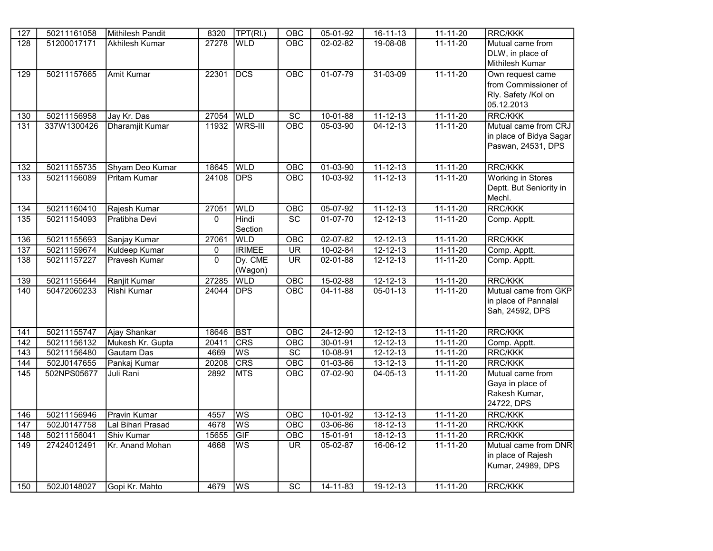| 127               | 50211161058 | <b>Mithilesh Pandit</b> | 8320     | TPT(RI.)               | $\overline{OBC}$         | $05 - 01 - 92$ | $16 - 11 - 13$ | $11 - 11 - 20$ | <b>RRC/KKK</b>           |
|-------------------|-------------|-------------------------|----------|------------------------|--------------------------|----------------|----------------|----------------|--------------------------|
| $\overline{128}$  | 51200017171 | Akhilesh Kumar          | 27278    | <b>WLD</b>             | $\overline{OBC}$         | $02 - 02 - 82$ | 19-08-08       | $11 - 11 - 20$ | Mutual came from         |
|                   |             |                         |          |                        |                          |                |                |                | DLW, in place of         |
|                   |             |                         |          |                        |                          |                |                |                | Mithilesh Kumar          |
| 129               | 50211157665 | <b>Amit Kumar</b>       | 22301    | <b>DCS</b>             | OBC                      | $01-07-79$     | $31 - 03 - 09$ | $11 - 11 - 20$ | Own request came         |
|                   |             |                         |          |                        |                          |                |                |                | from Commissioner of     |
|                   |             |                         |          |                        |                          |                |                |                | Rly. Safety /Kol on      |
|                   |             |                         |          |                        |                          |                |                |                | 05.12.2013               |
| 130               | 50211156958 | Jay Kr. Das             | 27054    | <b>WLD</b>             | $\overline{SC}$          | $10 - 01 - 88$ | $11 - 12 - 13$ | 11-11-20       | <b>RRC/KKK</b>           |
| 131               | 337W1300426 | Dharamjit Kumar         | 11932    | <b>WRS-III</b>         | OBC                      | $05 - 03 - 90$ | $04 - 12 - 13$ | $11 - 11 - 20$ | Mutual came from CRJ     |
|                   |             |                         |          |                        |                          |                |                |                | in place of Bidya Sagar  |
|                   |             |                         |          |                        |                          |                |                |                | Paswan, 24531, DPS       |
|                   |             |                         |          |                        |                          |                |                |                |                          |
| $\overline{132}$  | 50211155735 | Shyam Deo Kumar         | 18645    | <b>WLD</b>             | OBC                      | $01 - 03 - 90$ | $11 - 12 - 13$ | $11 - 11 - 20$ | <b>RRC/KKK</b>           |
| 133               | 50211156089 | <b>Pritam Kumar</b>     | 24108    | <b>DPS</b>             | OBC                      | $10 - 03 - 92$ | $11 - 12 - 13$ | $11 - 11 - 20$ | <b>Working in Stores</b> |
|                   |             |                         |          |                        |                          |                |                |                | Deptt. But Seniority in  |
|                   |             |                         |          |                        |                          |                |                |                | Mechl.                   |
| $\overline{134}$  | 50211160410 | Rajesh Kumar            | 27051    | <b>WLD</b>             | $\overline{OBC}$         | 05-07-92       | $11 - 12 - 13$ | $11 - 11 - 20$ | <b>RRC/KKK</b>           |
| 135               | 50211154093 | Pratibha Devi           | $\Omega$ | Hindi                  | <b>SC</b>                | $01-07-70$     | $12 - 12 - 13$ | 11-11-20       | Comp. Apptt.             |
|                   |             |                         |          | Section                |                          |                |                |                |                          |
| 136               | 50211155693 | Sanjay Kumar            | 27061    | <b>WLD</b>             | OBC                      | $02 - 07 - 82$ | $12 - 12 - 13$ | $11 - 11 - 20$ | <b>RRC/KKK</b>           |
| 137               | 50211159674 | <b>Kuldeep Kumar</b>    | 0        | <b>IRIMEE</b>          | <b>UR</b>                | $10-02-84$     | $12 - 12 - 13$ | $11 - 11 - 20$ | Comp. Apptt.             |
| 138               | 50211157227 | Pravesh Kumar           | $\Omega$ | Dy. CME                | $\overline{\mathsf{UR}}$ | 02-01-88       | $12 - 12 - 13$ | $11 - 11 - 20$ | Comp. Apptt.             |
|                   |             |                         |          | (Wagon)                |                          |                |                |                |                          |
| 139               | 50211155644 | Ranjit Kumar            | 27285    | <b>WLD</b>             | $\overline{OBC}$         | 15-02-88       | $12 - 12 - 13$ | $11 - 11 - 20$ | <b>RRC/KKK</b>           |
| 140               | 50472060233 | Rishi Kumar             | 24044    | <b>DPS</b>             | OBC                      | $04 - 11 - 88$ | $05 - 01 - 13$ | $11 - 11 - 20$ | Mutual came from GKP     |
|                   |             |                         |          |                        |                          |                |                |                | in place of Pannalal     |
|                   |             |                         |          |                        |                          |                |                |                | Sah, 24592, DPS          |
|                   |             |                         |          |                        |                          |                |                |                |                          |
| 141               | 50211155747 | Ajay Shankar            | 18646    | <b>BST</b>             | OBC                      | $24 - 12 - 90$ | $12 - 12 - 13$ | $11 - 11 - 20$ | <b>RRC/KKK</b>           |
| 142               | 50211156132 | Mukesh Kr. Gupta        | 20411    | <b>CRS</b>             | OBC                      | $30 - 01 - 91$ | $12 - 12 - 13$ | $11 - 11 - 20$ | Comp. Apptt.             |
| $\overline{143}$  | 50211156480 | Gautam Das              | 4669     | <b>WS</b>              | $\overline{SC}$          | 10-08-91       | $12 - 12 - 13$ | $11 - 11 - 20$ | <b>RRC/KKK</b>           |
| 144               | 502J0147655 | Pankaj Kumar            | 20208    | <b>CRS</b>             | OBC                      | $01 - 03 - 86$ | $13 - 12 - 13$ | $11 - 11 - 20$ | <b>RRC/KKK</b>           |
| $\frac{145}{145}$ | 502NPS05677 | Juli Rani               | 2892     | <b>MTS</b>             | $\overline{OBC}$         | $07 - 02 - 90$ | $04 - 05 - 13$ | $11 - 11 - 20$ | Mutual came from         |
|                   |             |                         |          |                        |                          |                |                |                | Gaya in place of         |
|                   |             |                         |          |                        |                          |                |                |                | Rakesh Kumar,            |
|                   |             |                         |          |                        |                          |                |                |                | 24722, DPS               |
| 146               | 50211156946 | <b>Pravin Kumar</b>     | 4557     | WS                     | OBC                      | $10-01-92$     | $13 - 12 - 13$ | $11 - 11 - 20$ | <b>RRC/KKK</b>           |
| 147               | 502J0147758 | Lal Bihari Prasad       | 4678     | <b>WS</b>              | OBC                      | 03-06-86       | $18 - 12 - 13$ | $11 - 11 - 20$ | <b>RRC/KKK</b>           |
| 148               | 50211156041 | Shiv Kumar              | 15655    | GIF                    | $\overline{OBC}$         | $15-01-91$     | $18 - 12 - 13$ | $11 - 11 - 20$ | <b>RRC/KKK</b>           |
| 149               | 27424012491 | Kr. Anand Mohan         | 4668     | WS                     | UR.                      | $05-02-87$     | $16-06-12$     | $11 - 11 - 20$ | Mutual came from DNR     |
|                   |             |                         |          |                        |                          |                |                |                | in place of Rajesh       |
|                   |             |                         |          |                        |                          |                |                |                | Kumar, 24989, DPS        |
|                   |             |                         |          |                        |                          |                |                |                |                          |
| 150               | 502J0148027 | Gopi Kr. Mahto          | 4679     | $\overline{\text{ws}}$ | SC                       | 14-11-83       | 19-12-13       | 11-11-20       | <b>RRC/KKK</b>           |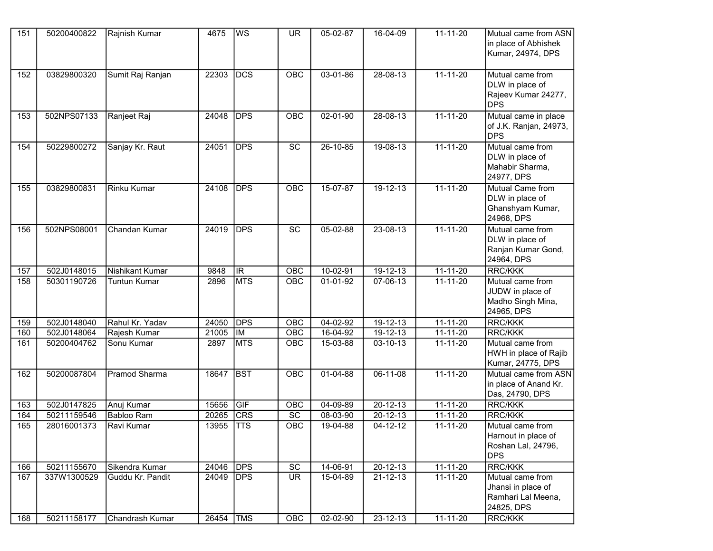| 151        | 50200400822                | Rajnish Kumar                       | 4675           | WS                       | UR.              | 05-02-87                   | 16-04-09                         | $11 - 11 - 20$             | Mutual came from ASN<br>in place of Abhishek<br>Kumar, 24974, DPS                            |
|------------|----------------------------|-------------------------------------|----------------|--------------------------|------------------|----------------------------|----------------------------------|----------------------------|----------------------------------------------------------------------------------------------|
| 152        | 03829800320                | Sumit Raj Ranjan                    | 22303          | <b>DCS</b>               | <b>OBC</b>       | 03-01-86                   | 28-08-13                         | $11 - 11 - 20$             | Mutual came from<br>DLW in place of<br>Rajeev Kumar 24277,<br><b>DPS</b>                     |
| 153        | 502NPS07133                | Ranjeet Raj                         | 24048          | <b>DPS</b>               | <b>OBC</b>       | $02 - 01 - 90$             | $28 - 08 - 13$                   | $11 - 11 - 20$             | Mutual came in place<br>of J.K. Ranjan, 24973,<br><b>DPS</b>                                 |
| 154        | 50229800272                | Sanjay Kr. Raut                     | 24051          | <b>DPS</b>               | SC               | 26-10-85                   | 19-08-13                         | $11 - 11 - 20$             | Mutual came from<br>DLW in place of<br>Mahabir Sharma,<br>24977, DPS                         |
| 155        | 03829800831                | <b>Rinku Kumar</b>                  | 24108          | <b>DPS</b>               | <b>OBC</b>       | 15-07-87                   | $19-12-13$                       | $11 - 11 - 20$             | Mutual Came from<br>DLW in place of<br>Ghanshyam Kumar,<br>24968, DPS                        |
| 156        | 502NPS08001                | Chandan Kumar                       | 24019          | <b>DPS</b>               | $\overline{SC}$  | $05 - 02 - 88$             | $23 - 08 - 13$                   | $11 - 11 - 20$             | Mutual came from<br>DLW in place of<br>Ranjan Kumar Gond,<br>24964, DPS                      |
| 157        | 502J0148015                | Nishikant Kumar                     | 9848           | <b>IR</b>                | OBC              | 10-02-91                   | 19-12-13                         | 11-11-20                   | <b>RRC/KKK</b>                                                                               |
| 158        | 50301190726                | <b>Tuntun Kumar</b>                 | 2896           | <b>MTS</b>               | <b>OBC</b>       | 01-01-92                   | $07 - 06 - 13$                   | $11 - 11 - 20$             | Mutual came from<br>JUDW in place of<br>Madho Singh Mina,<br>24965, DPS                      |
| 159        | 502J0148040                | Rahul Kr. Yadav                     | 24050          | <b>DPS</b>               | OBC              | $04 - 02 - 92$             | $19-12-13$                       | $11 - 11 - 20$             | <b>RRC/KKK</b>                                                                               |
| 160        | 502J0148064                | Rajesh Kumar                        | 21005          | <b>IM</b>                | $\overline{OBC}$ | 16-04-92                   | $19 - 12 - 13$                   | $11 - 11 - 20$             | <b>RRC/KKK</b>                                                                               |
| 161        | 50200404762                | Sonu Kumar                          | 2897           | <b>MTS</b>               | OBC              | 15-03-88                   | 03-10-13                         | 11-11-20                   | Mutual came from<br>HWH in place of Rajib<br>Kumar, 24775, DPS                               |
| 162        | 50200087804                | <b>Pramod Sharma</b>                | 18647          | <b>BST</b>               | <b>OBC</b>       | $01-04-88$                 | 06-11-08                         | $11 - 11 - 20$             | Mutual came from ASN<br>in place of Anand Kr.<br>Das, 24790, DPS                             |
| 163        | 502J0147825                | Anuj Kumar                          | 15656          | GIF                      | OBC              | $04 - 09 - 89$             | $20 - 12 - 13$                   | $11 - 11 - 20$             | <b>RRC/KKK</b>                                                                               |
| 164        | 50211159546                | Babloo Ram                          | 20265          | CRS                      | $\overline{SC}$  | 08-03-90                   | 20-12-13                         | 11-11-20                   | RRC/KKK                                                                                      |
| 165        | 28016001373                | Ravi Kumar                          | 13955          | <b>TTS</b>               | OBC              | 19-04-88                   | $04 - 12 - 12$                   | 11-11-20                   | Mutual came from<br>Harnout in place of<br>Roshan Lal, 24796,<br><b>DPS</b>                  |
| 166        | 50211155670                | Sikendra Kumar                      | 24046          | <b>DPS</b>               | SC               | 14-06-91                   | $20 - 12 - 13$                   | $11 - 11 - 20$             | <b>RRC/KKK</b>                                                                               |
| 167<br>168 | 337W1300529<br>50211158177 | Guddu Kr. Pandit<br>Chandrash Kumar | 24049<br>26454 | <b>DPS</b><br><b>TMS</b> | <b>UR</b><br>OBC | 15-04-89<br>$02 - 02 - 90$ | $21 - 12 - 13$<br>$23 - 12 - 13$ | 11-11-20<br>$11 - 11 - 20$ | Mutual came from<br>Jhansi in place of<br>Ramhari Lal Meena,<br>24825, DPS<br><b>RRC/KKK</b> |
|            |                            |                                     |                |                          |                  |                            |                                  |                            |                                                                                              |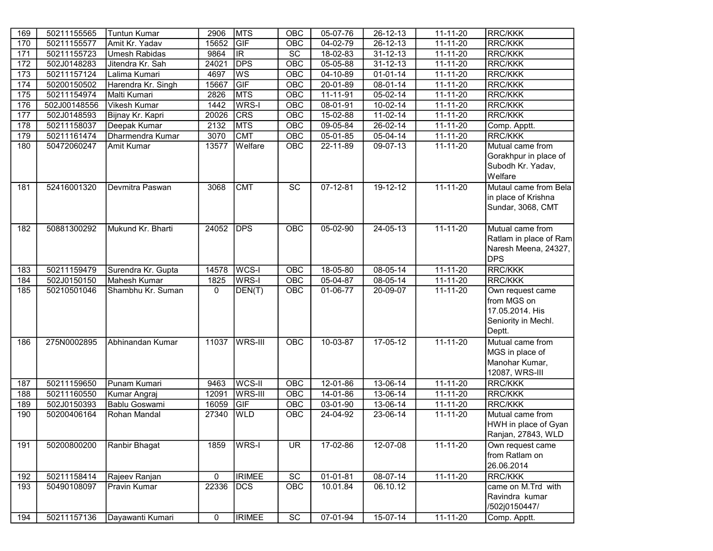| 169 | 50211155565  | <b>Tuntun Kumar</b>  | 2906         | <b>MTS</b>              | OBC             | 05-07-76       | 26-12-13       | $11 - 11 - 20$ | <b>RRC/KKK</b>         |
|-----|--------------|----------------------|--------------|-------------------------|-----------------|----------------|----------------|----------------|------------------------|
| 170 | 50211155577  | Amit Kr. Yadav       | 15652        | GIF                     | OBC             | 04-02-79       | 26-12-13       | $11 - 11 - 20$ | <b>RRC/KKK</b>         |
| 171 | 50211155723  | <b>Umesh Rabidas</b> | 9864         | $\overline{\mathbb{R}}$ | $\overline{SC}$ | 18-02-83       | $31 - 12 - 13$ | $11 - 11 - 20$ | <b>RRC/KKK</b>         |
| 172 | 502J0148283  | Jitendra Kr. Sah     | 24021        | <b>DPS</b>              | OBC             | 05-05-88       | $31 - 12 - 13$ | $11 - 11 - 20$ | <b>RRC/KKK</b>         |
| 173 | 50211157124  | Lalima Kumari        | 4697         | WS                      | OBC             | 04-10-89       | $01 - 01 - 14$ | 11-11-20       | <b>RRC/KKK</b>         |
| 174 | 50200150502  | Harendra Kr. Singh   | 15667        | GIF                     | OBC             | 20-01-89       | 08-01-14       | $11 - 11 - 20$ | <b>RRC/KKK</b>         |
| 175 | 50211154974  | Malti Kumari         | 2826         | <b>MTS</b>              | OBC             | 11-11-91       | $05 - 02 - 14$ | $11 - 11 - 20$ | <b>RRC/KKK</b>         |
| 176 | 502J00148556 | <b>Vikesh Kumar</b>  | 1442         | WRS-I                   | OBC             | 08-01-91       | 10-02-14       | $11 - 11 - 20$ | <b>RRC/KKK</b>         |
| 177 | 502J0148593  | Bijnay Kr. Kapri     | 20026        | <b>CRS</b>              | OBC             | 15-02-88       | $11-02-14$     | $11 - 11 - 20$ | <b>RRC/KKK</b>         |
| 178 | 50211158037  | Deepak Kumar         | 2132         | <b>MTS</b>              | OBC             | 09-05-84       | 26-02-14       | 11-11-20       | Comp. Apptt.           |
| 179 | 50211161474  | Dharmendra Kumar     | 3070         | <b>CMT</b>              | OBC             | $05 - 01 - 85$ | 05-04-14       | $11 - 11 - 20$ | <b>RRC/KKK</b>         |
| 180 | 50472060247  | Amit Kumar           | 13577        | Welfare                 | OBC             | 22-11-89       | 09-07-13       | 11-11-20       | Mutual came from       |
|     |              |                      |              |                         |                 |                |                |                | Gorakhpur in place of  |
|     |              |                      |              |                         |                 |                |                |                | Subodh Kr. Yadav,      |
|     |              |                      |              |                         |                 |                |                |                | Welfare                |
| 181 | 52416001320  | Devmitra Paswan      | 3068         | <b>CMT</b>              | $\overline{SC}$ | $07 - 12 - 81$ | $19 - 12 - 12$ | $11 - 11 - 20$ | Mutaul came from Bela  |
|     |              |                      |              |                         |                 |                |                |                | in place of Krishna    |
|     |              |                      |              |                         |                 |                |                |                | Sundar, 3068, CMT      |
|     |              |                      |              |                         |                 |                |                |                |                        |
| 182 | 50881300292  | Mukund Kr. Bharti    | 24052        | <b>DPS</b>              | OBC             | $05-02-90$     | $24 - 05 - 13$ | $11 - 11 - 20$ | Mutual came from       |
|     |              |                      |              |                         |                 |                |                |                | Ratlam in place of Ram |
|     |              |                      |              |                         |                 |                |                |                | Naresh Meena, 24327,   |
|     |              |                      |              |                         |                 |                |                |                | <b>DPS</b>             |
| 183 | 50211159479  | Surendra Kr. Gupta   | 14578        | WCS-I                   | OBC             | 18-05-80       | 08-05-14       | $11 - 11 - 20$ | <b>RRC/KKK</b>         |
| 184 | 502J0150150  | Mahesh Kumar         | 1825         | WRS-I                   | <b>OBC</b>      | 05-04-87       | 08-05-14       | $11 - 11 - 20$ | <b>RRC/KKK</b>         |
| 185 | 50210501046  | Shambhu Kr. Suman    | $\mathbf{0}$ | DEN(T)                  | <b>OBC</b>      | 01-06-77       | 20-09-07       | 11-11-20       | Own request came       |
|     |              |                      |              |                         |                 |                |                |                | from MGS on            |
|     |              |                      |              |                         |                 |                |                |                | 17.05.2014. His        |
|     |              |                      |              |                         |                 |                |                |                | Seniority in Mechl.    |
|     |              |                      |              |                         |                 |                |                |                | Deptt.                 |
| 186 | 275N0002895  | Abhinandan Kumar     | 11037        | WRS-III                 | OBC             | $10-03-87$     | $17-05-12$     | $11 - 11 - 20$ | Mutual came from       |
|     |              |                      |              |                         |                 |                |                |                | MGS in place of        |
|     |              |                      |              |                         |                 |                |                |                | Manohar Kumar,         |
|     |              |                      |              |                         |                 |                |                |                | 12087, WRS-III         |
| 187 | 50211159650  | Punam Kumari         | 9463         | WCS-II                  | OBC             | 12-01-86       | 13-06-14       | 11-11-20       | <b>RRC/KKK</b>         |
| 188 | 50211160550  | Kumar Angraj         | 12091        | WRS-III                 | OBC             | $14 - 01 - 86$ | 13-06-14       | $11 - 11 - 20$ | <b>RRC/KKK</b>         |
| 189 | 502J0150393  | Bablu Goswami        | 16059        | GIF                     | OBC             | 03-01-90       | 13-06-14       | 11-11-20       | <b>RRC/KKK</b>         |
| 190 | 50200406164  | Rohan Mandal         | 27340        | <b>WLD</b>              | <b>OBC</b>      | 24-04-92       | 23-06-14       | 11-11-20       | Mutual came from       |
|     |              |                      |              |                         |                 |                |                |                | HWH in place of Gyan   |
|     |              |                      |              |                         |                 |                |                |                | Ranjan, 27843, WLD     |
| 191 | 50200800200  | Ranbir Bhagat        | 1859         | WRS-I                   | <b>UR</b>       | 17-02-86       | 12-07-08       | $11 - 11 - 20$ | Own request came       |
|     |              |                      |              |                         |                 |                |                |                | from Ratlam on         |
|     |              |                      |              |                         |                 |                |                |                | 26.06.2014             |
| 192 | 50211158414  | Rajeev Ranjan        | 0            | <b>IRIMEE</b>           | SC              | $01 - 01 - 81$ | 08-07-14       | 11-11-20       | <b>RRC/KKK</b>         |
| 193 | 50490108097  | Pravin Kumar         | 22336        | <b>DCS</b>              | OBC             | 10.01.84       | 06.10.12       |                | came on M.Trd with     |
|     |              |                      |              |                         |                 |                |                |                | Ravindra kumar         |
|     |              |                      |              |                         |                 |                |                |                | /502j0150447/          |
| 194 | 50211157136  | Dayawanti Kumari     | $\pmb{0}$    | <b>IRIMEE</b>           | SC              | $07 - 01 - 94$ | $15-07-14$     | $11 - 11 - 20$ | Comp. Apptt.           |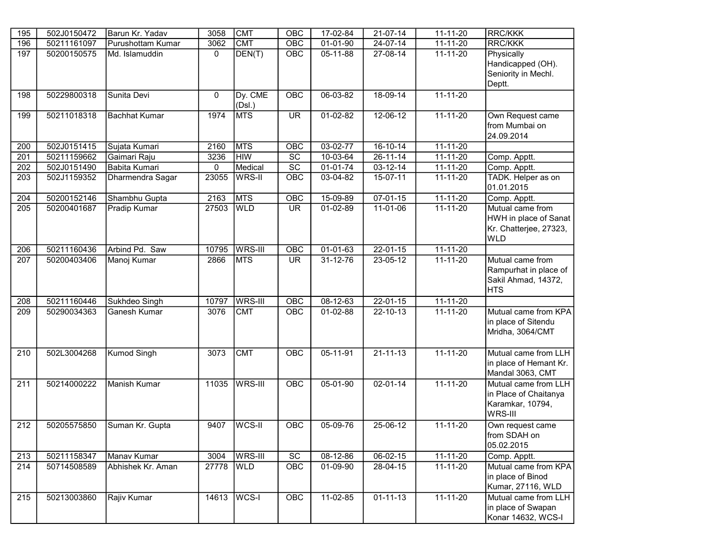| 195 | 502J0150472 | Barun Kr. Yadav      | 3058        | <b>CMT</b>        | OBC             | 17-02-84       | 21-07-14       | $11 - 11 - 20$ | <b>RRC/KKK</b>                                                                    |
|-----|-------------|----------------------|-------------|-------------------|-----------------|----------------|----------------|----------------|-----------------------------------------------------------------------------------|
| 196 | 50211161097 | Purushottam Kumar    | 3062        | <b>CMT</b>        | OBC             | 01-01-90       | 24-07-14       | 11-11-20       | RRC/KKK                                                                           |
| 197 | 50200150575 | Md. Islamuddin       | $\mathbf 0$ | DEN(T)            | OBC             | 05-11-88       | $27-08-14$     | $11 - 11 - 20$ | Physically<br>Handicapped (OH).<br>Seniority in Mechl.<br>Deptt.                  |
| 198 | 50229800318 | Sunita Devi          | $\mathbf 0$ | Dy. CME<br>(Dsl.) | OBC             | 06-03-82       | 18-09-14       | $11 - 11 - 20$ |                                                                                   |
| 199 | 50211018318 | <b>Bachhat Kumar</b> | 1974        | <b>MTS</b>        | <b>UR</b>       | $01-02-82$     | $12 - 06 - 12$ | $11 - 11 - 20$ | Own Request came<br>from Mumbai on<br>24.09.2014                                  |
| 200 | 502J0151415 | Sujata Kumari        | 2160        | <b>MTS</b>        | OBC             | 03-02-77       | 16-10-14       | 11-11-20       |                                                                                   |
| 201 | 50211159662 | Gaimari Raju         | 3236        | <b>HIW</b>        | $\overline{SC}$ | 10-03-64       | 26-11-14       | $11 - 11 - 20$ | Comp. Apptt.                                                                      |
| 202 | 502J0151490 | Babita Kumari        | 0           | Medical           | $\overline{SC}$ | $01 - 01 - 74$ | $03-12-14$     | $11 - 11 - 20$ | Comp. Apptt.                                                                      |
| 203 | 502J1159352 | Dharmendra Sagar     | 23055       | WRS-II            | OBC             | 03-04-82       | 15-07-11       | 11-11-20       | TADK. Helper as on<br>01.01.2015                                                  |
| 204 | 50200152146 | Shambhu Gupta        | 2163        | <b>MTS</b>        | OBC             | 15-09-89       | $07 - 01 - 15$ | $11-11-20$     | Comp. Apptt.                                                                      |
| 205 | 50200401687 | Pradip Kumar         | 27503       | <b>WLD</b>        | <b>UR</b>       | 01-02-89       | 11-01-06       | $11 - 11 - 20$ | Mutual came from<br>HWH in place of Sanat<br>Kr. Chatterjee, 27323,<br><b>WLD</b> |
| 206 | 50211160436 | Arbind Pd. Saw       | 10795       | WRS-III           | OBC             | 01-01-63       | $22 - 01 - 15$ | $11 - 11 - 20$ |                                                                                   |
| 207 | 50200403406 | Manoj Kumar          | 2866        | <b>MTS</b>        | <b>UR</b>       | 31-12-76       | 23-05-12       | $11 - 11 - 20$ | Mutual came from<br>Rampurhat in place of<br>Sakil Ahmad, 14372,<br> HTS          |
| 208 | 50211160446 | Sukhdeo Singh        | 10797       | WRS-III           | OBC             | $08-12-63$     | $22 - 01 - 15$ | $11 - 11 - 20$ |                                                                                   |
| 209 | 50290034363 | Ganesh Kumar         | 3076        | <b>CMT</b>        | OBC             | 01-02-88       | $22 - 10 - 13$ | $11 - 11 - 20$ | Mutual came from KPA<br>in place of Sitendu<br>Mridha, 3064/CMT                   |
| 210 | 502L3004268 | <b>Kumod Singh</b>   | 3073        | <b>CMT</b>        | OBC             | 05-11-91       | $21 - 11 - 13$ | $11 - 11 - 20$ | Mutual came from LLH<br>in place of Hemant Kr.<br>Mandal 3063, CMT                |
| 211 | 50214000222 | Manish Kumar         | 11035       | WRS-III           | OBC             | $05 - 01 - 90$ | $02 - 01 - 14$ | $11 - 11 - 20$ | Mutual came from LLH<br>in Place of Chaitanya<br>Karamkar, 10794,<br>WRS-III      |
| 212 | 50205575850 | Suman Kr. Gupta      | 9407        | WCS-II            | OBC             | 05-09-76       | $25 - 06 - 12$ | $11 - 11 - 20$ | Own request came<br>from SDAH on<br>05.02.2015                                    |
| 213 | 50211158347 | Manav Kumar          | 3004        | WRS-III           | $\overline{SC}$ | $08 - 12 - 86$ | 06-02-15       | 11-11-20       | Comp. Apptt.                                                                      |
| 214 | 50714508589 | Abhishek Kr. Aman    | 27778       | <b>WLD</b>        | OBC             | 01-09-90       | 28-04-15       | $11 - 11 - 20$ | Mutual came from KPA<br>in place of Binod<br>Kumar, 27116, WLD                    |
| 215 | 50213003860 | Rajiv Kumar          | 14613       | WCS-I             | OBC             | $11-02-85$     | $01 - 11 - 13$ | $11 - 11 - 20$ | Mutual came from LLH<br>in place of Swapan<br>Konar 14632, WCS-I                  |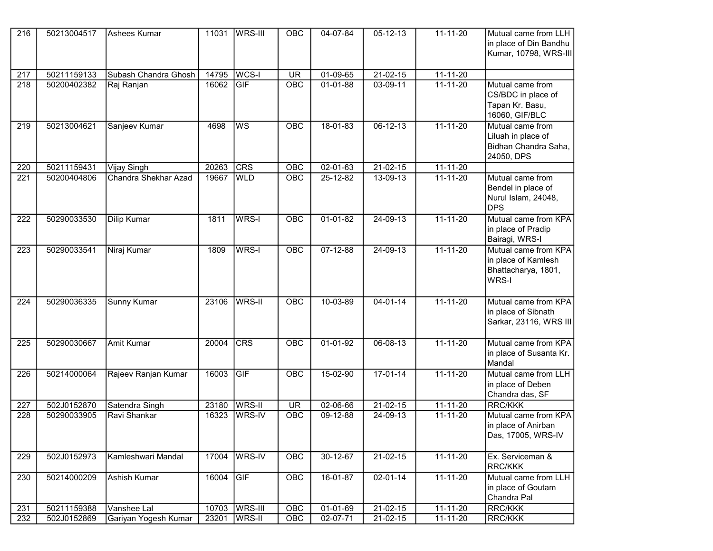| $\overline{216}$ | 50213004517 | Ashees Kumar         | 11031 | <b>WRS-III</b> | OBC        | 04-07-84       | $05 - 12 - 13$ | $11 - 11 - 20$ | Mutual came from LLH                       |
|------------------|-------------|----------------------|-------|----------------|------------|----------------|----------------|----------------|--------------------------------------------|
|                  |             |                      |       |                |            |                |                |                | in place of Din Bandhu                     |
|                  |             |                      |       |                |            |                |                |                | Kumar, 10798, WRS-III                      |
|                  |             |                      |       |                |            |                |                |                |                                            |
| 217              | 50211159133 | Subash Chandra Ghosh | 14795 | WCS-I          | <b>UR</b>  | $01-09-65$     | $21-02-15$     | $11 - 11 - 20$ |                                            |
| 218              | 50200402382 | Raj Ranjan           | 16062 | GF             | OBC        | $01 - 01 - 88$ | 03-09-11       | $11 - 11 - 20$ | Mutual came from                           |
|                  |             |                      |       |                |            |                |                |                | CS/BDC in place of                         |
|                  |             |                      |       |                |            |                |                |                | Tapan Kr. Basu,                            |
|                  |             |                      |       |                |            |                |                |                | 16060, GIF/BLC                             |
| 219              | 50213004621 | Sanjeev Kumar        | 4698  | <b>WS</b>      | OBC        | $18 - 01 - 83$ | $06 - 12 - 13$ | $11 - 11 - 20$ | Mutual came from                           |
|                  |             |                      |       |                |            |                |                |                | Liluah in place of<br>Bidhan Chandra Saha, |
|                  |             |                      |       |                |            |                |                |                | 24050, DPS                                 |
| 220              | 50211159431 | <b>Vijay Singh</b>   | 20263 | <b>CRS</b>     | OBC        | $02 - 01 - 63$ | $21-02-15$     | $11 - 11 - 20$ |                                            |
| 221              | 50200404806 | Chandra Shekhar Azad | 19667 | <b>WLD</b>     | OBC        | 25-12-82       | 13-09-13       | $11 - 11 - 20$ | Mutual came from                           |
|                  |             |                      |       |                |            |                |                |                | Bendel in place of                         |
|                  |             |                      |       |                |            |                |                |                | Nurul Islam, 24048,                        |
|                  |             |                      |       |                |            |                |                |                | <b>IDPS</b>                                |
| 222              | 50290033530 | Dilip Kumar          | 1811  | WRS-I          | OBC        | $01-01-82$     | $24 - 09 - 13$ | $11 - 11 - 20$ | Mutual came from KPA                       |
|                  |             |                      |       |                |            |                |                |                | in place of Pradip                         |
|                  |             |                      |       |                |            |                |                |                | Bairagi, WRS-I                             |
| 223              | 50290033541 | Niraj Kumar          | 1809  | WRS-I          | <b>OBC</b> | $07 - 12 - 88$ | $24-09-13$     | $11 - 11 - 20$ | Mutual came from KPA                       |
|                  |             |                      |       |                |            |                |                |                | in place of Kamlesh                        |
|                  |             |                      |       |                |            |                |                |                | Bhattacharya, 1801,                        |
|                  |             |                      |       |                |            |                |                |                | WRS-I                                      |
|                  |             |                      |       |                |            |                |                |                |                                            |
| 224              | 50290036335 | Sunny Kumar          | 23106 | WRS-II         | OBC        | $10-03-89$     | $04 - 01 - 14$ | $11 - 11 - 20$ | Mutual came from KPA                       |
|                  |             |                      |       |                |            |                |                |                | in place of Sibnath                        |
|                  |             |                      |       |                |            |                |                |                | Sarkar, 23116, WRS III                     |
| 225              | 50290030667 | <b>Amit Kumar</b>    | 20004 | CRS            | <b>OBC</b> | $01 - 01 - 92$ | $06 - 08 - 13$ | $11 - 11 - 20$ | Mutual came from KPA                       |
|                  |             |                      |       |                |            |                |                |                |                                            |
|                  |             |                      |       |                |            |                |                |                | in place of Susanta Kr.<br>Mandal          |
| 226              | 50214000064 | Rajeev Ranjan Kumar  | 16003 | GIF            | <b>OBC</b> | 15-02-90       | $17-01-14$     | $11 - 11 - 20$ | Mutual came from LLH                       |
|                  |             |                      |       |                |            |                |                |                | in place of Deben                          |
|                  |             |                      |       |                |            |                |                |                | Chandra das, SF                            |
| 227              | 502J0152870 | Satendra Singh       | 23180 | <b>WRS-II</b>  | <b>UR</b>  | 02-06-66       | $21 - 02 - 15$ | $11 - 11 - 20$ | <b>RRC/KKK</b>                             |
| 228              | 50290033905 | Ravi Shankar         | 16323 | WRS-IV         | OBC        | 09-12-88       | 24-09-13       | 11-11-20       | Mutual came from KPA                       |
|                  |             |                      |       |                |            |                |                |                | in place of Anirban                        |
|                  |             |                      |       |                |            |                |                |                | Das, 17005, WRS-IV                         |
|                  |             |                      |       |                |            |                |                |                |                                            |
| 229              | 502J0152973 | Kamleshwari Mandal   | 17004 | WRS-IV         | OBC        | 30-12-67       | 21-02-15       | $11 - 11 - 20$ | Ex. Serviceman &                           |
|                  |             |                      |       |                |            |                |                |                | RRC/KKK                                    |
| 230              | 50214000209 | Ashish Kumar         | 16004 | <b>GIF</b>     | <b>OBC</b> | 16-01-87       | 02-01-14       | 11-11-20       | Mutual came from LLH                       |
|                  |             |                      |       |                |            |                |                |                | in place of Goutam                         |
|                  |             |                      |       |                |            |                |                |                | Chandra Pal                                |
| 231              | 50211159388 | Vanshee Lal          | 10703 | <b>WRS-III</b> | OBC        | 01-01-69       | $21-02-15$     | $11 - 11 - 20$ | RRC/KKK                                    |
| 232              | 502J0152869 | Gariyan Yogesh Kumar | 23201 | WRS-II         | OBC        | 02-07-71       | 21-02-15       | $11 - 11 - 20$ | RRC/KKK                                    |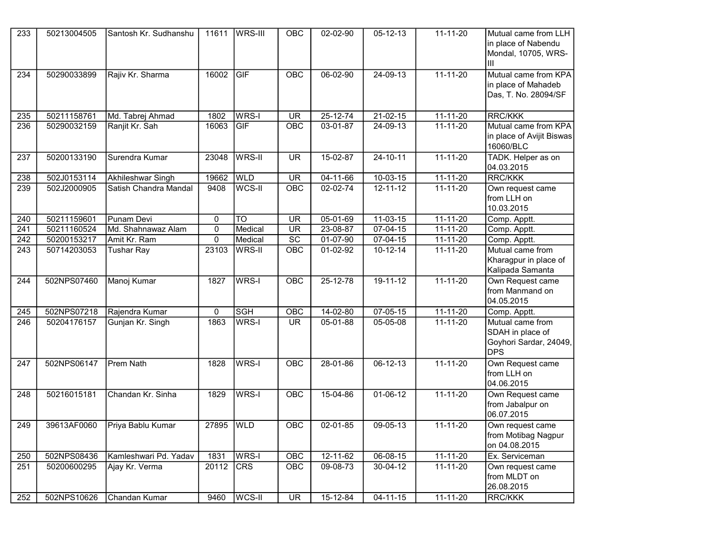| 233              | 50213004505 | Santosh Kr. Sudhanshu | 11611 | <b>WRS-III</b> | <b>OBC</b>               | 02-02-90       | $05 - 12 - 13$ | $11 - 11 - 20$ | Mutual came from LLH<br>in place of Nabendu<br>Mondal, 10705, WRS-<br>lıı    |
|------------------|-------------|-----------------------|-------|----------------|--------------------------|----------------|----------------|----------------|------------------------------------------------------------------------------|
| 234              | 50290033899 | Rajiv Kr. Sharma      | 16002 | GIF            | OBC                      | 06-02-90       | $24-09-13$     | $11 - 11 - 20$ | Mutual came from KPA<br>in place of Mahadeb<br>Das, T. No. 28094/SF          |
| 235              | 50211158761 | Md. Tabrej Ahmad      | 1802  | WRS-I          | <b>UR</b>                | $25 - 12 - 74$ | $21-02-15$     | $11 - 11 - 20$ | <b>RRC/KKK</b>                                                               |
| 236              | 50290032159 | Ranjit Kr. Sah        | 16063 | GIF            | OBC                      | 03-01-87       | 24-09-13       | 11-11-20       | Mutual came from KPA<br>in place of Avijit Biswas<br>16060/BLC               |
| 237              | 50200133190 | Surendra Kumar        | 23048 | <b>WRS-II</b>  | <b>UR</b>                | 15-02-87       | $24 - 10 - 11$ | $11 - 11 - 20$ | TADK. Helper as on<br>04.03.2015                                             |
| 238              | 502J0153114 | Akhileshwar Singh     | 19662 | <b>WLD</b>     | <b>UR</b>                | $04 - 11 - 66$ | $10-03-15$     | $11 - 11 - 20$ | <b>RRC/KKK</b>                                                               |
| 239              | 502J2000905 | Satish Chandra Mandal | 9408  | WCS-II         | OBC                      | 02-02-74       | $12 - 11 - 12$ | $11 - 11 - 20$ | Own request came<br>from LLH on<br>10.03.2015                                |
| 240              | 50211159601 | Punam Devi            | 0     | <b>TO</b>      | <b>UR</b>                | 05-01-69       | $11-03-15$     | $11 - 11 - 20$ | Comp. Apptt.                                                                 |
| 241              | 50211160524 | Md. Shahnawaz Alam    | 0     | Medical        | <b>UR</b>                | 23-08-87       | $07-04-15$     | $11 - 11 - 20$ | Comp. Apptt.                                                                 |
| 242              | 50200153217 | Amit Kr. Ram          | 0     | Medical        | $\overline{SC}$          | 01-07-90       | 07-04-15       | $11 - 11 - 20$ | Comp. Apptt.                                                                 |
| 243              | 50714203053 | <b>Tushar Ray</b>     | 23103 | <b>WRS-II</b>  | OBC                      | 01-02-92       | $10 - 12 - 14$ | 11-11-20       | Mutual came from<br>Kharagpur in place of<br>Kalipada Samanta                |
| 244              | 502NPS07460 | Manoj Kumar           | 1827  | WRS-I          | <b>OBC</b>               | $25 - 12 - 78$ | $19 - 11 - 12$ | $11 - 11 - 20$ | Own Request came<br>from Manmand on<br>04.05.2015                            |
| 245              | 502NPS07218 | Rajendra Kumar        | 0     | <b>SGH</b>     | OBC                      | 14-02-80       | $07 - 05 - 15$ | 11-11-20       | Comp. Apptt.                                                                 |
| $\overline{246}$ | 50204176157 | Gunjan Kr. Singh      | 1863  | WRS-I          | <b>UR</b>                | 05-01-88       | 05-05-08       | $11 - 11 - 20$ | Mutual came from<br>SDAH in place of<br>Goyhori Sardar, 24049,<br><b>DPS</b> |
| 247              | 502NPS06147 | Prem Nath             | 1828  | WRS-I          | OBC                      | 28-01-86       | $06 - 12 - 13$ | $11 - 11 - 20$ | Own Request came<br>from LLH on<br>04.06.2015                                |
| 248              | 50216015181 | Chandan Kr. Sinha     | 1829  | WRS-I          | OBC                      | 15-04-86       | $01-06-12$     | $11 - 11 - 20$ | Own Request came<br>from Jabalpur on<br>06.07.2015                           |
| 249              | 39613AF0060 | Priya Bablu Kumar     | 27895 | <b>WLD</b>     | OBC                      | $02 - 01 - 85$ | $09-05-13$     | $11 - 11 - 20$ | Own request came<br>from Motibag Nagpur<br>on 04.08.2015                     |
| 250              | 502NPS08436 | Kamleshwari Pd. Yadav | 1831  | WRS-I          | OBC                      | $12 - 11 - 62$ | 06-08-15       | $11 - 11 - 20$ | Ex. Serviceman                                                               |
| 251              | 50200600295 | Ajay Kr. Verma        | 20112 | <b>CRS</b>     | OBC                      | 09-08-73       | $30 - 04 - 12$ | $11 - 11 - 20$ | Own request came<br>from MLDT on<br>26.08.2015                               |
| 252              | 502NPS10626 | Chandan Kumar         | 9460  | WCS-II         | $\overline{\mathsf{UR}}$ | 15-12-84       | $04 - 11 - 15$ | $11 - 11 - 20$ | RRC/KKK                                                                      |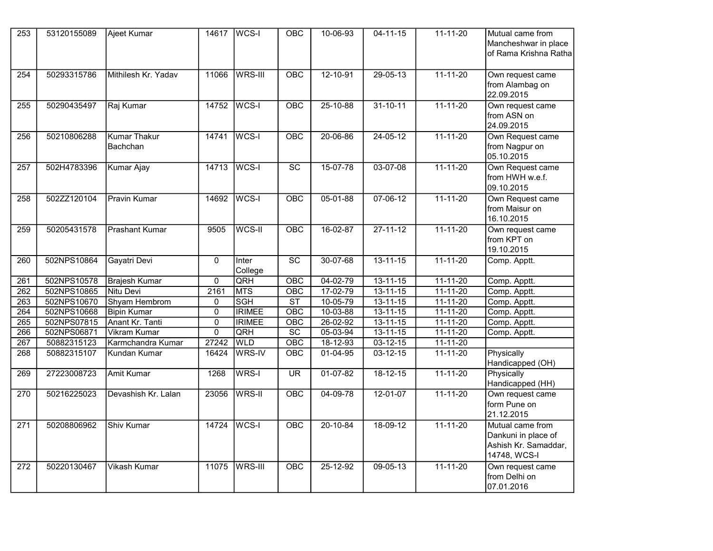| 253              | 53120155089 | <b>Ajeet Kumar</b>                     | 14617          | $WCS-I$          | $\overline{OBC}$         | 10-06-93       | $04 - 11 - 15$ | $11 - 11 - 20$ | Mutual came from<br>Mancheshwar in place<br>of Rama Krishna Ratha               |
|------------------|-------------|----------------------------------------|----------------|------------------|--------------------------|----------------|----------------|----------------|---------------------------------------------------------------------------------|
| 254              | 50293315786 | Mithilesh Kr. Yadav                    | 11066          | WRS-III          | OBC                      | $12 - 10 - 91$ | $29 - 05 - 13$ | $11 - 11 - 20$ | Own request came<br>from Alambag on<br>22.09.2015                               |
| 255              | 50290435497 | Raj Kumar                              | 14752          | $WCS-I$          | OBC                      | $25 - 10 - 88$ | $31 - 10 - 11$ | $11 - 11 - 20$ | Own request came<br>from ASN on<br>24.09.2015                                   |
| 256              | 50210806288 | <b>Kumar Thakur</b><br><b>Bachchan</b> | 14741          | WCS-I            | OBC                      | 20-06-86       | $24 - 05 - 12$ | $11 - 11 - 20$ | Own Request came<br>from Nagpur on<br>05.10.2015                                |
| 257              | 502H4783396 | <b>Kumar Ajay</b>                      | 14713          | WCS-I            | $\overline{SC}$          | $15-07-78$     | $03-07-08$     | $11 - 11 - 20$ | Own Request came<br>from HWH w.e.f.<br>09.10.2015                               |
| 258              | 502ZZ120104 | <b>Pravin Kumar</b>                    | 14692          | WCS-I            | OBC                      | $05 - 01 - 88$ | $07 - 06 - 12$ | $11 - 11 - 20$ | Own Request came<br>from Maisur on<br>16.10.2015                                |
| 259              | 50205431578 | <b>Prashant Kumar</b>                  | 9505           | WCS-II           | OBC                      | $16 - 02 - 87$ | $27 - 11 - 12$ | $11 - 11 - 20$ | Own request came<br>from KPT on<br>19.10.2015                                   |
| $\overline{260}$ | 502NPS10864 | Gayatri Devi                           | $\mathbf{0}$   | Inter<br>College | $\overline{SC}$          | 30-07-68       | $13 - 11 - 15$ | $11 - 11 - 20$ | Comp. Apptt.                                                                    |
| 261              | 502NPS10578 | <b>Brajesh Kumar</b>                   | $\mathbf 0$    | QRH              | OBC                      | $04 - 02 - 79$ | $13 - 11 - 15$ | $11 - 11 - 20$ | Comp. Apptt.                                                                    |
| 262              | 502NPS10865 | Nitu Devi                              | 2161           | <b>MTS</b>       | OBC                      | 17-02-79       | $13 - 11 - 15$ | $11 - 11 - 20$ | Comp. Apptt.                                                                    |
| $\overline{263}$ | 502NPS10670 | Shyam Hembrom                          | $\mathbf 0$    | <b>SGH</b>       | $\overline{\text{ST}}$   | $10-05-79$     | $13 - 11 - 15$ | $11 - 11 - 20$ | Comp. Apptt.                                                                    |
| 264              | 502NPS10668 | <b>Bipin Kumar</b>                     | $\mathbf 0$    | <b>IRIMEE</b>    | OBC                      | $10 - 03 - 88$ | $13 - 11 - 15$ | $11 - 11 - 20$ | Comp. Apptt.                                                                    |
| 265              | 502NPS07815 | Anant Kr. Tanti                        | $\overline{0}$ | <b>IRIMEE</b>    | OBC                      | $26 - 02 - 92$ | $13 - 11 - 15$ | $11 - 11 - 20$ | Comp. Apptt.                                                                    |
| 266              | 502NPS06871 | <b>Vikram Kumar</b>                    | $\overline{0}$ | QRH              | $\overline{SC}$          | $05 - 03 - 94$ | $13 - 11 - 15$ | $11 - 11 - 20$ | Comp. Apptt.                                                                    |
| 267              | 50882315123 | Karmchandra Kumar                      | 27242          | <b>WLD</b>       | OBC                      | 18-12-93       | $03 - 12 - 15$ | $11 - 11 - 20$ |                                                                                 |
| 268              | 50882315107 | <b>Kundan Kumar</b>                    | 16424          | WRS-IV           | <b>OBC</b>               | $01-04-95$     | $03 - 12 - 15$ | $11 - 11 - 20$ | Physically<br>Handicapped (OH)                                                  |
| 269              | 27223008723 | <b>Amit Kumar</b>                      | 1268           | WRS-I            | $\overline{\mathsf{UR}}$ | $01-07-82$     | $18 - 12 - 15$ | $11 - 11 - 20$ | Physically<br>Handicapped (HH)                                                  |
| $\overline{270}$ | 50216225023 | Devashish Kr. Lalan                    | 23056          | WRS-II           | OBC                      | $04-09-78$     | $12 - 01 - 07$ | $11 - 11 - 20$ | Own request came<br>form Pune on<br>21.12.2015                                  |
| $\overline{271}$ | 50208806962 | Shiv Kumar                             | 14724          | WCS-I            | OBC                      | $20 - 10 - 84$ | $18-09-12$     | $11 - 11 - 20$ | Mutual came from<br>Dankuni in place of<br>Ashish Kr. Samaddar,<br>14748, WCS-I |
| 272              | 50220130467 | <b>Vikash Kumar</b>                    | 11075          | WRS-III          | OBC                      | $25 - 12 - 92$ | $09 - 05 - 13$ | $11 - 11 - 20$ | Own request came<br>from Delhi on<br>07.01.2016                                 |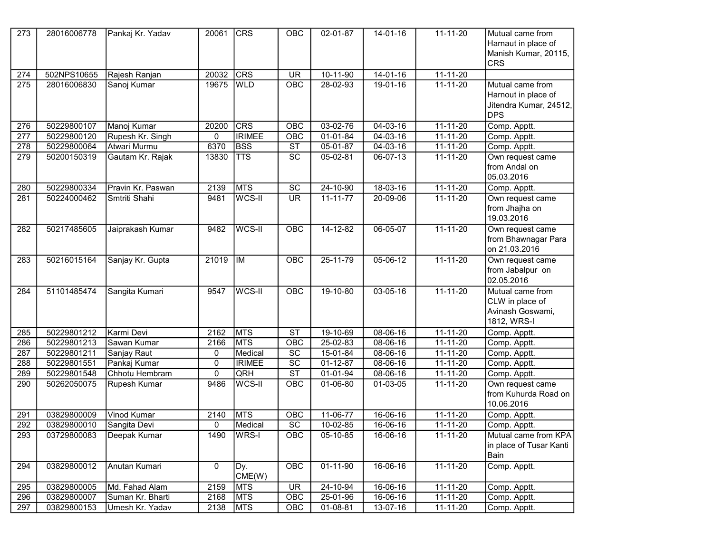| 273              | 28016006778 | Pankaj Kr. Yadav  | 20061          | <b>CRS</b>    | OBC                      | 02-01-87       | $14 - 01 - 16$ | $11 - 11 - 20$ | Mutual came from<br>Harnaut in place of<br>Manish Kumar, 20115,                 |
|------------------|-------------|-------------------|----------------|---------------|--------------------------|----------------|----------------|----------------|---------------------------------------------------------------------------------|
|                  |             |                   |                |               |                          |                |                |                | <b>CRS</b>                                                                      |
| 274              | 502NPS10655 | Rajesh Ranjan     | 20032          | CRS           | $\overline{\mathsf{UR}}$ | $10-11-90$     | $14-01-16$     | $11 - 11 - 20$ |                                                                                 |
| $\overline{275}$ | 28016006830 | Sanoj Kumar       | 19675          | <b>WLD</b>    | $\overline{OBC}$         | 28-02-93       | 19-01-16       | $11 - 11 - 20$ | Mutual came from<br>Harnout in place of<br>Jitendra Kumar, 24512,<br><b>DPS</b> |
| 276              | 50229800107 | Manoj Kumar       | 20200          | <b>CRS</b>    | OBC                      | 03-02-76       | $04 - 03 - 16$ | 11-11-20       | Comp. Apptt.                                                                    |
| 277              | 50229800120 | Rupesh Kr. Singh  | 0              | <b>IRIMEE</b> | OBC                      | 01-01-84       | $04 - 03 - 16$ | 11-11-20       | Comp. Apptt.                                                                    |
| 278              | 50229800064 | Atwari Murmu      | 6370           | <b>BSS</b>    | <b>ST</b>                | 05-01-87       | 04-03-16       | 11-11-20       | Comp. Apptt.                                                                    |
| 279              | 50200150319 | Gautam Kr. Rajak  | 13830          | <b>TTS</b>    | $\overline{SC}$          | 05-02-81       | 06-07-13       | $11 - 11 - 20$ | Own request came<br>from Andal on<br>05.03.2016                                 |
| 280              | 50229800334 | Pravin Kr. Paswan | 2139           | <b>MTS</b>    | $\overline{SC}$          | 24-10-90       | $18-03-16$     | $11 - 11 - 20$ | Comp. Apptt.                                                                    |
| 281              | 50224000462 | Smtriti Shahi     | 9481           | WCS-II        | $\overline{\mathsf{UR}}$ | $11 - 11 - 77$ | 20-09-06       | $11 - 11 - 20$ | Own request came<br>from Jhajha on<br>19.03.2016                                |
| 282              | 50217485605 | Jaiprakash Kumar  | 9482           | WCS-II        | <b>OBC</b>               | $14 - 12 - 82$ | $06 - 05 - 07$ | $11 - 11 - 20$ | Own request came<br>from Bhawnagar Para<br>on 21.03.2016                        |
| 283              | 50216015164 | Sanjay Kr. Gupta  | 21019          | <b>IM</b>     | <b>OBC</b>               | $25 - 11 - 79$ | $05-06-12$     | $11 - 11 - 20$ | Own request came<br>from Jabalpur on<br>02.05.2016                              |
| 284              | 51101485474 | Sangita Kumari    | 9547           | WCS-II        | OBC                      | $19 - 10 - 80$ | $03 - 05 - 16$ | $11 - 11 - 20$ | Mutual came from<br>CLW in place of<br>Avinash Goswami,<br>1812, WRS-I          |
| 285              | 50229801212 | Karmi Devi        | 2162           | <b>MTS</b>    | $\overline{\text{ST}}$   | 19-10-69       | $08 - 06 - 16$ | $11 - 11 - 20$ | Comp. Apptt.                                                                    |
| 286              | 50229801213 | Sawan Kumar       | 2166           | <b>MTS</b>    | OBC                      | 25-02-83       | 08-06-16       | 11-11-20       | Comp. Apptt.                                                                    |
| 287              | 50229801211 | Sanjay Raut       | 0              | Medical       | $\overline{SC}$          | 15-01-84       | 08-06-16       | $11-11-20$     | Comp. Apptt.                                                                    |
| 288              | 50229801551 | Pankaj Kumar      | $\overline{0}$ | <b>IRIMEE</b> | $\overline{SC}$          | $01 - 12 - 87$ | 08-06-16       | $11 - 11 - 20$ | Comp. Apptt.                                                                    |
| 289              | 50229801548 | Chhotu Hembram    | 0              | QRH           | $\overline{\text{ST}}$   | 01-01-94       | 08-06-16       | 11-11-20       | Comp. Apptt.                                                                    |
| 290              | 50262050075 | Rupesh Kumar      | 9486           | WCS-II        | OBC                      | 01-06-80       | 01-03-05       | $11 - 11 - 20$ | Own request came<br>from Kuhurda Road on<br>10.06.2016                          |
| 291              | 03829800009 | Vinod Kumar       | 2140           | <b>MTS</b>    | OBC                      | 11-06-77       | 16-06-16       | $11 - 11 - 20$ | Comp. Apptt.                                                                    |
| 292              | 03829800010 | Sangita Devi      | 0              | Medical       | $\overline{SC}$          | $10-02-85$     | 16-06-16       | $11 - 11 - 20$ | Comp. Apptt.                                                                    |
| 293              | 03729800083 | Deepak Kumar      | 1490           | WRS-I         | OBC                      | 05-10-85       | 16-06-16       | $11 - 11 - 20$ | Mutual came from KPA<br>in place of Tusar Kanti<br>Bain                         |
| 294              | 03829800012 | Anutan Kumari     | 0              | Dy.<br>CME(W) | OBC                      | 01-11-90       | $16 - 06 - 16$ | $11 - 11 - 20$ | Comp. Apptt.                                                                    |
| 295              | 03829800005 | Md. Fahad Alam    | 2159           | MTS           | UR.                      | 24-10-94       | 16-06-16       | 11-11-20       | Comp. Apptt.                                                                    |
| 296              | 03829800007 | Suman Kr. Bharti  | 2168           | <b>MTS</b>    | OBC                      | 25-01-96       | 16-06-16       | $11 - 11 - 20$ | Comp. Apptt.                                                                    |
| 297              | 03829800153 | Umesh Kr. Yadav   | 2138           | MTS           | OBC                      | 01-08-81       | 13-07-16       | 11-11-20       | Comp. Apptt.                                                                    |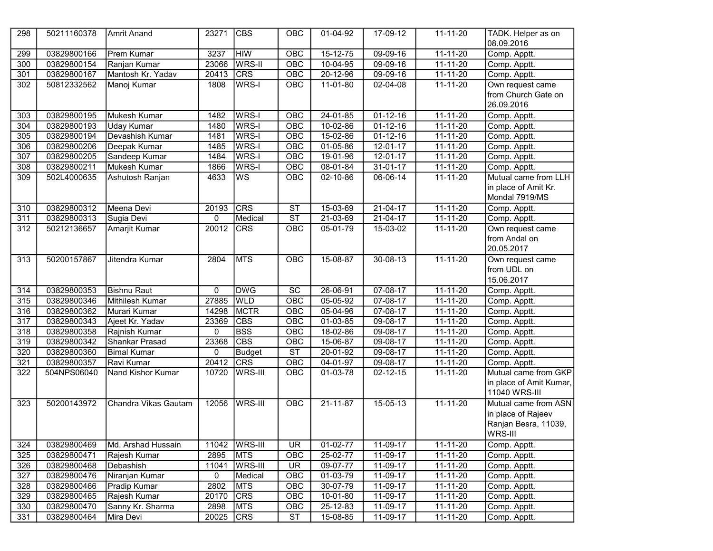| 298              | 50211160378 | <b>Amrit Anand</b>   | 23271 | <sub>CBS</sub> | OBC                    | 01-04-92       | 17-09-12       | 11-11-20       | TADK. Helper as on<br>08.09.2016 |
|------------------|-------------|----------------------|-------|----------------|------------------------|----------------|----------------|----------------|----------------------------------|
| 299              | 03829800166 | <b>Prem Kumar</b>    | 3237  | <b>HIW</b>     | OBC                    | $15 - 12 - 75$ | $09-09-16$     | $11 - 11 - 20$ | Comp. Apptt.                     |
| 300              | 03829800154 | Ranjan Kumar         | 23066 | WRS-II         | OBC                    | 10-04-95       | $09-09-16$     | 11-11-20       | Comp. Apptt.                     |
| 301              | 03829800167 | Mantosh Kr. Yadav    | 20413 | <b>CRS</b>     | OBC                    | $20 - 12 - 96$ | $09-09-16$     | $11 - 11 - 20$ | Comp. Apptt.                     |
| 302              | 50812332562 | Manoj Kumar          | 1808  | <b>WRS-I</b>   | OBC                    | 11-01-80       | 02-04-08       | $11 - 11 - 20$ | Own request came                 |
|                  |             |                      |       |                |                        |                |                |                | from Church Gate on              |
|                  |             |                      |       |                |                        |                |                |                | 26.09.2016                       |
| 303              | 03829800195 | Mukesh Kumar         | 1482  | WRS-I          | OBC                    | $24 - 01 - 85$ | $01 - 12 - 16$ | $11 - 11 - 20$ | Comp. Apptt.                     |
| 304              | 03829800193 | Uday Kumar           | 1480  | WRS-I          | OBC                    | 10-02-86       | $01 - 12 - 16$ | 11-11-20       | Comp. Apptt.                     |
| 305              | 03829800194 | Devashish Kumar      | 1481  | WRS-I          | OBC                    | 15-02-86       | $01 - 12 - 16$ | $11 - 11 - 20$ | Comp. Apptt.                     |
| 306              | 03829800206 | Deepak Kumar         | 1485  | WRS-I          | OBC                    | 01-05-86       | 12-01-17       | 11-11-20       | Comp. Apptt.                     |
| $\overline{307}$ | 03829800205 | Sandeep Kumar        | 1484  | WRS-I          | OBC                    | 19-01-96       | $12 - 01 - 17$ | 11-11-20       | Comp. Apptt.                     |
| 308              | 03829800211 | Mukesh Kumar         | 1866  | WRS-I          | OBC                    | 08-01-84       | $31 - 01 - 17$ | $11 - 11 - 20$ | Comp. Apptt.                     |
| 309              | 502L4000635 | Ashutosh Ranjan      | 4633  | WS             | OBC                    | 02-10-86       | 06-06-14       | 11-11-20       | Mutual came from LLH             |
|                  |             |                      |       |                |                        |                |                |                | in place of Amit Kr.             |
|                  |             |                      |       |                |                        |                |                |                | Mondal 7919/MS                   |
| 310              | 03829800312 | Meena Devi           | 20193 | <b>CRS</b>     | $\overline{\text{ST}}$ | 15-03-69       | $21 - 04 - 17$ | $11 - 11 - 20$ | Comp. Apptt.                     |
| 311              | 03829800313 | Sugia Devi           | 0     | Medical        | $\overline{\text{ST}}$ | $21 - 03 - 69$ | 21-04-17       | $11 - 11 - 20$ | Comp. Apptt.                     |
| 312              | 50212136657 | Amarjit Kumar        | 20012 | <b>CRS</b>     | OBC                    | 05-01-79       | 15-03-02       | $11 - 11 - 20$ | Own request came                 |
|                  |             |                      |       |                |                        |                |                |                | from Andal on                    |
|                  |             |                      |       |                |                        |                |                |                | 20.05.2017                       |
| 313              | 50200157867 | Jitendra Kumar       | 2804  | <b>MTS</b>     | OBC                    | $15 - 08 - 87$ | $30 - 08 - 13$ | $11 - 11 - 20$ | Own request came                 |
|                  |             |                      |       |                |                        |                |                |                | from UDL on                      |
|                  |             |                      |       |                |                        |                |                |                | 15.06.2017                       |
| 314              | 03829800353 | <b>Bishnu Raut</b>   | 0     | <b>DWG</b>     | $\overline{SC}$        | 26-06-91       | $07 - 08 - 17$ | $11 - 11 - 20$ | Comp. Apptt.                     |
| 315              | 03829800346 | Mithilesh Kumar      | 27885 | <b>WLD</b>     | OBC                    | 05-05-92       | $07 - 08 - 17$ | $11 - 11 - 20$ | Comp. Apptt.                     |
| 316              | 03829800362 | Murari Kumar         | 14298 | <b>MCTR</b>    | OBC                    | 05-04-96       | 07-08-17       | 11-11-20       | Comp. Apptt.                     |
| $\overline{317}$ | 03829800343 | Ajeet Kr. Yadav      | 23369 | <b>CBS</b>     | <b>OBC</b>             | 01-03-85       | 09-08-17       | $11 - 11 - 20$ | Comp. Apptt.                     |
| 318              | 03829800358 | Rajnish Kumar        | 0     | <b>BSS</b>     | OBC                    | 18-02-86       | 09-08-17       | $11 - 11 - 20$ | Comp. Apptt.                     |
| 319              | 03829800342 | Shankar Prasad       | 23368 | <b>CBS</b>     | OBC                    | 15-06-87       | 09-08-17       | 11-11-20       | Comp. Apptt.                     |
| 320              | 03829800360 | <b>Bimal Kumar</b>   | 0     | <b>Budget</b>  | $\overline{\text{ST}}$ | 20-01-92       | 09-08-17       | $11 - 11 - 20$ | Comp. Apptt.                     |
| 321              | 03829800357 | Ravi Kumar           | 20412 | <b>CRS</b>     | OBC                    | 04-01-97       | 09-08-17       | 11-11-20       | Comp. Apptt.                     |
| 322              | 504NPS06040 | Nand Kishor Kumar    | 10720 | <b>WRS-III</b> | <b>OBC</b>             | 01-03-78       | $02 - 12 - 15$ | $11 - 11 - 20$ | Mutual came from GKP             |
|                  |             |                      |       |                |                        |                |                |                | in place of Amit Kumar,          |
|                  |             |                      |       |                |                        |                |                |                | 11040 WRS-III                    |
| 323              | 50200143972 | Chandra Vikas Gautam | 12056 | <b>WRS-III</b> | OBC                    | $21 - 11 - 87$ | $15-05-13$     | $11 - 11 - 20$ | Mutual came from ASN             |
|                  |             |                      |       |                |                        |                |                |                | in place of Rajeev               |
|                  |             |                      |       |                |                        |                |                |                | Ranjan Besra, 11039,             |
|                  |             |                      |       |                |                        |                |                |                | WRS-III                          |
| 324              | 03829800469 | Md. Arshad Hussain   | 11042 | WRS-III        | UR.                    | 01-02-77       | 11-09-17       | 11-11-20       | Comp. Apptt.                     |
| 325              | 03829800471 | Rajesh Kumar         | 2895  | <b>MTS</b>     | OBC                    | 25-02-77       | 11-09-17       | $11 - 11 - 20$ | Comp. Apptt.                     |
| 326              | 03829800468 | Debashish            | 11041 | <b>WRS-III</b> | <b>UR</b>              | 09-07-77       | 11-09-17       | 11-11-20       | Comp. Apptt.                     |
| 327              | 03829800476 | Niranjan Kumar       | 0     | Medical        | OBC                    | 01-03-79       | 11-09-17       | 11-11-20       | Comp. Apptt.                     |
| 328              | 03829800466 | Pradip Kumar         | 2802  | <b>MTS</b>     | OBC                    | 30-07-79       | 11-09-17       | 11-11-20       | Comp. Apptt.                     |
| 329              | 03829800465 | Rajesh Kumar         | 20170 | <b>CRS</b>     | OBC                    | 10-01-80       | $11-09-17$     | 11-11-20       | Comp. Apptt.                     |
| 330              | 03829800470 | Sanny Kr. Sharma     | 2898  | <b>MTS</b>     | OBC                    | 25-12-83       | 11-09-17       | 11-11-20       | Comp. Apptt.                     |
| 331              | 03829800464 | Mira Devi            | 20025 | <b>CRS</b>     | ST                     | 15-08-85       | $11-09-17$     | 11-11-20       | Comp. Apptt.                     |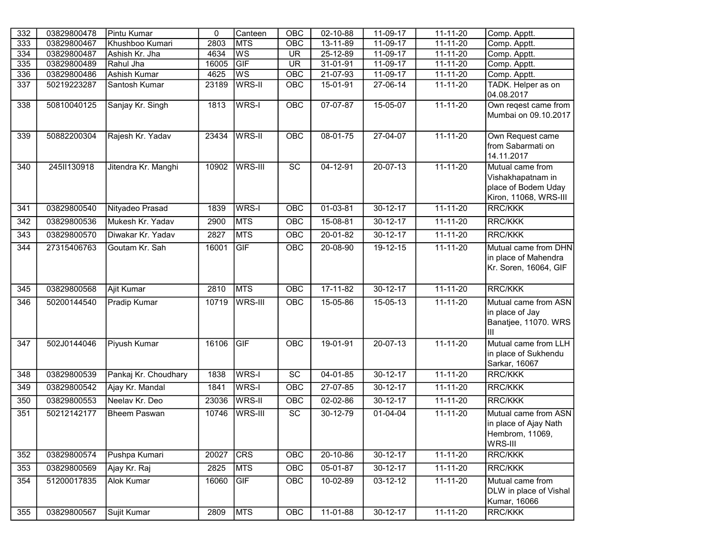| 332              | 03829800478 | Pintu Kumar          | $\mathbf 0$ | Canteen                  | OBC             | 02-10-88       | $11-09-17$     | $11 - 11 - 20$ | Comp. Apptt.                                                                          |
|------------------|-------------|----------------------|-------------|--------------------------|-----------------|----------------|----------------|----------------|---------------------------------------------------------------------------------------|
| 333              | 03829800467 | Khushboo Kumari      | 2803        | MTS                      | OBC             | 13-11-89       | 11-09-17       | 11-11-20       | Comp. Apptt.                                                                          |
| 334              | 03829800487 | Ashish Kr. Jha       | 4634        | $\overline{\mathsf{ws}}$ | <b>UR</b>       | 25-12-89       | 11-09-17       | $11 - 11 - 20$ | Comp. Apptt.                                                                          |
| 335              | 03829800489 | Rahul Jha            | 16005       | GIF                      | <b>UR</b>       | 31-01-91       | 11-09-17       | $11 - 11 - 20$ | Comp. Apptt.                                                                          |
| 336              | 03829800486 | <b>Ashish Kumar</b>  | 4625        | $\overline{\mathsf{ws}}$ | OBC             | 21-07-93       | 11-09-17       | 11-11-20       | Comp. Apptt.                                                                          |
| 337              | 50219223287 | Santosh Kumar        | 23189       | WRS-II                   | <b>OBC</b>      | 15-01-91       | $27-06-14$     | $11 - 11 - 20$ | TADK. Helper as on<br>04.08.2017                                                      |
| 338              | 50810040125 | Sanjay Kr. Singh     | 1813        | WRS-I                    | OBC             | $07 - 07 - 87$ | $15-05-07$     | $11 - 11 - 20$ | Own reqest came from<br>Mumbai on 09.10.2017                                          |
| 339              | 50882200304 | Rajesh Kr. Yadav     | 23434       | WRS-II                   | <b>OBC</b>      | $08 - 01 - 75$ | $27 - 04 - 07$ | $11 - 11 - 20$ | Own Request came<br>from Sabarmati on<br>14.11.2017                                   |
| 340              | 245II130918 | Jitendra Kr. Manghi  | 10902       | WRS-III                  | <b>SC</b>       | 04-12-91       | 20-07-13       | $11 - 11 - 20$ | Mutual came from<br>Vishakhapatnam in<br>place of Bodem Uday<br>Kiron, 11068, WRS-III |
| 341              | 03829800540 | Nityadeo Prasad      | 1839        | WRS-I                    | <b>OBC</b>      | $01 - 03 - 81$ | $30 - 12 - 17$ | $11 - 11 - 20$ | <b>RRC/KKK</b>                                                                        |
| 342              | 03829800536 | Mukesh Kr. Yadav     | 2900        | <b>MTS</b>               | <b>OBC</b>      | 15-08-81       | $30 - 12 - 17$ | $11 - 11 - 20$ | <b>RRC/KKK</b>                                                                        |
| $\overline{343}$ | 03829800570 | Diwakar Kr. Yadav    | 2827        | <b>MTS</b>               | OBC             | $20 - 01 - 82$ | 30-12-17       | $11 - 11 - 20$ | <b>RRC/KKK</b>                                                                        |
| 344              | 27315406763 | Goutam Kr. Sah       | 16001       | GIF                      | <b>OBC</b>      | 20-08-90       | 19-12-15       | $11 - 11 - 20$ | Mutual came from DHN<br>in place of Mahendra<br>Kr. Soren, 16064, GIF                 |
| 345              | 03829800568 | Ajit Kumar           | 2810        | <b>MTS</b>               | OBC             | $17 - 11 - 82$ | $30 - 12 - 17$ | $11 - 11 - 20$ | <b>RRC/KKK</b>                                                                        |
| 346              | 50200144540 | Pradip Kumar         | 10719       | WRS-III                  | <b>OBC</b>      | 15-05-86       | 15-05-13       | 11-11-20       | Mutual came from ASN<br>in place of Jay<br>Banatjee, 11070. WRS<br>lıı                |
| $\overline{347}$ | 502J0144046 | Piyush Kumar         | 16106       | GIF                      | <b>OBC</b>      | 19-01-91       | $20 - 07 - 13$ | $11 - 11 - 20$ | Mutual came from LLH<br>in place of Sukhendu<br>Sarkar, 16067                         |
| 348              | 03829800539 | Pankaj Kr. Choudhary | 1838        | WRS-I                    | $\overline{SC}$ | $04 - 01 - 85$ | $30 - 12 - 17$ | $11 - 11 - 20$ | <b>RRC/KKK</b>                                                                        |
| 349              | 03829800542 | Ajay Kr. Mandal      | 1841        | WRS-I                    | OBC             | 27-07-85       | 30-12-17       | $11 - 11 - 20$ | <b>RRC/KKK</b>                                                                        |
| 350              | 03829800553 | Neelav Kr. Deo       | 23036       | <b>WRS-II</b>            | OBC             | 02-02-86       | 30-12-17       | $11 - 11 - 20$ | <b>RRC/KKK</b>                                                                        |
| 351              | 50212142177 | <b>Bheem Paswan</b>  | 10746       | WRS-III                  | $\overline{SC}$ | 30-12-79       | $01 - 04 - 04$ | $11 - 11 - 20$ | Mutual came from ASN<br>in place of Ajay Nath<br>Hembrom, 11069,<br>WRS-III           |
| 352              | 03829800574 | Pushpa Kumari        | 20027       | CRS                      | OBC             | 20-10-86       | 30-12-17       | $11 - 11 - 20$ | RRC/KKK                                                                               |
| 353              | 03829800569 | Ajay Kr. Raj         | 2825        | <b>MTS</b>               | OBC             | 05-01-87       | 30-12-17       | $11 - 11 - 20$ | RRC/KKK                                                                               |
| 354              | 51200017835 | Alok Kumar           | 16060       | GIF                      | <b>OBC</b>      | 10-02-89       | 03-12-12       | 11-11-20       | Mutual came from<br>DLW in place of Vishal<br>Kumar, 16066                            |
| 355              | 03829800567 | Sujit Kumar          | 2809        | <b>MTS</b>               | OBC             | $11-01-88$     | $30 - 12 - 17$ | $11 - 11 - 20$ | <b>RRC/KKK</b>                                                                        |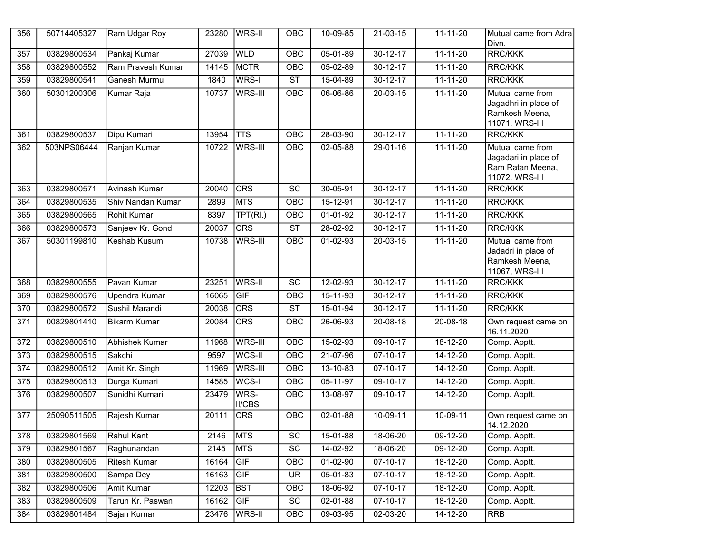| 356              | 50714405327 | Ram Udgar Roy         | 23280 | <b>WRS-II</b>         | OBC                    | 10-09-85       | 21-03-15       | $11 - 11 - 20$ | Mutual came from Adra<br>Divn.                                                 |
|------------------|-------------|-----------------------|-------|-----------------------|------------------------|----------------|----------------|----------------|--------------------------------------------------------------------------------|
| 357              | 03829800534 | Pankaj Kumar          | 27039 | <b>WLD</b>            | OBC                    | $05 - 01 - 89$ | $30 - 12 - 17$ | $11 - 11 - 20$ | <b>RRC/KKK</b>                                                                 |
| 358              | 03829800552 | Ram Pravesh Kumar     | 14145 | <b>MCTR</b>           | OBC                    | 05-02-89       | $30 - 12 - 17$ | $11 - 11 - 20$ | <b>RRC/KKK</b>                                                                 |
| 359              | 03829800541 | Ganesh Murmu          | 1840  | WRS-I                 | $\overline{\text{ST}}$ | 15-04-89       | $30 - 12 - 17$ | $11 - 11 - 20$ | <b>RRC/KKK</b>                                                                 |
| 360              | 50301200306 | Kumar Raja            | 10737 | WRS-III               | OBC                    | 06-06-86       | $20 - 03 - 15$ | $11 - 11 - 20$ | Mutual came from<br>Jagadhri in place of<br>Ramkesh Meena,<br>11071, WRS-III   |
| 361              | 03829800537 | Dipu Kumari           | 13954 | <b>TTS</b>            | OBC                    | 28-03-90       | $30 - 12 - 17$ | $11-11-20$     | RRC/KKK                                                                        |
| 362              | 503NPS06444 | Ranjan Kumar          | 10722 | WRS-III               | OBC                    | 02-05-88       | 29-01-16       | $11 - 11 - 20$ | Mutual came from<br>Jagadari in place of<br>Ram Ratan Meena,<br>11072, WRS-III |
| 363              | 03829800571 | Avinash Kumar         | 20040 | <b>CRS</b>            | $\overline{SC}$        | $30 - 05 - 91$ | $30 - 12 - 17$ | $11 - 11 - 20$ | <b>RRC/KKK</b>                                                                 |
| 364              | 03829800535 | Shiv Nandan Kumar     | 2899  | <b>MTS</b>            | OBC                    | 15-12-91       | $30 - 12 - 17$ | $11 - 11 - 20$ | <b>RRC/KKK</b>                                                                 |
| 365              | 03829800565 | Rohit Kumar           | 8397  | TPT(RI.)              | OBC                    | $01 - 01 - 92$ | $30 - 12 - 17$ | $11 - 11 - 20$ | <b>RRC/KKK</b>                                                                 |
| 366              | 03829800573 | Sanjeev Kr. Gond      | 20037 | CRS                   | $\overline{\text{ST}}$ | 28-02-92       | $30 - 12 - 17$ | $11 - 11 - 20$ | <b>RRC/KKK</b>                                                                 |
| 367              | 50301199810 | Keshab Kusum          | 10738 | WRS-III               | OBC                    | 01-02-93       | 20-03-15       | $11 - 11 - 20$ | Mutual came from<br>Jadadri in place of<br>Ramkesh Meena,<br>11067, WRS-III    |
| 368              | 03829800555 | Pavan Kumar           | 23251 | WRS-II                | $\overline{SC}$        | $12 - 02 - 93$ | $30 - 12 - 17$ | $11 - 11 - 20$ | <b>RRC/KKK</b>                                                                 |
| 369              | 03829800576 | <b>Upendra Kumar</b>  | 16065 | GIF                   | OBC                    | $15 - 11 - 93$ | $30 - 12 - 17$ | $11 - 11 - 20$ | <b>RRC/KKK</b>                                                                 |
| 370              | 03829800572 | Sushil Marandi        | 20038 | CRS                   | $\overline{\text{ST}}$ | 15-01-94       | $30 - 12 - 17$ | $11 - 11 - 20$ | <b>RRC/KKK</b>                                                                 |
| 371              | 00829801410 | <b>Bikarm Kumar</b>   | 20084 | CRS                   | OBC                    | 26-06-93       | 20-08-18       | 20-08-18       | Own request came on<br>16.11.2020                                              |
| $\overline{372}$ | 03829800510 | <b>Abhishek Kumar</b> | 11968 | <b>WRS-III</b>        | OBC                    | 15-02-93       | $09-10-17$     | $18 - 12 - 20$ | Comp. Apptt.                                                                   |
| $\overline{373}$ | 03829800515 | Sakchi                | 9597  | WCS-II                | OBC                    | 21-07-96       | $07 - 10 - 17$ | 14-12-20       | Comp. Apptt.                                                                   |
| 374              | 03829800512 | Amit Kr. Singh        | 11969 | WRS-III               | OBC                    | $13 - 10 - 83$ | $07 - 10 - 17$ | $14 - 12 - 20$ | Comp. Apptt.                                                                   |
| $\overline{375}$ | 03829800513 | Durga Kumari          | 14585 | WCS-I                 | $\overline{OBC}$       | $05 - 11 - 97$ | 09-10-17       | $14 - 12 - 20$ | Comp. Apptt.                                                                   |
| 376              | 03829800507 | Sunidhi Kumari        | 23479 | WRS-<br><b>II/CBS</b> | <b>OBC</b>             | 13-08-97       | 09-10-17       | 14-12-20       | Comp. Apptt.                                                                   |
| 377              | 25090511505 | Rajesh Kumar          | 20111 | <b>CRS</b>            | OBC                    | $02 - 01 - 88$ | $10-09-11$     | $10-09-11$     | Own request came on<br>14.12.2020                                              |
| 378              | 03829801569 | Rahul Kant            | 2146  | <b>MTS</b>            | SC                     | 15-01-88       | 18-06-20       | 09-12-20       | Comp. Apptt.                                                                   |
| 379              | 03829801567 | Raghunandan           | 2145  | MTS                   | SC                     | 14-02-92       | 18-06-20       | 09-12-20       | Comp. Apptt.                                                                   |
| 380              | 03829800505 | Ritesh Kumar          | 16164 | GIF                   | OBC                    | 01-02-90       | 07-10-17       | 18-12-20       | Comp. Apptt.                                                                   |
| 381              | 03829800500 | Sampa Dey             | 16163 | GIF                   | <b>UR</b>              | 05-01-83       | $07 - 10 - 17$ | 18-12-20       | Comp. Apptt.                                                                   |
| 382              | 03829800506 | Amit Kumar            | 12203 | BST                   | OBC                    | 18-06-92       | 07-10-17       | 18-12-20       | Comp. Apptt.                                                                   |
| 383              | 03829800509 | Tarun Kr. Paswan      | 16162 | GIF                   | SC                     | 02-01-88       | 07-10-17       | 18-12-20       | Comp. Apptt.                                                                   |
| 384              | 03829801484 | Sajan Kumar           | 23476 | WRS-II                | OBC                    | 09-03-95       | 02-03-20       | 14-12-20       | <b>RRB</b>                                                                     |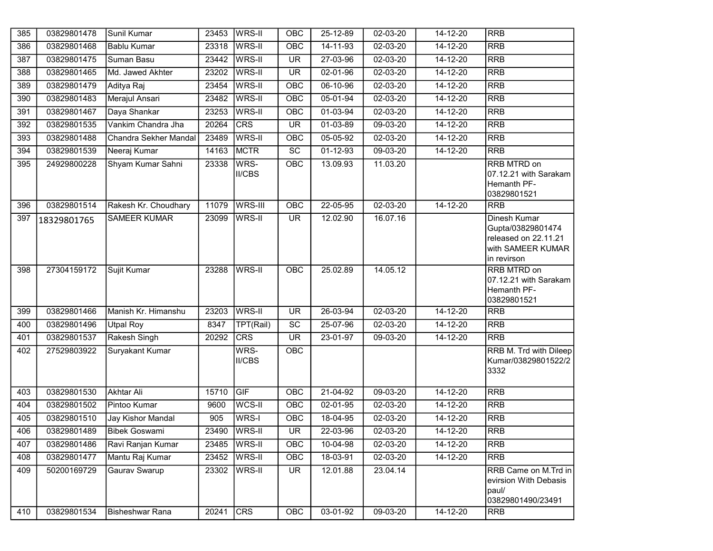| 385 | 03829801478 | Sunil Kumar            | 23453            | WRS-II                | <b>OBC</b>               | 25-12-89       | 02-03-20       | 14-12-20       | <b>RRB</b>                                                                                           |
|-----|-------------|------------------------|------------------|-----------------------|--------------------------|----------------|----------------|----------------|------------------------------------------------------------------------------------------------------|
| 386 | 03829801468 | <b>Bablu Kumar</b>     | 23318            | <b>WRS-II</b>         | <b>OBC</b>               | 14-11-93       | 02-03-20       | $14 - 12 - 20$ | <b>RRB</b>                                                                                           |
| 387 | 03829801475 | Suman Basu             | 23442            | WRS-II                | <b>UR</b>                | 27-03-96       | 02-03-20       | 14-12-20       | <b>RRB</b>                                                                                           |
| 388 | 03829801465 | Md. Jawed Akhter       | 23202            | <b>WRS-II</b>         | <b>UR</b>                | 02-01-96       | 02-03-20       | 14-12-20       | <b>RRB</b>                                                                                           |
| 389 | 03829801479 | Aditya Raj             | 23454            | <b>WRS-II</b>         | OBC                      | 06-10-96       | $02 - 03 - 20$ | $14 - 12 - 20$ | <b>RRB</b>                                                                                           |
| 390 | 03829801483 | Merajul Ansari         | 23482            | <b>WRS-II</b>         | OBC                      | 05-01-94       | 02-03-20       | 14-12-20       | <b>RRB</b>                                                                                           |
| 391 | 03829801467 | Daya Shankar           | 23253            | WRS-II                | OBC                      | $01-03-94$     | $02 - 03 - 20$ | $14 - 12 - 20$ | <b>RRB</b>                                                                                           |
| 392 | 03829801535 | Vankim Chandra Jha     | 20264            | CRS                   | $\overline{\mathsf{UR}}$ | 01-03-89       | 09-03-20       | 14-12-20       | <b>RRB</b>                                                                                           |
| 393 | 03829801488 | Chandra Sekher Mandal  | 23489            | WRS-II                | OBC                      | 05-05-92       | 02-03-20       | 14-12-20       | <b>RRB</b>                                                                                           |
| 394 | 03829801539 | Neeraj Kumar           | 14163            | <b>MCTR</b>           | $\overline{SC}$          | $01 - 12 - 93$ | $09-03-20$     | $14 - 12 - 20$ | <b>RRB</b>                                                                                           |
| 395 | 24929800228 | Shyam Kumar Sahni      | 23338            | WRS-<br><b>II/CBS</b> | <b>OBC</b>               | 13.09.93       | 11.03.20       |                | <b>RRB MTRD on</b><br>07.12.21 with Sarakam<br>Hemanth PF-<br>03829801521                            |
| 396 | 03829801514 | Rakesh Kr. Choudhary   | 11079            | WRS-III               | OBC                      | 22-05-95       | $02 - 03 - 20$ | $14 - 12 - 20$ | <b>RRB</b>                                                                                           |
| 397 | 18329801765 | <b>SAMEER KUMAR</b>    | 23099            | <b>WRS-II</b>         | <b>UR</b>                | 12.02.90       | 16.07.16       |                | <b>Dinesh Kumar</b><br>Gupta/03829801474<br>released on 22.11.21<br>with SAMEER KUMAR<br>in revirson |
| 398 | 27304159172 | Sujit Kumar            | 23288            | <b>WRS-II</b>         | OBC                      | 25.02.89       | 14.05.12       |                | RRB MTRD on<br>07.12.21 with Sarakam<br>Hemanth PF-<br>03829801521                                   |
| 399 | 03829801466 | Manish Kr. Himanshu    | 23203            | WRS-II                | $\overline{\mathsf{UR}}$ | 26-03-94       | $02 - 03 - 20$ | $14 - 12 - 20$ | <b>RRB</b>                                                                                           |
| 400 | 03829801496 | <b>Utpal Roy</b>       | 8347             | TPT(Rail)             | $\overline{SC}$          | 25-07-96       | 02-03-20       | 14-12-20       | <b>RRB</b>                                                                                           |
| 401 | 03829801537 | Rakesh Singh           | 20292            | <b>CRS</b>            | $\overline{\mathsf{UR}}$ | 23-01-97       | 09-03-20       | $14 - 12 - 20$ | <b>RRB</b>                                                                                           |
| 402 | 27529803922 | <b>Suryakant Kumar</b> |                  | WRS-<br><b>II/CBS</b> | <b>OBC</b>               |                |                |                | RRB M. Trd with Dileep<br>Kumar/03829801522/2<br>3332                                                |
| 403 | 03829801530 | <b>Akhtar Ali</b>      | 15710            | GIF                   | $\overline{OBC}$         | $21-04-92$     | 09-03-20       | $14 - 12 - 20$ | <b>RRB</b>                                                                                           |
| 404 | 03829801502 | Pintoo Kumar           | 9600             | <b>WCS-II</b>         | <b>OBC</b>               | 02-01-95       | 02-03-20       | $14 - 12 - 20$ | <b>RRB</b>                                                                                           |
| 405 | 03829801510 | Jay Kishor Mandal      | $\overline{905}$ | WRS-I                 | OBC                      | $18 - 04 - 95$ | 02-03-20       | $14 - 12 - 20$ | <b>RRB</b>                                                                                           |
| 406 | 03829801489 | <b>Bibek Goswami</b>   |                  | 23490 WRS-II          | UR                       | 22-03-96       | $02 - 03 - 20$ | $14 - 12 - 20$ | <b>RRB</b>                                                                                           |
| 407 | 03829801486 | Ravi Ranjan Kumar      | 23485            | WRS-II                | <b>OBC</b>               | 10-04-98       | 02-03-20       | 14-12-20       | <b>RRB</b>                                                                                           |
| 408 | 03829801477 | Mantu Raj Kumar        | 23452            | <b>WRS-II</b>         | OBC                      | 18-03-91       | 02-03-20       | $14 - 12 - 20$ | <b>RRB</b>                                                                                           |
| 409 | 50200169729 | Gaurav Swarup          | 23302            | <b>WRS-II</b>         | <b>UR</b>                | 12.01.88       | 23.04.14       |                | RRB Came on M.Trd in<br>evirsion With Debasis<br>paul/<br>03829801490/23491                          |
| 410 | 03829801534 | Bisheshwar Rana        | 20241            | CRS                   | OBC                      | 03-01-92       | $09-03-20$     | $14 - 12 - 20$ | <b>RRB</b>                                                                                           |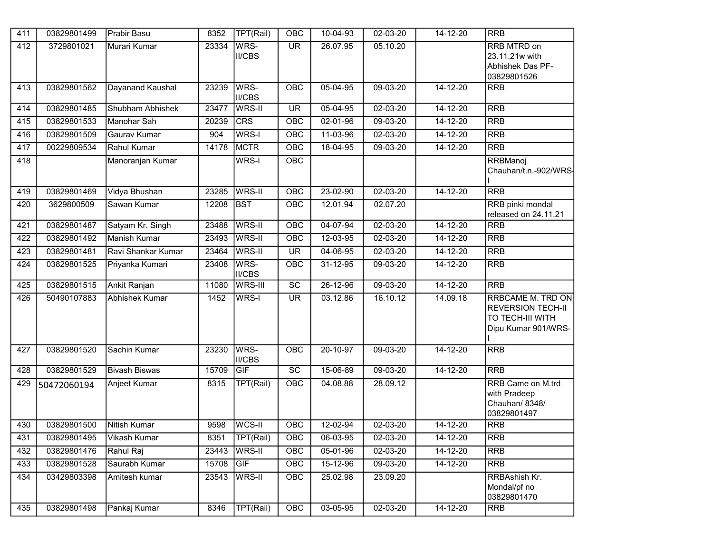| 411 | 03829801499 | Prabir Basu          | 8352  | TPT(Rail)             | OBC                      | 10-04-93       | 02-03-20       | 14-12-20       | <b>RRB</b>                                                                                      |
|-----|-------------|----------------------|-------|-----------------------|--------------------------|----------------|----------------|----------------|-------------------------------------------------------------------------------------------------|
| 412 | 3729801021  | Murari Kumar         | 23334 | WRS-<br>II/CBS        | $\overline{\mathsf{UR}}$ | 26.07.95       | 05.10.20       |                | <b>RRB MTRD on</b><br>23.11.21w with<br>Abhishek Das PF-<br>03829801526                         |
| 413 | 03829801562 | Dayanand Kaushal     | 23239 | WRS-<br><b>II/CBS</b> | OBC                      | 05-04-95       | 09-03-20       | $14 - 12 - 20$ | <b>RRB</b>                                                                                      |
| 414 | 03829801485 | Shubham Abhishek     | 23477 | WRS-II                | <b>UR</b>                | $05 - 04 - 95$ | 02-03-20       | $14 - 12 - 20$ | <b>RRB</b>                                                                                      |
| 415 | 03829801533 | Manohar Sah          | 20239 | CRS                   | OBC                      | 02-01-96       | $09 - 03 - 20$ | 14-12-20       | <b>RRB</b>                                                                                      |
| 416 | 03829801509 | Gaurav Kumar         | 904   | WRS-I                 | OBC                      | 11-03-96       | 02-03-20       | $14 - 12 - 20$ | <b>RRB</b>                                                                                      |
| 417 | 00229809534 | Rahul Kumar          | 14178 | <b>MCTR</b>           | OBC                      | 18-04-95       | 09-03-20       | 14-12-20       | <b>RRB</b>                                                                                      |
| 418 |             | Manoranjan Kumar     |       | WRS-I                 | OBC                      |                |                |                | RRBManoj<br>Chauhan/t.n.-902/WRS-                                                               |
| 419 | 03829801469 | Vidya Bhushan        | 23285 | <b>WRS-II</b>         | OBC                      | $23 - 02 - 90$ | $02 - 03 - 20$ | $14 - 12 - 20$ | <b>RRB</b>                                                                                      |
| 420 | 3629800509  | Sawan Kumar          | 12208 | <b>BST</b>            | <b>OBC</b>               | 12.01.94       | 02.07.20       |                | RRB pinki mondal<br>released on 24.11.21                                                        |
| 421 | 03829801487 | Satyam Kr. Singh     | 23488 | WRS-II                | OBC                      | $04 - 07 - 94$ | $02 - 03 - 20$ | $14 - 12 - 20$ | <b>RRB</b>                                                                                      |
| 422 | 03829801492 | Manish Kumar         | 23493 | WRS-II                | OBC                      | 12-03-95       | 02-03-20       | 14-12-20       | <b>RRB</b>                                                                                      |
| 423 | 03829801481 | Ravi Shankar Kumar   | 23464 | WRS-II                | $\overline{\mathsf{UR}}$ | 04-06-95       | 02-03-20       | $14 - 12 - 20$ | <b>RRB</b>                                                                                      |
| 424 | 03829801525 | Priyanka Kumari      | 23408 | WRS-<br><b>II/CBS</b> | OBC                      | 31-12-95       | 09-03-20       | 14-12-20       | <b>RRB</b>                                                                                      |
| 425 | 03829801515 | Ankit Ranjan         | 11080 | <b>WRS-III</b>        | $\overline{SC}$          | $26 - 12 - 96$ | $09-03-20$     | $14 - 12 - 20$ | <b>RRB</b>                                                                                      |
| 426 | 50490107883 | Abhishek Kumar       | 1452  | WRS-I                 | <b>UR</b>                | 03.12.86       | 16.10.12       | 14.09.18       | RRBCAME M. TRD ON<br><b>REVERSION TECH-II</b><br><b>TO TECH-III WITH</b><br>Dipu Kumar 901/WRS- |
| 427 | 03829801520 | Sachin Kumar         | 23230 | WRS-<br><b>II/CBS</b> | <b>OBC</b>               | $20 - 10 - 97$ | $09-03-20$     | $14 - 12 - 20$ | <b>RRB</b>                                                                                      |
| 428 | 03829801529 | <b>Bivash Biswas</b> | 15709 | GIF                   | $\overline{SC}$          | 15-06-89       | 09-03-20       | $14 - 12 - 20$ | <b>RRB</b>                                                                                      |
| 429 | 50472060194 | Anjeet Kumar         | 8315  | TPT(Rail)             | OBC                      | 04.08.88       | 28.09.12       |                | RRB Came on M.trd<br>with Pradeep<br>Chauhan/ 8348/<br>03829801497                              |
| 430 | 03829801500 | Nitish Kumar         | 9598  | WCS-II                | OBC                      | $12 - 02 - 94$ | $02 - 03 - 20$ | $14 - 12 - 20$ | <b>RRB</b>                                                                                      |
| 431 | 03829801495 | Vikash Kumar         | 8351  | TPT(Rail)             | OBC                      | 06-03-95       | 02-03-20       | 14-12-20       | <b>RRB</b>                                                                                      |
| 432 | 03829801476 | Rahul Raj            | 23443 | <b>WRS-II</b>         | OBC                      | 05-01-96       | 02-03-20       | 14-12-20       | <b>RRB</b>                                                                                      |
| 433 | 03829801528 | Saurabh Kumar        | 15708 | GIF                   | OBC                      | 15-12-96       | 09-03-20       | 14-12-20       | RRB                                                                                             |
| 434 | 03429803398 | Amitesh kumar        | 23543 | WRS-II                | <b>OBC</b>               | 25.02.98       | 23.09.20       |                | RRBAshish Kr.<br>Mondal/pf no<br>03829801470                                                    |
| 435 | 03829801498 | Pankaj Kumar         | 8346  | TPT(Rail)             | OBC                      | 03-05-95       | 02-03-20       | 14-12-20       | <b>RRB</b>                                                                                      |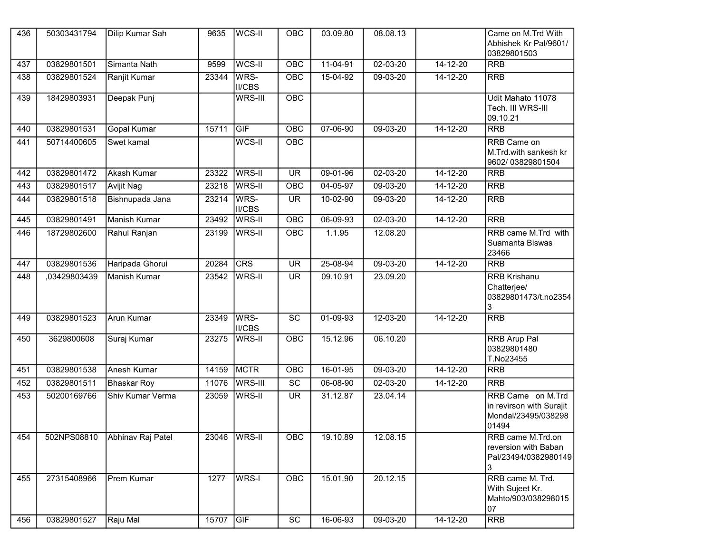| 436 | 50303431794  | Dilip Kumar Sah     | 9635  | WCS-II                | OBC                      | 03.09.80       | 08.08.13       |                | Came on M.Trd With<br>Abhishek Kr Pal/9601/<br>03829801503                    |
|-----|--------------|---------------------|-------|-----------------------|--------------------------|----------------|----------------|----------------|-------------------------------------------------------------------------------|
| 437 | 03829801501  | Simanta Nath        | 9599  | WCS-II                | OBC                      | $11-04-91$     | $02 - 03 - 20$ | $14 - 12 - 20$ | <b>RRB</b>                                                                    |
| 438 | 03829801524  | Ranjit Kumar        | 23344 | WRS-<br><b>II/CBS</b> | OBC                      | 15-04-92       | 09-03-20       | 14-12-20       | <b>RRB</b>                                                                    |
| 439 | 18429803931  | Deepak Punj         |       | WRS-III               | OBC                      |                |                |                | Udit Mahato 11078<br>Tech. III WRS-III<br>09.10.21                            |
| 440 | 03829801531  | <b>Gopal Kumar</b>  | 15711 | GIF                   | OBC                      | 07-06-90       | $09-03-20$     | $14 - 12 - 20$ | <b>RRB</b>                                                                    |
| 441 | 50714400605  | Swet kamal          |       | WCS-II                | OBC                      |                |                |                | RRB Came on<br>M.Trd.with sankesh kr<br>9602/03829801504                      |
| 442 | 03829801472  | <b>Akash Kumar</b>  | 23322 | <b>WRS-II</b>         | $\overline{\mathsf{UR}}$ | $09 - 01 - 96$ | $02 - 03 - 20$ | $14 - 12 - 20$ | <b>RRB</b>                                                                    |
| 443 | 03829801517  | <b>Avijit Nag</b>   | 23218 | <b>WRS-II</b>         | OBC                      | $04 - 05 - 97$ | $09-03-20$     | $14 - 12 - 20$ | <b>RRB</b>                                                                    |
| 444 | 03829801518  | Bishnupada Jana     | 23214 | WRS-<br><b>II/CBS</b> | <b>UR</b>                | $10-02-90$     | 09-03-20       | 14-12-20       | <b>RRB</b>                                                                    |
| 445 | 03829801491  | <b>Manish Kumar</b> | 23492 | <b>WRS-II</b>         | OBC                      | $06 - 09 - 93$ | $02 - 03 - 20$ | $14 - 12 - 20$ | RRB                                                                           |
| 446 | 18729802600  | Rahul Ranjan        | 23199 | WRS-II                | OBC                      | 1.1.95         | 12.08.20       |                | RRB came M.Trd with<br>Suamanta Biswas<br>23466                               |
| 447 | 03829801536  | Haripada Ghorui     | 20284 | <b>CRS</b>            | $\overline{\mathsf{UR}}$ | 25-08-94       | $09-03-20$     | $14 - 12 - 20$ | <b>RRB</b>                                                                    |
| 448 | ,03429803439 | Manish Kumar        | 23542 | WRS-II                | <b>UR</b>                | 09.10.91       | 23.09.20       |                | <b>RRB Krishanu</b><br>Chatterjee/<br>03829801473/t.no2354<br>3               |
| 449 | 03829801523  | <b>Arun Kumar</b>   | 23349 | WRS-<br><b>II/CBS</b> | $\overline{SC}$          | $01 - 09 - 93$ | $12 - 03 - 20$ | $14 - 12 - 20$ | <b>RRB</b>                                                                    |
| 450 | 3629800608   | Suraj Kumar         | 23275 | WRS-II                | OBC                      | 15.12.96       | 06.10.20       |                | <b>RRB Arup Pal</b><br>03829801480<br>T.No23455                               |
| 451 | 03829801538  | <b>Anesh Kumar</b>  | 14159 | MCTR                  | OBC                      | $16-01-95$     | 09-03-20       | $14 - 12 - 20$ | <b>RRB</b>                                                                    |
| 452 | 03829801511  | <b>Bhaskar Roy</b>  | 11076 | <b>WRS-III</b>        | $\overline{SC}$          | 06-08-90       | $02 - 03 - 20$ | $14 - 12 - 20$ | <b>RRB</b>                                                                    |
| 453 | 50200169766  | Shiv Kumar Verma    | 23059 | WRS-II                | <b>UR</b>                | 31.12.87       | 23.04.14       |                | RRB Came on M.Trd<br>in revirson with Surajit<br>Mondal/23495/038298<br>01494 |
| 454 | 502NPS08810  | Abhinav Raj Patel   | 23046 | WRS-II                | <b>OBC</b>               | 19.10.89       | 12.08.15       |                | RRB came M.Trd.on<br>reversion with Baban<br>Pal/23494/0382980149<br>3        |
| 455 | 27315408966  | Prem Kumar          | 1277  | <b>WRS-I</b>          | OBC                      | 15.01.90       | 20.12.15       |                | RRB came M. Trd.<br>With Sujeet Kr.<br>Mahto/903/038298015<br>07              |
| 456 | 03829801527  | Raju Mal            | 15707 | GIF                   | $\overline{SC}$          | 16-06-93       | 09-03-20       | 14-12-20       | <b>RRB</b>                                                                    |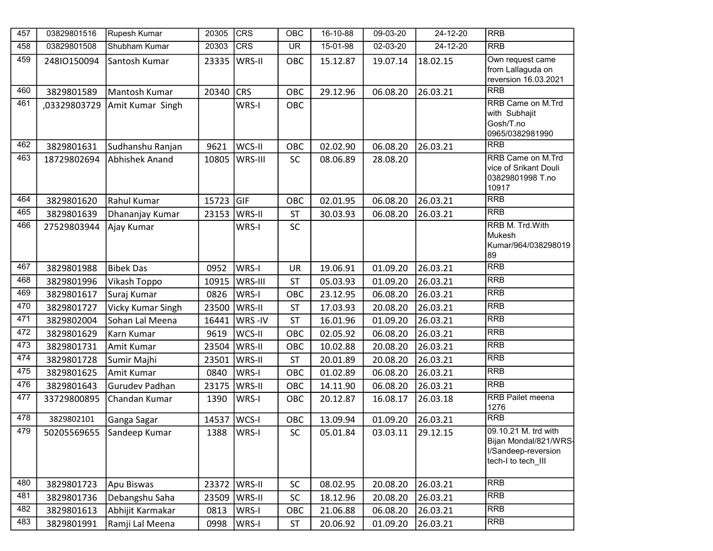| 457 | 03829801516  | Rupesh Kumar              | 20305 | CRS          | OBC       | 16-10-88 | 09-03-20 | 24-12-20       | <b>RRB</b>                                                                                 |
|-----|--------------|---------------------------|-------|--------------|-----------|----------|----------|----------------|--------------------------------------------------------------------------------------------|
| 458 | 03829801508  | Shubham Kumar             | 20303 | <b>CRS</b>   | <b>UR</b> | 15-01-98 | 02-03-20 | $24 - 12 - 20$ | <b>RRB</b>                                                                                 |
| 459 | 24810150094  | Santosh Kumar             | 23335 | WRS-II       | OBC       | 15.12.87 | 19.07.14 | 18.02.15       | Own request came<br>from Lallaguda on                                                      |
|     |              |                           |       |              |           |          |          |                | reversion 16.03.2021                                                                       |
| 460 | 3829801589   | Mantosh Kumar             | 20340 | <b>CRS</b>   | OBC       | 29.12.96 | 06.08.20 | 26.03.21       | <b>RRB</b>                                                                                 |
| 461 | ,03329803729 | Amit Kumar Singh          |       | WRS-I        | OBC       |          |          |                | <b>RRB Came on M.Trd</b><br>with Subhajit                                                  |
|     |              |                           |       |              |           |          |          |                | Gosh/T.no<br>0965/0382981990                                                               |
| 462 | 3829801631   | Sudhanshu Ranjan          | 9621  | WCS-II       | OBC       | 02.02.90 | 06.08.20 | 26.03.21       | <b>RRB</b>                                                                                 |
| 463 | 18729802694  | <b>Abhishek Anand</b>     | 10805 | WRS-III      | SC        | 08.06.89 | 28.08.20 |                | <b>RRB Came on M.Trd</b><br>vice of Srikant Douli<br>03829801998 T.no<br>10917             |
| 464 | 3829801620   | Rahul Kumar               | 15723 | <b>GIF</b>   | OBC       | 02.01.95 | 06.08.20 | 26.03.21       | <b>RRB</b>                                                                                 |
| 465 | 3829801639   | Dhananjay Kumar           | 23153 | WRS-II       | <b>ST</b> | 30.03.93 | 06.08.20 | 26.03.21       | <b>RRB</b>                                                                                 |
| 466 | 27529803944  | Ajay Kumar                |       | WRS-I        | <b>SC</b> |          |          |                | RRB M. Trd. With<br>Mukesh                                                                 |
|     |              |                           |       |              |           |          |          |                | Kumar/964/038298019<br>89                                                                  |
| 467 | 3829801988   | <b>Bibek Das</b>          | 0952  | WRS-I        | UR        | 19.06.91 | 01.09.20 | 26.03.21       | $R$ R $R$ B                                                                                |
| 468 | 3829801996   | Vikash Toppo              | 10915 | WRS-III      | <b>ST</b> | 05.03.93 | 01.09.20 | 26.03.21       | <b>RRB</b>                                                                                 |
| 469 | 3829801617   | Suraj Kumar               | 0826  | WRS-I        | OBC       | 23.12.95 | 06.08.20 | 26.03.21       | <b>RRB</b>                                                                                 |
| 470 | 3829801727   | Vicky Kumar Singh         | 23500 | WRS-II       | <b>ST</b> | 17.03.93 | 20.08.20 | 26.03.21       | <b>RRB</b>                                                                                 |
| 471 | 3829802004   | Sohan Lal Meena           | 16441 | WRS-IV       | ST        | 16.01.96 | 01.09.20 | 26.03.21       | <b>RRB</b>                                                                                 |
| 472 | 3829801629   | Karn Kumar                | 9619  | WCS-II       | OBC       | 02.05.92 | 06.08.20 | 26.03.21       | <b>RRB</b>                                                                                 |
| 473 | 3829801731   | Amit Kumar                | 23504 | WRS-II       | OBC       | 10.02.88 | 20.08.20 | 26.03.21       | <b>RRB</b>                                                                                 |
| 474 | 3829801728   | Sumir Majhi               | 23501 | WRS-II       | <b>ST</b> | 20.01.89 | 20.08.20 | 26.03.21       | <b>RRB</b>                                                                                 |
| 475 | 3829801625   | Amit Kumar                | 0840  | WRS-I        | OBC       | 01.02.89 | 06.08.20 | 26.03.21       | <b>RRB</b>                                                                                 |
| 476 | 3829801643   | <b>Gurudev Padhan</b>     | 23175 | WRS-II       | OBC       | 14.11.90 | 06.08.20 | 26.03.21       | <b>RRB</b>                                                                                 |
| 477 | 33729800895  | Chandan Kumar             | 1390  | WRS-I        | OBC       | 20.12.87 | 16.08.17 | 26.03.18       | <b>RRB Pailet meena</b><br>1276                                                            |
| 478 | 3829802101   | Ganga Sagar               | 14537 | WCS-I        | OBC       | 13.09.94 | 01.09.20 | 26.03.21       | <b>RRB</b>                                                                                 |
| 479 |              | 50205569655 Sandeep Kumar |       | 1388   WRS-I | SC        | 05.01.84 | 03.03.11 | 29.12.15       | 09.10.21 M. trd with<br>Bijan Mondal/821/WRS-<br>I/Sandeep-reversion<br>tech-I to tech III |
| 480 | 3829801723   | Apu Biswas                | 23372 | WRS-II       | <b>SC</b> | 08.02.95 | 20.08.20 | 26.03.21       | <b>RRB</b>                                                                                 |
| 481 | 3829801736   | Debangshu Saha            | 23509 | WRS-II       | <b>SC</b> | 18.12.96 | 20.08.20 | 26.03.21       | <b>RRB</b>                                                                                 |
| 482 | 3829801613   | Abhijit Karmakar          | 0813  | WRS-I        | OBC       | 21.06.88 | 06.08.20 | 26.03.21       | <b>RRB</b>                                                                                 |
| 483 | 3829801991   | Ramji Lal Meena           | 0998  | WRS-I        | <b>ST</b> | 20.06.92 | 01.09.20 | 26.03.21       | <b>RRB</b>                                                                                 |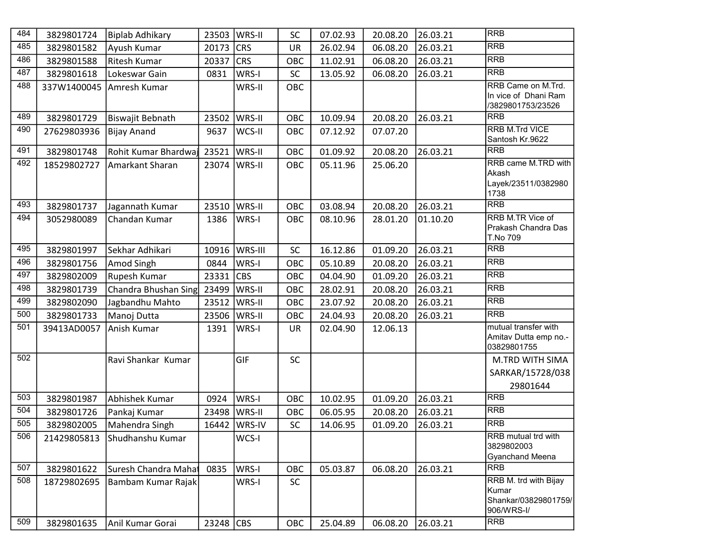| 484 | 3829801724  | Biplab Adhikary      | 23503   WRS-II |                | <b>SC</b>  | 07.02.93 | 20.08.20 | 26.03.21 | <b>RRB</b>                                                           |
|-----|-------------|----------------------|----------------|----------------|------------|----------|----------|----------|----------------------------------------------------------------------|
| 485 | 3829801582  | Ayush Kumar          | 20173          | <b>CRS</b>     | <b>UR</b>  | 26.02.94 | 06.08.20 | 26.03.21 | <b>RRB</b>                                                           |
| 486 | 3829801588  | <b>Ritesh Kumar</b>  | 20337          | <b>CRS</b>     | OBC        | 11.02.91 | 06.08.20 | 26.03.21 | <b>RRB</b>                                                           |
| 487 | 3829801618  | Lokeswar Gain        | 0831           | WRS-I          | <b>SC</b>  | 13.05.92 | 06.08.20 | 26.03.21 | <b>RRB</b>                                                           |
| 488 | 337W1400045 | Amresh Kumar         |                | WRS-II         | OBC        |          |          |          | RRB Came on M.Trd.<br>In vice of Dhani Ram<br>/3829801753/23526      |
| 489 | 3829801729  | Biswajit Bebnath     | 23502          | WRS-II         | OBC        | 10.09.94 | 20.08.20 | 26.03.21 | <b>RRB</b>                                                           |
| 490 | 27629803936 | <b>Bijay Anand</b>   | 9637           | WCS-II         | OBC        | 07.12.92 | 07.07.20 |          | <b>RRB M.Trd VICE</b><br>Santosh Kr.9622                             |
| 491 | 3829801748  | Rohit Kumar Bhardwaj | 23521          | WRS-II         | OBC        | 01.09.92 | 20.08.20 | 26.03.21 | <b>RRB</b>                                                           |
| 492 | 18529802727 | Amarkant Sharan      | 23074          | WRS-II         | OBC        | 05.11.96 | 25.06.20 |          | RRB came M.TRD with<br>Akash<br>Layek/23511/0382980<br>1738          |
| 493 | 3829801737  | Jagannath Kumar      | 23510          | WRS-II         | OBC        | 03.08.94 | 20.08.20 | 26.03.21 | <b>RRB</b>                                                           |
| 494 | 3052980089  | Chandan Kumar        | 1386           | WRS-I          | OBC        | 08.10.96 | 28.01.20 | 01.10.20 | RRB M.TR Vice of<br>Prakash Chandra Das<br>T.No 709                  |
| 495 | 3829801997  | Sekhar Adhikari      | 10916          | <b>WRS-III</b> | <b>SC</b>  | 16.12.86 | 01.09.20 | 26.03.21 | <b>RRB</b>                                                           |
| 496 | 3829801756  | Amod Singh           | 0844           | WRS-I          | OBC        | 05.10.89 | 20.08.20 | 26.03.21 | <b>RRB</b>                                                           |
| 497 | 3829802009  | Rupesh Kumar         | 23331          | <b>CBS</b>     | <b>OBC</b> | 04.04.90 | 01.09.20 | 26.03.21 | <b>RRB</b>                                                           |
| 498 | 3829801739  | Chandra Bhushan Sing | 23499          | WRS-II         | <b>OBC</b> | 28.02.91 | 20.08.20 | 26.03.21 | <b>RRB</b>                                                           |
| 499 | 3829802090  | Jagbandhu Mahto      | 23512          | WRS-II         | OBC        | 23.07.92 | 20.08.20 | 26.03.21 | <b>RRB</b>                                                           |
| 500 | 3829801733  | Manoj Dutta          | 23506          | WRS-II         | OBC        | 24.04.93 | 20.08.20 | 26.03.21 | <b>RRB</b>                                                           |
| 501 | 39413AD0057 | Anish Kumar          | 1391           | WRS-I          | <b>UR</b>  | 02.04.90 | 12.06.13 |          | mutual transfer with<br>Amitav Dutta emp no.-<br>03829801755         |
| 502 |             | Ravi Shankar Kumar   |                | <b>GIF</b>     | <b>SC</b>  |          |          |          | M.TRD WITH SIMA                                                      |
|     |             |                      |                |                |            |          |          |          | SARKAR/15728/038                                                     |
|     |             |                      |                |                |            |          |          |          | 29801644                                                             |
| 503 | 3829801987  | Abhishek Kumar       | 0924           | WRS-I          | OBC        | 10.02.95 | 01.09.20 | 26.03.21 | <b>RRB</b>                                                           |
| 504 | 3829801726  | Pankaj Kumar         | 23498          | <b>WRS-II</b>  | OBC        | 06.05.95 | 20.08.20 | 26.03.21 | <b>RRB</b>                                                           |
| 505 | 3829802005  | Mahendra Singh       |                | 16442   WRS-IV | <b>SC</b>  | 14.06.95 | 01.09.20 | 26.03.21 | <b>RRB</b>                                                           |
| 506 | 21429805813 | Shudhanshu Kumar     |                | WCS-I          |            |          |          |          | <b>RRB</b> mutual trd with<br>3829802003<br><b>Gyanchand Meena</b>   |
| 507 | 3829801622  | Suresh Chandra Mahai | 0835           | WRS-I          | OBC        | 05.03.87 | 06.08.20 | 26.03.21 | <b>RRB</b>                                                           |
| 508 | 18729802695 | Bambam Kumar Rajak   |                | WRS-I          | <b>SC</b>  |          |          |          | RRB M. trd with Bijay<br>Kumar<br>Shankar/03829801759/<br>906/WRS-I/ |
| 509 | 3829801635  | Anil Kumar Gorai     | 23248 CBS      |                | OBC        | 25.04.89 | 06.08.20 | 26.03.21 | <b>RRB</b>                                                           |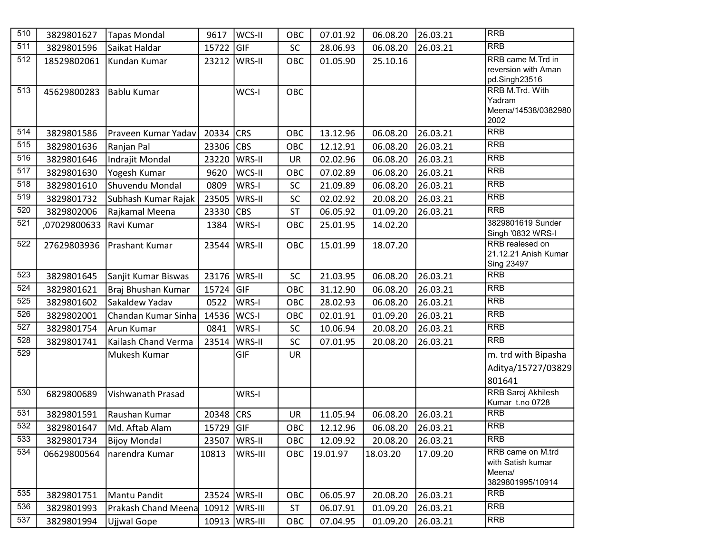| 510              | 3829801627   | <b>Tapas Mondal</b>             | 9617               | WCS-II         | OBC       | 07.01.92 | 06.08.20 | 26.03.21 | <b>RRB</b>                              |
|------------------|--------------|---------------------------------|--------------------|----------------|-----------|----------|----------|----------|-----------------------------------------|
| 511              | 3829801596   | Saikat Haldar                   | 15722              | <b>GIF</b>     | SC        | 28.06.93 | 06.08.20 | 26.03.21 | <b>RRB</b>                              |
| 512              | 18529802061  | Kundan Kumar                    | 23212              | <b>WRS-II</b>  | OBC       | 01.05.90 | 25.10.16 |          | RRB came M.Trd in                       |
|                  |              |                                 |                    |                |           |          |          |          | reversion with Aman<br>pd.Singh23516    |
| 513              | 45629800283  | <b>Bablu Kumar</b>              |                    | WCS-I          | OBC       |          |          |          | RRB M.Trd. With                         |
|                  |              |                                 |                    |                |           |          |          |          | Yadram                                  |
|                  |              |                                 |                    |                |           |          |          |          | Meena/14538/0382980<br>2002             |
| 514              | 3829801586   | Praveen Kumar Yadav             | 20334              | <b>CRS</b>     | OBC       | 13.12.96 | 06.08.20 | 26.03.21 | <b>RRB</b>                              |
| $\overline{515}$ | 3829801636   | Ranjan Pal                      | 23306              | <b>CBS</b>     | OBC       | 12.12.91 | 06.08.20 | 26.03.21 | <b>RRB</b>                              |
| 516              | 3829801646   | Indrajit Mondal                 | 23220              | WRS-II         | <b>UR</b> | 02.02.96 | 06.08.20 | 26.03.21 | <b>RRB</b>                              |
| $\overline{517}$ | 3829801630   | Yogesh Kumar                    | 9620               | WCS-II         | OBC       | 07.02.89 | 06.08.20 | 26.03.21 | <b>RRB</b>                              |
| 518              | 3829801610   | Shuvendu Mondal                 | 0809               | WRS-I          | <b>SC</b> | 21.09.89 | 06.08.20 | 26.03.21 | <b>RRB</b>                              |
| 519              | 3829801732   | Subhash Kumar Rajak             | 23505              | WRS-II         | SC        | 02.02.92 | 20.08.20 | 26.03.21 | <b>RRB</b>                              |
| 520              | 3829802006   | Rajkamal Meena                  | 23330              | <b>CBS</b>     | <b>ST</b> | 06.05.92 | 01.09.20 | 26.03.21 | <b>RRB</b>                              |
| 521              | ,07029800633 | Ravi Kumar                      | 1384               | WRS-I          | OBC       | 25.01.95 | 14.02.20 |          | 3829801619 Sunder                       |
|                  |              |                                 |                    |                |           |          |          |          | Singh '0832 WRS-I                       |
| 522              | 27629803936  | Prashant Kumar                  | 23544              | WRS-II         | OBC       | 15.01.99 | 18.07.20 |          | RRB realesed on<br>21.12.21 Anish Kumar |
|                  |              |                                 |                    |                |           |          |          |          | Sing 23497                              |
| 523              | 3829801645   | Sanjit Kumar Biswas             | 23176              | WRS-II         | SC        | 21.03.95 | 06.08.20 | 26.03.21 | <b>RRB</b>                              |
| 524              | 3829801621   | Braj Bhushan Kumar              | 15724              | <b>GIF</b>     | OBC       | 31.12.90 | 06.08.20 | 26.03.21 | <b>RRB</b>                              |
| 525              | 3829801602   | Sakaldew Yadav                  | 0522               | WRS-I          | OBC       | 28.02.93 | 06.08.20 | 26.03.21 | <b>RRB</b>                              |
| 526              | 3829802001   | Chandan Kumar Sinha             | 14536              | WCS-I          | OBC       | 02.01.91 | 01.09.20 | 26.03.21 | <b>RRB</b>                              |
| 527              | 3829801754   | Arun Kumar                      | 0841               | WRS-I          | SC        | 10.06.94 | 20.08.20 | 26.03.21 | <b>RRB</b>                              |
| 528              | 3829801741   | Kailash Chand Verma             | 23514              | WRS-II         | SC        | 07.01.95 | 20.08.20 | 26.03.21 | <b>RRB</b>                              |
| 529              |              | Mukesh Kumar                    |                    | GIF            | <b>UR</b> |          |          |          | m. trd with Bipasha                     |
|                  |              |                                 |                    |                |           |          |          |          | Aditya/15727/03829                      |
|                  |              |                                 |                    |                |           |          |          |          | 801641                                  |
| 530              | 6829800689   | Vishwanath Prasad               |                    | WRS-I          |           |          |          |          | <b>RRB Saroj Akhilesh</b>               |
| 531              |              |                                 |                    | <b>CRS</b>     |           |          |          | 26.03.21 | Kumar t.no 0728<br><b>RRB</b>           |
| 532              | 3829801591   | Raushan Kumar<br>Md. Aftab Alam | 20348<br>15729 GIF |                | <b>UR</b> | 11.05.94 | 06.08.20 |          | <b>RRB</b>                              |
| 533              | 3829801647   |                                 |                    |                | OBC       | 12.12.96 | 06.08.20 | 26.03.21 | <b>RRB</b>                              |
| 534              | 3829801734   | <b>Bijoy Mondal</b>             | 23507              | WRS-II         | OBC       | 12.09.92 | 20.08.20 | 26.03.21 | RRB came on M.trd                       |
|                  | 06629800564  | narendra Kumar                  | 10813              | WRS-III        | OBC       | 19.01.97 | 18.03.20 | 17.09.20 | with Satish kumar                       |
|                  |              |                                 |                    |                |           |          |          |          | Meena/                                  |
|                  |              |                                 |                    |                |           |          |          |          | 3829801995/10914                        |
| 535              | 3829801751   | Mantu Pandit                    | 23524              | <b>WRS-II</b>  | OBC       | 06.05.97 | 20.08.20 | 26.03.21 | <b>RRB</b>                              |
| 536              | 3829801993   | Prakash Chand Meena             | 10912              | <b>WRS-III</b> | <b>ST</b> | 06.07.91 | 01.09.20 | 26.03.21 | <b>RRB</b>                              |
| 537              | 3829801994   | Ujjwal Gope                     | 10913              | WRS-III        | OBC       | 07.04.95 | 01.09.20 | 26.03.21 | <b>RRB</b>                              |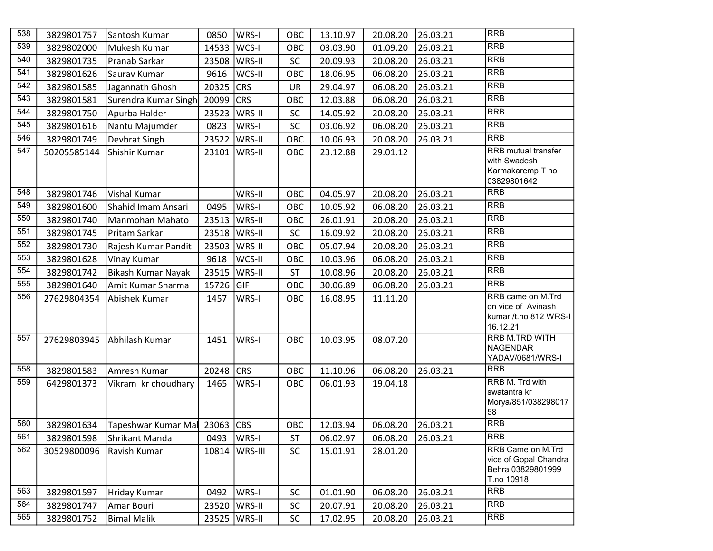| 538              | 3829801757  | Santosh Kumar                 | 0850      | WRS-I      | OBC       | 13.10.97 | 20.08.20 | 26.03.21 | <b>RRB</b>                                                                    |
|------------------|-------------|-------------------------------|-----------|------------|-----------|----------|----------|----------|-------------------------------------------------------------------------------|
| 539              | 3829802000  | Mukesh Kumar                  | 14533     | WCS-I      | OBC       | 03.03.90 | 01.09.20 | 26.03.21 | <b>RRB</b>                                                                    |
| 540              | 3829801735  | Pranab Sarkar                 | 23508     | WRS-II     | <b>SC</b> | 20.09.93 | 20.08.20 | 26.03.21 | <b>RRB</b>                                                                    |
| 541              | 3829801626  | Saurav Kumar                  | 9616      | WCS-II     | OBC       | 18.06.95 | 06.08.20 | 26.03.21 | <b>RRB</b>                                                                    |
| 542              | 3829801585  | Jagannath Ghosh               | 20325     | <b>CRS</b> | <b>UR</b> | 29.04.97 | 06.08.20 | 26.03.21 | <b>RRB</b>                                                                    |
| 543              | 3829801581  | Surendra Kumar Singh          | 20099     | <b>CRS</b> | OBC       | 12.03.88 | 06.08.20 | 26.03.21 | <b>RRB</b>                                                                    |
| 544              | 3829801750  | Apurba Halder                 | 23523     | WRS-II     | SC        | 14.05.92 | 20.08.20 | 26.03.21 | <b>RRB</b>                                                                    |
| 545              | 3829801616  | Nantu Majumder                | 0823      | WRS-I      | <b>SC</b> | 03.06.92 | 06.08.20 | 26.03.21 | <b>RRB</b>                                                                    |
| $\overline{546}$ | 3829801749  | Devbrat Singh                 | 23522     | WRS-II     | OBC       | 10.06.93 | 20.08.20 | 26.03.21 | <b>RRB</b>                                                                    |
| 547              | 50205585144 | Shishir Kumar                 | 23101     | WRS-II     | OBC       | 23.12.88 | 29.01.12 |          | RRB mutual transfer<br>with Swadesh<br>Karmakaremp T no<br>03829801642        |
| 548              | 3829801746  | Vishal Kumar                  |           | WRS-II     | OBC       | 04.05.97 | 20.08.20 | 26.03.21 | <b>RRB</b>                                                                    |
| 549              | 3829801600  | Shahid Imam Ansari            | 0495      | WRS-I      | OBC       | 10.05.92 | 06.08.20 | 26.03.21 | <b>RRB</b>                                                                    |
| 550              | 3829801740  | Manmohan Mahato               | 23513     | WRS-II     | OBC       | 26.01.91 | 20.08.20 | 26.03.21 | <b>RRB</b>                                                                    |
| 551              | 3829801745  | Pritam Sarkar                 | 23518     | WRS-II     | SC        | 16.09.92 | 20.08.20 | 26.03.21 | <b>RRB</b>                                                                    |
| 552              | 3829801730  | Rajesh Kumar Pandit           | 23503     | WRS-II     | OBC       | 05.07.94 | 20.08.20 | 26.03.21 | <b>RRB</b>                                                                    |
| 553              | 3829801628  | Vinay Kumar                   | 9618      | WCS-II     | OBC       | 10.03.96 | 06.08.20 | 26.03.21 | <b>RRB</b>                                                                    |
| 554              | 3829801742  | Bikash Kumar Nayak            | 23515     | WRS-II     | <b>ST</b> | 10.08.96 | 20.08.20 | 26.03.21 | <b>RRB</b>                                                                    |
| 555              | 3829801640  | Amit Kumar Sharma             | 15726     | GIF        | OBC       | 30.06.89 | 06.08.20 | 26.03.21 | <b>RRB</b>                                                                    |
| 556              | 27629804354 | Abishek Kumar                 | 1457      | WRS-I      | OBC       | 16.08.95 | 11.11.20 |          | RRB came on M.Trd<br>on vice of Avinash<br>kumar /t.no 812 WRS-I<br>16.12.21  |
| 557              | 27629803945 | Abhilash Kumar                | 1451      | WRS-I      | OBC       | 10.03.95 | 08.07.20 |          | <b>RRB M.TRD WITH</b><br><b>NAGENDAR</b><br>YADAV/0681/WRS-I                  |
| 558              | 3829801583  | Amresh Kumar                  | 20248 CRS |            | OBC       | 11.10.96 | 06.08.20 | 26.03.21 | <b>RRB</b>                                                                    |
| 559              | 6429801373  | Vikram kr choudhary           | 1465      | WRS-I      | OBC       | 06.01.93 | 19.04.18 |          | RRB M. Trd with<br>swatantra kr<br>Morya/851/038298017<br>58                  |
| 560              | 3829801634  | Tapeshwar Kumar Mal 23063 CBS |           |            | OBC       | 12.03.94 | 06.08.20 | 26.03.21 | <b>RRB</b>                                                                    |
| 561              | 3829801598  | Shrikant Mandal               | 0493      | WRS-I      | <b>ST</b> | 06.02.97 | 06.08.20 | 26.03.21 | RRB                                                                           |
| 562              | 30529800096 | Ravish Kumar                  | 10814     | WRS-III    | <b>SC</b> | 15.01.91 | 28.01.20 |          | RRB Came on M.Trd<br>vice of Gopal Chandra<br>Behra 03829801999<br>T.no 10918 |
| 563              | 3829801597  | Hriday Kumar                  | 0492      | WRS-I      | SC        | 01.01.90 | 06.08.20 | 26.03.21 | <b>RRB</b>                                                                    |
| 564              | 3829801747  | Amar Bouri                    | 23520     | WRS-II     | SC        | 20.07.91 | 20.08.20 | 26.03.21 | <b>RRB</b>                                                                    |
| 565              | 3829801752  | <b>Bimal Malik</b>            | 23525     | WRS-II     | SC        | 17.02.95 | 20.08.20 | 26.03.21 | <b>RRB</b>                                                                    |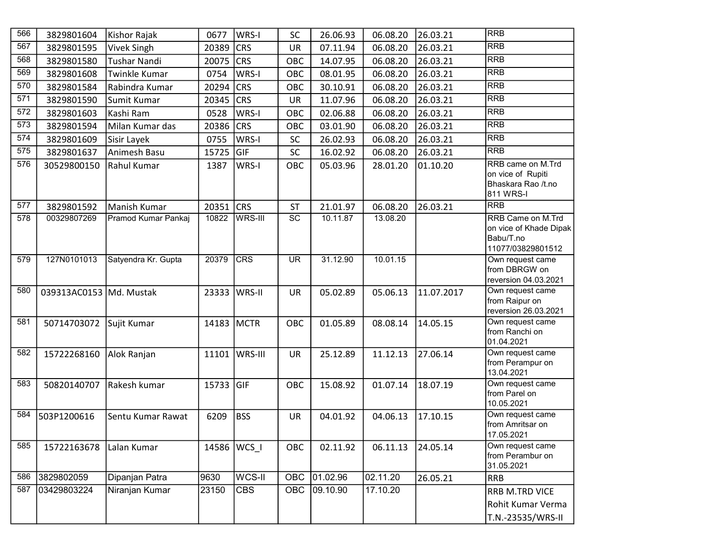| 566              | 3829801604              | Kishor Rajak        | 0677          | WRS-I          | <b>SC</b>       | 26.06.93 | 06.08.20 | 26.03.21   | <b>RRB</b>                                                                    |
|------------------|-------------------------|---------------------|---------------|----------------|-----------------|----------|----------|------------|-------------------------------------------------------------------------------|
| 567              | 3829801595              | <b>Vivek Singh</b>  | 20389         | <b>CRS</b>     | <b>UR</b>       | 07.11.94 | 06.08.20 | 26.03.21   | <b>RRB</b>                                                                    |
| 568              | 3829801580              | <b>Tushar Nandi</b> | 20075         | <b>CRS</b>     | OBC             | 14.07.95 | 06.08.20 | 26.03.21   | <b>RRB</b>                                                                    |
| 569              | 3829801608              | Twinkle Kumar       | 0754          | WRS-I          | OBC             | 08.01.95 | 06.08.20 | 26.03.21   | <b>RRB</b>                                                                    |
| 570              | 3829801584              | Rabindra Kumar      | 20294         | <b>CRS</b>     | OBC             | 30.10.91 | 06.08.20 | 26.03.21   | <b>RRB</b>                                                                    |
| 571              | 3829801590              | Sumit Kumar         | 20345         | <b>CRS</b>     | <b>UR</b>       | 11.07.96 | 06.08.20 | 26.03.21   | <b>RRB</b>                                                                    |
| $\overline{572}$ | 3829801603              | Kashi Ram           | 0528          | WRS-I          | OBC             | 02.06.88 | 06.08.20 | 26.03.21   | <b>RRB</b>                                                                    |
| 573              | 3829801594              | Milan Kumar das     | 20386         | <b>CRS</b>     | OBC             | 03.01.90 | 06.08.20 | 26.03.21   | <b>RRB</b>                                                                    |
| $\overline{574}$ | 3829801609              | Sisir Layek         | 0755          | WRS-I          | SC              | 26.02.93 | 06.08.20 | 26.03.21   | <b>RRB</b>                                                                    |
| 575              | 3829801637              | Animesh Basu        | 15725         | GIF            | SC              | 16.02.92 | 06.08.20 | 26.03.21   | <b>RRB</b>                                                                    |
| 576              | 30529800150             | Rahul Kumar         | 1387          | WRS-I          | OBC             | 05.03.96 | 28.01.20 | 01.10.20   | RRB came on M.Trd<br>on vice of Rupiti<br>Bhaskara Rao /t.no<br>811 WRS-I     |
| 577              | 3829801592              | Manish Kumar        | 20351         | <b>CRS</b>     | <b>ST</b>       | 21.01.97 | 06.08.20 | 26.03.21   | <b>RRB</b>                                                                    |
| 578              | 00329807269             | Pramod Kumar Pankaj | 10822         | WRS-III        | $\overline{SC}$ | 10.11.87 | 13.08.20 |            | RRB Came on M.Trd<br>on vice of Khade Dipak<br>Babu/T.no<br>11077/03829801512 |
| 579              | 127N0101013             | Satyendra Kr. Gupta | 20379         | CRS            | <b>UR</b>       | 31.12.90 | 10.01.15 |            | Own request came<br>from DBRGW on<br>reversion 04.03.2021                     |
| 580              | 039313AC0153 Md. Mustak |                     | 23333         | <b>WRS-II</b>  | <b>UR</b>       | 05.02.89 | 05.06.13 | 11.07.2017 | Own request came<br>from Raipur on<br>reversion 26.03.2021                    |
| 581              | 50714703072             | Sujit Kumar         | 14183 MCTR    |                | OBC             | 01.05.89 | 08.08.14 | 14.05.15   | Own request came<br>from Ranchi on<br>01.04.2021                              |
| 582              | 15722268160             | Alok Ranjan         | 11101         | <b>WRS-III</b> | <b>UR</b>       | 25.12.89 | 11.12.13 | 27.06.14   | Own request came<br>from Perampur on<br>13.04.2021                            |
| 583              | 50820140707             | Rakesh kumar        | 15733         | <b>GIF</b>     | OBC             | 15.08.92 | 01.07.14 | 18.07.19   | Own request came<br>from Parel on<br>10.05.2021                               |
| 584              | 503P1200616             | Sentu Kumar Rawat   | 6209          | <b>BSS</b>     | UR              | 04.01.92 | 04.06.13 | 17.10.15   | Own request came<br>from Amritsar on<br>17.05.2021                            |
| 585              | 15722163678             | Lalan Kumar         | 14586   WCS_I |                | OBC             | 02.11.92 | 06.11.13 | 24.05.14   | Own request came<br>from Perambur on<br>31.05.2021                            |
| 586              | 3829802059              | Dipanjan Patra      | 9630          | WCS-II         | <b>OBC</b>      | 01.02.96 | 02.11.20 | 26.05.21   | <b>RRB</b>                                                                    |
| 587              | 03429803224             | Niranjan Kumar      | 23150         | <b>CBS</b>     | <b>OBC</b>      | 09.10.90 | 17.10.20 |            | RRB M.TRD VICE                                                                |
|                  |                         |                     |               |                |                 |          |          |            | Rohit Kumar Verma                                                             |
|                  |                         |                     |               |                |                 |          |          |            | T.N.-23535/WRS-II                                                             |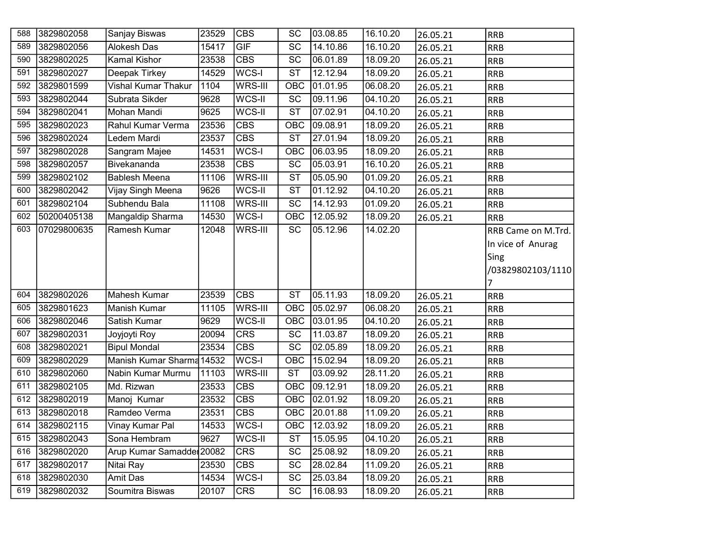| 588        | 3829802058  | Sanjay Biswas                      | 23529          | <b>CBS</b>          | <b>SC</b>                          | 03.08.85             | 16.10.20 | 26.05.21 | <b>RRB</b>         |
|------------|-------------|------------------------------------|----------------|---------------------|------------------------------------|----------------------|----------|----------|--------------------|
| 589        | 3829802056  | Alokesh Das                        | 15417          | GIF                 | $\overline{SC}$                    | 14.10.86             | 16.10.20 | 26.05.21 | <b>RRB</b>         |
| 590        | 3829802025  | Kamal Kishor                       | 23538          | CBS                 | $\overline{SC}$                    | 06.01.89             | 18.09.20 | 26.05.21 | <b>RRB</b>         |
| 591        | 3829802027  | <b>Deepak Tirkey</b>               | 14529          | WCS-I               | $\overline{\text{ST}}$             | 12.12.94             | 18.09.20 | 26.05.21 | <b>RRB</b>         |
| 592        | 3829801599  | <b>Vishal Kumar Thakur</b>         | 1104           | WRS-III             | OBC                                | 01.01.95             | 06.08.20 | 26.05.21 | <b>RRB</b>         |
| 593        | 3829802044  | Subrata Sikder                     | 9628           | WCS-II              | $\overline{SC}$                    | 09.11.96             | 04.10.20 | 26.05.21 | <b>RRB</b>         |
| 594        | 3829802041  | Mohan Mandi                        | 9625           | WCS-II              | $\overline{\text{ST}}$             | 07.02.91             | 04.10.20 | 26.05.21 | <b>RRB</b>         |
| 595        | 3829802023  | Rahul Kumar Verma                  | 23536          | <b>CBS</b>          | OBC                                | 09.08.91             | 18.09.20 | 26.05.21 | <b>RRB</b>         |
| 596        | 3829802024  | Ledem Mardi                        | 23537          | <b>CBS</b>          | <b>ST</b>                          | 27.01.94             | 18.09.20 | 26.05.21 | <b>RRB</b>         |
| 597        | 3829802028  | Sangram Majee                      | 14531          | WCS-I               | OBC                                | 06.03.95             | 18.09.20 | 26.05.21 | <b>RRB</b>         |
| 598        | 3829802057  | Bivekananda                        | 23538          | <b>CBS</b>          | $\overline{SC}$                    | 05.03.91             | 16.10.20 | 26.05.21 | <b>RRB</b>         |
| 599        | 3829802102  | <b>Bablesh Meena</b>               | 11106          | WRS-III             | $\overline{\text{ST}}$             | 05.05.90             | 01.09.20 | 26.05.21 | <b>RRB</b>         |
| 600        | 3829802042  | Vijay Singh Meena                  | 9626           | WCS-II              | $\overline{\text{ST}}$             | 01.12.92             | 04.10.20 | 26.05.21 | <b>RRB</b>         |
| 601        | 3829802104  | Subhendu Bala                      | 11108          | WRS-III             | SC                                 | 14.12.93             | 01.09.20 | 26.05.21 | <b>RRB</b>         |
| 602        | 50200405138 | Mangaldip Sharma                   | 14530          | WCS-I               | <b>OBC</b>                         | 12.05.92             | 18.09.20 | 26.05.21 | <b>RRB</b>         |
| 603        | 07029800635 | Ramesh Kumar                       | 12048          | WRS-III             | <b>SC</b>                          | 05.12.96             | 14.02.20 |          | RRB Came on M.Trd. |
|            |             |                                    |                |                     |                                    |                      |          |          | In vice of Anurag  |
|            |             |                                    |                |                     |                                    |                      |          |          | Sing               |
|            |             |                                    |                |                     |                                    |                      |          |          | /03829802103/1110  |
|            |             |                                    |                |                     |                                    |                      |          |          |                    |
|            |             |                                    |                |                     |                                    |                      |          |          | $\overline{7}$     |
| 604        | 3829802026  | Mahesh Kumar                       | 23539          | <b>CBS</b>          | $\overline{\text{ST}}$             | 05.11.93             | 18.09.20 | 26.05.21 | <b>RRB</b>         |
| 605        | 3829801623  | Manish Kumar                       | 11105          | WRS-III             | OBC                                | 05.02.97             | 06.08.20 | 26.05.21 | <b>RRB</b>         |
| 606        | 3829802046  | Satish Kumar                       | 9629           | WCS-II              | OBC                                | 03.01.95             | 04.10.20 | 26.05.21 | <b>RRB</b>         |
| 607        | 3829802031  | Joyjoyti Roy                       | 20094          | <b>CRS</b>          | $\overline{SC}$                    | 11.03.87             | 18.09.20 | 26.05.21 | <b>RRB</b>         |
| 608        | 3829802021  | <b>Bipul Mondal</b>                | 23534          | <b>CBS</b>          | $\overline{SC}$                    | 02.05.89             | 18.09.20 | 26.05.21 | <b>RRB</b>         |
| 609        | 3829802029  | Manish Kumar Sharma 14532          |                | WCS-I               | OBC                                | 15.02.94             | 18.09.20 | 26.05.21 | <b>RRB</b>         |
| 610        | 3829802060  | Nabin Kumar Murmu                  | 11103          | WRS-III             | $\overline{\text{ST}}$             | 03.09.92             | 28.11.20 | 26.05.21 | <b>RRB</b>         |
| 611        | 3829802105  | Md. Rizwan                         | 23533          | <b>CBS</b>          | OBC                                | 09.12.91             | 18.09.20 | 26.05.21 | <b>RRB</b>         |
| 612        | 3829802019  | Manoj Kumar                        | 23532          | CBS                 | OBC                                | 02.01.92             | 18.09.20 | 26.05.21 | <b>RRB</b>         |
| 613        | 3829802018  | Ramdeo Verma                       | 23531          | <b>CBS</b>          | OBC                                | 20.01.88             | 11.09.20 | 26.05.21 | <b>RRB</b>         |
| 614        | 3829802115  | <b>Vinay Kumar Pal</b>             | 14533          | WCS-I               | OBC                                | 12.03.92             | 18.09.20 | 26.05.21 | <b>RRB</b>         |
| 615        | 3829802043  | Sona Hembram                       | 9627           | WCS-II              | $\overline{\text{ST}}$             | 15.05.95             | 04.10.20 | 26.05.21 | <b>RRB</b>         |
| 616        | 3829802020  | Arup Kumar Samadde 20082           |                | <b>CRS</b>          | SC                                 | 25.08.92             | 18.09.20 | 26.05.21 | <b>RRB</b>         |
| 617        | 3829802017  | Nitai Ray                          | 23530          | <b>CBS</b>          | SC                                 | 28.02.84             | 11.09.20 | 26.05.21 | <b>RRB</b>         |
| 618<br>619 | 3829802030  | <b>Amit Das</b><br>Soumitra Biswas | 14534<br>20107 | WCS-I<br><b>CRS</b> | $\overline{SC}$<br>$\overline{SC}$ | 25.03.84<br>16.08.93 | 18.09.20 | 26.05.21 | <b>RRB</b>         |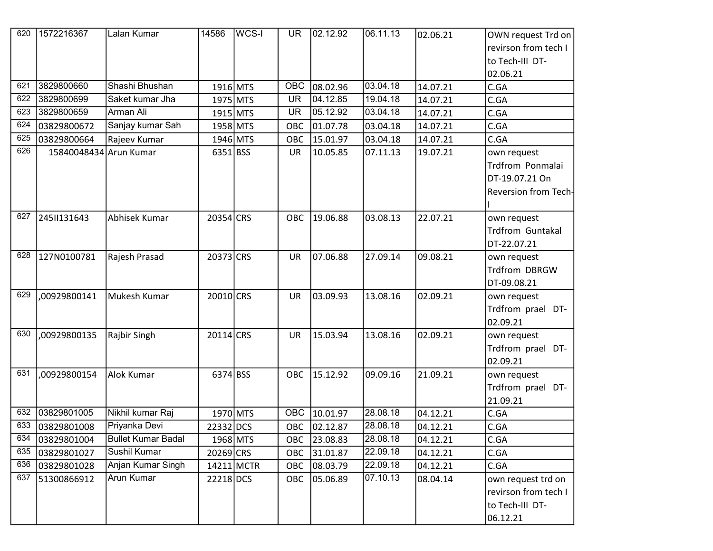| 620 | 1572216367             | Lalan Kumar               | 14586      | WCS-I | <b>UR</b> | 02.12.92 | 06.11.13 | 02.06.21 | OWN request Trd on          |
|-----|------------------------|---------------------------|------------|-------|-----------|----------|----------|----------|-----------------------------|
|     |                        |                           |            |       |           |          |          |          | revirson from tech I        |
|     |                        |                           |            |       |           |          |          |          | to Tech-III DT-             |
|     |                        |                           |            |       |           |          |          |          | 02.06.21                    |
| 621 | 3829800660             | Shashi Bhushan            | 1916 MTS   |       | OBC       | 08.02.96 | 03.04.18 | 14.07.21 | C.GA                        |
| 622 | 3829800699             | Saket kumar Jha           | 1975 MTS   |       | <b>UR</b> | 04.12.85 | 19.04.18 | 14.07.21 | C.GA                        |
| 623 | 3829800659             | Arman Ali                 | 1915 MTS   |       | <b>UR</b> | 05.12.92 | 03.04.18 | 14.07.21 | C.GA                        |
| 624 | 03829800672            | Sanjay kumar Sah          | 1958 MTS   |       | OBC       | 01.07.78 | 03.04.18 | 14.07.21 | C.GA                        |
| 625 | 03829800664            | Rajeev Kumar              | 1946 MTS   |       | OBC       | 15.01.97 | 03.04.18 | 14.07.21 | C.GA                        |
| 626 | 15840048434 Arun Kumar |                           | $6351$ BSS |       | UR        | 10.05.85 | 07.11.13 | 19.07.21 | own request                 |
|     |                        |                           |            |       |           |          |          |          | Trdfrom Ponmalai            |
|     |                        |                           |            |       |           |          |          |          | DT-19.07.21 On              |
|     |                        |                           |            |       |           |          |          |          | <b>Reversion from Tech-</b> |
|     |                        |                           |            |       |           |          |          |          |                             |
| 627 | 2451131643             | Abhisek Kumar             | 20354 CRS  |       | OBC       | 19.06.88 | 03.08.13 | 22.07.21 | own request                 |
|     |                        |                           |            |       |           |          |          |          | <b>Trdfrom Guntakal</b>     |
|     |                        |                           |            |       |           |          |          |          | DT-22.07.21                 |
| 628 | 127N0100781            | Rajesh Prasad             | 20373 CRS  |       | <b>UR</b> | 07.06.88 | 27.09.14 | 09.08.21 | own request                 |
|     |                        |                           |            |       |           |          |          |          | Trdfrom DBRGW               |
|     |                        |                           |            |       |           |          |          |          | DT-09.08.21                 |
| 629 | ,00929800141           | Mukesh Kumar              | 20010 CRS  |       | <b>UR</b> | 03.09.93 | 13.08.16 | 02.09.21 | own request                 |
|     |                        |                           |            |       |           |          |          |          | Trdfrom prael DT-           |
|     |                        |                           |            |       |           |          |          |          | 02.09.21                    |
| 630 | ,00929800135           | Rajbir Singh              | 20114 CRS  |       | <b>UR</b> | 15.03.94 | 13.08.16 | 02.09.21 | own request                 |
|     |                        |                           |            |       |           |          |          |          | Trdfrom prael DT-           |
|     |                        |                           |            |       |           |          |          |          | 02.09.21                    |
| 631 | ,00929800154           | Alok Kumar                | 6374 BSS   |       | OBC       | 15.12.92 | 09.09.16 | 21.09.21 | own request                 |
|     |                        |                           |            |       |           |          |          |          | Trdfrom prael DT-           |
|     |                        |                           |            |       |           |          |          |          | 21.09.21                    |
| 632 | 03829801005            | Nikhil kumar Raj          | 1970 MTS   |       | OBC       | 10.01.97 | 28.08.18 | 04.12.21 | C.GA                        |
| 633 | 03829801008            | Priyanka Devi             | 22332 DCS  |       | OBC       | 02.12.87 | 28.08.18 | 04.12.21 | C.GA                        |
| 634 | 03829801004            | <b>Bullet Kumar Badal</b> | 1968 MTS   |       | OBC       | 23.08.83 | 28.08.18 | 04.12.21 | C.GA                        |
| 635 | 03829801027            | Sushil Kumar              | 20269 CRS  |       | OBC       | 31.01.87 | 22.09.18 | 04.12.21 | C.GA                        |
| 636 | 03829801028            | Anjan Kumar Singh         | 14211 MCTR |       | OBC       | 08.03.79 | 22.09.18 | 04.12.21 | C.GA                        |
| 637 | 51300866912            | Arun Kumar                | 22218 DCS  |       | OBC       | 05.06.89 | 07.10.13 | 08.04.14 | own request trd on          |
|     |                        |                           |            |       |           |          |          |          | revirson from tech I        |
|     |                        |                           |            |       |           |          |          |          | to Tech-III DT-             |
|     |                        |                           |            |       |           |          |          |          | 06.12.21                    |